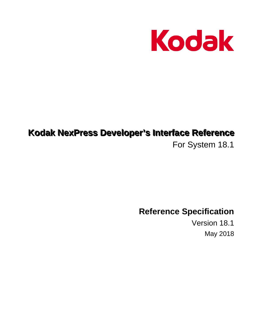

# Kodak NexPress Developer's Interface Reference

For System 18.1

**Reference Specification** 

Version 18.1 **May 2018**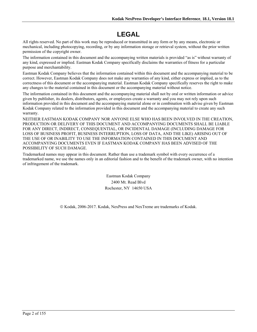# **LEGAL**

All rights reserved. No part of this work may be reproduced or transmitted in any form or by any means, electronic or mechanical, including photocopying, recording, or by any information storage or retrieval system, without the prior written permission of the copyright owner.

The information contained in this document and the accompanying written materials is provided "as is" without warranty of any kind, expressed or implied. Eastman Kodak Company specifically disclaims the warranties of fitness for a particular purpose and merchantability.

Eastman Kodak Company believes that the information contained within this document and the accompanying material to be correct. However, Eastman Kodak Company does not make any warranties of any kind, either express or implied, as to the correctness of this document or the accompanying material. Eastman Kodak Company specifically reserves the right to make any changes to the material contained in this document or the accompanying material without notice.

The information contained in this document and the accompanying material shall not by oral or written information or advice given by publisher, its dealers, distributors, agents, or employees create a warranty and you may not rely upon such information provided in this document and the accompanying material alone or in combination with advise given by Eastman Kodak Company related to the information provided in this document and the accompanying material to create any such warranty.

NEITHER EASTMAN KODAK COMPANY NOR ANYONE ELSE WHO HAS BEEN INVOLVED IN THE CREATION, PRODUCTION OR DELIVERY OF THIS DOCUMENT AND ACCOMPANYING DOCUMENTS SHALL BE LIABLE FOR ANY DIRECT, INDIRECT, CONSEQUENTIAL, OR INCIDENTAL DAMAGE (INCLUDING DAMAGE FOR LOSS OF BUSINESS PROFIT, BUSINESS INTERRUPTION, LOSS OF DATA, AND THE LIKE) ARISING OUT OF THE USE OF OR INABILITY TO USE THE INFORMATION CONTAINED IN THIS DOCUMENT AND ACCOMPANYING DOCUMENTS EVEN IF EASTMAN KODAK COMPANY HAS BEEN ADVISED OF THE POSSIBILITY OF SUCH DAMAGE.

Trademarked names may appear in this document. Rather than use a trademark symbol with every occurrence of a trademarked name, we use the names only in an editorial fashion and to the benefit of the trademark owner, with no intention of infringement of the trademark.

> Eastman Kodak Company 2400 Mt. Read Blvd Rochester, NY 14650 USA

© Kodak, 2006-2017. Kodak, NexPress and NexTreme are trademarks of Kodak.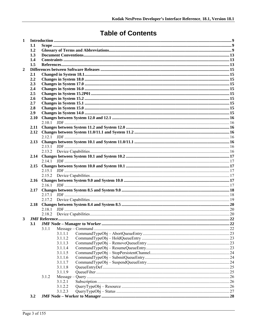# **Table of Contents**

| $\mathbf{1}$   |            |        |         |  |  |  |  |
|----------------|------------|--------|---------|--|--|--|--|
|                | 1.1        |        |         |  |  |  |  |
|                | 1.2        |        |         |  |  |  |  |
|                | 1.3        |        |         |  |  |  |  |
|                | 1.4        |        |         |  |  |  |  |
|                |            | 1.5    |         |  |  |  |  |
| $\overline{2}$ |            |        |         |  |  |  |  |
|                | 2.1        |        |         |  |  |  |  |
|                | 2.2        |        |         |  |  |  |  |
|                | 2.3        |        |         |  |  |  |  |
|                | 2.4<br>2.5 |        |         |  |  |  |  |
|                | 2.6        |        |         |  |  |  |  |
|                | 2.7        |        |         |  |  |  |  |
|                | 2.8        |        |         |  |  |  |  |
|                | 2.9        |        |         |  |  |  |  |
|                | 2.10       |        |         |  |  |  |  |
|                |            |        |         |  |  |  |  |
|                | 2.11       |        |         |  |  |  |  |
|                | 2.12       |        |         |  |  |  |  |
|                |            |        |         |  |  |  |  |
|                | 2.13       |        |         |  |  |  |  |
|                |            | 2.13.1 |         |  |  |  |  |
|                |            |        |         |  |  |  |  |
|                |            |        |         |  |  |  |  |
|                |            |        |         |  |  |  |  |
|                |            |        |         |  |  |  |  |
|                |            |        |         |  |  |  |  |
|                |            |        |         |  |  |  |  |
|                |            |        |         |  |  |  |  |
|                |            |        |         |  |  |  |  |
|                | 2.17       |        |         |  |  |  |  |
|                |            |        |         |  |  |  |  |
|                |            | 2.17.2 |         |  |  |  |  |
|                |            |        |         |  |  |  |  |
|                |            |        |         |  |  |  |  |
| 3              |            |        |         |  |  |  |  |
|                | 3.1        |        |         |  |  |  |  |
|                |            | 3.1.1  |         |  |  |  |  |
|                |            |        | 3.1.1.1 |  |  |  |  |
|                |            |        | 3.1.1.2 |  |  |  |  |
|                |            |        | 3.1.1.3 |  |  |  |  |
|                |            |        | 3.1.1.4 |  |  |  |  |
|                |            |        | 3.1.1.5 |  |  |  |  |
|                |            |        | 3.1.1.6 |  |  |  |  |
|                |            |        | 3.1.1.7 |  |  |  |  |
|                |            |        | 3.1.1.8 |  |  |  |  |
|                |            |        | 3.1.1.9 |  |  |  |  |
|                |            | 3.1.2  |         |  |  |  |  |
|                |            |        | 3.1.2.1 |  |  |  |  |
|                |            |        | 3.1.2.2 |  |  |  |  |
|                | 3.2        |        | 3.1.2.3 |  |  |  |  |
|                |            |        |         |  |  |  |  |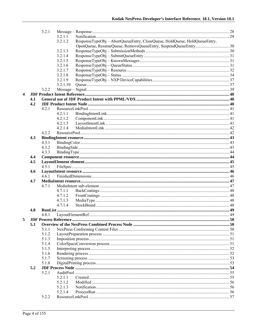|   |     | 3.2.1 |          |                                                                           |  |
|---|-----|-------|----------|---------------------------------------------------------------------------|--|
|   |     |       | 3.2.1.1  |                                                                           |  |
|   |     |       | 3.2.1.2  | ResponseTypeObj - AbortQueueEntry, CloseQueue, HoldQueue, HoldQueueEntry, |  |
|   |     |       |          |                                                                           |  |
|   |     |       | 3.2.1.3  |                                                                           |  |
|   |     |       | 3.2.1.4  |                                                                           |  |
|   |     |       | 3.2.1.5  |                                                                           |  |
|   |     |       | 3.2.1.6  |                                                                           |  |
|   |     |       | 3.2.1.7  |                                                                           |  |
|   |     |       | 3.2.1.8  |                                                                           |  |
|   |     |       | 3.2.1.9  |                                                                           |  |
|   |     |       | 3.2.1.10 |                                                                           |  |
|   |     | 3.2.2 |          |                                                                           |  |
| 4 |     |       |          |                                                                           |  |
|   | 4.1 |       |          |                                                                           |  |
|   | 4.2 |       |          |                                                                           |  |
|   |     | 4.2.1 |          |                                                                           |  |
|   |     |       | 4.2.1.1  |                                                                           |  |
|   |     |       | 4.2.1.2  |                                                                           |  |
|   |     |       | 4.2.1.3  |                                                                           |  |
|   |     |       | 4.2.1.4  |                                                                           |  |
|   |     | 4.2.2 |          |                                                                           |  |
|   | 4.3 |       |          |                                                                           |  |
|   |     | 4.3.1 |          |                                                                           |  |
|   |     | 4.3.2 |          |                                                                           |  |
|   |     | 4.3.3 |          |                                                                           |  |
|   | 4.4 |       |          |                                                                           |  |
|   | 4.5 |       |          |                                                                           |  |
|   |     | 4.5.1 |          |                                                                           |  |
|   | 4.6 |       |          |                                                                           |  |
|   |     | 4.6.1 |          |                                                                           |  |
|   | 4.7 |       |          |                                                                           |  |
|   |     | 4.7.1 |          |                                                                           |  |
|   |     |       | 4.7.1.1  |                                                                           |  |
|   |     |       | 4.7.1.2  |                                                                           |  |
|   |     |       | 4.7.1.3  |                                                                           |  |
|   |     |       | 4.7.1.4  |                                                                           |  |
|   | 4.8 |       |          |                                                                           |  |
|   |     | 4.8.1 |          |                                                                           |  |
| 5 |     |       |          |                                                                           |  |
|   | 5.1 |       |          |                                                                           |  |
|   |     | 5.1.1 |          |                                                                           |  |
|   |     | 5.1.2 |          |                                                                           |  |
|   |     | 5.1.3 |          |                                                                           |  |
|   |     | 5.1.4 |          |                                                                           |  |
|   |     | 5.1.5 |          |                                                                           |  |
|   |     | 5.1.6 |          |                                                                           |  |
|   |     | 5.1.7 |          |                                                                           |  |
|   |     | 5.1.8 |          |                                                                           |  |
|   | 5.2 |       |          |                                                                           |  |
|   |     | 5.2.1 |          |                                                                           |  |
|   |     |       | 5.2.1.1  |                                                                           |  |
|   |     |       | 5.2.1.2  |                                                                           |  |
|   |     |       | 5.2.1.3  |                                                                           |  |
|   |     |       | 5.2.1.4  |                                                                           |  |
|   |     | 5.2.2 |          |                                                                           |  |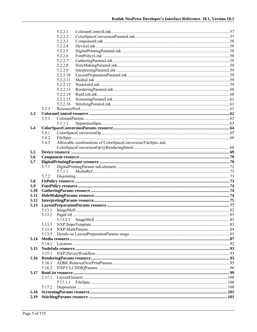|      |        | 5.2.2.1  |                                                             |  |
|------|--------|----------|-------------------------------------------------------------|--|
|      |        | 5.2.2.2  |                                                             |  |
|      |        | 5.2.2.3  |                                                             |  |
|      |        | 5.2.2.4  |                                                             |  |
|      |        | 5.2.2.5  |                                                             |  |
|      |        | 5.2.2.6  |                                                             |  |
|      |        | 5.2.2.7  |                                                             |  |
|      |        | 5.2.2.8  |                                                             |  |
|      |        | 5.2.2.9  |                                                             |  |
|      |        | 5.2.2.10 |                                                             |  |
|      |        | 5.2.2.11 |                                                             |  |
|      |        | 5.2.2.12 |                                                             |  |
|      |        | 5.2.2.13 |                                                             |  |
|      |        | 5.2.2.14 |                                                             |  |
|      |        | 5.2.2.15 |                                                             |  |
|      |        | 5.2.2.16 |                                                             |  |
|      | 5.2.3  |          |                                                             |  |
| 5.3  |        |          |                                                             |  |
|      | 5.3.1  |          |                                                             |  |
|      |        | 5.3.1.1  |                                                             |  |
| 5.4  |        |          |                                                             |  |
|      | 5.4.1  |          |                                                             |  |
|      | 5.4.2  |          |                                                             |  |
|      | 5.4.3  |          | Allowable combinations of ColorSpaceConversion/FileSpec and |  |
|      |        |          |                                                             |  |
| 5.5  |        |          |                                                             |  |
| 5.6  |        |          |                                                             |  |
| 5.7  |        |          |                                                             |  |
|      | 5.7.1  |          |                                                             |  |
|      |        | 5.7.1.1  |                                                             |  |
|      | 5.7.2  |          |                                                             |  |
| 5.8  |        |          |                                                             |  |
| 5.9  |        |          |                                                             |  |
| 5.10 |        |          |                                                             |  |
| 5.11 |        |          |                                                             |  |
| 5.12 |        |          |                                                             |  |
| 5.13 |        |          |                                                             |  |
|      | 5.13.1 |          |                                                             |  |
|      |        |          |                                                             |  |
|      |        | 5.13.2.1 |                                                             |  |
|      | 5.13.3 |          |                                                             |  |
|      | 5.13.4 |          |                                                             |  |
|      | 5.13.5 |          |                                                             |  |
| 5.14 |        |          |                                                             |  |
|      | 5.14.1 |          |                                                             |  |
| 5.15 |        |          |                                                             |  |
|      | 5.15.1 |          |                                                             |  |
| 5.16 |        |          |                                                             |  |
|      | 5.16.1 |          |                                                             |  |
|      | 5.16.2 |          |                                                             |  |
| 5.17 |        |          |                                                             |  |
|      | 5.17.1 |          |                                                             |  |
|      |        | 5.17.1.1 |                                                             |  |
|      | 5.17.2 |          |                                                             |  |
| 5.18 |        |          |                                                             |  |
| 5.19 |        |          |                                                             |  |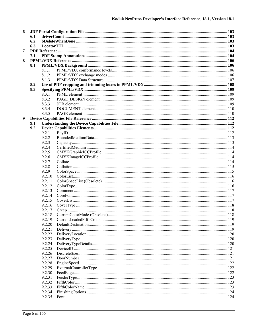| 6 |     |        |  |  |  |
|---|-----|--------|--|--|--|
|   | 6.1 |        |  |  |  |
|   | 6.2 |        |  |  |  |
|   | 6.3 |        |  |  |  |
| 7 |     |        |  |  |  |
|   | 7.1 |        |  |  |  |
| 8 |     |        |  |  |  |
|   | 8.1 |        |  |  |  |
|   |     | 8.1.1  |  |  |  |
|   |     | 8.1.2  |  |  |  |
|   |     | 8.1.3  |  |  |  |
|   | 8.2 |        |  |  |  |
|   | 8.3 |        |  |  |  |
|   |     | 8.3.1  |  |  |  |
|   |     | 8.3.2  |  |  |  |
|   |     | 8.3.3  |  |  |  |
|   |     | 8.3.4  |  |  |  |
|   |     | 8.3.5  |  |  |  |
| 9 |     |        |  |  |  |
|   | 9.1 |        |  |  |  |
|   | 9.2 |        |  |  |  |
|   |     | 9.2.1  |  |  |  |
|   |     | 9.2.2  |  |  |  |
|   |     | 9.2.3  |  |  |  |
|   |     | 9.2.4  |  |  |  |
|   |     | 9.2.5  |  |  |  |
|   |     | 9.2.6  |  |  |  |
|   |     | 9.2.7  |  |  |  |
|   |     | 9.2.8  |  |  |  |
|   |     | 9.2.9  |  |  |  |
|   |     | 9.2.10 |  |  |  |
|   |     | 9.2.11 |  |  |  |
|   |     | 9.2.12 |  |  |  |
|   |     | 9.2.13 |  |  |  |
|   |     | 9.2.14 |  |  |  |
|   |     | 9.2.15 |  |  |  |
|   |     | 9.2.16 |  |  |  |
|   |     | 9.2.17 |  |  |  |
|   |     | 9.2.18 |  |  |  |
|   |     | 9.2.19 |  |  |  |
|   |     | 9.2.20 |  |  |  |
|   |     | 9.2.21 |  |  |  |
|   |     | 9.2.22 |  |  |  |
|   |     | 9.2.23 |  |  |  |
|   |     | 9.2.24 |  |  |  |
|   |     | 9.2.25 |  |  |  |
|   |     | 9.2.26 |  |  |  |
|   |     | 9.2.27 |  |  |  |
|   |     | 9.2.28 |  |  |  |
|   |     | 9.2.29 |  |  |  |
|   |     | 9.2.30 |  |  |  |
|   |     | 9.2.31 |  |  |  |
|   |     | 9.2.32 |  |  |  |
|   |     | 9.2.33 |  |  |  |
|   |     | 9.2.34 |  |  |  |
|   |     | 9.2.35 |  |  |  |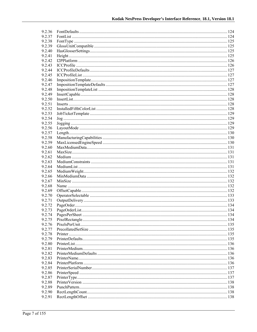| 9.2.36 |  |
|--------|--|
| 9.2.37 |  |
| 9.2.38 |  |
| 9.2.39 |  |
| 9.2.40 |  |
| 9.2.41 |  |
| 9.2.42 |  |
| 9.2.43 |  |
| 9.2.44 |  |
| 9.2.45 |  |
| 9.2.46 |  |
| 9.2.47 |  |
| 9.2.48 |  |
| 9.2.49 |  |
| 9.2.50 |  |
| 9.2.51 |  |
| 9.2.52 |  |
|        |  |
| 9.2.53 |  |
| 9.2.54 |  |
| 9.2.55 |  |
| 9.2.56 |  |
| 9.2.57 |  |
| 9.2.58 |  |
| 9.2.59 |  |
| 9.2.60 |  |
| 9.2.61 |  |
| 9.2.62 |  |
| 9.2.63 |  |
| 9.2.64 |  |
| 9.2.65 |  |
| 9.2.66 |  |
| 9.2.67 |  |
| 9.2.68 |  |
| 9.2.69 |  |
| 9.2.70 |  |
| 9.2.71 |  |
| 9.2.72 |  |
| 9.2.73 |  |
| 9.2.74 |  |
| 9.2.75 |  |
| 9.2.76 |  |
| 9.2.77 |  |
| 9.2.78 |  |
| 9.2.79 |  |
| 9.2.80 |  |
| 9.2.81 |  |
| 9.2.82 |  |
| 9.2.83 |  |
| 9.2.84 |  |
| 9.2.85 |  |
| 9.2.86 |  |
| 9.2.87 |  |
| 9.2.88 |  |
| 9.2.89 |  |
|        |  |
| 9.2.90 |  |
| 9.2.91 |  |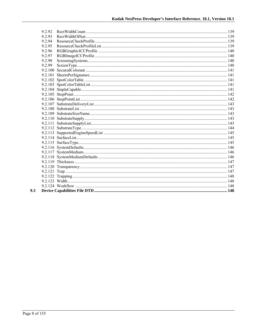| 9.2.92  |  |
|---------|--|
| 9.2.93  |  |
| 9 2 9 4 |  |
| 9.2.95  |  |
| 9.2.96  |  |
| 9.2.97  |  |
| 9.2.98  |  |
| 9.2.99  |  |
|         |  |
|         |  |
|         |  |
|         |  |
|         |  |
|         |  |
|         |  |
|         |  |
|         |  |
|         |  |
|         |  |
|         |  |
|         |  |
|         |  |
|         |  |
|         |  |
|         |  |
|         |  |
|         |  |
|         |  |
|         |  |
|         |  |
|         |  |
|         |  |
|         |  |
|         |  |

 $9.3$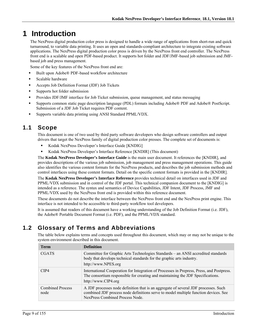# **1 Introduction**

The NexPress digital production color press is designed to handle a wide range of applications from short-run and quick turnaround, to variable data printing. It uses an open and standards-compliant architecture to integrate existing software applications. The NexPress digital production color press is driven by the NexPress front end controller. The NexPress front end is a scalable and open PDF-based product. It supports hot folder and JDF/JMF-based job submission and JMFbased job and press management.

Some of the key features of the NexPress front end are:

- Built upon Adobe® PDF-based workflow architecture
- Scalable hardware
- Accepts Job Definition Format (JDF) Job Tickets
- Supports hot folder submission
- Provides JDF/JMF interface for Job Ticket submission, queue management, and status messaging
- Supports common static page description language (PDL) formats including Adobe® PDF and Adobe® PostScript. Submission of a JDF Job Ticket requires PDF content.
- Supports variable data printing using ANSI Standard PPML/VDX.

### **1.1 Scope**

This document is one of two used by third party software developers who design software controllers and output drivers that target the NexPress family of digital production color presses. The complete set of documents is:

- Kodak NexPress Developer's Interface Guide [KNDIG]
- Kodak NexPress Developer's Interface Reference [KNDIR] (This document)

The **Kodak NexPress Developer's Interface Guide** is the main user document. It references the [KNDIR], and provides descriptions of the various job submission, job management and press management operations. This guide also identifies the various content formats for the NexPress products, and describes the job submission methods and control interfaces using these content formats. Detail on the specific content formats is provided in the [KNDIR].

The **Kodak NexPress Developer's Interface Reference** provides technical detail on interfaces used in JDF and PPML/VDX submission and in control of the JDF portal. This technical companion document to the [KNDIG] is intended as a reference. The syntax and semantics of Device Capabilities, JDF Intent, JDF Process, JMF and PPML/VDX used by the NexPress front end is provided within this reference document.

These documents do not describe the interface between the NexPress front end and the NexPress print engine. This interface is not intended to be accessible to third-party workflow tool developers.

It is assumed that readers of this document have a working understanding of the Job Definition Format (i.e. JDF), the Adobe® Portable Document Format (i.e. PDF), and the PPML/VDX standard.

### **1.2 Glossary of Terms and Abbreviations**

The table below explains terms and concepts used throughout this document, which may or may not be unique to the system environment described in this document.

| <b>Term</b>                     | <b>Definition</b>                                                                                                                                                                                             |
|---------------------------------|---------------------------------------------------------------------------------------------------------------------------------------------------------------------------------------------------------------|
| <b>CGATS</b>                    | Committee for Graphic Arts Technologies Standards – an ANSI accredited standards<br>body that develops technical standards for the graphic arts industry.<br>http://www.NPES.org                              |
| CIP4                            | International Cooperation for Integration of Processes in Prepress, Press, and Postpress.<br>The consortium responsible for creating and maintaining the JDF Specifications.<br>http://www.CIP4.org           |
| <b>Combined Process</b><br>node | A JDF processes node definition that is an aggregate of several JDF processes. Such<br>combined JDF process node definitions serve to model multiple function devices. See<br>NexPress Combined Process Node. |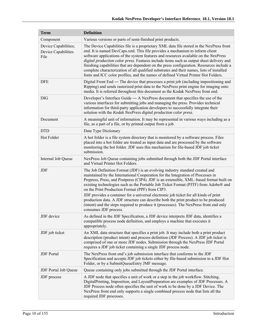| <b>Term</b>                                         | <b>Definition</b>                                                                                                                                                                                                                                                                                                                                                                                                                                                                                                                                                                                                                                                                                      |  |  |  |  |
|-----------------------------------------------------|--------------------------------------------------------------------------------------------------------------------------------------------------------------------------------------------------------------------------------------------------------------------------------------------------------------------------------------------------------------------------------------------------------------------------------------------------------------------------------------------------------------------------------------------------------------------------------------------------------------------------------------------------------------------------------------------------------|--|--|--|--|
| Component                                           | Various versions or parts of semi-finished print products.                                                                                                                                                                                                                                                                                                                                                                                                                                                                                                                                                                                                                                             |  |  |  |  |
| Device Capabilities;<br>Device Capabilities<br>File | The Device Capabilities file is a proprietary XML data file stored in the NexPress front<br>end. It is named DevCaps.xml. This file provides a mechanism to inform client<br>software applications of the system features and resources available on the NexPress<br>digital production color press. Features include items such as output sheet delivery and<br>finishing capabilities that are dependent on the press configuration. Resources include a<br>complete characterization of all qualified substrates and their names, lists of installed<br>fonts and ICC color profiles, and the names of defined Virtual Printer Hot Folders.                                                         |  |  |  |  |
| <b>DFE</b>                                          | Digital Front End — The device that processes a print job (including impositioning and<br>Ripping) and sends rasterized print data to the NexPress print engine for imaging onto<br>media. It is referred throughout this document as the Kodak NexPress front end.                                                                                                                                                                                                                                                                                                                                                                                                                                    |  |  |  |  |
| <b>DIG</b>                                          | Developer's Interface Guide $-$ A NexPress document that specifies the use of the<br>various interfaces for submitting jobs and managing the press. Provides technical<br>information for third-party application developers to successfully integrate their<br>solution with the Kodak NexPress digital production color press.                                                                                                                                                                                                                                                                                                                                                                       |  |  |  |  |
| Document                                            | A meaningful unit of information. It may be represented in various ways including as a<br>file, as a part of a file, or by printed output from a job.                                                                                                                                                                                                                                                                                                                                                                                                                                                                                                                                                  |  |  |  |  |
| <b>DTD</b>                                          | Data Type Dictionary                                                                                                                                                                                                                                                                                                                                                                                                                                                                                                                                                                                                                                                                                   |  |  |  |  |
| Hot Folder                                          | A hot folder is a file system directory that is monitored by a software process. Files<br>placed into a hot folder are treated as input data and are processed by the software<br>monitoring the hot folder. JDF uses this mechanism for file-based JDF job ticket<br>submission.                                                                                                                                                                                                                                                                                                                                                                                                                      |  |  |  |  |
| Internal Job Queue                                  | NexPress Job Queue containing jobs submitted through both the JDF Portal interface<br>and Virtual Printer Hot Folders.                                                                                                                                                                                                                                                                                                                                                                                                                                                                                                                                                                                 |  |  |  |  |
| <b>JDF</b>                                          | The Job Definition Format (JDF) is an evolving industry standard created and<br>maintained by the International Cooperation for the Integration of Processes in<br>Prepress, Press, and Postpress (CIP4). JDF is an extensible, XML-based format built on<br>existing technologies such as the Portable Job Ticket Format (PJTF) from Adobe® and<br>on the Print Production Format (PPF) from CIP3.<br>JDF provides a container for a universal electronic job ticket for all kinds of print<br>production data. A JDF structure can describe both the print product to be produced<br>(intent) and the steps required to produce it (processes). The NexPress front end only<br>consumes JDF process. |  |  |  |  |
| JDF device                                          | As defined in the JDF Specification, a JDF device interprets JDF data, identifies a<br>compatible process node definition, and employs a machine that executes it<br>appropriately.                                                                                                                                                                                                                                                                                                                                                                                                                                                                                                                    |  |  |  |  |
| JDF job ticket                                      | An XML data structure that specifies a print job. It may include both a print product<br>description (product intent) and process definition (JDF Process). A JDF job ticket is<br>comprised of one or more JDF nodes. Submission through the NexPress JDF Portal<br>requires a JDF job ticket containing a single JDF process node.                                                                                                                                                                                                                                                                                                                                                                   |  |  |  |  |
| <b>JDF</b> Portal                                   | The NexPress front end's job submission interface that conforms to the JDF<br>Specification and accepts JDF job tickets either by file-based submission to a JDF Hot<br>Folder, or by a SubmitQueueEntry JMF message.                                                                                                                                                                                                                                                                                                                                                                                                                                                                                  |  |  |  |  |
| <b>JDF</b> Portal Job Queue                         | Queue containing only jobs submitted through the JDF Portal interface.                                                                                                                                                                                                                                                                                                                                                                                                                                                                                                                                                                                                                                 |  |  |  |  |
| JDF process                                         | A JDF node that specifies a unit of work or a step in the job workflow. Stitching,<br>DigitalPrinting, Imposition, and LayoutPreparation are examples of JDF Processes. A<br>JDF Process node often specifies the unit of work to be done by a JDF Device. The<br>NexPress front end only supports a single combined process node that lists all the<br>required JDF processes.                                                                                                                                                                                                                                                                                                                        |  |  |  |  |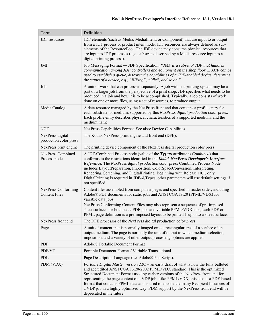| <b>Term</b>                                 | <b>Definition</b>                                                                                                                                                                                                                                                                                                                                                                                                                                                                                                                                                   |  |  |  |
|---------------------------------------------|---------------------------------------------------------------------------------------------------------------------------------------------------------------------------------------------------------------------------------------------------------------------------------------------------------------------------------------------------------------------------------------------------------------------------------------------------------------------------------------------------------------------------------------------------------------------|--|--|--|
| JDF resources                               | JDF elements (such as Media, MediaIntent, or Component) that are input to or output<br>from a JDF process or product intent node. JDF resources are always defined as sub-<br>elements of the ResourcePool. The JDF device may consume physical resources that<br>are input to JDF processes (e.g., substrate described by a Media resource input to a<br>digital printing process).                                                                                                                                                                                |  |  |  |
| JMF                                         | Job Messaging Format — JDF Specification: "JMF is a subset of JDF that handles<br>communication among JDF controllers and equipment on the shop floor JMF can be<br>used to establish a queue, discover the capabilities of a JDF-enabled device, determine<br>the status of a device, e.g., "RIPing", "Idle", and so on."                                                                                                                                                                                                                                          |  |  |  |
| Job                                         | A unit of work that can processed separately. A job within a printing system may be a<br>part of a larger job from the perspective of a print shop. JDF specifies what needs to be<br>produced in a job and how it is to be accomplished. Typically, a job consists of work<br>done on one or more files, using a set of resources, to produce output.                                                                                                                                                                                                              |  |  |  |
| Media Catalog                               | A data resource managed by the NexPress front end that contains a profile entry for<br>each substrate, or medium, supported by this NexPress digital production color press.<br>Each profile entry describes physical characteristics of a supported medium, and the<br>medium name.                                                                                                                                                                                                                                                                                |  |  |  |
| <b>NCF</b>                                  | NexPress Capabilities Format. See also: Device Capabilities                                                                                                                                                                                                                                                                                                                                                                                                                                                                                                         |  |  |  |
| NexPress digital<br>production color press  | The Kodak NexPress print engine and front end (DFE).                                                                                                                                                                                                                                                                                                                                                                                                                                                                                                                |  |  |  |
| NexPress print engine                       | The printing device component of the NexPress digital production color press                                                                                                                                                                                                                                                                                                                                                                                                                                                                                        |  |  |  |
| <b>NexPress Combined</b><br>Process node    | A JDF-Combined Process node (value of the Types attribute is <i>Combined</i> ) that<br>conforms to the restrictions identified in the Kodak NexPress Developer's Interface<br>Reference. The NexPress digital production color press Combined Process Node<br>includes LayoutPreparation, Imposition, ColorSpaceConversion, Interpreting,<br>Rendering, Screening, and DigitalPrinting. Beginning with Release 10.1, only<br>Digital Printing is required in JDF/ $\omega$ Types, other parameters will use default settings if<br>not specified.                   |  |  |  |
| NexPress Conforming<br><b>Content Files</b> | Content files assembled from composite pages and specified in reader order, including<br>Adobe® PDF documents for static jobs and ANSI CGATS.20 (PPML/VDX) for<br>variable data jobs.<br>NexPress Conforming Content Files may also represent a sequence of pre-imposed<br>sheet surfaces for both static PDF jobs and variable PPML/VDX jobs; each PDF or<br>PPML page definition is a pre-imposed layout to be printed 1-up onto a sheet surface.                                                                                                                 |  |  |  |
| NexPress front end                          | The DFE processor of the NexPress digital production color press                                                                                                                                                                                                                                                                                                                                                                                                                                                                                                    |  |  |  |
| Page                                        | A unit of content that is normally imaged onto a rectangular area of a surface of an<br>output medium. The page is normally the unit of output to which medium selection,<br>imposition, and a variety of other output processing options are applied.                                                                                                                                                                                                                                                                                                              |  |  |  |
| <b>PDF</b>                                  | Adobe® Portable Document Format                                                                                                                                                                                                                                                                                                                                                                                                                                                                                                                                     |  |  |  |
| PDF/VT                                      | Portable Document Format / Variable Transactional                                                                                                                                                                                                                                                                                                                                                                                                                                                                                                                   |  |  |  |
| PDL                                         | Page Description Language (i.e. Adobe® PostScript).                                                                                                                                                                                                                                                                                                                                                                                                                                                                                                                 |  |  |  |
| PDM (VDX)                                   | <i>Portable Digital Master version 2.01</i> – an early draft of what is now the fully balloted<br>and accredited ANSI CGATS.20-2002 PPML/VDX standard. This is the optimized<br>Structured Document Format used by earlier versions of the NexPress front end for<br>representing the page content of a VDP job. Like PPML/VDX, this also is a PDF-based<br>format that contains PPML data and is used to encode the many Recipient Instances of<br>a VDP job in a highly optimized way. PDM support by the NexPress front end will be<br>deprecated in the future. |  |  |  |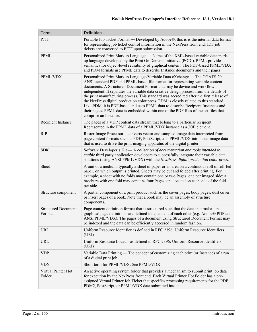| <b>Term</b>                          | <b>Definition</b>                                                                                                                                                                                                                                                                                                                                                                                                                                                                                                                                                                                                                                                                                                           |  |  |  |  |
|--------------------------------------|-----------------------------------------------------------------------------------------------------------------------------------------------------------------------------------------------------------------------------------------------------------------------------------------------------------------------------------------------------------------------------------------------------------------------------------------------------------------------------------------------------------------------------------------------------------------------------------------------------------------------------------------------------------------------------------------------------------------------------|--|--|--|--|
| <b>PJTF</b>                          | Portable Job Ticket Format — Developed by Adobe®, this is is the internal data format<br>for representing job ticket control information in the NexPress front end. JDF job<br>tickets are converted to PJTF upon submission.                                                                                                                                                                                                                                                                                                                                                                                                                                                                                               |  |  |  |  |
| PPML                                 | Personalized Print Markup Language - Name of the XML-based variable data mark-<br>up language developed by the Print On Demand initiative (PODi). PPML provides<br>semantics for object-level reusability of graphical content. The PDF-based PPML/VDX<br>and PDM formats use PPML data to describe Instance documents and their pages.                                                                                                                                                                                                                                                                                                                                                                                     |  |  |  |  |
| PPML/VDX                             | Personalized Print Markup Language/Variable Data eXchange — The CGATS.20<br>ANSI standard PDF and PPML-based file format for representing variable content<br>documents. A Structured Document Format that may be device and workflow-<br>independent. It separates the variable data creative design process from the details of<br>the print manufacturing process. This standard was accredited after the first release of<br>the NexPress digital production color press. PDM is closely related to this standard.<br>Like PDM, it is PDF-based and uses PPML data to describe Recipient Instances and<br>their pages. PPML data is embedded within one of the PDF files of the set files that<br>comprise an Instance. |  |  |  |  |
| Recipient Instance                   | The pages of a VDP content data stream that belong to a particular recipient.<br>Represented in the PPML data of a PPML/VDX instance as a JOB element.                                                                                                                                                                                                                                                                                                                                                                                                                                                                                                                                                                      |  |  |  |  |
| <b>RIP</b>                           | Raster Image Processor – converts vector and sampled image data interpreted from<br>page content formats such as PDF, PostScript, and PPML/VDX into raster image data<br>that is used to drive the print imaging apparatus of the digital printer.                                                                                                                                                                                                                                                                                                                                                                                                                                                                          |  |  |  |  |
| <b>SDK</b>                           | Software Developer's Kit - A collection of documentation and tools intended to<br>enable third party application developers to successfully integrate their variable data<br>solutions (using ANSI PPML/VDX) with the NexPress digital production color press.                                                                                                                                                                                                                                                                                                                                                                                                                                                              |  |  |  |  |
| Sheet                                | A unit of a medium, typically a sheet of paper or an area on a continuous roll of roll-fed<br>paper, on which output is printed. Sheets may be cut and folded after printing. For<br>example, a sheet with no folds may contain one or two Pages, one per imaged side; a<br>brochure with one fold may contains four Pages, one located on each side of the fold<br>per side.                                                                                                                                                                                                                                                                                                                                               |  |  |  |  |
| Structure component                  | A partial component of a print product such as the cover pages, body pages, dust cover,<br>or insert pages of a book. Note that a book may be an assembly of structure<br>components.                                                                                                                                                                                                                                                                                                                                                                                                                                                                                                                                       |  |  |  |  |
| <b>Structured Document</b><br>Format | Page content definition format that is structured such that the data that makes up<br>graphical page definitions are defined independent of each other (e.g. Adobe® PDF and<br>ANSI PPML/VDX). The pages of a document using Structured Document Format may<br>be indexed and the data can be efficiently accessed in random fashion.                                                                                                                                                                                                                                                                                                                                                                                       |  |  |  |  |
| <b>URI</b>                           | Uniform Resource Identifier as defined in RFC 2396: Uniform Resource Identifiers<br>(URI)                                                                                                                                                                                                                                                                                                                                                                                                                                                                                                                                                                                                                                   |  |  |  |  |
| URL                                  | Uniform Resource Locator as defined in RFC 2396: Uniform Resource Identifiers<br>(URI)                                                                                                                                                                                                                                                                                                                                                                                                                                                                                                                                                                                                                                      |  |  |  |  |
| <b>VDP</b>                           | Variable Data Printing — The concept of customizing each print (or Instance) of a run<br>of a digital print job.                                                                                                                                                                                                                                                                                                                                                                                                                                                                                                                                                                                                            |  |  |  |  |
| <b>VDX</b>                           | Short term for PPML/VDX. See PPML/VDX                                                                                                                                                                                                                                                                                                                                                                                                                                                                                                                                                                                                                                                                                       |  |  |  |  |
| Virtual Printer Hot<br>Folder        | An active operating system folder that provides a mechanism to submit print job data<br>for execution by the NexPress front end. Each Virtual Printer Hot Folder has a pre-<br>assigned Virtual Printer Job Ticket that specifies processing requirements for the PDF,<br>PDM2, PostScript, or PPML/VDX data submitted into it.                                                                                                                                                                                                                                                                                                                                                                                             |  |  |  |  |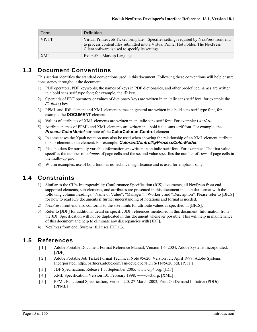| Term         | <b>Definition</b>                                                                                                                                                                                                                 |
|--------------|-----------------------------------------------------------------------------------------------------------------------------------------------------------------------------------------------------------------------------------|
| <b>VPJTT</b> | Virtual Printer Job Ticket Template – Specifies settings required by NexPress front end<br>to process content files submitted into a Virtual Printer Hot Folder. The NexPress<br>Client software is used to specify its settings. |
| <b>XML</b>   | Extensible Markup Language                                                                                                                                                                                                        |

### **1.3 Document Conventions**

This section identifies the standard conventions used in this document. Following these conventions will help ensure consistency throughout the document.

- 1) PDF operators, PDF keywords, the names of keys in PDF dictionaries, and other predefined names are written in a bold sans serif type font; for example, the **ID** key.
- 2) Operands of PDF operators or values of dictionary keys are written in an italic sans serif font, for example the */Catalog* key.
- 3) PPML and JDF element and XML element names in general are written in a bold sans serif type font, for example the **DOCUMENT** element.
- 4) Values of attributes of XML elements are written in an italic sans serif font. For example: *LineArt.*
- 5) Attribute names of PPML and XML elements are written in a bold italic sans serif font. For example, the *ProcessColorModel* attribute of the **ColorColorantControl** element.
- 6) In some cases the Xpath notation may also be used when showing the relationship of an XML element attribute or sub-element to an element. For example: *ColorantControl/@ProcessColorModel*.
- 7) Placeholders for normally variable information are written in an italic serif font. For example: "The first value specifies the number of *columns* of page cells and the second value specifies the number of *rows* of page cells in the multi–up grid".
- 8) Within examples, use of bold font has no technical significance and is used for emphasis only.

### **1.4 Constraints**

- 1) Similar to the CIP4 Interoperability Conformance Specification (ICS) documents, all NexPress front end supported elements, sub-elements, and attributes are presented in this document in a tabular format with the following column headings: "Name or Value", "Manager", "Worker", and "Description". Please refer to [BICS] for how to read ICS documents if further understanding of notations and format is needed.
- 2) NexPress front end also conforms to the size limits for attribute values as specified in [BICS].
- 3) Refer to [JDF] for additional detail on specific JDF references mentioned in this document. Information from the JDF Specification will not be duplicated in this document whenever possible. This will help in maintenance of this document and help to eliminate any discrepancies with [JDF].
- 4) NexPress front end, System 10.1 uses JDF 1.3.

### **1.5 References**

- [ 1 ] Adobe Portable Document Format Reference Manual, Version 1.6, 2004, Adobe Systems Incorporated, [PDF]
- [ 2 ] Adobe Portable Job Ticket Format Technical Note #5620, Version 1.1, April 1999, Adobe Systems Incorporated, http://partners.adobe.com/asn/developer/PDFS/TN/5620.pdf, [PJTF]
- [ 3 ] JDF Specification, Release 1.3, September 2005, www.cip4.org, [JDF]
- [4] XML Specification, Version 1.0, February 1998, www.w3.org, [XML]
- [ 5 ] PPML Functional Specification, Version 2.0, 27-March-2002, Print On Demand Initiative (PODi), [PPML]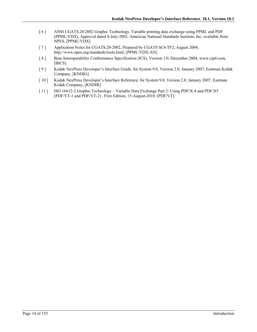- [ 6 ] ANSI CGATS.20:2002 Graphic Technology, Variable printing data exchange using PPML and PDF (PPML/VDX), Approval dated 8-July-2002, American National Standards Institute, Inc. available from NPES, [PPML/VDX]
- [ 7 ] Application Notes for CGATS.20-2002, Prepared by CGATS SC6/TF2, August 2004, http://www.npes.org/standards/tools.html, [PPML/VDX-AN]
- [ 8 ] Base Interoperability Conformance Specification (ICS), Version 1.0, December 2004, www.cip4.com, [BICS]
- [ 9 ] Kodak NexPress Developer's Interface Guide, for System 9.0, Version 2.0, January 2007, Eastman Kodak Company, [KNDIG]
- [ 10 ] Kodak NexPress Developer's Interface Reference, for System 9.0, Version 2.0, January 2007, Eastman Kodak Company, [KNDIR]
- [ 11 ] ISO 16612-2 Graphic Technology Variable Data Exchange Part 2: Using PDF/X-4 and PDF/X5 (PDF/VT-1 and PDF/VT-2) , First Edition, 15-August-2010. [PDF/VT]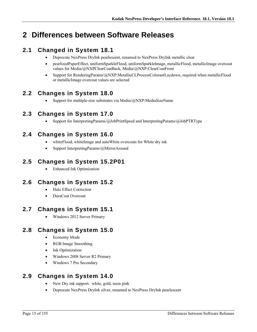# **2 Differences between Software Releases**

# **2.1 Changed in System 18.1**

- Deprecate NexPress DryInk pearlescent, renamed to NexPress DryInk metallic clear
- pearlizedPaperEffect, uniformSparkleFlood, uniformSparkleImage, metallicFlood, metallicImage overcoat values for Media/@NXPClearCoatBack, Media/@NXP:ClearCoatFront
- Support for RenderingParams/@NXP:MetallicCLProcessColorantLaydown, required when metallicFlood or metallicImage overcoat values are selected

## **2.2 Changes in System 18.0**

• Support for multiple-size substrates via Media/ $@NXP$ :MediaSizeName

## **2.3 Changes in System 17.0**

Support for InterpretingParams/@JobPrintSpeed and InterpretingParams/@JobPTRType

# **2.4 Changes in System 16.0**

- whiteFlood, whiteImage and autoWhite overcoats for White dry ink
- Support InterpretingParams/@MirrorAround

### **2.5 Changes in System 15.2P01**

Enhanced Ink Optimization

### **2.6 Changes in System 15.2**

- Halo Effect Correction
- DuraCoat Overcoat

# **2.7 Changes in System 15.1**

Windows 2012 Server Primary

# **2.8 Changes in System 15.0**

- Economy Mode
- RGB Image Smoothing
- Ink Optimization
- Windows 2008 Server R2 Primary
- Windows 7 Pro Secondary

### **2.9 Changes in System 14.0**

- New Dry ink support: white, gold, neon pink
- Deprecate NexPress DryInk silver, renamed to NexPress DryInk pearlescent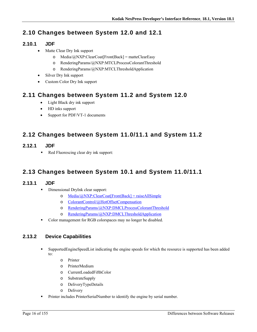# **2.10 Changes between System 12.0 and 12.1**

### **2.10.1 JDF**

- Matte Clear Dry Ink support
	- o Media/ $\widehat{a}$ NXP:ClearCoat[Front|Back] = matteClearEasy
	- o RenderingParams/@NXP:MTCLProcessColorantThreshold
	- o RenderingParams/@NXP:MTCLThresholdApplication
- Silver Dry Ink support
- Custom Color Dry Ink support

### **2.11 Changes between System 11.2 and System 12.0**

- Light Black dry ink support
- HD inks support
- Support for PDF/VT-1 documents

## **2.12 Changes between System 11.0/11.1 and System 11.2**

- **2.12.1 JDF** 
	- Red Fluorescing clear dry ink support:

### **2.13 Changes between System 10.1 and System 11.0/11.1**

#### **2.13.1 JDF**

- Dimensional DryInk clear support:
	- o Media/@NXP:ClearCoat[Front|Back] = raiseAllSimple
	- o ColorantControl/@HotOffsetCompensation
	- o RenderingParams/@NXP:DMCLProcessColorantThreshold
	- o RenderingParams/@NXP:DMCLThresholdApplication
- Color management for RGB colorspaces may no longer be disabled.

### **2.13.2 Device Capabilities**

- SupportedEngineSpeedList indicating the engine speeds for which the resource is supported has been added to:
	- o Printer
	- o PrinterMedium
	- o CurrentLoadedFifthColor
	- o SubstrateSupply
	- o DeliveryTypeDetails
	- o Delivery
- Printer includes PrinterSerialNumber to identify the engine by serial number.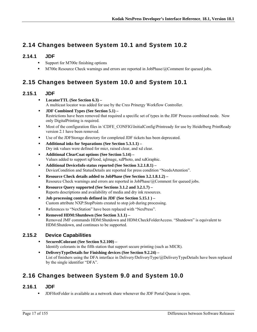## **2.14 Changes between System 10.1 and System 10.2**

#### **2.14.1 JDF**

- Support for M700e finishing options
- M700e Resource Check warnings and errors are reported in JobPhase/@Comment for queued jobs.

# **2.15 Changes between System 10.0 and System 10.1**

#### **2.15.1 JDF**

- **LocatorTTL (See Section 6.3)**  A multicast locator was added for use by the Creo Prinergy Workflow Controller.
- **JDF Combined Types (See Section 5.1)**  Restrictions have been removed that required a specific set of types in the JDF Process combined node. Now only DigitalPrinting is required.
- **Most of the configuration files in \CDFE\_CONFIG\InitialConfig\Printready for use by Heidelberg PrintReady** version 2.1 have been removed.
- Use of the JDFStorage directory for completed JDF tickets has been deprecated.
- **Additional inks for Separations (See Section 5.3.1.1)**  Dry ink values were defined for micr, raised clear, and xd clear.
- **Additional ClearCoat options (See Section 5.14)**  Values added to support iqFlood, iqImage, xdPhoto, and xdGraphic.
- **Additional DeviceInfo status reported (See Section 3.2.1.8.1)**  DeviceCondition and StatusDetails are reported for press condition "NeedsAttention".
- **Resource Check details added to JobPhase (See Section 3.2.1.8.1.2)**  Resource Check warnings and errors are reported in JobPhase/@Comment for queued jobs.
- **Resource Query supported (See Sections 3.1.2 and 3.2.1.7)**  Reports descriptions and availability of media and dry ink resources.
- **Job processing controls defined in JDF (See Section 5.15.1 )**  Custom attribute NXP:StopPoints created to stop job during processing.
- References to "NexStation" have been replaced with "NexPress".
- **Removed HDM:Shutdown (See Section 3.1.1)** Removed JMF commands HDM:Shutdown and HDM:CheckFolderAccess. "Shutdown" is equivalent to HDM:Shutdown, and continues to be supported.

#### **2.15.2 Device Capabilities**

- **SecuredColorant (See Section 9.2.100)**  Identify colorants in the fifth station that support secure printing (such as MICR).
- **DeliveryTypeDetails for Finishing devices (See Section 9.2.24)**  List of finishers using the DFA interface in Delivery/DeliveryType/@DeliveryTypeDetails have been replaced by the single identifier "DFA".

### **2.16 Changes between System 9.0 and System 10.0**

#### **2.16.1 JDF**

JDFHotFolder is available as a network share whenever the JDF Portal Queue is open.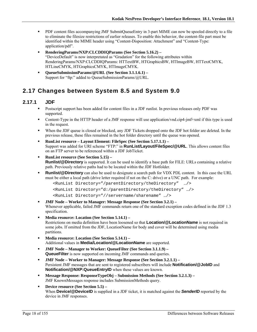- PDF content files accompanying JMF SubmitQueueEntry in 3-part MIME can now be spooled directly to a file to eliminate the filesize restrictions of earlier releases. To enable this behavior, the content-file part must be identified within the MIME header using "Content-Disposition: Attachment" and "Content-Type: application/pdf".
- **RenderingParams/NXP:CLCDDIQParams (See Section 5.16.2)**  "DeviceDefault" is now interpretated as "Gradation" for the following attributes within RenderingParams/NXP:CLCDDIQParams: HTTextBW, HTGraphicsBW, HTImageBW, HTTextCMYK, HTLineCMYK, HTGraphicsCMYK, HTImageCMYK.
- **QueueSubmissionParams/@URL (See Section 3.1.1.6.1)**  Support for "ftp:" added to QueueSubmissionParams/@URL.

### **2.17 Changes between System 8.5 and System 9.0**

#### **2.17.1 JDF**

- Postscript support has been added for content files in a JDF runlist. In previous releases only PDF was supported.
- Content-Type in the HTTP header of a JMF response will use application/vnd.cip4-jmf+xml if this type is used in the request.
- When the JDF queue is closed or blocked, any JDF Tickets dropped onto the JDF hot folder are deleted. In the previous release, these files remained in the hot folder directory until the queue was opened.
- **RunList resource Layout Element: FileSpec (See Section 5.17.1.1)**  Support was added for URI scheme "FTP:" in **RunList/Layout/FileSpec/@URL**. This allows content files on an FTP server to be referenced within a JDF JobTicket.
- **RunList resource (See Section 5.15) Runlist/@Directory** is supported. It can be used to identify a base path for FILE: URLs containing a relative path. Previously relative paths had to be located within the JDF Hotfolder.
- **Runlist/@Directory** can also be used to designate a search path for VDX PDL content. In this case the URL must be either a local path (drive letter required if not on the C: drive) or a UNC path. For example:

```
<RunList Directory="/parentDirectory/theDirectory" …/> 
<RunList Directory="d:/parentDirectory/theDirectory" …/>
```

```
<RunList Directory="//servername/sharename" …/>
```
- **JMF Node Worker to Manager: Message Response (See Section 3.2.1)**  Whenever applicable, failed JMF commands return one of the standard exception codes defined in the JDF 1.3 specification.
- **Media resource: Location (See Section 5.14.1)**  Restrictions on media definition have been loosened so that **Location/@LocationName** is not required in some jobs. If omitted from the JDF, LocationName for body and cover will be determined using media partitions.
- **Media resource: Location (See Section 5.14.1)**  Additional values in **Media/Location/@LocationName** are supported.
- **JMF Node Manager to Worker: QueueFilter (See Section 3.1.1.9) QueueFilter** is now supported on incoming JMF commands and queries.
- **JMF Node Worker to Manager: Message Response (See Section 3.2.1.1)**  Persistent JMF messages that are sent to registered subscribers will include **Notification/@JobID** and **Notification/@NXP:QueueEntryID** when these values are known.
- **Message Response: ResponseTypeObj Submission Methods (See Section 3.2.1.3)**  JMF KnownMessages response includes SubmissionMethods query.
- **Device resource (See Section 5.5)**  When **Device/@DeviceID** is supplied in a JDF ticket, it is matched against the *SenderID* reported by the device in JMF responses.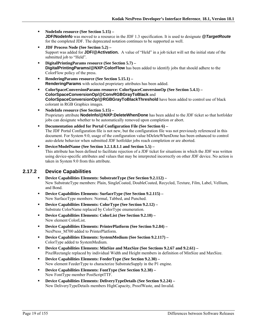- **NodeInfo resource (See Section 5.15) JDF/NodeInfo** was moved to a resource in the JDF 1.3 specification. It is used to designate *@TargetRoute* for the completed JDF. The deprecated notation continues to be supported as well.
- **JDF Process Node (See Section 5.2)**  Support was added for **JDF/@Activation.** A value of "Held" in a job ticket will set the initial state of the submitted job to "Held".
- **DigitalPrintingParams resource (See Section 5.7) DigitalPrintingParams/@NXP:ColorFlow** has been added to identify jobs that should adhere to the ColorFlow policy of the press.
- **RenderingParams resource (See Section 5.15.1) RenderingParams** with selected proprietary attributes has been added.
- **ColorSpaceConversionParams resource: ColorSpaceConversionOp (See Section 5.4.1) ColorSpaceConversionOp/@ConvRGBGrayToBlack** and **ColorSpaceConversionOp/@RGBGrayToBlackThreshold** have been added to control use of black colorant in RGB Graphics images.
- **NodeInfo resource (See Section 5.15)**  Proprietary attribute **NodeInfo/@NXP:DeleteWhenDone** has been added to the JDF ticket so that hotfolder jobs can designate whether to be automatically removed upon completion or abort.
- **Documentation added for Portal Configuration File (See Section 6)**  The JDF Portal Configuration file is not new, but the configuration file was not previously referenced in this document. For System 9.0, usage of the configuration value bDeleteWhenDone has been enhanced to control auto-delete behavior when submitted JDF hotfolder jobs reach completion or are aborted.
- **Device/ModelName (See Section 3.2.1.8.1.1 and Section 5.5)**  This attribute has been defined to facilitate rejection of a JDF ticket for situations in which the JDF was written using device-specific attributes and values that may be interpreted incorrectly on other JDF device. No action is taken in System 9.0 from this attribute.

#### **2.17.2 Device Capabilities**

- **Device Capabilities Elements: SubstrateType (See Section 9.2.112)**  New SubstrateType members: Plain, SingleCoated, DoubleCoated, Recycled, Texture, Film, Label, Vellium, and Bond.
- **Device Capabilities Elements: SurfaceType (See Section 9.2.115)**  New SurfaceType members: Normal, Tabbed, and Punched.
- **Device Capabilities Elements: ColorType (See Section 9.2.12)**  Substrate ColorName replaced by ColorType enumeration.
- **Device Capabilities Elements: ColorList (See Section 9.2.10)**  New element ColorList.
- **Device Capabilities Elements: PrinterPlatform (See Section 9.2.84)**  NexPress\_M700 added to PrinterPlatform.
- **Device Capabilities Elements: SystemMedium (See Section 9.2.117)**  ColorType added to SystemMedium.
- **Device Capabilities Elements: MinSize and MaxSize (See Sections 9.2.67 and 9.2.61)** PixelRectangle replaced by individual Width and Height members in definition of MinSize and MaxSize.
- **Device Capabilities Elements: FeederType (See Section 9.2.30)**  New element FeederType to characterize SubstrateSupply in the P1 engine.
- **Device Capabilities Elements: FontType (See Section 9.2.38)**  New FontType member PostScriptTTF.
- **Device Capabilities Elements: DeliveryTypeDetails (See Section 9.2.24)**  New DeliveryTypeDetails members HighCapacity, ProofWaste, and Invalid.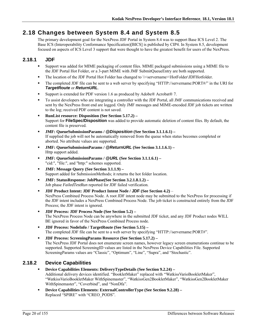### **2.18 Changes between System 8.4 and System 8.5**

The primary development goal for the NexPress JDF Portal in System 8.4 was to support Base ICS Level 2. The Base ICS (Interoperability Conformance Specification)[BICS] is published by CIP4. In System 8.5, development focused on aspects of ICS Level 3 support that were thought to have the greatest benefit for users of the NexPress.

### **2.18.1 JDF**

- Support was added for MIME packaging of content files. MIME packaged submissions using a MIME file to the JDF Portal Hot Folder, or a 3-part MIME with JMF SubmitQueueEntry are both supported.
- The location of the JDF Portal Hot Folder has changed to  $\S$ ervername> $\H{\text{older}}\DFFH{\text{older}}$ .
- The completed JDF file can be sent to a web server by specifying "HTTP://servername:PORT#/" in the URI for *TargetRoute* or *ReturnURL*.
- Support is extended for PDF version 1.6 as produced by Adobe® Acrobat® 7.
- To assist developers who are integrating a controller with the JDF Portal, all JMF communications received and sent by the NexPress front end are logged. Only JMF messages and MIME-encoded JDF job tickets are written to the log; received PDF content is not saved.
- **RunList resource: Disposition (See Section 5.17.2)** Support for **FileSpec/Disposition** was added to provide automatic deletion of content files. By default, the content file is preserved.
- **JMF: QueueSubmissionParams /** *@Disposition* **(See Section 3.1.1.6.1)**  If supplied the job will not be automatically removed from the queue when status becomes completed or aborted. No attribute values are supported.
- **JMF: QueueSubmissionParams /** *@ReturnURL* **(See Section 3.1.1.6.1)**  Http support added.
- **JMF: QueueSubmissionParams /** *@URL* **(See Section 3.1.1.6.1)**  "cid:", "file:", and "http:" schemes supported.
- **JMF: Message Query (See Section 3.1.1.9)**  Support added for SubmissionMethods; it returns the hot folder location.
- **JMF: StatusResponse: JobPhase(See Section 3.2.1.8.1.2)**  Job phase *FailedTestRun* reported for JDF failed verification.
- **JDF Product Intent: JDF Product Intent Node / JDF (See Section 4.2)** NexPress Combined Process Node. A root JDF intent node may be submitted to the NexPress for processing if the JDF intent includes a NexPress Combined Process Node. The job ticket is constructed entirely from the JDF Process; the JDF intent is ignored.
- **JDF Process: JDF Process Node (See Section 5.2)**  The NexPress Process Node can be anywhere in the submitted JDF ticket, and any JDF Product nodes WILL BE ignored in favor of the NexPress Combined Process node.
- **JDF Process: NodeInfo / TargetRoute (See Section 5.15) –** The completed JDF file can be sent to a web server by specifying "HTTP://servername:PORT#".
- **JDF Process: ScreeningParams Resource (See Section 5.17.2)**  The NexPress JDF Portal does not enumerate screen names, however legacy screen enumerations continue to be supported. Supported ScreeningID values are listed in the NexPress Device Capabilities File. Supported ScreeningParams values are "Classic", "Optimum", "Line", "Supra", and "Stochastic".

#### **2.18.2 Device Capabilities**

- **Device Capabilities Elements: DeliveryTypeDetails (See Section 9.2.24)**  Additional delivery devices identified. "BookletMaker" replaced with *"*WatkissVarioBookletMaker", "WatkissVarioBookletMaker WithSpinemaster", "WatkissGen2BookletMaker", "WatkissGen2BookletMaker WithSpinemaster", "Coverbind", and "NonDfa".
- **Device Capabilities Elements: ExternalControllerType (See Section 9.2.28)**  Replaced "SPIRE" with "CREO\_PODS".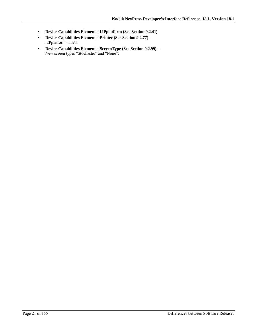- **Device Capabilities Elements: I2Pplatform (See Section 9.2.41)**
- **Device Capabilities Elements: Printer (See Section 9.2.77)**  I2Pplatform added.
- **Device Capabilities Elements: ScreenType (See Section 9.2.99)** New screen types "Stochastic" and "None".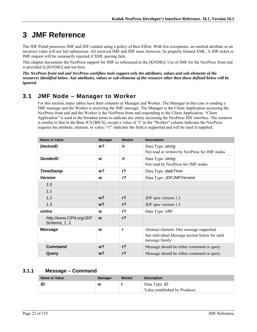# **3 JMF Reference**

The JDF Portal processes JMF and JDF content using a policy of Best Effort. With few exceptions, an omitted attribute or an incorrect value will not fail submission. All received JMF and JDF must, however, be properly formed XML. A JDF ticket or JMF request will be summarily rejected if XML parsing fails.

This chapter documents the NexPress support for JMF as referenced in the [KNDIG]. Use of JMF for the NexPress front end is provided in [KNDIG] and not here.

*The NexPress front end and NexPress workflow tools support only the attributes, values and sub-elements of the resources identified below. Any attributes, values or sub-elements of the resource other then those defined below will be ignored.* 

## **3.1 JMF Node – Manager to Worker**

For this section, many tables have their columns as Manager and Worker. The Manager in this case is sending a JMF message and the Worker is receiving the JMF message. The Manager is the Client Application accessing the NexPress front end and the Worker is the NexPress front end responding to the Client Application. "Client Application" is used in the broadest terms to indicate any entity accessing the NexPress JDF interface. The notation is similar to that in the Base ICS [BICS], except a value of "r" in the "Worker" column indicates the NexPress requires the attribute, element, or value; "r?" indicates the field is supported and will be used if supplied.

| <b>Name or Value</b>                  | <b>Manager</b> | Worker         | <b>Description</b>                                               |
|---------------------------------------|----------------|----------------|------------------------------------------------------------------|
| <b>DeviceID</b>                       | $w$ ?          | !r             | Data Type: string                                                |
|                                       |                |                | Not read or written by NexPress for JMF nodes                    |
| <b>SenderID</b>                       | W              | !r             | Data Type: string                                                |
|                                       |                |                | Not read by NexPress for JMF nodes                               |
| <b>TimeStamp</b>                      | w?             | $r$ ?          | Data Type: date Time                                             |
| <b>Version</b>                        | W              | $r$ ?          | Data Type: JDFJMFVersion                                         |
| 1.0                                   |                |                |                                                                  |
| 1.1                                   |                |                |                                                                  |
| 1.2                                   | w?             | $r$ ?          | JDF spec version 1.2                                             |
| 1.3                                   | $w$ ?          | $r$ ?          | JDF spec version 1.3                                             |
| <b>xmlns</b>                          | W              | r <sup>2</sup> | Data Type: URI                                                   |
| http://www.CIP4.org/JDF<br>Schema_1_1 | W              | r <sub>2</sub> |                                                                  |
| <b>Message</b>                        | W              | r              | Abstract element. One message supported.                         |
|                                       |                |                | See individual Message section below for each<br>message family. |
| <b>Command</b>                        | w?             | r <sub>2</sub> | Message should be either command or query                        |
| Query                                 | w?             | r <sub>2</sub> | Message should be either command or query                        |

#### **3.1.1 Message – Command**

| Name or Value | Manager | Worker | <b>Description</b>                                     |
|---------------|---------|--------|--------------------------------------------------------|
| ID            | W       |        | Data Type: <i>ID</i><br>Value established by Producer. |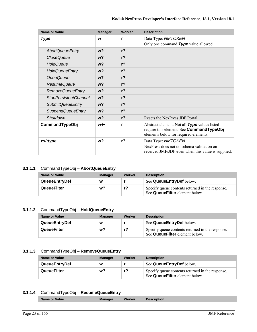| <b>Name or Value</b>         | <b>Manager</b> | Worker         | <b>Description</b>                                                                                                                |
|------------------------------|----------------|----------------|-----------------------------------------------------------------------------------------------------------------------------------|
| <b>Type</b>                  | W              | r              | Data Type: NMTOKEN                                                                                                                |
|                              |                |                | Only one command Type value allowed.                                                                                              |
| <b>AbortQueueEntry</b>       | w <sub>2</sub> | r <sub>2</sub> |                                                                                                                                   |
| <b>CloseQueue</b>            | w <sub>2</sub> | $r$ ?          |                                                                                                                                   |
| HoldQueue                    | $w$ ?          | r <sub>2</sub> |                                                                                                                                   |
| <b>HoldQueueEntry</b>        | w <sub>2</sub> | $r$ ?          |                                                                                                                                   |
| <b>OpenQueue</b>             | w <sub>2</sub> | $r$ ?          |                                                                                                                                   |
| ResumeQueue                  | w <sub>2</sub> | $r$ ?          |                                                                                                                                   |
| <b>RemoveQueueEntry</b>      | $w$ ?          | $r$ ?          |                                                                                                                                   |
| <b>StopPersistentChannel</b> | w <sub>2</sub> | r <sub>2</sub> |                                                                                                                                   |
| <b>SubmitQueueEntry</b>      | w <sub>2</sub> | $r$ ?          |                                                                                                                                   |
| <b>SuspendQueueEntry</b>     | w <sub>2</sub> | $r$ ?          |                                                                                                                                   |
| Shutdown                     | w <sub>2</sub> | r <sub>2</sub> | Resets the NexPress JDF Portal                                                                                                    |
| CommandTypeObj               | w←             | r              | Abstract element. Not all Type values listed<br>require this element. See CommandTypeObj<br>elements below for required elements. |
| xsi:type                     | w <sub>2</sub> | $r$ ?          | Data Type: NMTOKEN                                                                                                                |
|                              |                |                | NexPress does not do schema validation on<br>received JMF/JDF even when this value is supplied.                                   |

#### **3.1.1.1** CommandTypeObj – **AbortQueueEntry**

| Name or Value        | <b>Manager</b> | Worker | <b>Description</b>                                                                 |
|----------------------|----------------|--------|------------------------------------------------------------------------------------|
| <b>QueueEntryDef</b> | W              |        | See QueueEntryDef below.                                                           |
| QueueFilter          | w?             | r?     | Specify queue contents returned in the response.<br>See QueueFilter element below. |

#### **3.1.1.2** CommandTypeObj – **HoldQueueEntry**

| Name or Value        | <b>Manager</b> | Worker | <b>Description</b>                                                                 |
|----------------------|----------------|--------|------------------------------------------------------------------------------------|
| <b>QueueEntryDef</b> | W              |        | See QueueEntryDef below.                                                           |
| QueueFilter          | w?             |        | Specify queue contents returned in the response.<br>See QueueFilter element below. |

#### **3.1.1.3** CommandTypeObj – **RemoveQueueEntry**

| Name or Value        | <b>Manager</b> | Worker | <b>Description</b>                                                                 |
|----------------------|----------------|--------|------------------------------------------------------------------------------------|
| <b>QueueEntryDef</b> | W              |        | See QueueEntryDef below.                                                           |
| QueueFilter          | w?             |        | Specify queue contents returned in the response.<br>See QueueFilter element below. |

#### **3.1.1.4** CommandTypeObj – **ResumeQueueEntry**

|--|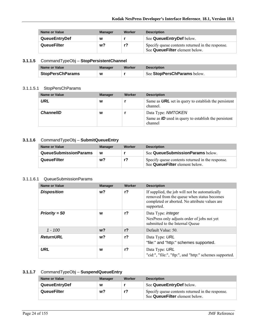| Name or Value        | <b>Manager</b> | Worker | <b>Description</b>                                                                 |
|----------------------|----------------|--------|------------------------------------------------------------------------------------|
| <b>QueueEntryDef</b> | W              |        | See QueueEntryDef below.                                                           |
| QueueFilter          | w?             |        | Specify queue contents returned in the response.<br>See QueueFilter element below. |

#### **3.1.1.5** CommandTypeObj – **StopPersistentChannel**

| Name or Value           | Manager | Worker | <b>Description</b>          |
|-------------------------|---------|--------|-----------------------------|
| <b>StopPersChParams</b> | W       |        | See StopPersChParams below. |

#### 3.1.1.5.1 StopPersChParams

| <b>Name or Value</b> | <b>Manager</b> | Worker | <b>Description</b>                                                                      |
|----------------------|----------------|--------|-----------------------------------------------------------------------------------------|
| URL                  | w              |        | Same as <b>URL</b> set in query to establish the persistent<br>channel.                 |
| <b>ChannellD</b>     | W              |        | Data Type: NMTOKEN<br>Same as $ID$ used in query to establish the persistent<br>channel |

#### **3.1.1.6** CommandTypeObj – **SubmitQueueEntry**

| Name or Value                | <b>Manager</b> | Worker | <b>Description</b>                                                                 |
|------------------------------|----------------|--------|------------------------------------------------------------------------------------|
| <b>QueueSubmissionParams</b> | W              |        | See QueueSubmissionParams below.                                                   |
| QueueFilter                  | w?             | r?     | Specify queue contents returned in the response.<br>See QueueFilter element below. |

#### 3.1.1.6.1 QueueSubmissionParams

| Name or Value      | <b>Manager</b> | Worker         | <b>Description</b>                                                                                                                                          |
|--------------------|----------------|----------------|-------------------------------------------------------------------------------------------------------------------------------------------------------------|
| <b>Disposition</b> | w?             | $r$ ?          | If supplied, the job will not be automatically<br>removed from the queue when status becomes<br>completed or aborted. No attribute values are<br>supported. |
| $Priority = 50$    | W              | $r$ ?          | Data Type: <i>integer</i><br>NexPress only adjusts order of jobs not yet<br>submitted to the Internal Queue                                                 |
| $1 - 100$          | w?             | r <sub>2</sub> | Default Value: 50.                                                                                                                                          |
| <b>ReturnURL</b>   | w?             | $r$ ?          | Data Type: URL<br>"file:" and "http:" schemes supported.                                                                                                    |
| URL                | W              | $r$ ?          | Data Type: URL<br>"cid:", "file:", "ftp:", and "http:" schemes supported.                                                                                   |

#### **3.1.1.7** CommandTypeObj – **SuspendQueueEntry**

| Name or Value        | <b>Manager</b> | Worker | <b>Description</b>                                                                 |
|----------------------|----------------|--------|------------------------------------------------------------------------------------|
| <b>QueueEntryDef</b> | W              |        | See QueueEntryDef below.                                                           |
| <b>QueueFilter</b>   | w?             | r?     | Specify queue contents returned in the response.<br>See QueueFilter element below. |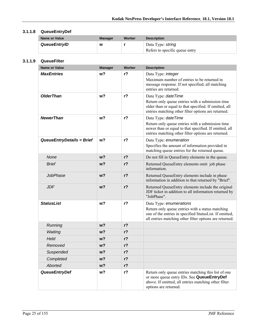### **3.1.1.8 QueueEntryDef**

| Name or Value | <b>Manager</b> | Worker | <b>Description</b>                                  |
|---------------|----------------|--------|-----------------------------------------------------|
| QueueEntryID  | W              |        | Data Type: string<br>Refers to specific queue entry |

#### **3.1.1.9 QueueFilter**

| <b>Name or Value</b>      | <b>Manager</b> | Worker         | <b>Description</b>                                                                                                                                                                                |
|---------------------------|----------------|----------------|---------------------------------------------------------------------------------------------------------------------------------------------------------------------------------------------------|
| <b>MaxEntries</b>         | w?             | $r$ ?          | Data Type: integer<br>Maximum number of entries to be returned in<br>message response. If not specified, all matching<br>entries are returned.                                                    |
| <b>OlderThan</b>          | w?             | $r$ ?          | Data Type: dateTime<br>Return only queue entries with a submission time<br>older than or equal to that specified. If omitted, all                                                                 |
|                           |                |                | entries matching other filter options are returned.                                                                                                                                               |
| <b>NewerThan</b>          | w <sub>2</sub> | r <sub>2</sub> | Data Type: dateTime<br>Return only queue entries with a submission time<br>newer than or equal to that specified. If omitted, all<br>entries matching other filter options are returned.          |
| QueueEntryDetails = Brief | w?             | $r$ ?          | Data Type: enumeration<br>Specifies the amount of information provided in<br>matching queue entries for the returned queue.                                                                       |
| None                      | w <sub>2</sub> | r <sub>2</sub> | Do not fill in QueueEntry elements in the queue.                                                                                                                                                  |
| <b>Brief</b>              | w?             | r <sub>2</sub> | Returned QueueEntry elements omit job phase<br>information.                                                                                                                                       |
| <b>JobPhase</b>           | w <sub>2</sub> | r <sub>2</sub> | Returned QueueEntry elements include in phase<br>information in addition to that returned by "Brief".                                                                                             |
| <b>JDF</b>                | $w$ ?          | r <sub>2</sub> | Returned QueueEntry elements include the original<br>JDF ticket in addition to all information returned by<br>"JobPhase".                                                                         |
| <b>StatusList</b>         | w <sub>2</sub> | r <sub>2</sub> | Data Type: enumerations<br>Return only queue entries with a status matching<br>one of the entries in specified StatusList. If omitted,<br>all entries matching other filter options are returned. |
| Running                   | $w$ ?          | r <sub>2</sub> |                                                                                                                                                                                                   |
| Waiting                   | w <sub>2</sub> | r <sub>2</sub> |                                                                                                                                                                                                   |
| Held                      | w <sub>2</sub> | r <sub>2</sub> |                                                                                                                                                                                                   |
| Removed                   | w?             | $r$ ?          |                                                                                                                                                                                                   |
| Suspended                 | w?             | r?             |                                                                                                                                                                                                   |
| Completed                 | $w$ ?          | $r$ ?          |                                                                                                                                                                                                   |
| Aborted                   | w <sub>2</sub> | $r$ ?          |                                                                                                                                                                                                   |
| <b>QueueEntryDef</b>      | w?             | $r$ ?          | Return only queue entries matching this list of one<br>or more queue entry IDs. See QueueEntryDef<br>above. If omitted, all entries matching other filter<br>options are returned.                |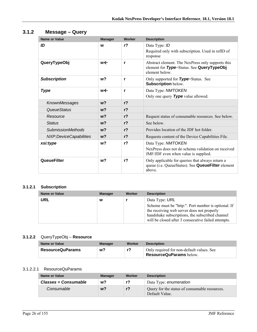| Name or Value            | <b>Manager</b> | Worker         | <b>Description</b>                                                                                              |
|--------------------------|----------------|----------------|-----------------------------------------------------------------------------------------------------------------|
| ID                       | W              | $r$ ?          | Data Type: ID<br>Required only with subscription. Used in refID of<br>response                                  |
| QueryTypeObj             | w←             | r              | Abstract element. The NexPress only supports this<br>element for Type=Status. See QueryTypeObj<br>element below |
| <b>Subscription</b>      | w <sub>2</sub> | r              | Only supported for Type=Status. See<br><b>Subscription below.</b>                                               |
| <b>Type</b>              | w←             | r              | Data Type: NMTOKEN<br>Only one query Type value allowed.                                                        |
| KnownMessages            | w <sub>2</sub> | r <sub>2</sub> |                                                                                                                 |
| <b>QueueStatus</b>       | w <sub>2</sub> | r <sub>2</sub> |                                                                                                                 |
| Resource                 | $w$ ?          | r <sub>2</sub> | Request status of consumable resources. See below.                                                              |
| <b>Status</b>            | $w$ ?          | r <sub>2</sub> | See below                                                                                                       |
| <b>SubmissionMethods</b> | w <sub>2</sub> | r <sub>2</sub> | Provides location of the JDF hot folder                                                                         |
| NXP:DeviceCapabilities   | w <sub>2</sub> | r <sub>2</sub> | Requests content of the Device Capabilities File.                                                               |
| xsi:type                 | w <sub>2</sub> | r <sub>2</sub> | Data Type: NMTOKEN                                                                                              |
|                          |                |                | NexPress does not do schema validation on received<br>JMF/JDF even when value is supplied.                      |
| <b>QueueFilter</b>       | w <sub>2</sub> | r <sub>2</sub> | Only applicable for queries that always return a<br>queue (i.e. QueueStatus). See QueueFilter element<br>above. |

### **3.1.2 Message – Query**

### **3.1.2.1 Subscription**

| <b>Name or Value</b> | <b>Manager</b> | Worker | <b>Description</b>                                                                                                  |
|----------------------|----------------|--------|---------------------------------------------------------------------------------------------------------------------|
| URL                  | W              |        | Data Type: URL<br>Scheme must be "http:". Port number is optional. If<br>the receiving web server does not properly |
|                      |                |        | handshake subscriptions, the subscribed channel<br>will be closed after 3 consecutive failed attempts.              |

#### **3.1.2.2** QueryTypeObj – **Resource**

| Name or Value           | Manager | Worker | <b>Description</b>                                                          |
|-------------------------|---------|--------|-----------------------------------------------------------------------------|
| <b>ResourceQuParams</b> | w?      | r?     | Only required for non-default values. See<br><b>ResourceQuParams</b> below. |

#### 3.1.2.2.1 ResourceQuParams

| <b>Name or Value</b>        | <b>Manager</b> | Worker | <b>Description</b>                                              |
|-----------------------------|----------------|--------|-----------------------------------------------------------------|
| <b>Classes = Consumable</b> | w?             | r?     | Data Type: enumeration                                          |
| Consumable                  | w?             | $r$ ?  | Query for the status of consumable resources.<br>Default Value. |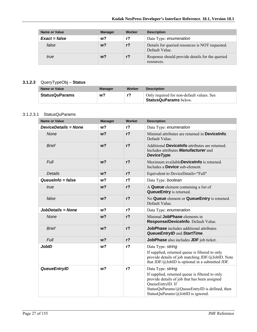| <b>Name or Value</b> | <b>Manager</b> | Worker | <b>Description</b>                                                |
|----------------------|----------------|--------|-------------------------------------------------------------------|
| $Exact = false$      | w?             | r?     | Data Type: enumeration                                            |
| false                | w?             | $r$ ?  | Details for queried resources is NOT requested.<br>Default Value. |
| true                 | w?             | $r$ ?  | Response should provide details for the queried<br>resources.     |

#### **3.1.2.3** QueryTypeObj – **Status**

| Name or Value         | Manager | Worker | <b>Description</b>                                                        |
|-----------------------|---------|--------|---------------------------------------------------------------------------|
| <b>StatusQuParams</b> | w?      | r?     | Only required for non-default values. See<br><b>StatusQuParams</b> below. |

#### 3.1.2.3.1 StatusQuParams

| <b>Name or Value</b>        | <b>Manager</b> | Worker         | <b>Description</b>                                                                                                                                                                                                              |
|-----------------------------|----------------|----------------|---------------------------------------------------------------------------------------------------------------------------------------------------------------------------------------------------------------------------------|
| <b>DeviceDetails = None</b> | w?             | r <sub>2</sub> | Data Type: enumeration                                                                                                                                                                                                          |
| <b>None</b>                 | w <sub>2</sub> | $r$ ?          | Minimal attributes are returned in <b>Devicelnfo</b> .<br>Default Value.                                                                                                                                                        |
| <b>Brief</b>                | w <sub>2</sub> | $r$ ?          | Additional <b>Devicelnfo</b> attributes are returned.<br>Includes attributes <b>Manufacturer</b> and<br>DeviceType.                                                                                                             |
| <b>Full</b>                 | w <sub>2</sub> | $r$ ?          | Maximum availableDeviceInfo is returned.<br>Includes a <b>Device</b> sub-element.                                                                                                                                               |
| <b>Details</b>              | w <sub>2</sub> | r <sub>2</sub> | Equivalent to DeviceDetails="Full"                                                                                                                                                                                              |
| Queuelnfo = false           | w <sub>2</sub> | r <sub>2</sub> | Data Type: boolean                                                                                                                                                                                                              |
| true                        | w <sub>2</sub> | $r$ ?          | A Queue element containing a list of<br><b>QueueEntry</b> is returned.                                                                                                                                                          |
| false                       | w <sub>2</sub> | $r$ ?          | No Queue element or QueueEntry is returned.<br>Default Value.                                                                                                                                                                   |
| JobDetails = None           | w <sub>2</sub> | r <sub>2</sub> | Data Type: enumeration                                                                                                                                                                                                          |
| None                        | w <sub>2</sub> | r <sub>2</sub> | Minimal JobPhase elements in<br>Response/DeviceInfo. Default Value.                                                                                                                                                             |
| <b>Brief</b>                | w <sub>2</sub> | $r$ ?          | <b>JobPhase</b> includes additional attributes<br><b>QueueEntryID and StartTime.</b>                                                                                                                                            |
| Full                        | w <sub>2</sub> | $r$ ?          | JobPhase also includes JDF job ticket.                                                                                                                                                                                          |
| <b>JobID</b>                | w?             | $r$ ?          | Data Type: string<br>If supplied, returned queue is filtered to only<br>provide details of job matching JDF/@JobID. Note<br>that $JDF/\omega$ JobID is optional in a submitted JDF.                                             |
| <b>QueueEntryID</b>         | w <sub>2</sub> | $r$ ?          | Data Type: string<br>If supplied, returned queue is filtered to only<br>provide details of job that has been assigned<br>QueueEntryID. If<br>StatusQuParams/@QueueEntryID is defined, then<br>StatusQuParams/@JobID is ignored. |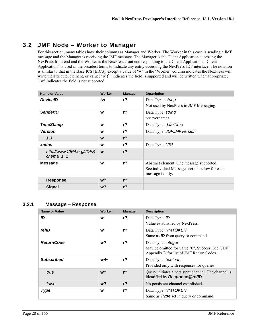## **3.2 JMF Node – Worker to Manager**

For this section, many tables have their columns as Manager and Worker. The Worker in this case is sending a JMF message and the Manager is receiving the JMF message. The Manager is the Client Application accessing the NexPress front end and the Worker is the NexPress front end responding to the Client Application. "Client Application" is used in the broadest terms to indicate any entity accessing the NexPress JDF interface. The notation is similar to that in the Base ICS [BICS], except a value of "w" in the "Worker" column indicates the NexPress will write the attribute, element, or value; "w  $\leftarrow$ " indicates the field is supported and will be written when appropriate; "!w" indicates the field is not supported.

| <b>Name or Value</b>                     | Worker | <b>Manager</b> | <b>Description</b>                                                                                           |
|------------------------------------------|--------|----------------|--------------------------------------------------------------------------------------------------------------|
| <b>DeviceID</b>                          | !w     | $r$ ?          | Data Type: string<br>Not used by NexPress in JMF Messaging.                                                  |
| <b>SenderID</b>                          | W      | $r$ ?          | Data Type: string<br><servername></servername>                                                               |
| <b>TimeStamp</b>                         | W      | $r$ ?          | Data Type: date Time                                                                                         |
| <b>Version</b>                           | W      | $r$ ?          | Data Type: JDFJMFVersion                                                                                     |
| 1.3                                      | W      | r <sub>2</sub> |                                                                                                              |
| xmlns                                    | W      | $r$ ?          | Data Type: URI                                                                                               |
| http://www.CIP4.org/JDFS<br>chema $_1$ 1 | W      | r <sub>2</sub> |                                                                                                              |
| <b>Message</b>                           | W      | $r$ ?          | Abstract element. One message supported.<br>See individual Message section below for each<br>message family. |
| <b>Response</b>                          | $w$ ?  | r <sub>2</sub> |                                                                                                              |
| <b>Signal</b>                            | $w$ ?  | r <sub>2</sub> |                                                                                                              |

#### **3.2.1 Message – Response**

| <b>Name or Value</b> | Worker | <b>Manager</b> | <b>Description</b>                                   |
|----------------------|--------|----------------|------------------------------------------------------|
| ID                   | W      | $r$ ?          | Data Type: ID                                        |
|                      |        |                | Value established by NexPress.                       |
| refID                | W      | $r$ ?          | Data Type: NMTOKEN                                   |
|                      |        |                | Same as <b>ID</b> from query or command.             |
| <b>ReturnCode</b>    | w?     | $r$ ?          | Data Type: <i>integer</i>                            |
|                      |        |                | May be omitted for value "0", Success. See [JDF]     |
|                      |        |                | Appendix D for list of JMF Return Codes.             |
| <b>Subscribed</b>    | w←     | $r$ ?          | Data Type: boolean                                   |
|                      |        |                | Provided only with responses for queries.            |
| true                 | $w$ ?  | r <sub>2</sub> | Query initiates a persistent channel. The channel is |
|                      |        |                | identified by Response@refID.                        |
| false                | $w$ ?  | r <sub>2</sub> | No persistent channel established.                   |
| <b>Type</b>          | W      | $r$ ?          | Data Type: NMTOKEN                                   |
|                      |        |                | Same as Type set in query or command.                |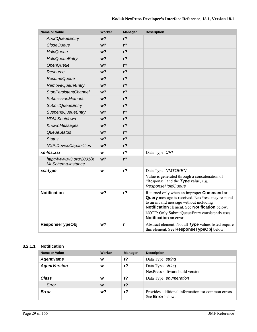| <b>Name or Value</b>                          | <b>Worker</b>  | <b>Manager</b> | <b>Description</b>                                                                                                                                                                                                                                                                       |
|-----------------------------------------------|----------------|----------------|------------------------------------------------------------------------------------------------------------------------------------------------------------------------------------------------------------------------------------------------------------------------------------------|
| <b>AbortQueueEntry</b>                        | w?             | r <sub>2</sub> |                                                                                                                                                                                                                                                                                          |
| <b>CloseQueue</b>                             | w?             | $r$ ?          |                                                                                                                                                                                                                                                                                          |
| HoldQueue                                     | w?             | $r$ ?          |                                                                                                                                                                                                                                                                                          |
| <b>HoldQueueEntry</b>                         | w?             | $r$ ?          |                                                                                                                                                                                                                                                                                          |
| OpenQueue                                     | w?             | r <sub>2</sub> |                                                                                                                                                                                                                                                                                          |
| Resource                                      | w?             | $r$ ?          |                                                                                                                                                                                                                                                                                          |
| <b>ResumeQueue</b>                            | w <sub>2</sub> | $r$ ?          |                                                                                                                                                                                                                                                                                          |
| <b>RemoveQueueEntry</b>                       | w?             | $r$ ?          |                                                                                                                                                                                                                                                                                          |
| <b>StopPersistentChannel</b>                  | w?             | $r$ ?          |                                                                                                                                                                                                                                                                                          |
| <b>SubmissionMethods</b>                      | w?             | $r$ ?          |                                                                                                                                                                                                                                                                                          |
| <b>SubmitQueueEntry</b>                       | w?             | $r$ ?          |                                                                                                                                                                                                                                                                                          |
| <b>SuspendQueueEntry</b>                      | w?             | r <sub>2</sub> |                                                                                                                                                                                                                                                                                          |
| <b>HDM:Shutdown</b>                           | w?             | r <sub>2</sub> |                                                                                                                                                                                                                                                                                          |
| KnownMessages                                 | w <sub>2</sub> | $r$ ?          |                                                                                                                                                                                                                                                                                          |
| QueueStatus                                   | w?             | $r$ ?          |                                                                                                                                                                                                                                                                                          |
| <b>Status</b>                                 | $w$ ?          | $r$ ?          |                                                                                                                                                                                                                                                                                          |
| NXP:DeviceCapabilities                        | w?             | $r$ ?          |                                                                                                                                                                                                                                                                                          |
| xmlns:xsi                                     | W              | r <sub>2</sub> | Data Type: URI                                                                                                                                                                                                                                                                           |
| http://www.w3.org/2001/X<br>MLSchema-instance | w <sub>2</sub> | r <sub>2</sub> |                                                                                                                                                                                                                                                                                          |
| xsi:type                                      | W              | $r$ ?          | Data Type: NMTOKEN                                                                                                                                                                                                                                                                       |
|                                               |                |                | Value is generated through a concatenation of<br>"Response" and the Type value, e.g.<br><b>ResponseHoldQueue</b>                                                                                                                                                                         |
| <b>Notification</b>                           | w?             | $r$ ?          | Returned only when an improper <b>Command</b> or<br><b>Query</b> message is received. NexPress may respond<br>to an invalid message without including<br>Notification element. See Notification below.<br>NOTE: Only SubmitQueueEntry consistently uses<br><b>Notification</b> on error. |
| ResponseTypeObj                               | w?             | r              | Abstract element. Not all Type values listed require<br>this element. See ResponseTypeObj below.                                                                                                                                                                                         |

#### **3.2.1.1 Notification**

| Name or Value       | Worker | <b>Manager</b> | <b>Description</b>                                                            |
|---------------------|--------|----------------|-------------------------------------------------------------------------------|
| <b>AgentName</b>    | W      | $r$ ?          | Data Type: string                                                             |
| <b>AgentVersion</b> | w      | $r$ ?          | Data Type: string<br>NexPress software build version                          |
| Class               | W      | $r$ ?          | Data Type: enumeration                                                        |
| Error               | W      | $r$ ?          |                                                                               |
| Error               | w?     | r?             | Provides additional information for common errors.<br>See <b>Error</b> below. |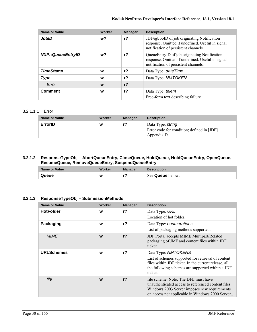| <b>Name or Value</b>     | Worker | <b>Manager</b> | <b>Description</b>                                                                                                                              |
|--------------------------|--------|----------------|-------------------------------------------------------------------------------------------------------------------------------------------------|
| <b>JobID</b>             | w?     | r?             | $JDF(\omega JobID)$ of job originating Notification<br>response. Omitted if undefined. Useful in signal<br>notification of persistent channels. |
| <b>NXP::QueueEntryID</b> | w?     | r?             | QueueEntryID of job originating Notification<br>response. Omitted if undefined. Useful in signal<br>notification of persistent channels.        |
| <b>TimeStamp</b>         | w      | $r$ ?          | Data Type: date Time                                                                                                                            |
| <b>Type</b>              | W      | $r$ ?          | Data Type: NMTOKEN                                                                                                                              |
| Error                    | W      | r <sub>2</sub> |                                                                                                                                                 |
| <b>Comment</b>           | W      | r?             | Data Type: <i>telem</i><br>Free-form text describing failure                                                                                    |

#### 3.2.1.1.1 Error

| Name or Value | Worker | <b>Manager</b> | <b>Description</b>                                                             |
|---------------|--------|----------------|--------------------------------------------------------------------------------|
| ErrorID       | W      | r?             | Data Type: string<br>Error code for condition; defined in [JDF]<br>Appendix D. |

#### **3.2.1.2 ResponseTypeObj – AbortQueueEntry, CloseQueue, HoldQueue, HoldQueueEntry, OpenQueue, ResumeQueue, RemoveQueueEntry, SuspendQueueEntry**

| Name or Value | Worker | Manager | <b>Description</b>      |
|---------------|--------|---------|-------------------------|
| Queue         | W      | --      | See <b>Queue</b> below. |

#### **3.2.1.3 ResponseTypeObj – SubmissionMethods**

| <b>Name or Value</b> | Worker | <b>Manager</b> | <b>Description</b>                                                                                                                                                                               |
|----------------------|--------|----------------|--------------------------------------------------------------------------------------------------------------------------------------------------------------------------------------------------|
| <b>HotFolder</b>     | W      | r <sub>2</sub> | Data Type: URL<br>Location of hot folder.                                                                                                                                                        |
| Packaging            | W      | $r$ ?          | Data Type: enumerations<br>List of packaging methods supported.                                                                                                                                  |
| <b>MIME</b>          | W      | r <sub>2</sub> | <b>JDF Portal accepts MIME Multipart/Related</b><br>packaging of JMF and content files within JDF<br>ticket.                                                                                     |
| <b>URLSchemes</b>    | W      | r?             | Data Type: NMTOKENS<br>List of schemes supported for retrieval of content<br>files within JDF ticket. In the current release, all<br>the following schemes are supported within a JDF<br>ticket. |
| file                 | W      | r <sub>2</sub> | file scheme. Note: The DFE must have<br>unauthenticated access to referenced content files.<br>Windows 2003 Server imposes new requirements<br>on access not applicable in Windows 2000 Server   |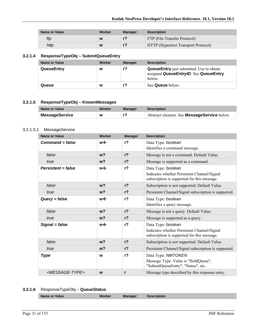| Name or Value | Worker | <b>Manager</b> | <b>Description</b>                  |
|---------------|--------|----------------|-------------------------------------|
| ftp           | W      |                | FTP (File Transfer Protocol)        |
| http          | W      |                | HTTP (Hypertext Transport Protocol) |

### **3.2.1.4 ResponseTypeObj – SubmitQueueEntry**

| Name or Value     | Worker | <b>Manager</b> | <b>Description</b>                                                                                 |
|-------------------|--------|----------------|----------------------------------------------------------------------------------------------------|
| <b>QueueEntry</b> | W      | r?             | <b>QueueEntry</b> just submitted. Use to obtain<br>assigned QueueEntryID. See QueueEntry<br>below. |
| Queue             | w      |                | See <b>Queue</b> below.                                                                            |

#### **3.2.1.5 ResponseTypeObj – KnownMessages**

| Name or Value         | Worker | <b>Manager</b> | <b>Description</b>                                 |
|-----------------------|--------|----------------|----------------------------------------------------|
| <b>MessageService</b> | W      |                | Abstract element. See <b>MessageService</b> below. |

#### 3.2.1.5.1 MessageService

| <b>Name or Value</b>          | <b>Worker</b>  | <b>Manager</b> | <b>Description</b>                                                                         |
|-------------------------------|----------------|----------------|--------------------------------------------------------------------------------------------|
| $Command = false$             | w←             | r <sub>2</sub> | Data Type: boolean                                                                         |
|                               |                |                | Identifies a command message.                                                              |
| false                         | w <sub>2</sub> | r <sub>2</sub> | Message is not a command. Default Value.                                                   |
| true                          | w <sub>2</sub> | r <sub>2</sub> | Message is supported as a command.                                                         |
| $Persistent = false$          | w←             | r <sub>2</sub> | Data Type: boolean                                                                         |
|                               |                |                | Indicates whether Persistent Channel/Signal<br>subscription is supported for this message. |
| false                         | w <sub>2</sub> | r <sub>2</sub> | Subscription is not supported. Default Value.                                              |
| true                          | $w$ ?          | $r$ ?          | Persistent Channel/Signal subscription is supported.                                       |
| $Query = false$               | we             | r <sub>2</sub> | Data Type: boolean                                                                         |
|                               |                |                | Identifies a query message.                                                                |
| false                         | w <sub>2</sub> | r <sub>2</sub> | Message is not a query. Default Value.                                                     |
| true                          | w <sub>2</sub> | r <sub>2</sub> | Message is supported as a query.                                                           |
| Signal = false                | w←             | r <sub>2</sub> | Data Type: boolean                                                                         |
|                               |                |                | Indicates whether Persistent Channel/Signal<br>subscription is supported for this message. |
| false                         | w <sub>2</sub> | r <sub>2</sub> | Subscription is not supported. Default Value.                                              |
| true                          | $w$ ?          | r <sub>2</sub> | Persistent Channel/Signal subscription is supported.                                       |
| <b>Type</b>                   | W              | r <sub>2</sub> | Data Type: NMTOKEN                                                                         |
|                               |                |                | Message Type. Value is "HoldQueue",<br>"SubmitQueueEntry", "Status", etc.                  |
| <message-type></message-type> | W              | r              | Message type described by this response entry.                                             |

### **3.2.1.6** ResponseTypeObj – **QueueStatus**

| <b>Name or Value</b><br><b>Manager</b><br>Description<br>orker |
|----------------------------------------------------------------|
|----------------------------------------------------------------|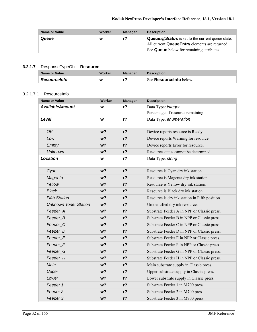| <b>Name or Value</b> | Worker | <b>Manager</b> | <b>Description</b>                                                                                                                                                         |
|----------------------|--------|----------------|----------------------------------------------------------------------------------------------------------------------------------------------------------------------------|
| Queue                | W      | r?             | <b>Queue/</b> $\mathcal{D}$ <b>Status</b> is set to the current queue state.<br>All current QueueEntry elements are returned.<br>See Queue below for remaining attributes. |

#### **3.2.1.7** ResponseTypeObj – **Resource**

| Name or Value       | Worker | Manager | <b>Description</b>      |
|---------------------|--------|---------|-------------------------|
| <b>Resourceinfo</b> | W      | - 7     | See Resourcelnfo below. |

#### 3.2.1.7.1 ResourceInfo

| <b>Name or Value</b>         | Worker         | <b>Manager</b> | <b>Description</b>                             |
|------------------------------|----------------|----------------|------------------------------------------------|
| <b>AvailableAmount</b>       | W              | $r$ ?          | Data Type: integer                             |
|                              |                |                | Percentage of resource remaining               |
| Level                        | W              | r <sub>2</sub> | Data Type: enumeration                         |
| OK                           | w <sub>2</sub> | $r$ ?          | Device reports resource is Ready.              |
| Low                          | w <sub>2</sub> | $r$ ?          | Device reports Warning for resource.           |
| Empty                        | w <sub>2</sub> | $r$ ?          | Device reports Error for resource.             |
| <b>Unknown</b>               | w <sub>2</sub> | $r$ ?          | Resource status cannot be determined.          |
| <b>Location</b>              | W              | $r$ ?          | Data Type: string                              |
| Cyan                         | w <sub>2</sub> | $r$ ?          | Resource is Cyan dry ink station.              |
| Magenta                      | $w$ ?          | $r$ ?          | Resource is Magenta dry ink station.           |
| Yellow                       | w <sub>2</sub> | $r$ ?          | Resource is Yellow dry ink station.            |
| <b>Black</b>                 | w <sub>2</sub> | $r$ ?          | Resource is Black dry ink station.             |
| <b>Fifth Station</b>         | w <sub>2</sub> | $r$ ?          | Resource is dry ink station in Fifth position. |
| <b>Unknown Toner Station</b> | w <sub>2</sub> | r?             | Unidentified dry ink resource.                 |
| Feeder_A                     | w <sub>2</sub> | $r$ ?          | Substrate Feeder A in NPP or Classic press.    |
| Feeder_B                     | w <sub>2</sub> | $r$ ?          | Substrate Feeder B in NPP or Classic press.    |
| Feeder_C                     | w <sub>2</sub> | $r$ ?          | Substrate Feeder C in NPP or Classic press.    |
| Feeder D                     | w <sub>2</sub> | $r$ ?          | Substrate Feeder D in NPP or Classic press.    |
| Feeder_E                     | w <sub>2</sub> | r?             | Substrate Feeder E in NPP or Classic press.    |
| Feeder_F                     | w <sub>2</sub> | $r$ ?          | Substrate Feeder F in NPP or Classic press.    |
| Feeder G                     | w <sub>2</sub> | $r$ ?          | Substrate Feeder G in NPP or Classic press.    |
| Feeder H                     | w <sub>2</sub> | $r$ ?          | Substrate Feeder H in NPP or Classic press.    |
| Main                         | w?             | $r$ ?          | Main substrate supply in Classic press.        |
| Upper                        | w <sub>2</sub> | $r$ ?          | Upper substrate supply in Classic press.       |
| Lower                        | w <sub>2</sub> | $r$ ?          | Lower substrate supply in Classic press.       |
| Feeder 1                     | w <sub>2</sub> | $r$ ?          | Substrate Feeder 1 in M700 press.              |
| Feeder 2                     | w <sub>2</sub> | $r$ ?          | Substrate Feeder 2 in M700 press.              |
| Feeder 3                     | w <sub>2</sub> | $r$ ?          | Substrate Feeder 3 in M700 press.              |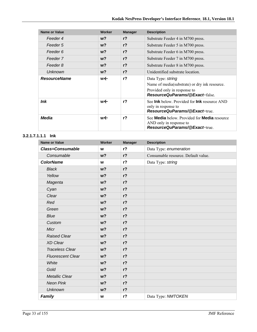| <b>Name or Value</b> | Worker | <b>Manager</b> | <b>Description</b>                                                                                                                          |
|----------------------|--------|----------------|---------------------------------------------------------------------------------------------------------------------------------------------|
| Feeder 4             | $w$ ?  | r <sub>2</sub> | Substrate Feeder 4 in M700 press.                                                                                                           |
| Feeder 5             | $w$ ?  | r <sub>2</sub> | Substrate Feeder 5 in M700 press.                                                                                                           |
| Feeder 6             | $w$ ?  | $r$ ?          | Substrate Feeder 6 in M700 press.                                                                                                           |
| Feeder 7             | $w$ ?  | r <sub>2</sub> | Substrate Feeder 7 in M700 press.                                                                                                           |
| Feeder 8             | $w$ ?  | $r$ ?          | Substrate Feeder 8 in M700 press.                                                                                                           |
| <b>Unknown</b>       | $w$ ?  | r <sub>2</sub> | Unidentified substrate location.                                                                                                            |
| <b>ResourceName</b>  | w←     | r <sub>2</sub> | Data Type: string<br>Name of media(substrate) or dry ink resource.<br>Provided only in response to<br><b>ResourceQuParams/@Exact=false.</b> |
| <b>Ink</b>           | w←     | r <sub>2</sub> | See Ink below. Provided for Ink resource AND<br>only in response to<br>ResourceQuParams/@Exact=true.                                        |
| Media                | w←     | r <sub>2</sub> | See <b>Media</b> below. Provided for <b>Media</b> resource<br>AND only in response to<br>ResourceQuParams/@Exact=true.                      |

#### **3.2.1.7.1.1.1 Ink**

| <b>Name or Value</b>     | Worker         | <b>Manager</b> | <b>Description</b>                  |
|--------------------------|----------------|----------------|-------------------------------------|
| <b>Class=Consumable</b>  | W              | r <sub>2</sub> | Data Type: enumeration              |
| Consumable               | w <sub>2</sub> | $r$ ?          | Consumable resource. Default value. |
| <b>ColorName</b>         | W              | $r$ ?          | Data Type: string                   |
| <b>Black</b>             | w <sub>2</sub> | $r$ ?          |                                     |
| Yellow                   | w <sub>2</sub> | $r$ ?          |                                     |
| Magenta                  | w <sub>2</sub> | $r$ ?          |                                     |
| Cyan                     | w <sub>2</sub> | $r$ ?          |                                     |
| Clear                    | w <sub>2</sub> | $r$ ?          |                                     |
| Red                      | w <sub>2</sub> | r <sub>2</sub> |                                     |
| Green                    | w <sub>2</sub> | $r$ ?          |                                     |
| <b>Blue</b>              | w <sub>2</sub> | $r$ ?          |                                     |
| Custom                   | w <sub>2</sub> | $r$ ?          |                                     |
| Micr                     | w <sub>2</sub> | $r$ ?          |                                     |
| <b>Raised Clear</b>      | w <sub>2</sub> | $r$ ?          |                                     |
| <b>XD Clear</b>          | w <sub>2</sub> | $r$ ?          |                                     |
| <b>Traceless Clear</b>   | w <sub>2</sub> | r <sub>2</sub> |                                     |
| <b>Fluorescent Clear</b> | w <sub>2</sub> | $r$ ?          |                                     |
| White                    | w <sub>2</sub> | $r$ ?          |                                     |
| Gold                     | w <sub>2</sub> | $r$ ?          |                                     |
| <b>Metallic Clear</b>    | w <sub>2</sub> | $r$ ?          |                                     |
| <b>Neon Pink</b>         | w <sub>2</sub> | $r$ ?          |                                     |
| <b>Unknown</b>           | w <sub>2</sub> | $r$ ?          |                                     |
| Family                   | W              | r <sub>2</sub> | Data Type: NMTOKEN                  |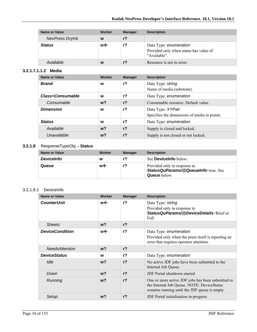| <b>Name or Value</b>   | Worker | <b>Manager</b> | <b>Description</b>                                                               |
|------------------------|--------|----------------|----------------------------------------------------------------------------------|
| <b>NexPress DryInk</b> | W      | $r$ ?          |                                                                                  |
| <b>Status</b>          | w←     | r?             | Data Type: enumeration<br>Provided only when status has value of<br>"Available". |
| Available              | W      | r <sub>2</sub> | Resource is not in error.                                                        |

#### **3.2.1.7.1.1.2 Media**

| <b>Name or Value</b> | Worker         | <b>Manager</b> | <b>Description</b>                                                |
|----------------------|----------------|----------------|-------------------------------------------------------------------|
| <b>Brand</b>         | W              | r <sub>2</sub> | Data Type: string<br>Name of media (substrate).                   |
| Class=Consumable     | W              | $r$ ?          | Data Type: enumeration                                            |
| Consumable           | $w$ ?          | $r$ ?          | Consumable resource. Default value.                               |
| <b>Dimension</b>     | W              | $r$ ?          | Data Type: XYPair<br>Specifies the dimensions of media in points. |
| <b>Status</b>        | w              | $r$ ?          | Data Type: enumeration                                            |
| Available            | w <sub>2</sub> | r <sub>2</sub> | Supply is closed and locked.                                      |
| Unavailable          | $w$ ?          | $r$ ?          | Supply is not closed or not locked.                               |

### **3.2.1.8** ResponseTypeObj – **Status**

| Name or Value     | Worker | <b>Manager</b> | <b>Description</b>                                                                         |
|-------------------|--------|----------------|--------------------------------------------------------------------------------------------|
| <b>DeviceInfo</b> | W      |                | See <b>Devicelnfo</b> below.                                                               |
| Queue             | w←     |                | Provided only in response to<br>StatusQuParams/@QueueInfo=true. See<br><b>Queue</b> below. |

#### 3.2.1.8.1 DeviceInfo

| <b>Name or Value</b>   | Worker | <b>Manager</b> | <b>Description</b>                                                                                                                               |
|------------------------|--------|----------------|--------------------------------------------------------------------------------------------------------------------------------------------------|
| <b>CounterUnit</b>     | w←     | r <sub>2</sub> | Data Type: string<br>Provided only in response to<br>Status QuParams/@DeviceDetails=Brief or<br>Full.                                            |
| <b>Sheets</b>          | $w$ ?  | r <sub>2</sub> |                                                                                                                                                  |
| <b>DeviceCondition</b> | w←     | r <sub>2</sub> | Data Type: enumeration<br>Provided only when the press itself is reporting an<br>error that requires operator attention.                         |
| <b>NeedsAttention</b>  | $w$ ?  | r <sub>2</sub> |                                                                                                                                                  |
| <b>DeviceStatus</b>    | W      | r <sub>2</sub> | Data Type: enumeration                                                                                                                           |
| Idle                   | $w$ ?  | r <sub>2</sub> | No active JDF jobs have been submitted to the<br>Internal Job Queue.                                                                             |
| Down                   | $w$ ?  | r <sub>2</sub> | <b>JDF</b> Portal shutdown started                                                                                                               |
| Running                | $w$ ?  | r <sub>2</sub> | One or more active JDF jobs has been submitted to<br>the Internal Job Queue. NOTE: DeviceStatus<br>remains running until the JDF queue is empty. |
| Setup                  | w?     | r <sub>2</sub> | JDF Portal initialization in progress                                                                                                            |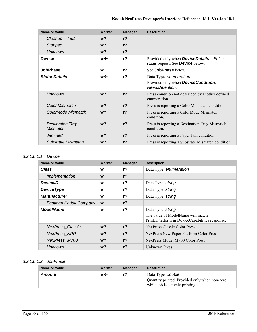| <b>Name or Value</b>                | Worker | <b>Manager</b> | <b>Description</b>                                                                                 |
|-------------------------------------|--------|----------------|----------------------------------------------------------------------------------------------------|
| Cleanup - TBD                       | $w$ ?  | r <sub>2</sub> |                                                                                                    |
| <b>Stopped</b>                      | $w$ ?  | r <sub>2</sub> |                                                                                                    |
| <b>Unknown</b>                      | $w$ ?  | r <sub>2</sub> |                                                                                                    |
| <b>Device</b>                       | w←     | r <sub>2</sub> | Provided only when <b>DeviceDetails</b> = $Full$ in<br>status request. See Device below.           |
| <b>JobPhase</b>                     | W      | r <sup>2</sup> | See JobPhase below.                                                                                |
| <b>StatusDetails</b>                | w←     | r <sup>2</sup> | Data Type: enumeration<br>Provided only when <b>DeviceCondition</b> . $=$<br><b>NeedsAttention</b> |
| Unknown                             | $w$ ?  | r <sub>2</sub> | Press condition not described by another defined<br>enumeration.                                   |
| <b>Color Mismatch</b>               | $w$ ?  | r <sub>2</sub> | Press is reporting a Color Mismatch condition.                                                     |
| ColorMode Mismatch                  | $w$ ?  | r <sub>2</sub> | Press is reporting a ColorMode Mismatch<br>condition.                                              |
| <b>Destination Tray</b><br>Mismatch | $w$ ?  | r <sub>2</sub> | Press is reporting a Destination Tray Mismatch<br>condition.                                       |
| Jammed                              | $w$ ?  | r <sub>2</sub> | Press is reporting a Paper Jam condition.                                                          |
| Substrate Mismatch                  | w?     | r <sub>2</sub> | Press is reporting a Substrate Mismatch condition.                                                 |

#### *3.2.1.8.1.1 Device*

| <b>Name or Value</b>    | Worker | <b>Manager</b> | <b>Description</b>                                                                                        |
|-------------------------|--------|----------------|-----------------------------------------------------------------------------------------------------------|
| <b>Class</b>            | W      | r <sub>2</sub> | Data Type: enumeration                                                                                    |
| Implementation          | W      | r <sub>2</sub> |                                                                                                           |
| <b>DeviceID</b>         | W      | $r$ ?          | Data Type: string                                                                                         |
| <b>DeviceType</b>       | W      | $r$ ?          | Data Type: string                                                                                         |
| <b>Manufacturer</b>     | W      | r <sub>2</sub> | Data Type: string                                                                                         |
| Eastman Kodak Company   | W      | $r$ ?          |                                                                                                           |
| <b>ModelName</b>        | W      | $r$ ?          | Data Type: string<br>The value of ModelName will match<br>PrinterPlatform in DeviceCapabilities response. |
| <b>NexPress Classic</b> | $w$ ?  | r <sub>2</sub> | NexPress Classic Color Press                                                                              |
| NexPress NPP            | $w$ ?  | r <sub>2</sub> | NexPress New Paper Platform Color Press                                                                   |
| NexPress_M700           | $w$ ?  | r <sub>2</sub> | NexPress Model M700 Color Press                                                                           |
| Unknown                 | $w$ ?  | r <sub>2</sub> | Unknown Press                                                                                             |

### *3.2.1.8.1.2 JobPhase*

| Name or Value | Worker | <b>Manager</b> | <b>Description</b>                                                                                           |
|---------------|--------|----------------|--------------------------------------------------------------------------------------------------------------|
| Amount        | w←     |                | Data Type: <i>double</i><br>Quantity printed. Provided only when non-zero<br>while job is actively printing. |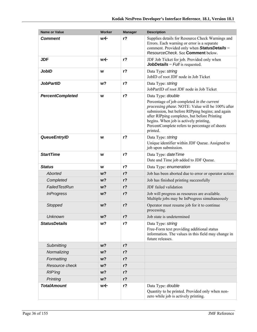| <b>Name or Value</b>    | <b>Worker</b> | <b>Manager</b> | <b>Description</b>                                                                                                                                                                                                                                                                                                              |
|-------------------------|---------------|----------------|---------------------------------------------------------------------------------------------------------------------------------------------------------------------------------------------------------------------------------------------------------------------------------------------------------------------------------|
| <b>Comment</b>          | w←            | $r$ ?          | Supplies details for Resource Check Warnings and<br>Errors. Each warning or error is a separate<br>comment. Provided only when StatusDetails =<br>ResourceCheck. See Comment below.                                                                                                                                             |
| <b>JDF</b>              | w←            | r <sub>2</sub> | JDF Job Ticket for job. Provided only when<br><b>JobDetails</b> = $Full$ is requested.                                                                                                                                                                                                                                          |
| <b>JobID</b>            | W             | $r$ ?          | Data Type: string<br>JobID of root JDF node in Job Ticket                                                                                                                                                                                                                                                                       |
| <b>JobPartID</b>        | w?            | $r$ ?          | Data Type: string<br>JobPartID of root JDF node in Job Ticket                                                                                                                                                                                                                                                                   |
| <b>PercentCompleted</b> | W             | $r$ ?          | Data Type: double<br>Percentage of job completed in the current<br>processing phase. NOTE: Value will be 100% after<br>submission, but before RIPping begins; and again<br>after RIPping completes, but before Printing<br>begins. When job is actively printing,<br>PercentComplete refers to percentage of sheets<br>printed. |
| <b>QueueEntryID</b>     | W             | $r$ ?          | Data Type: string<br>Unique identifier within JDF Queue. Assigned to<br>job upon submission.                                                                                                                                                                                                                                    |
| <b>StartTime</b>        | W             | $r$ ?          | Data Type: date Time<br>Date and Time job added to JDF Queue.                                                                                                                                                                                                                                                                   |
| <b>Status</b>           | W             | $r$ ?          | Data Type: enumeration                                                                                                                                                                                                                                                                                                          |
| Aborted                 | w?            | $r$ ?          | Job has been aborted due to error or operator action                                                                                                                                                                                                                                                                            |
| Completed               | w?            | $r$ ?          | Job has finished printing successfully                                                                                                                                                                                                                                                                                          |
| FailedTestRun           | w?            | $r$ ?          | JDF failed validation                                                                                                                                                                                                                                                                                                           |
| <b>InProgress</b>       | w?            | $r$ ?          | Job will progress as resources are available.<br>Multiple jobs may be InProgress simultaneously                                                                                                                                                                                                                                 |
| Stopped                 | $w$ ?         | $r$ ?          | Operator must resume job for it to continue<br>processing.                                                                                                                                                                                                                                                                      |
| <b>Unknown</b>          | w?            | $r$ ?          | Job state is undetermined                                                                                                                                                                                                                                                                                                       |
| <b>StatusDetails</b>    | w?            | $r$ ?          | Data Type: string<br>Free-Form text providing additional status<br>information. The values in this field may change in<br>future releases.                                                                                                                                                                                      |
| Submitting              | w?            | $r$ ?          |                                                                                                                                                                                                                                                                                                                                 |
| Normalizing             | w?            | $r$ ?          |                                                                                                                                                                                                                                                                                                                                 |
| Formatting              | w?            | $r$ ?          |                                                                                                                                                                                                                                                                                                                                 |
| Resource check          | w?            | $r$ ?          |                                                                                                                                                                                                                                                                                                                                 |
| <b>RIP'ing</b>          | w?            | $r$ ?          |                                                                                                                                                                                                                                                                                                                                 |
| Printing                | w?            | $r$ ?          |                                                                                                                                                                                                                                                                                                                                 |
| <b>TotalAmount</b>      | w←            | $r$ ?          | Data Type: double<br>Quantity to be printed. Provided only when non-<br>zero while job is actively printing.                                                                                                                                                                                                                    |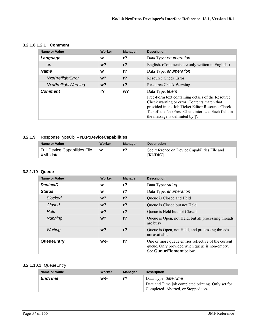| 3.2.1.8.1.2.1 | <b>Comment</b> |
|---------------|----------------|
|               |                |

| <b>Name or Value</b>       | Worker | <b>Manager</b> | <b>Description</b>                                                                                                                                                                                                                                                |
|----------------------------|--------|----------------|-------------------------------------------------------------------------------------------------------------------------------------------------------------------------------------------------------------------------------------------------------------------|
| Language                   | W      | $r$ ?          | Data Type: enumeration                                                                                                                                                                                                                                            |
| en                         | $w$ ?  | $r$ ?          | English. (Comments are only written in English.)                                                                                                                                                                                                                  |
| <b>Name</b>                | W      | $r$ ?          | Data Type: enumeration                                                                                                                                                                                                                                            |
| NxpPreflightError          | $w$ ?  | $r$ ?          | Resource Check Error                                                                                                                                                                                                                                              |
| <b>NxpPreflightWarning</b> | $w$ ?  | $r$ ?          | <b>Resource Check Warning</b>                                                                                                                                                                                                                                     |
| <b>Comment</b>             | $r$ ?  | w?             | Data Type: telem<br>Free-Form text containing details of the Resource<br>Check warning or error. Contents match that<br>provided in the Job Ticket Editor Resource Check<br>Tab of the NexPress Client interface. Each field in<br>the message is delimited by ". |

## **3.2.1.9** ResponseTypeObj – **NXP:DeviceCapabilities**

| Name or Value                             | Worker | Manager | <b>Description</b>                                       |
|-------------------------------------------|--------|---------|----------------------------------------------------------|
| Full Device Capabilities File<br>XML data | W      |         | See reference on Device Capabilities File and<br>[KNDIG] |

#### **3.2.1.10 Queue**

| <b>Name or Value</b> | <b>Worker</b>  | <b>Manager</b> | <b>Description</b>                                                                                                              |
|----------------------|----------------|----------------|---------------------------------------------------------------------------------------------------------------------------------|
| <b>DeviceID</b>      | w              | r <sub>2</sub> | Data Type: string                                                                                                               |
| <b>Status</b>        | W              | $r$ ?          | Data Type: enumeration                                                                                                          |
| <b>Blocked</b>       | $w$ ?          | r <sub>2</sub> | Queue is Closed and Held                                                                                                        |
| Closed               | w <sub>2</sub> | r <sub>2</sub> | Queue is Closed but not Held                                                                                                    |
| Held                 | $w$ ?          | r <sub>2</sub> | Queue is Held but not Closed                                                                                                    |
| Running              | $w$ ?          | r <sub>2</sub> | Queue is Open, not Held, but all processing threads<br>are busy                                                                 |
| Waiting              | $w$ ?          | r <sub>2</sub> | Queue is Open, not Held, and processing threads<br>are available                                                                |
| QueueEntry           | w←             | r <sub>2</sub> | One or more queue entries reflective of the current<br>queue. Only provided when queue is non-empty.<br>See QueueElement below. |

#### 3.2.1.10.1 QueueEntry

| Name or Value  | Worker | <b>Manager</b> | <b>Description</b>                                                                                                       |
|----------------|--------|----------------|--------------------------------------------------------------------------------------------------------------------------|
| <b>EndTime</b> | w←     |                | Data Type: <i>dateTime</i><br>Date and Time job completed printing. Only set for<br>Completed, Aborted, or Stopped jobs. |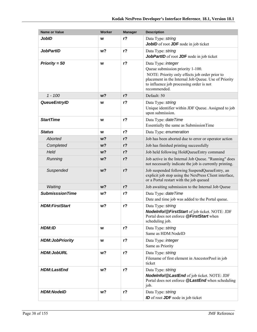| <b>Name or Value</b>    | Worker         | <b>Manager</b> | <b>Description</b>                                                                                                                                                                                                           |
|-------------------------|----------------|----------------|------------------------------------------------------------------------------------------------------------------------------------------------------------------------------------------------------------------------------|
| <b>JobID</b>            | W              | $r$ ?          | Data Type: string<br>JobID of root JDF node in job ticket                                                                                                                                                                    |
| <b>JobPartID</b>        | w?             | $r$ ?          | Data Type: string<br>JobPartID of root JDF node in job ticket                                                                                                                                                                |
| Priority = $50$         | W              | $r$ ?          | Data Type: integer<br>Queue submission priority 1-100.<br>NOTE: Priority only effects job order prior to<br>placement in the Internal Job Queue. Use of Priority<br>to influence job processing order is not<br>recommended. |
| $1 - 100$               | w <sub>2</sub> | $r$ ?          | Default: 50                                                                                                                                                                                                                  |
| <b>QueueEntryID</b>     | w              | $r$ ?          | Data Type: string<br>Unique identifier within JDF Queue. Assigned to job<br>upon submission.                                                                                                                                 |
| <b>StartTime</b>        | W              | $r$ ?          | Data Type: date Time<br>Essentially the same as SubmissionTime                                                                                                                                                               |
| <b>Status</b>           | W              | $r$ ?          | Data Type: enumeration                                                                                                                                                                                                       |
| Aborted                 | w?             | $r$ ?          | Job has been aborted due to error or operator action                                                                                                                                                                         |
| Completed               | w?             | $r$ ?          | Job has finished printing successfully                                                                                                                                                                                       |
| Held                    | w?             | $r$ ?          | Job held following HoldQueueEntry command                                                                                                                                                                                    |
| Running                 | w?             | $r$ ?          | Job active in the Internal Job Queue. "Running" does<br>not necessarily indicate the job is currently printing.                                                                                                              |
| Suspended               | w?             | $r$ ?          | Job suspended following SuspendQueueEntry, an<br>explicit job stop using the NexPress Client interface,<br>or a Portal restart with the job queued                                                                           |
| Waiting                 | w <sub>2</sub> | $r$ ?          | Job awaiting submission to the Internal Job Queue                                                                                                                                                                            |
| <b>SubmisssionTime</b>  | w?             | $r$ ?          | Data Type: date Time<br>Date and time job was added to the Portal queue.                                                                                                                                                     |
| <b>HDM:FirstStart</b>   | w?             | $r$ ?          | Data Type: string<br>Nodelnfo/@FirstStart of job ticket. NOTE: JDF<br>Portal does not enforce <b>@FirstStart</b> when<br>scheduling job.                                                                                     |
| HDM:ID                  | W              | $r$ ?          | Data Type: string<br>Same as HDM:NodeID                                                                                                                                                                                      |
| <b>HDM: JobPriority</b> | W              | $r$ ?          | Data Type: <i>integer</i><br>Same as Priority                                                                                                                                                                                |
| <b>HDM:JobURL</b>       | w <sub>2</sub> | $r$ ?          | Data Type: string<br>Filename of first element in AncestorPool in job<br>ticket                                                                                                                                              |
| <b>HDM:LastEnd</b>      | w?             | $r$ ?          | Data Type: string<br>Nodelnfo/@LastEnd of job ticket. NOTE: JDF<br>Portal does not enforce @LastEnd when scheduling<br>job.                                                                                                  |
| <b>HDM:NodelD</b>       | w?             | r <sub>2</sub> | Data Type: string<br><b>ID</b> of root <b>JDF</b> node in job ticket                                                                                                                                                         |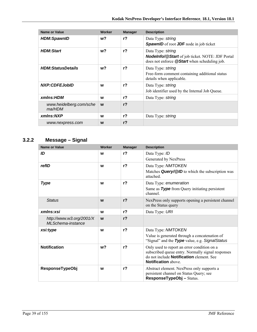| <b>Name or Value</b>              | <b>Worker</b> | <b>Manager</b> | <b>Description</b>                                                                                                                 |
|-----------------------------------|---------------|----------------|------------------------------------------------------------------------------------------------------------------------------------|
| <b>HDM:SpawnID</b>                | w?            | $r$ ?          | Data Type: string<br><b>SpawnID</b> of root <b>JDF</b> node in job ticket                                                          |
| <b>HDM:Start</b>                  | w?            | $r$ ?          | Data Type: string<br><b>Nodelnfo/@Start</b> of job ticket. NOTE: JDF Portal<br>does not enforce <b>@Start</b> when scheduling job. |
| <b>HDM:StatusDetails</b>          | w?            | $r$ ?          | Data Type: string<br>Free-form comment containing additional status<br>details when applicable.                                    |
| <b>NXP:CDFEJobID</b>              | w             | $r$ ?          | Data Type: string<br>Job identifier used by the Internal Job Queue.                                                                |
| xmlns:HDM                         | W             | r <sub>2</sub> | Data Type: string                                                                                                                  |
| www.heidelberg.com/sche<br>ma/HDM | W             | $r$ ?          |                                                                                                                                    |
| xmlns:NXP                         | W             | $r$ ?          | Data Type: string                                                                                                                  |
| www.nexpress.com                  | W             | r <sub>2</sub> |                                                                                                                                    |

# **3.2.2 Message – Signal**

| <b>Name or Value</b>                           | <b>Worker</b>  | <b>Manager</b> | <b>Description</b>                                                                                                                 |
|------------------------------------------------|----------------|----------------|------------------------------------------------------------------------------------------------------------------------------------|
| ID                                             | W              | $r$ ?          | Data Type: ID<br>Generated by NexPress                                                                                             |
|                                                |                |                |                                                                                                                                    |
| refID                                          | W              | $r$ ?          | Data Type: NMTOKEN                                                                                                                 |
|                                                |                |                | Matches Query/@ID to which the subscription was<br>attached.                                                                       |
| <b>Type</b>                                    | W              | $r$ ?          | Data Type: enumeration                                                                                                             |
|                                                |                |                | Same as Type from Query initiating persistent<br>channel.                                                                          |
| <b>Status</b>                                  | W              | r <sub>2</sub> | NexPress only supports opening a persistent channel<br>on the Status query                                                         |
| xmlns:xsi                                      | W              | r <sub>2</sub> | Data Type: URI                                                                                                                     |
| http://www.w3.org/2001/X<br>ML Schema-instance | W              | r <sub>2</sub> |                                                                                                                                    |
| xsi:type                                       | W              | r <sub>2</sub> | Data Type: NMTOKEN                                                                                                                 |
|                                                |                |                | Value is generated through a concatenation of<br>"Signal" and the Type value, e.g. SignalStatus                                    |
| <b>Notification</b>                            | w <sub>2</sub> | r <sub>2</sub> | Only used to report an error condition on a                                                                                        |
|                                                |                |                | subscribed queue entry. Normally signal responses<br>do not include <b>Notification</b> element. See<br><b>Notification</b> above. |
|                                                |                |                |                                                                                                                                    |
| <b>ResponseTypeObj</b>                         | W              | r <sub>2</sub> | Abstract element. NexPress only supports a<br>persistent channel on Status Query; see<br>ResponseTypeObj-Status.                   |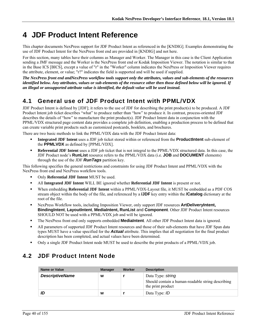# **4 JDF Product Intent Reference**

This chapter documents NexPress support for JDF Product Intent as referenced in the [KNDIG]. Examples demonstrating the use of JDF Product Intent for the NexPress front end are provided in [KNDIG] and not here.

For this section, many tables have their columns as Manager and Worker. The Manager in this case is the Client Application sending a JMF message and the Worker is the NexPress front end or Kodak Imposition Viewer. The notation is similar to that in the Base ICS [BICS], except a value of "r" in the "Worker" column indicates the NexPress or Imposition Viewer requires the attribute, element, or value; "r?" indicates the field is supported and will be used if supplied.

*The NexPress front end andNexPress workflow tools support only the attributes, values and sub-elements of the resources identified below. Any attributes, values or sub-elements of the resource other then those defined below will be ignored. If an illegal or unsupported attribute value is identified, the default value will be used instead.* 

# **4.1 General use of JDF Product Intent with PPML/VDX**

JDF Product Intent is defined by [JDF]; it refers to the use of JDF for describing the print product(s) to be produced. A JDF Product Intent job ticket describes "what" to produce rather than "how" to produce it. In contrast, process-oriented JDF describes the details of "how" to manufacture the print product(s). JDF Product Intent data in conjunction with the PPML/VDX structured page content data provides a complete job definition, enabling a production process to be defined that can create variable print products such as customized postcards, booklets, and brochures.

There are two basic methods to link the PPML/VDX data with the JDF Product Intent data:

- **Integrated JDF Intent** uses a JDF job ticket stored within or referenced from the **ProductIntent** sub-element of the **PPMLVDX** as defined by [PPML/VDX].
- **Referential JDF Intent** uses a JDF job ticket that is not integral to the PPML/VDX structured data. In this case, the JDF Product node's **RunList** resource refers to the PPML/VDX data (i.e. **JOB** and **DOCUMENT** elements) through the use of the JDF *RunTags* partition key.

This following specifies the general restrictions and constraints for using JDF Product Intent and PPML/VDX with the NexPress front end and NexPress workflow tools.

- Only **Referential JDF Intent** MUST be used.
- All **Integrated JDF Intent** WILL BE ignored whether **Referential JDF Intent** is present or not.
- When embedding **Referential JDF Intent** within a PPML/VDX-Layout file, it MUST be embedded as a PDF COS stream object within the body of the file, and referenced by a **/JDF** key entry within the **/Catalog** dictionary at the root of the file.
- NexPress Workflow tools, including Imposition Viewer, only support JDF resources **ArtDeliveryIntent, BindingIntent**, **LayoutIntent**, **MediaIntent, RunList** and **Component**. Other JDF Product Intent resources SHOULD NOT be used with a PPML/VDX job and will be ignored.
- The NexPress front end only supports embedded **MediaIntent**. All other JDF Product Intent data is ignored.
- All parameters of supported JDF Product Intent resources and those of their sub-elements that have JDF Span data types MUST have a value specified for the *Actual* attribute. This implies that all negotiation for the final product description has been completed, and actual values have been determined.
- Only a single JDF Product Intent node MUST be used to describe the print products of a PPML/VDX job.

# **4.2 JDF Product Intent Node**

| Name or Value          | <b>Manager</b> | Worker | <b>Description</b>                                                                          |
|------------------------|----------------|--------|---------------------------------------------------------------------------------------------|
| <b>DescriptiveName</b> | w              |        | Data Type: string<br>Should contain a human-readable string describing<br>the print product |
| ID                     | W              |        | Data Type: ID                                                                               |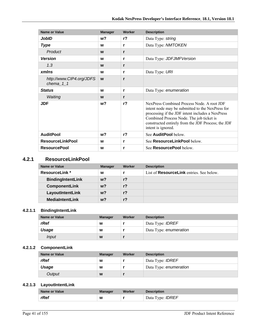| <b>Name or Value</b>                     | <b>Manager</b> | <b>Worker</b> | <b>Description</b>                                                                                                                                                                                                                                                         |
|------------------------------------------|----------------|---------------|----------------------------------------------------------------------------------------------------------------------------------------------------------------------------------------------------------------------------------------------------------------------------|
| JobID                                    | w?             | $r$ ?         | Data Type: string                                                                                                                                                                                                                                                          |
| <b>Type</b>                              | W              | r             | Data Type: NMTOKEN                                                                                                                                                                                                                                                         |
| Product                                  | W              | r             |                                                                                                                                                                                                                                                                            |
| <b>Version</b>                           | W              | r             | Data Type: JDFJMFVersion                                                                                                                                                                                                                                                   |
| 1.3                                      | W              | r             |                                                                                                                                                                                                                                                                            |
| xmlns                                    | W              | r             | Data Type: URI                                                                                                                                                                                                                                                             |
| http://www.CIP4.org/JDFS<br>chema_ $1_1$ | W              | r             |                                                                                                                                                                                                                                                                            |
| <b>Status</b>                            | W              | r             | Data Type: enumeration                                                                                                                                                                                                                                                     |
| Waiting                                  | W              | r             |                                                                                                                                                                                                                                                                            |
| <b>JDF</b>                               | w?             | $r$ ?         | NexPress Combined Process Node. A root JDF<br>intent node may be submitted to the NexPress for<br>processing if the JDF intent includes a NexPress<br>Combined Process Node. The job ticket is<br>constructed entirely from the JDF Process; the JDF<br>intent is ignored. |
| <b>AuditPool</b>                         | w?             | $r$ ?         | See AuditPool below.                                                                                                                                                                                                                                                       |
| <b>ResourceLinkPool</b>                  | W              | r             | See ResourceLinkPool below.                                                                                                                                                                                                                                                |
| <b>ResourcePool</b>                      | W              | r             | See <b>ResourcePool</b> below.                                                                                                                                                                                                                                             |

### **4.2.1 ResourceLinkPool**

| Name or Value            | <b>Manager</b> | Worker         | <b>Description</b>                              |
|--------------------------|----------------|----------------|-------------------------------------------------|
| <b>ResourceLink</b> *    | W              |                | List of <b>ResourceLink</b> entries. See below. |
| <b>BindingIntentLink</b> | $w$ ?          | r <sub>2</sub> |                                                 |
| <b>ComponentLink</b>     | w?             | r <sub>2</sub> |                                                 |
| LayoutIntentLink         | w?             | $r$ ?          |                                                 |
| <b>MediaIntentLink</b>   | w?             | r?             |                                                 |

### **4.2.1.1 BindingIntentLink**

| <b>Name or Value</b> | <b>Manager</b> | Worker | <b>Description</b>      |
|----------------------|----------------|--------|-------------------------|
| rRef                 | W              |        | Data Type: <b>IDREF</b> |
| Usage                | W              |        | Data Type: enumeration  |
| Input                | W              |        |                         |

## **4.2.1.2 ComponentLink**

| Name or Value | <b>Manager</b> | Worker | <b>Description</b>      |
|---------------|----------------|--------|-------------------------|
| rRef          | W              |        | Data Type: <i>IDREF</i> |
| Usage         | W              |        | Data Type: enumeration  |
| Output        | W              |        |                         |

#### **4.2.1.3 LayoutIntentLink**

| Name or Value | <b>Manager</b> | Worker | <b>Description</b>      |
|---------------|----------------|--------|-------------------------|
| rRef          | W              |        | Data Type: <b>IDREF</b> |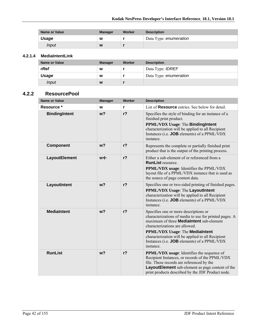| <b>Name or Value</b> | <b>Manager</b> | Worker | <b>Description</b>     |
|----------------------|----------------|--------|------------------------|
| Usage                | W              |        | Data Type: enumeration |
| Input                | W              |        |                        |

#### **4.2.1.4 MediaIntentLink**

| <b>Name or Value</b> | <b>Manager</b> | <b>Worker</b> | <b>Description</b>      |
|----------------------|----------------|---------------|-------------------------|
| rRef                 | W              |               | Data Type: <b>IDREF</b> |
| Usage                | W              |               | Data Type: enumeration  |
| <i>Input</i>         | W              |               |                         |

### **4.2.2 ResourcePool**

| <b>Name or Value</b> | <b>Manager</b> | Worker         | <b>Description</b>                                                                                                                                                                                                                                                                                                                                     |
|----------------------|----------------|----------------|--------------------------------------------------------------------------------------------------------------------------------------------------------------------------------------------------------------------------------------------------------------------------------------------------------------------------------------------------------|
| Resource *           | W              | r              | List of <b>Resource</b> entries. See below for detail.                                                                                                                                                                                                                                                                                                 |
| <b>BindingIntent</b> | w <sub>2</sub> | $r$ ?          | Specifies the style of binding for an instance of a<br>finished print product.<br><b>PPML/VDX Usage: The BindingIntent</b><br>characterization will be applied to all Recipient<br>Instances (i.e. JOB elements) of a PPML/VDX<br>instance.                                                                                                            |
| <b>Component</b>     | w <sub>2</sub> | r <sub>2</sub> | Represents the complete or partially finished print<br>product that is the output of the printing process.                                                                                                                                                                                                                                             |
| LayoutElement        | w←             | $r$ ?          | Either a sub-element of or referenced from a<br><b>RunList resource</b><br>PPML/VDX usage: Identifies the PPML/VDX<br>layout file of a PPML/VDX instance that is used as<br>the source of page content data.                                                                                                                                           |
| LayoutIntent         | w <sub>2</sub> | $r$ ?          | Specifies one or two-sided printing of finished pages.<br>PPML/VDX Usage: The LayoutIntent<br>characterization will be applied to all Recipient<br>Instances (i.e. <b>JOB</b> elements) of a PPML/VDX<br>instance                                                                                                                                      |
| <b>MediaIntent</b>   | w <sub>2</sub> | $r$ ?          | Specifies one or more descriptions or<br>characterizations of media to use for printed pages. A<br>maximum of three <b>MediaIntent</b> sub-element<br>characterizations are allowed.<br><b>PPML/VDX Usage: The MediaIntent</b><br>characterization will be applied to all Recipient<br>Instances (i.e. <b>JOB</b> elements) of a PPML/VDX<br>instance. |
| <b>RunList</b>       | w <sub>2</sub> | r <sub>2</sub> | <b>PPML/VDX</b> usage: Identifies the sequence of<br>Recipient Instances, or records of the PPML/VDX<br>file. These records are referenced by the<br>LayoutElement sub-element as page content of the<br>print products described by the JDF Product node.                                                                                             |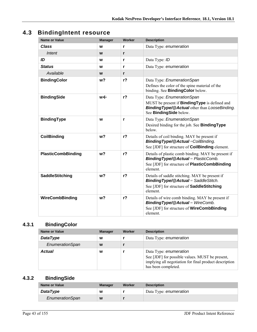# **4.3 BindingIntent resource**

| <b>Name or Value</b>      | <b>Manager</b> | <b>Worker</b>  | <b>Description</b>                                                                                                                                                     |
|---------------------------|----------------|----------------|------------------------------------------------------------------------------------------------------------------------------------------------------------------------|
| <b>Class</b>              | W              | r              | Data Type: enumeration                                                                                                                                                 |
| Intent                    | W              | r              |                                                                                                                                                                        |
| ID                        | W              | r              | Data Type: ID                                                                                                                                                          |
| <b>Status</b>             | W              | r              | Data Type: enumeration                                                                                                                                                 |
| Available                 | W              | r              |                                                                                                                                                                        |
| <b>BindingColor</b>       | w <sub>2</sub> | $r$ ?          | Data Type: EnumerationSpan<br>Defines the color of the spine material of the<br>binding. See BindingColor below.                                                       |
| <b>BindingSide</b>        | w←             | r <sub>2</sub> | Data Type: EnumerationSpan<br>MUST be present if <b>BindingType</b> is defined and<br><b>Binding Type/@Actual other than LooseBinding.</b><br>See BindingSide below.   |
| <b>BindingType</b>        | W              | r              | Data Type: EnumerationSpan<br>Desired binding for the job. See <b>Binding Type</b><br>below.                                                                           |
| <b>CoilBinding</b>        | w <sub>2</sub> | r <sub>2</sub> | Details of coil binding. MAY be present if<br><b>BindingType/@Actual=CoilBinding.</b><br>See [JDF] for structure of <b>CoilBinding</b> element.                        |
| <b>PlasticCombBinding</b> | w <sub>2</sub> | $r$ ?          | Details of plastic comb binding. MAY be present if<br><b>BindingType/@Actual</b> = $PlasticComb$ .<br>See [JDF] for structure of <b>PlasticCombBinding</b><br>element. |
| <b>SaddleStitching</b>    | w <sub>2</sub> | $r$ ?          | Details of saddle stitching. MAY be present if<br><b>BindingType/@Actual</b> = SaddleStitch.<br>See [JDF] for structure of <b>SaddleStitching</b><br>element.          |
| <b>WireCombBinding</b>    | w <sub>2</sub> | r <sub>2</sub> | Details of wire comb binding. MAY be present if<br><b>BindingType/@Actual</b> = WireComb.<br>See [JDF] for structure of <b>WireCombBinding</b><br>element.             |

# **4.3.1 BindingColor**

| <b>Name or Value</b> | <b>Manager</b> | Worker | <b>Description</b>                                                                                                                                         |
|----------------------|----------------|--------|------------------------------------------------------------------------------------------------------------------------------------------------------------|
| <b>DataType</b>      | W              |        | Data Type: enumeration                                                                                                                                     |
| EnumerationSpan      | W              |        |                                                                                                                                                            |
| Actual               | w              |        | Data Type: enumeration<br>See [JDF] for possible values. MUST be present,<br>implying all negotiation for final product description<br>has been completed. |

# **4.3.2 BindingSide**

| Name or Value   | <b>Manager</b> | Worker | <b>Description</b>     |
|-----------------|----------------|--------|------------------------|
| <b>DataType</b> | W              |        | Data Type: enumeration |
| EnumerationSpan | W              |        |                        |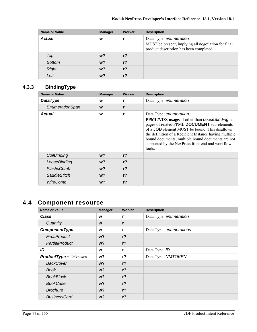| <b>Name or Value</b> | <b>Manager</b> | <b>Worker</b>  | <b>Description</b>                                                                                                       |
|----------------------|----------------|----------------|--------------------------------------------------------------------------------------------------------------------------|
| <b>Actual</b>        | W              |                | Data Type: enumeration<br>MUST be present, implying all negotiation for final<br>product description has been completed. |
| Top                  | $w$ ?          | $r$ ?          |                                                                                                                          |
| <b>Bottom</b>        | $w$ ?          | r <sub>2</sub> |                                                                                                                          |
| <b>Right</b>         | $w$ ?          | r <sub>2</sub> |                                                                                                                          |
| Left                 | w?             | r?             |                                                                                                                          |

## **4.3.3 BindingType**

| <b>Name or Value</b> | <b>Manager</b> | Worker         | <b>Description</b>                                                                                                                                                                                                                                                                                                                                                    |
|----------------------|----------------|----------------|-----------------------------------------------------------------------------------------------------------------------------------------------------------------------------------------------------------------------------------------------------------------------------------------------------------------------------------------------------------------------|
| <b>DataType</b>      | W              |                | Data Type: enumeration                                                                                                                                                                                                                                                                                                                                                |
| EnumerationSpan      | W              | r              |                                                                                                                                                                                                                                                                                                                                                                       |
| <b>Actual</b>        | W              | r              | Data Type: enumeration<br><b>PPML/VDX</b> usage: If other than LooseBinding, all<br>pages of related PPML DOCUMENT sub-elements<br>of a <b>JOB</b> element MUST be bound. This disallows<br>the definition of a Recipient Instance having multiple<br>bound documents; multiple bound documents are not<br>supported by the NexPress front end and workflow<br>tools. |
| CoilBinding          | $w$ ?          | r <sub>2</sub> |                                                                                                                                                                                                                                                                                                                                                                       |
| LooseBinding         | $w$ ?          | r <sub>2</sub> |                                                                                                                                                                                                                                                                                                                                                                       |
| PlasticComb          | $w$ ?          | r <sub>2</sub> |                                                                                                                                                                                                                                                                                                                                                                       |
| <b>SaddleStitch</b>  | w?             | $r$ ?          |                                                                                                                                                                                                                                                                                                                                                                       |
| WireComb             | w?             | r <sub>2</sub> |                                                                                                                                                                                                                                                                                                                                                                       |

# **4.4 Component resource**

| <b>Name or Value</b>           | <b>Manager</b> | Worker         | <b>Description</b>      |
|--------------------------------|----------------|----------------|-------------------------|
| <b>Class</b>                   | W              | r              | Data Type: enumeration  |
| Quantity                       | W              | r              |                         |
| ComponentType                  | W              | r              | Data Type: enumerations |
| FinalProduct                   | w?             | r <sub>2</sub> |                         |
| PartialProduct                 | w?             | $r$ ?          |                         |
| ID                             | W              | r              | Data Type: ID           |
| <b>ProductType</b> = $Unknown$ | $w$ ?          | $r$ ?          | Data Type: NMTOKEN      |
| <b>BackCover</b>               | w?             | $r$ ?          |                         |
| Book                           | w?             | $r$ ?          |                         |
| <b>BookBlock</b>               | $w$ ?          | r <sub>2</sub> |                         |
| <b>BookCase</b>                | w?             | $r$ ?          |                         |
| <b>Brochure</b>                | w?             | r <sub>2</sub> |                         |
| <b>BusinessCard</b>            | w?             | $r$ ?          |                         |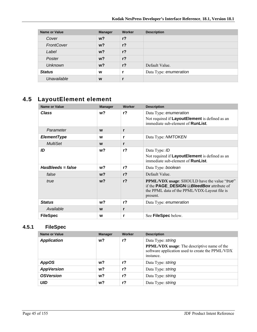| <b>Name or Value</b> | <b>Manager</b> | Worker         | <b>Description</b>     |
|----------------------|----------------|----------------|------------------------|
| Cover                | $w$ ?          | $r$ ?          |                        |
| FrontCover           | $w$ ?          | $r$ ?          |                        |
| Label                | $w$ ?          | r <sub>2</sub> |                        |
| Poster               | $w$ ?          | r <sub>2</sub> |                        |
| <b>Unknown</b>       | $w$ ?          | r <sub>2</sub> | Default Value.         |
| <b>Status</b>        | W              |                | Data Type: enumeration |
| Unavailable          | W              |                |                        |

# **4.5 LayoutElement element**

| <b>Name or Value</b> | <b>Manager</b> | Worker         | <b>Description</b>                                                                                                                                                  |
|----------------------|----------------|----------------|---------------------------------------------------------------------------------------------------------------------------------------------------------------------|
| <b>Class</b>         | w?             | $r$ ?          | Data Type: enumeration<br>Not required if LayoutElement is defined as an<br>immediate sub-element of <b>RunList</b> .                                               |
| Parameter            | W              | r              |                                                                                                                                                                     |
| <b>ElementType</b>   | W              | r              | Data Type: NMTOKEN                                                                                                                                                  |
| <b>MultiSet</b>      | W              | r              |                                                                                                                                                                     |
| ID                   | w?             | r <sub>2</sub> | Data Type: ID<br>Not required if LayoutElement is defined as an<br>immediate sub-element of <b>RunList</b> .                                                        |
| $HasBleads = false$  | w?             | r <sup>2</sup> | Data Type: boolean                                                                                                                                                  |
| false                | $w$ ?          | $r$ ?          | Default Value.                                                                                                                                                      |
| true                 | $w$ ?          | r <sub>2</sub> | <b>PPML/VDX</b> usage: SHOULD have the value "true"<br>if the <b>PAGE_DESIGN/@BleedBox</b> attribute of<br>the PPML data of the PPML/VDX-Layout file is<br>present. |
| <b>Status</b>        | w?             | $r$ ?          | Data Type: enumeration                                                                                                                                              |
| Available            | W              | r              |                                                                                                                                                                     |
| <b>FileSpec</b>      | W              | r              | See FileSpec below.                                                                                                                                                 |

## **4.5.1 FileSpec**

| Name or Value      | <b>Manager</b> | Worker | <b>Description</b>                                                                                                                       |
|--------------------|----------------|--------|------------------------------------------------------------------------------------------------------------------------------------------|
| <b>Application</b> | w?             | $r$ ?  | Data Type: string<br><b>PPML/VDX</b> usage: The descriptive name of the<br>software application used to create the PPML/VDX<br>instance. |
| <b>AppOS</b>       | w?             | $r$ ?  | Data Type: string                                                                                                                        |
| <b>AppVersion</b>  | w?             | $r$ ?  | Data Type: string                                                                                                                        |
| <b>OSVersion</b>   | w?             | $r$ ?  | Data Type: string                                                                                                                        |
| UID                | w?             | $r$ ?  | Data Type: string                                                                                                                        |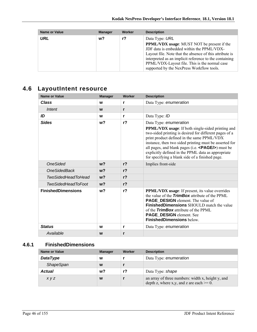| <b>Name or Value</b> | <b>Manager</b> | Worker | <b>Description</b>                                                                                                                                                                                                                                                                                                |
|----------------------|----------------|--------|-------------------------------------------------------------------------------------------------------------------------------------------------------------------------------------------------------------------------------------------------------------------------------------------------------------------|
| URL                  | $w$ ?          | r?     | Data Type: URL                                                                                                                                                                                                                                                                                                    |
|                      |                |        | <b>PPML/VDX</b> usage: MUST NOT be present if the<br>JDF data is embedded within the PPML/VDX-<br>Layout file. Note that the absence of this attribute is<br>interpreted as an implicit reference to the containing<br>PPML/VDX-Layout file. This is the normal case<br>supported by the NexPress Workflow tools. |

# **4.6 LayoutIntent resource**

| <b>Name or Value</b>      | <b>Manager</b> | Worker         | <b>Description</b>                                                                                                                                                                                                                                                                                                                                                                                                          |
|---------------------------|----------------|----------------|-----------------------------------------------------------------------------------------------------------------------------------------------------------------------------------------------------------------------------------------------------------------------------------------------------------------------------------------------------------------------------------------------------------------------------|
| <b>Class</b>              | W              | r              | Data Type: enumeration                                                                                                                                                                                                                                                                                                                                                                                                      |
| Intent                    | W              | r              |                                                                                                                                                                                                                                                                                                                                                                                                                             |
| ID                        | W              | r              | Data Type: ID                                                                                                                                                                                                                                                                                                                                                                                                               |
| <b>Sides</b>              | w <sub>2</sub> | r <sub>2</sub> | Data Type: enumeration<br><b>PPML/VDX</b> usage: If both single-sided printing and<br>two-sided printing is desired for different pages of a<br>print product defined in the same PPML/VDX<br>instance, then two sided printing must be asserted for<br>all pages, and blank pages (i.e. $\langle$ PAGE/s) must be<br>explicitly defined in the PPML data as appropriate<br>for specifying a blank side of a finished page. |
| <b>OneSided</b>           | $w$ ?          | r <sub>2</sub> | Implies front-side                                                                                                                                                                                                                                                                                                                                                                                                          |
| <b>OneSidedBack</b>       | w <sub>2</sub> | r <sub>2</sub> |                                                                                                                                                                                                                                                                                                                                                                                                                             |
| <b>TwoSidedHeadToHead</b> | w <sub>2</sub> | r <sub>2</sub> |                                                                                                                                                                                                                                                                                                                                                                                                                             |
| <b>TwoSidedHeadToFoot</b> | w <sub>2</sub> | r <sub>2</sub> |                                                                                                                                                                                                                                                                                                                                                                                                                             |
| <b>FinishedDimensions</b> | w <sub>2</sub> | r <sub>2</sub> | <b>PPML/VDX</b> usage: If present, its value overrides<br>the value of the <b>TrimBox</b> attribute of the PPML<br><b>PAGE_DESIGN</b> element. The value of<br><b>FinishedDimensions</b> SHOULD match the value<br>of the <b>TrimBox</b> attribute of the PPML<br>PAGE_DESIGN element. See<br><b>FinishedDimensions below.</b>                                                                                              |
| <b>Status</b>             | W              | r              | Data Type: enumeration                                                                                                                                                                                                                                                                                                                                                                                                      |
| Available                 | W              | r              |                                                                                                                                                                                                                                                                                                                                                                                                                             |

# **4.6.1 FinishedDimensions**

| Name or Value    | <b>Manager</b> | Worker | <b>Description</b>                                                                               |
|------------------|----------------|--------|--------------------------------------------------------------------------------------------------|
| <b>DataType</b>  | W              |        | Data Type: enumeration                                                                           |
| <b>ShapeSpan</b> | W              |        |                                                                                                  |
| <b>Actual</b>    | w?             | r?     | Data Type: shape                                                                                 |
| <i>xyz</i>       | W              |        | an array of three numbers: width x, height y, and<br>depth z, where x,y, and z are each $>= 0$ . |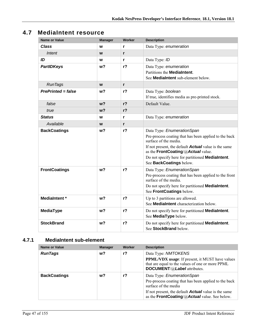# **4.7 MediaIntent resource**

| <b>Name or Value</b>      | <b>Manager</b> | <b>Worker</b>  | <b>Description</b>                                                                                                                                                                                                                                                                               |
|---------------------------|----------------|----------------|--------------------------------------------------------------------------------------------------------------------------------------------------------------------------------------------------------------------------------------------------------------------------------------------------|
| Class                     | W              | r              | Data Type: enumeration                                                                                                                                                                                                                                                                           |
| Intent                    | W              | r              |                                                                                                                                                                                                                                                                                                  |
| ID                        | W              | r              | Data Type: ID                                                                                                                                                                                                                                                                                    |
| <b>PartIDKeys</b>         | w <sub>2</sub> | r <sub>2</sub> | Data Type: enumeration<br>Partitions the <b>MediaIntent</b> .<br>See <b>MediaIntent</b> sub-element below.                                                                                                                                                                                       |
| <b>RunTags</b>            | W              | r              |                                                                                                                                                                                                                                                                                                  |
| <b>PrePrinted = false</b> | w?             | $r$ ?          | Data Type: boolean<br>If true, identifies media as pre-printed stock.                                                                                                                                                                                                                            |
| false                     | w <sub>2</sub> | $r$ ?          | Default Value.                                                                                                                                                                                                                                                                                   |
| true                      | w <sub>2</sub> | $r$ ?          |                                                                                                                                                                                                                                                                                                  |
| <b>Status</b>             | W              | r              | Data Type: enumeration                                                                                                                                                                                                                                                                           |
| Available                 | W              | r              |                                                                                                                                                                                                                                                                                                  |
| <b>BackCoatings</b>       | w?             | r <sub>2</sub> | Data Type: EnumerationSpan<br>Pre-process coating that has been applied to the back<br>surface of the media.<br>If not present, the default <b>Actual</b> value is the same<br>as the FrontCoating/@Actual value.<br>Do not specify here for partitioned MediaIntent.<br>See BackCoatings below. |
| <b>FrontCoatings</b>      | w <sub>2</sub> | $r$ ?          | Data Type: EnumerationSpan<br>Pre-process coating that has been applied to the front<br>surface of the media.<br>Do not specify here for partitioned MediaIntent.<br>See FrontCoatings below.                                                                                                    |
| <b>MediaIntent</b> *      | w <sub>2</sub> | r <sub>2</sub> | Up to 3 partitions are allowed.<br>See <b>MediaIntent</b> characterization below.                                                                                                                                                                                                                |
| <b>MediaType</b>          | w?             | $r$ ?          | Do not specify here for partitioned <b>MediaIntent</b> .<br>See MediaType below.                                                                                                                                                                                                                 |
| <b>StockBrand</b>         | w <sub>2</sub> | $r$ ?          | Do not specify here for partitioned MediaIntent.<br>See StockBrand below.                                                                                                                                                                                                                        |

## **4.7.1 MediaIntent sub-element**

| Name or Value       | <b>Manager</b> | Worker | <b>Description</b>                                                                                                                                                                                                          |
|---------------------|----------------|--------|-----------------------------------------------------------------------------------------------------------------------------------------------------------------------------------------------------------------------------|
| <b>RunTags</b>      | w?             | r?     | Data Type: NMTOKENS<br><b>PPML/VDX</b> usage: If present, it MUST have values<br>that are equal to the values of one or more PPML<br>DOCUMENT/@Label attributes.                                                            |
| <b>BackCoatings</b> | w?             | r?     | Data Type: EnumerationSpan<br>Pre-process coating that has been applied to the back<br>surface of the media<br>If not present, the default <b>Actual</b> value is the same<br>as the FrontCoating/@Actual value. See below. |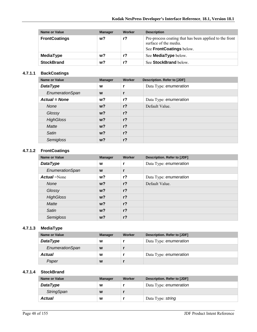| Name or Value        | <b>Manager</b> | Worker | <b>Description</b>                                                                                          |
|----------------------|----------------|--------|-------------------------------------------------------------------------------------------------------------|
| <b>FrontCoatings</b> | w?             | r?     | Pre-process coating that has been applied to the front<br>surface of the media.<br>See FrontCoatings below. |
| <b>MediaType</b>     | w?             | r?     | See <b>MediaType</b> below.                                                                                 |
| <b>StockBrand</b>    | w?             | r?     | See StockBrand below.                                                                                       |

#### **4.7.1.1 BackCoatings**

| Name or Value        | <b>Manager</b> | Worker         | Description. Refer to [JDF] |
|----------------------|----------------|----------------|-----------------------------|
| <b>DataType</b>      | W              |                | Data Type: enumeration      |
| EnumerationSpan      | W              | r              |                             |
| <b>Actual = None</b> | w?             | $r$ ?          | Data Type: enumeration      |
| <b>None</b>          | $w$ ?          | $r$ ?          | Default Value.              |
| Glossy               | $w$ ?          | $r$ ?          |                             |
| <b>HighGloss</b>     | $w$ ?          | $r$ ?          |                             |
| Matte                | $w$ ?          | r <sub>2</sub> |                             |
| Satin                | $w$ ?          | r <sub>2</sub> |                             |
| Semigloss            | $w$ ?          | $r$ ?          |                             |

#### **4.7.1.2 FrontCoatings**

| Name or Value       | <b>Manager</b> | Worker         | <b>Description. Refer to [JDF]</b> |
|---------------------|----------------|----------------|------------------------------------|
| <b>DataType</b>     | W              | r              | Data Type: enumeration             |
| EnumerationSpan     | W              | r              |                                    |
| <b>Actual</b> =None | w?             | $r$ ?          | Data Type: enumeration             |
| <b>None</b>         | w <sub>2</sub> | r <sub>2</sub> | Default Value.                     |
| Glossy              | w <sub>2</sub> | $r$ ?          |                                    |
| <b>HighGloss</b>    | w?             | r <sub>2</sub> |                                    |
| Matte               | $w$ ?          | r <sub>2</sub> |                                    |
| Satin               | w <sub>2</sub> | $r$ ?          |                                    |
| Semigloss           | w?             | r <sub>2</sub> |                                    |

#### **4.7.1.3 MediaType**

| Name or Value   | <b>Manager</b> | Worker | Description. Refer to [JDF] |
|-----------------|----------------|--------|-----------------------------|
| <b>DataType</b> | W              |        | Data Type: enumeration      |
| EnumerationSpan | W              |        |                             |
| <b>Actual</b>   | W              |        | Data Type: enumeration      |
| Paper           | W              |        |                             |

#### **4.7.1.4 StockBrand**

| Name or Value     | <b>Manager</b> | Worker | Description. Refer to [JDF] |
|-------------------|----------------|--------|-----------------------------|
| <b>DataType</b>   | W              |        | Data Type: enumeration      |
| <b>StringSpan</b> | W              |        |                             |
| Actual            | W              |        | Data Type: string           |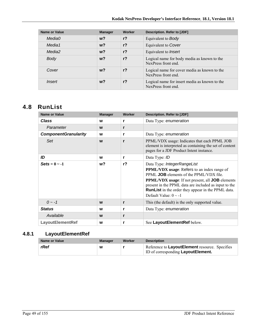| Name or Value | <b>Manager</b> | <b>Worker</b>  | Description. Refer to [JDF]                                          |
|---------------|----------------|----------------|----------------------------------------------------------------------|
| Media0        | $w$ ?          | r <sub>2</sub> | Equivalent to <b>Body</b>                                            |
| Media1        | $w$ ?          | r <sub>2</sub> | Equivalent to Cover                                                  |
| Media2        | $w$ ?          | r <sub>2</sub> | Equivalent to <i>Insert</i>                                          |
| Body          | $w$ ?          | r <sub>2</sub> | Logical name for body media as known to the<br>NexPress front end.   |
| Cover         | $w$ ?          | r <sub>2</sub> | Logical name for cover media as known to the<br>NexPress front end.  |
| <i>Insert</i> | $w$ ?          | r <sub>2</sub> | Logical name for insert media as known to the<br>NexPress front end. |

# **4.8 RunList**

| Name or Value               | <b>Manager</b> | Worker         | <b>Description. Refer to [JDF]</b>                                                                                                                                                                                                                                                                                                                        |
|-----------------------------|----------------|----------------|-----------------------------------------------------------------------------------------------------------------------------------------------------------------------------------------------------------------------------------------------------------------------------------------------------------------------------------------------------------|
| <b>Class</b>                | W              | r              | Data Type: enumeration                                                                                                                                                                                                                                                                                                                                    |
| Parameter                   | W              | r              |                                                                                                                                                                                                                                                                                                                                                           |
| <b>ComponentGranularity</b> | W              | r              | Data Type: enumeration                                                                                                                                                                                                                                                                                                                                    |
| Set                         | W              | r              | PPML/VDX usage: Indicates that each PPML JOB<br>element is interpreted as containing the set of content<br>pages for a JDF Product Intent instance.                                                                                                                                                                                                       |
| ID                          | W              | r              | Data Type: ID                                                                                                                                                                                                                                                                                                                                             |
| $\text{Sets} = 0 \sim -1$   | w?             | r <sub>2</sub> | Data Type: IntegerRangeList<br><b>PPML/VDX</b> usage: Refers to an index range of<br>PPML <b>JOB</b> elements of the PPML/VDX file.<br><b>PPML/VDX</b> usage: If not present, all <b>JOB</b> elements<br>present in the PPML data are included as input to the<br><b>RunList</b> in the order they appear in the PPML data.<br>Default Value: $0 \sim -1$ |
| $0 - -1$                    | W              | r              | This (the default) is the only supported value.                                                                                                                                                                                                                                                                                                           |
| <b>Status</b>               | W              | r              | Data Type: enumeration                                                                                                                                                                                                                                                                                                                                    |
| Available                   | W              | r              |                                                                                                                                                                                                                                                                                                                                                           |
| <b>LayoutElementRef</b>     | W              | r              | See LayoutElementRef below.                                                                                                                                                                                                                                                                                                                               |

# **4.8.1 LayoutElementRef**

| Name or Value | <b>Manager</b> | Worker | <b>Description</b>                                                                    |
|---------------|----------------|--------|---------------------------------------------------------------------------------------|
| rRef          | W              |        | Reference to LayoutElement resource. Specifies<br>ID of corresponding Layout Element. |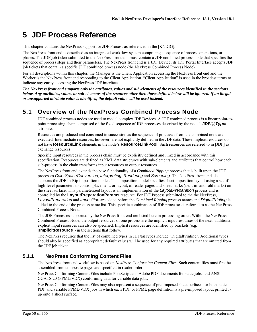# **5 JDF Process Reference**

This chapter contains the NexPress support for JDF Process as referenced in the [KNDIG].

The NexPress front end is described as an integrated workflow system comprising a sequence of process operations, or phases. The JDF job ticket submitted to the NexPress front end must contain a JDF combined process node that specifies the sequence of process steps and their parameters. The NexPress front end is a JDF Device; its JDF Portal Interface accepts JDF job tickets that contain a specific JDF combined process node (the NexPress Combined Process Node).

For all descriptions within this chapter, the Manager is the Client Application accessing the NexPress front end and the Worker is the NexPress front end responding to the Client Application. "Client Application" is used in the broadest terms to indicate any entity accessing the NexPress JDF interface.

*The NexPress front end supports only the attributes, values and sub-elements of the resources identified in the sections below. Any attributes, values or sub-elements of the resource other then those defined below will be ignored. If an illegal or unsupported attribute value is identified, the default value will be used instead.* 

# **5.1 Overview of the NexPress Combined Process Node**

JDF combined process nodes are used to model complex JDF Devices. A JDF combined process is a linear point-topoint processing chain comprised of the fixed sequence of JDF processes described by the node's **JDF**/@*Types* attribute.

Resources are produced and consumed in succession as the sequence of processes from the combined node are executed. Intermediate resources, however, are not explicitly defined in the JDF data. These implicit resources do not have **ResourceLink** elements in the node's **ResourceLinkPool**. Such resources are referred to in [JDF] as exchange resources.

Specific input resources in the process chain must be explicitly defined and linked in accordance with this specification. Resources are defined as XML data structures with sub-elements and attributes that control how each sub-process in the chain transforms input resources to output resources.

The NexPress front end extends the base functionality of a *Combined Ripping* process that is built upon the JDF processes *ColorSpaceConversion*, *Interpreting*, *Rendering* and *Screening*. The NexPress front end also supports the JDF In-Rip imposition model. This imposition model specifies sheet imposition layout using a set of high-level parameters to control placement, or layout, of reader pages and sheet marks (i.e. trim and fold marks) on the sheet surface. This parameterized layout is an implementation of the *LayoutPreparation* process and is controlled by the **LayoutPreparationParams** resource. For JDF Process submitted to the the NexPress, *LayoutPreparation* and *Imposition* are added before the *Combined Ripping* process names and *DigitalPrinting* is added to the end of the process name list. This specific combination of JDF processes is referred to as the NexPress Combined Process Node.

The JDF Processes supported by the NexPress front end are listed here in processing order. Within the NexPress Combined Process Node, the output resources of one process are the implicit input resources of the next; additional explicit input resources can also be specified. Implicit resources are identified by brackets (e.g. [**ImplicitResource**]) in the sections that follow.

The NexPress requires that the list of combined types in JDF/ $@T$ ypes include "DigitalPrinting". Additional types should also be specified as appropriate; default values will be used for any required attributes that are omitted from the JDF job ticket.

## **5.1.1 NexPress Conforming Content Files**

The NexPress front end workflow is based on *NexPress Conforming Content Files*. Such content files must first be assembled from composite pages and specified in reader order.

NexPress Conforming Content Files include PostScript and Adobe PDF documents for static jobs, and ANSI CGATS.20 (PPML/VDX) conforming data for variable data jobs.

NexPress Conforming Content Files may also represent a sequence of pre–imposed sheet surfaces for both static PDF and variable PPML/VDX jobs in which each PDF or PPML page definition is a pre-imposed layout printed 1 up onto a sheet surface.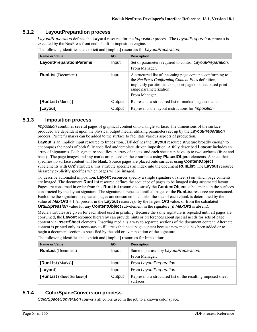### **5.1.2 LayoutPreparation process**

*LayoutPreparation* defines the **Layout** resource for the *Imposition* process. The *LayoutPreparation* process is executed by the NexPress front end's built-in imposition engine.

| Name or Value                  | $UO$   | <b>Description</b>                                                                                                                                                                                                       |
|--------------------------------|--------|--------------------------------------------------------------------------------------------------------------------------------------------------------------------------------------------------------------------------|
| <b>LayoutPreparationParams</b> | Input  | Set of parameters required to control LayoutPreparation.<br>From Manager.                                                                                                                                                |
| <b>RunList</b> (Document)      | Input  | A structured list of incoming page contents conforming to<br>the NexPress Conforming Content Files definition,<br>implicitly partitioned to support page or sheet based print<br>range parameterization<br>From Manager. |
| [RunList (Marks)]              | Output | Represents a structured list of marked page contents.                                                                                                                                                                    |
| [Layout]                       | Output | Represents the layout instructions for <i>Imposition</i>                                                                                                                                                                 |

The following identifies the explicit and [implict] resources for *LayoutPreparation*:

### **5.1.3 Imposition process**

*Imposition* combines several pages of graphical content onto a single surface. The dimensions of the surface produced are dependent upon the physical output media, utilizing parameters set up by the *LayoutPreparation* process. Printer's marks can be added to the surface to facilitate various aspects of production.

**Layout** is an implicit input resource to Imposition. JDF defines the **Layout** resource structure broadly enough to encompass the needs of both fully specified and template–driven imposition. A fully described **Layout** includes an array of signatures. Each signature specifies an array of sheets, and each sheet can have up to two surfaces (front and back). The page images and any marks are placed on these surfaces using **PlacedObject** elements. A sheet that specifies no surface content will be blank. Source pages are placed onto surfaces using **ContentObject** subelements with *Ord* attributes; this attribute specifies an index into the document **RunList**. The **Layout** resource hierarchy explicitly specifies which pages will be imaged.

To describe automated imposition, **Layout** resources specify a single signature of sheet(s) on which page contents are imaged. The document **RunList** resource defines the sequence of pages to be imaged using automated layout. Pages are consumed in order from this **RunList** resource to satisfy the **ContentObject** subelements in the surfaces constructed by the layout signature. The signature is repeated until all pages of the **RunList** resource are consumed. Each time the signature is repeated, pages are consumed in chunks; the size of each chunk is determined by the value of *MaxOrd* + 1 (if present in the **Layout** resource), by the largest *Ord* value, or from the calculated *OrdExpression* value for any **ContentObject** sub-element in the signature (if *MaxOrd* is absent).

Media attributes are given for each sheet used in printing. Because the same signature is repeated until all pages are consumed, the **Layout** resource hierarchy can provide hints or preferences about special needs for sets of page content via **InsertSheet** elements. Inserting media is a way to separate sections of the document content. Alternate content is printed only as necessary to fill areas that need page content because new media has been added or to begin a document section as specified by the odd or even position of the signature.

| Name or Value              | <b>VO</b> | <b>Description</b>                                                      |
|----------------------------|-----------|-------------------------------------------------------------------------|
| <b>RunList</b> (Document)  | Input     | Same input used by LayoutPreparation.<br>From Manager.                  |
| [RunList (Marks)]          | Input     | From LayoutPreparation.                                                 |
| [Layout]                   | Input     | From LayoutPreparation.                                                 |
| [RunList (Sheet Surfaces)] | Output    | Represents a structured list of the resulting imposed sheet<br>surfaces |

The following identifies the explicit and [implict] resources for Imposition:

### **5.1.4 ColorSpaceConversion process**

*ColorSpaceConversion* converts all colors used in the job to a known color space.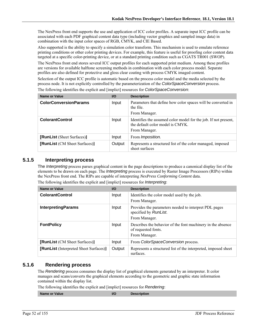The NexPress front end supports the use and application of ICC color profiles. A separate input ICC profile can be associated with each PDF graphical content data type (including vector graphics and sampled image data) in combination with the input color spaces of RGB, CMYK, and CIE Based.

Also supported is the ability to specify a simulation color transform. This mechanism is used to emulate reference printing conditions or other color printing devices. For example, this feature is useful for proofing color content data targeted at a specific color-printing device, or at a standard printing condition such as CGATS TR001 (SWOP).

The NexPress front end stores several ICC output profiles for each supported print medium. Among these profiles are versions for available halftone screening methods in combination with each color process model. Separate profiles are also defined for protective and gloss clear coating with process CMYK imaged content.

Selection of the output ICC profile is automatic based on the process color model and the media selected by the process node. It is not explicitly controlled by the parameterization of the *ColorSpaceConversion* process.

| Name or Value                        | $UO$   | <b>Description</b>                                                                                                   |
|--------------------------------------|--------|----------------------------------------------------------------------------------------------------------------------|
| <b>ColorConversionParams</b>         | Input  | Parameters that define how color spaces will be converted in<br>the file.<br>From Manager.                           |
| <b>ColorantControl</b>               | Input  | Identifies the assumed color model for the job. If not present,<br>the default color model is CMYK.<br>From Manager. |
| [RunList (Sheet Surfaces)]           | Input  | From <i>Imposition</i> .                                                                                             |
| <b>[RunList</b> (CM Sheet Surfaces)] | Output | Represents a structured list of the color managed, imposed<br>sheet surfaces                                         |

The following identifies the explicit and [implict] resources for *ColorSpaceConversion*:

### **5.1.5 Interpreting process**

The *Interpreting* process parses graphical content in the page descriptions to produce a canonical display list of the elements to be drawn on each page. The *Interpreting* process is executed by Raster Image Processors (RIPs) within the NexPress front end. The RIPs are capable of interpreting *NexPress Conforming Content* data.

| <b>Name or Value</b>                   | $UO$   | <b>Description</b>                                                                                  |
|----------------------------------------|--------|-----------------------------------------------------------------------------------------------------|
| <b>ColorantControl</b>                 | Input  | Identifies the color model used by the job.                                                         |
|                                        |        | From Manager.                                                                                       |
| <b>InterpretingParams</b>              | Input  | Provides the parameters needed to interpret PDL pages<br>specified by RunList.<br>From Manager.     |
| <b>FontPolicy</b>                      | Input  | Describes the behavior of the font machinery in the absence<br>of requested fonts.<br>From Manager. |
| [RunList (CM Sheet Surfaces)]          | Input  | From ColorSpaceConversion process.                                                                  |
| [RunList (Interpreted Sheet Surfaces)] | Output | Represents a structured list of the interpreted, imposed sheet<br>surfaces.                         |

The following identifies the explicit and [implict] resources for *Interpreting*:

#### **5.1.6 Rendering process**

The *Rendering* process consumes the display list of graphical elements generated by an interpreter. It color manages and scans/converts the graphical elements according to the geometric and graphic state information contained within the display list.

The following identifies the explicit and [implict] resources for *Rendering*:

**Name or Value III CONSUMINATION CONSUMING THE IVO Description**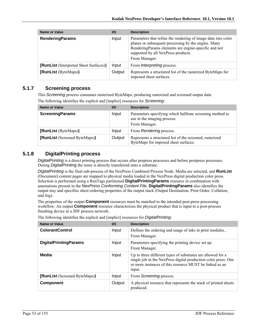| Name or Value                          | $U$    | <b>Description</b>                                                                                                                                                                                                                   |
|----------------------------------------|--------|--------------------------------------------------------------------------------------------------------------------------------------------------------------------------------------------------------------------------------------|
| <b>RenderingParams</b>                 | Input  | Parameters that refine the rendering of image data into color<br>planes or subsequent processing by the engine. Many<br>RenderingParams elements are engine-specific and not<br>supported by all NexPress products.<br>From Manager. |
| [RunList (Interpreted Sheet Surfaces)] | Input  | From <i>Interpreting</i> process.                                                                                                                                                                                                    |
| [RunList (ByteMaps)]                   | Output | Represents a structured list of the rasterized ByteMaps for<br>imposed sheet surfaces.                                                                                                                                               |

## **5.1.7 Screening process**

This *Screening* process consumes rasterized ByteMaps, producing rasterized and screened output data. The following identifies the explicit and [implict] resources for *Screening*:

| <b>Name or Value</b>          | <b>VO</b> | <b>Description</b>                                                                                       |
|-------------------------------|-----------|----------------------------------------------------------------------------------------------------------|
| <b>ScreeningParams</b>        | Input     | Parameters specifying which halftone screening method to<br>use in the imaging process.<br>From Manager. |
| [RunList (ByteMaps)]          | Input     | From Rendering process.                                                                                  |
| [RunList (Screened ByteMaps)] | Output    | Represents a structured list of the screened, rasterized<br>ByteMaps for imposed sheet surfaces.         |

## **5.1.8 DigitalPrinting process**

*DigitalPrinting* is a direct printing process that occurs after prepress processes and before postpress processes. During *DigitalPrinting* the toner is directly transferred onto a substrate.

*DigitalPrinting* is the final sub-process of the NexPress Combined Process Node. Media are selected, and **RunList** (Document) content pages are mapped to physical media loaded in the NexPress digital production color press. Selection is performed using a RunTags partitioned **DigitalPrintingParams** resource in combination with annotations present in the *NexPress Conforming Content File*. **DigitalPrintingParams** also identifies the output tray and specifies sheet ordering properties of the output stack (Output Destination, Print Order, Collation, and Jog).

The properties of the output **Component** resources must be matched to the intended post-press processing workflow. An output **Component** resource characterizes the physical product that is input to a post-process finishing device in a JDF process network.

| Name or Value                 | $UO$   | <b>Description</b>                                                                                                                                                                                 |
|-------------------------------|--------|----------------------------------------------------------------------------------------------------------------------------------------------------------------------------------------------------|
| <b>ColorantControl</b>        | Input  | Defines the ordering and usage of inks in print modules<br>From Manager.                                                                                                                           |
| <b>DigitalPrintingParams</b>  | Input  | Parameters specifying the printing device set up.<br>From Manager.                                                                                                                                 |
| <b>Media</b>                  | Input  | Up to three different types of substrates are allowed for a<br>single job in the NexPress digital production color press. One<br>or more instances of this resource MUST be linked as an<br>input. |
| [RunList (Screened ByteMaps)] | Input  | From Screening process.                                                                                                                                                                            |
| <b>Component</b>              | Output | A physical resource that represents the stack of printed sheets<br>produced.                                                                                                                       |

The following identifies the explicit and [implict] resources for *DigitalPrinting*: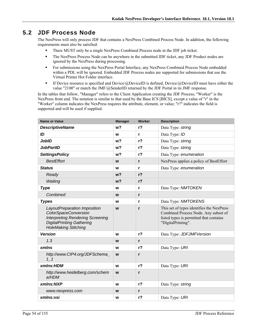# **5.2 JDF Process Node**

The NexPress will only process JDF that contains a NexPress Combined Process Node. In addition, the following requirements must also be satisfied:

- There MUST only be a single NexPress Combined Process node in the JDF job ticket.
- The NexPress Process Node can be anywhere in the submitted JDF ticket, any JDF Product nodes are ignored by the NexPress during processing.
- For submissions using the NexPress Portal Interface, any NexPress Combined Process Node embedded within a PDL will be ignored. Embedded JDF Process nodes are supported for submissions that use the Virtual Printer Hot Folder interface.
- **If Device resource is specified and Device/@DeviceID is defined, Device/@DeviceID must have either the** value "2100" or match the JMF/@SenderID returned by the JDF Portal in its JMF response.

In the tables that follow, "Manager" refers to the Client Application creating the JDF Process; "Worker" is the NexPress front end. The notation is similar to that used by the Base ICS [BICS], except a value of "r" in the "Worker" column indicates the NexPress requires the attribute, element, or value; "r?" indicates the field is supported and will be used if supplied.

| <b>Name or Value</b>                                                                                                                                                      | <b>Manager</b> | <b>Worker</b>  | <b>Description</b>                                                                                                                                 |
|---------------------------------------------------------------------------------------------------------------------------------------------------------------------------|----------------|----------------|----------------------------------------------------------------------------------------------------------------------------------------------------|
| <b>DescriptiveName</b>                                                                                                                                                    | w <sub>2</sub> | r <sub>2</sub> | Data Type: string                                                                                                                                  |
| ID                                                                                                                                                                        | W              | r              | Data Type: ID                                                                                                                                      |
| <b>JobID</b>                                                                                                                                                              | w?             | $r$ ?          | Data Type: string                                                                                                                                  |
| <b>JobPartID</b>                                                                                                                                                          | w?             | r <sub>2</sub> | Data Type: string                                                                                                                                  |
| <b>SettingsPolicy</b>                                                                                                                                                     | w?             | r <sub>2</sub> | Data Type: enumeration                                                                                                                             |
| <b>BestEffort</b>                                                                                                                                                         | W              | $\mathbf{r}$   | NexPress applies a policy of BestEffort                                                                                                            |
| <b>Status</b>                                                                                                                                                             | W              | r              | Data Type: enumeration                                                                                                                             |
| Ready                                                                                                                                                                     | w <sub>2</sub> | r <sub>2</sub> |                                                                                                                                                    |
| Waiting                                                                                                                                                                   | w <sub>2</sub> | r <sub>2</sub> |                                                                                                                                                    |
| <b>Type</b>                                                                                                                                                               | W              | r              | Data Type: NMTOKEN                                                                                                                                 |
| Combined                                                                                                                                                                  | W              | $\mathbf{r}$   |                                                                                                                                                    |
| <b>Types</b>                                                                                                                                                              | W              | r              | Data Type: NMTOKENS                                                                                                                                |
| LayoutPreparation Imposition<br><b>ColorSpaceConversion</b><br><b>Interpreting Rendering Screening</b><br><b>DigitalPrinting Gathering</b><br><b>HoleMaking Stitching</b> | W              | $\mathbf{r}$   | This set of types identifies the NexPress<br>Combined Process Node. Any subset of<br>listed types is permitted that contains<br>"DigitalPrinting". |
| <b>Version</b>                                                                                                                                                            | w              | r <sub>2</sub> | Data Type: JDFJMFVersion                                                                                                                           |
| 1.3                                                                                                                                                                       | W              | $\mathsf{r}$   |                                                                                                                                                    |
| xmlns                                                                                                                                                                     | W              | r <sub>2</sub> | Data Type: URI                                                                                                                                     |
| http://www.CIP4.org/JDFSchema_<br>11                                                                                                                                      | W              | $\mathsf{r}$   |                                                                                                                                                    |
| xmlns:HDM                                                                                                                                                                 | W              | r <sub>2</sub> | Data Type: URI                                                                                                                                     |
| http://www.heidelberg.com/schem<br>a/HDM                                                                                                                                  | W              | $\mathbf{r}$   |                                                                                                                                                    |
| xmlns:NXP                                                                                                                                                                 | W              | r <sub>2</sub> | Data Type: string                                                                                                                                  |
| www.nexpress.com                                                                                                                                                          | W              | $\mathbf{r}$   |                                                                                                                                                    |
| xmlns:xsi                                                                                                                                                                 | W              | $r$ ?          | Data Type: URI                                                                                                                                     |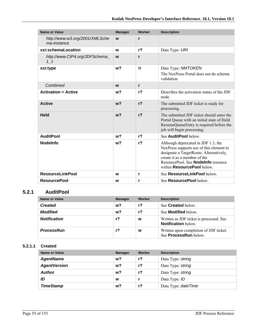| <b>Name or Value</b>                          | <b>Manager</b> | Worker         | <b>Description</b>                                                                                                                                                                                                                     |
|-----------------------------------------------|----------------|----------------|----------------------------------------------------------------------------------------------------------------------------------------------------------------------------------------------------------------------------------------|
| http://www.w3.org/2001/XMLSche<br>ma-instance | W              | r              |                                                                                                                                                                                                                                        |
| xsi:schemaLocation                            | W              | r <sub>2</sub> | Data Type: URI                                                                                                                                                                                                                         |
| http://www.CIP4.org/JDFSchema<br>$1\quad1$    | W              | r              |                                                                                                                                                                                                                                        |
| xsi:type                                      | w <sub>2</sub> | <u>Ir</u>      | Data Type: NMTOKEN<br>The NexPress Portal does not do schema<br>validation                                                                                                                                                             |
| Combined                                      | W              | r              |                                                                                                                                                                                                                                        |
| <b>Activation = Active</b>                    | w?             | $r$ ?          | Describes the activation status of the JDF<br>node                                                                                                                                                                                     |
| <b>Active</b>                                 | w <sub>2</sub> | r <sub>2</sub> | The submitted JDF ticket is ready for<br>processing.                                                                                                                                                                                   |
| <b>Held</b>                                   | w <sub>2</sub> | r <sub>2</sub> | The submitted JDF ticket should enter the<br>Portal Queue with an initial state of Held.<br>ResumeQueueEntry is required before the<br>job will begin processing.                                                                      |
| <b>AuditPool</b>                              | w?             | r <sub>2</sub> | See AuditPool below.                                                                                                                                                                                                                   |
| <b>Nodelnfo</b>                               | w?             | r <sub>2</sub> | Although deprecated in JDF 1.3, the<br>NexPress supports use of this element to<br>designate a TargetRoute. Alternatively,<br>create it as a member of the<br>ResourcePool. See <b>Nodelnfo</b> resource<br>within ResourcePool below. |
| <b>ResourceLinkPool</b>                       | W              | r              | See ResourceLinkPool below.                                                                                                                                                                                                            |
| <b>ResourcePool</b>                           | W              | r              | See <b>ResourcePool</b> below.                                                                                                                                                                                                         |

## **5.2.1 AuditPool**

| Name or Value       | <b>Manager</b> | Worker | <b>Description</b>                                                     |
|---------------------|----------------|--------|------------------------------------------------------------------------|
| <b>Created</b>      | w?             | r?     | See <b>Created</b> below.                                              |
| <b>Modified</b>     | w?             | r?     | See <b>Modified</b> below.                                             |
| <b>Notification</b> | r <sub>2</sub> | w      | Written as JDF ticket is processed. See<br><b>Notification</b> below.  |
| <b>ProcessRun</b>   | $r$ ?          | w      | Written upon completion of JDF ticket.<br>See <b>ProcessRun</b> below. |

#### **5.2.1.1 Created**

| <b>Name or Value</b> | <b>Manager</b> | Worker | <b>Description</b>   |
|----------------------|----------------|--------|----------------------|
| <b>AgentName</b>     | w?             | $r$ ?  | Data Type: string    |
| <b>AgentVersion</b>  | w?             | $r$ ?  | Data Type: string    |
| <b>Author</b>        | w?             | $r$ ?  | Data Type: string    |
| ID                   | W              |        | Data Type: ID        |
| <b>TimeStamp</b>     | w?             | r?     | Data Type: date Time |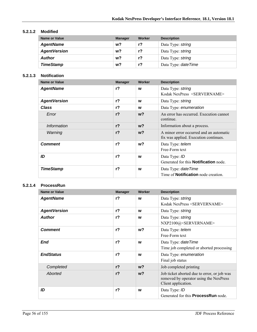#### **5.2.1.2 Modified**

| <b>Name or Value</b> | <b>Manager</b> | Worker         | <b>Description</b>   |
|----------------------|----------------|----------------|----------------------|
| <b>AgentName</b>     | w?             | r?             | Data Type: string    |
| <b>AgentVersion</b>  | w?             | r <sub>2</sub> | Data Type: string    |
| <b>Author</b>        | w?             | r?             | Data Type: string    |
| <b>TimeStamp</b>     | w?             | r?             | Data Type: date Time |

#### **5.2.1.3 Notification**

| <b>Name or Value</b> | <b>Manager</b> | Worker         | <b>Description</b>                                                               |
|----------------------|----------------|----------------|----------------------------------------------------------------------------------|
| <b>AgentName</b>     | r <sub>2</sub> | W              | Data Type: string<br>Kodak NexPress <servername></servername>                    |
| <b>AgentVersion</b>  | r <sub>2</sub> | w              | Data Type: string                                                                |
| Class                | $r$ ?          | W              | Data Type: enumeration                                                           |
| Error                | r <sub>2</sub> | w <sub>2</sub> | An error has occurred. Execution cannot<br>continue.                             |
| Information          | r <sub>2</sub> | $w$ ?          | Information about a process.                                                     |
| Warning              | r <sub>2</sub> | w <sub>2</sub> | A minor error occurred and an automatic<br>fix was applied. Execution continues. |
| <b>Comment</b>       | r <sub>2</sub> | w?             | Data Type: telem<br>Free-Form text                                               |
| ID                   | $r$ ?          | W              | Data Type: ID<br>Generated for this <b>Notification</b> node.                    |
| <b>TimeStamp</b>     | $r$ ?          | W              | Data Type: <i>dateTime</i><br>Time of <b>Notification</b> node creation.         |

#### **5.2.1.4 ProcessRun**

| Name or Value       | <b>Manager</b> | Worker         | <b>Description</b>                                                                                           |
|---------------------|----------------|----------------|--------------------------------------------------------------------------------------------------------------|
| <b>AgentName</b>    | $r$ ?          | W              | Data Type: string<br>Kodak NexPress <servername></servername>                                                |
| <b>AgentVersion</b> | r <sub>2</sub> | W              | Data Type: string                                                                                            |
| <b>Author</b>       | r <sub>2</sub> | W              | Data Type: string<br>NXP2100@ <servername></servername>                                                      |
| <b>Comment</b>      | r <sub>2</sub> | w <sup>2</sup> | Data Type: telem<br>Free-Form text                                                                           |
| <b>End</b>          | $r$ ?          | W              | Data Type: date Time<br>Time job completed or aborted processing                                             |
| <b>EndStatus</b>    | $r$ ?          | W              | Data Type: enumeration<br>Final job status                                                                   |
| Completed           | r <sub>2</sub> | $w$ ?          | Job completed printing                                                                                       |
| Aborted             | r <sub>2</sub> | $w$ ?          | Job ticket aborted due to error, or job was<br>removed by operator using the NexPress<br>Client application. |
| ID                  | $r$ ?          | W              | Data Type: ID<br>Generated for this <b>ProcessRun</b> node.                                                  |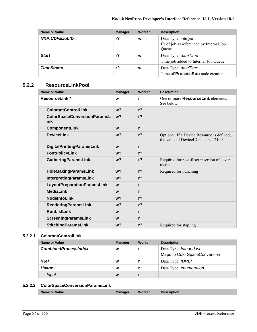| Name or Value    | <b>Manager</b> | Worker | <b>Description</b>                                                             |
|------------------|----------------|--------|--------------------------------------------------------------------------------|
| NXP:CDFEJobID    | r?             | W      | Data Type: <i>integer</i><br>ID of job as referenced by Internal Job<br>Oueue. |
| <b>Start</b>     | $r$ ?          | W      | Data Type: date Time<br>Time job added to Internal Job Queue                   |
| <b>TimeStamp</b> | r?             | W      | Data Type: date Time<br>Time of <b>ProcessRun</b> node creation.               |

### **5.2.2 ResourceLinkPool**

| <b>Name or Value</b>                      | <b>Manager</b> | Worker         | <b>Description</b>                                                                  |
|-------------------------------------------|----------------|----------------|-------------------------------------------------------------------------------------|
| <b>ResourceLink*</b>                      | W              | r              | One or more <b>ResourceLink</b> elements.<br>See below.                             |
| <b>ColorantControlLink</b>                | w <sub>2</sub> | r <sub>2</sub> |                                                                                     |
| <b>ColorSpaceConversionParamsL</b><br>ink | w <sub>2</sub> | r <sub>2</sub> |                                                                                     |
| <b>ComponentLink</b>                      | W              | r              |                                                                                     |
| <b>DeviceLink</b>                         | w <sub>2</sub> | r <sub>2</sub> | Optional. If a Device Resource is defined,<br>the value of DeviceID must be "2100". |
| <b>DigitalPrintingParamsLink</b>          | W              | r              |                                                                                     |
| <b>FontPolicyLink</b>                     | w <sub>2</sub> | r <sub>2</sub> |                                                                                     |
| <b>GatheringParamsLink</b>                | w <sub>2</sub> | r <sub>2</sub> | Required for post-fuser insertion of cover<br>media                                 |
| <b>HoleMakingParamsLink</b>               | w <sub>2</sub> | r <sub>2</sub> | Required for punching                                                               |
| <b>InterpretingParamsLink</b>             | w <sub>2</sub> | r <sub>2</sub> |                                                                                     |
| LayoutPreparationParamsLink               | W              | r              |                                                                                     |
| <b>MediaLink</b>                          | W              | r              |                                                                                     |
| <b>NodeInfoLink</b>                       | w <sub>2</sub> | r <sub>2</sub> |                                                                                     |
| <b>RenderingParamsLink</b>                | w <sub>2</sub> | r <sub>2</sub> |                                                                                     |
| <b>RunListLink</b>                        | W              | r              |                                                                                     |
| <b>ScreeningParamsLink</b>                | W              | r              |                                                                                     |
| <b>StitchingParamsLink</b>                | w <sub>2</sub> | r <sub>2</sub> | Required for stapling                                                               |

#### **5.2.2.1 ColorantControlLink**

| Name or Value               | <b>Manager</b> | Worker | <b>Description</b>                                     |
|-----------------------------|----------------|--------|--------------------------------------------------------|
| <b>CombinedProcessIndex</b> | W              |        | Data Type: IntegerList<br>Maps to ColorSpaceConversion |
| rRef                        | W              |        | Data Type: <i>IDREF</i>                                |
| Usage                       | W              |        | Data Type: enumeration                                 |
| Input                       | W              |        |                                                        |

## **5.2.2.2 ColorSpaceConversionParamsLink**

|--|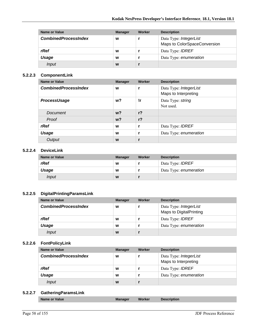| Name or Value               | <b>Manager</b> | Worker | <b>Description</b>                                     |
|-----------------------------|----------------|--------|--------------------------------------------------------|
| <b>CombinedProcessIndex</b> | W              |        | Data Type: IntegerList<br>Maps to ColorSpaceConversion |
| rRef                        | W              |        | Data Type: <b>IDREF</b>                                |
| Usage                       | W              |        | Data Type: enumeration                                 |
| Input                       | W              |        |                                                        |

#### **5.2.2.3 ComponentLink**

| <b>Name or Value</b>        | <b>Manager</b> | Worker         | <b>Description</b>                             |
|-----------------------------|----------------|----------------|------------------------------------------------|
| <b>CombinedProcessIndex</b> | W              | r              | Data Type: IntegerList<br>Maps to Interpreting |
| <b>ProcessUsage</b>         | w?             | !r             | Data Type: string<br>Not used.                 |
| Document                    | w <sup>2</sup> | r <sub>2</sub> |                                                |
| Proof                       | w <sup>2</sup> | r <sub>2</sub> |                                                |
| rRef                        | W              | r              | Data Type: <b>IDREF</b>                        |
| <b>Usage</b>                | W              |                | Data Type: enumeration                         |
| Output                      | W              |                |                                                |

#### **5.2.2.4 DeviceLink**

| <b>Name or Value</b> | <b>Manager</b> | Worker | <b>Description</b>      |
|----------------------|----------------|--------|-------------------------|
| rRef                 | W              |        | Data Type: <i>IDREF</i> |
| Usage                | w              |        | Data Type: enumeration  |
| Input                | W              |        |                         |

#### **5.2.2.5 DigitalPrintingParamsLink**

| Name or Value               | <b>Manager</b> | Worker | <b>Description</b>      |
|-----------------------------|----------------|--------|-------------------------|
| <b>CombinedProcessIndex</b> | W              |        | Data Type: IntegerList  |
|                             |                |        | Maps to DigitalPrinting |
| rRef                        | W              |        | Data Type: <b>IDREF</b> |
| Usage                       | W              |        | Data Type: enumeration  |
| Input                       | W              |        |                         |

#### **5.2.2.6 FontPolicyLink**

| Name or Value               | <b>Manager</b> | Worker | <b>Description</b>                             |
|-----------------------------|----------------|--------|------------------------------------------------|
| <b>CombinedProcessIndex</b> | W              |        | Data Type: IntegerList<br>Maps to Interpreting |
| rRef                        | W              |        | Data Type: <i>IDREF</i>                        |
| Usage                       | W              |        | Data Type: enumeration                         |
| Input                       | W              |        |                                                |

#### **5.2.2.7 GatheringParamsLink**

|--|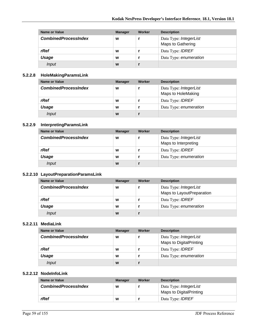| Name or Value               | <b>Manager</b> | Worker | <b>Description</b>      |
|-----------------------------|----------------|--------|-------------------------|
| <b>CombinedProcessIndex</b> | W              |        | Data Type: IntegerList  |
|                             |                |        | Maps to Gathering       |
| rRef                        | W              |        | Data Type: <b>IDREF</b> |
| Usage                       | W              |        | Data Type: enumeration  |
| Input                       | W              |        |                         |

## **5.2.2.8 HoleMakingParamsLink**

| Name or Value               | <b>Manager</b> | Worker | <b>Description</b>      |
|-----------------------------|----------------|--------|-------------------------|
| <b>CombinedProcessIndex</b> | W              |        | Data Type: IntegerList  |
|                             |                |        | Maps to HoleMaking      |
| rRef                        | W              |        | Data Type: <i>IDREF</i> |
| Usage                       | W              |        | Data Type: enumeration  |
| Input                       | W              |        |                         |

#### **5.2.2.9 InterpretingParamsLink**

| Name or Value               | <b>Manager</b> | Worker | <b>Description</b>      |
|-----------------------------|----------------|--------|-------------------------|
| <b>CombinedProcessIndex</b> | W              |        | Data Type: IntegerList  |
|                             |                |        | Maps to Interpreting    |
| rRef                        | W              |        | Data Type: <b>IDREF</b> |
| Usage                       | W              |        | Data Type: enumeration  |
| Input                       | W              |        |                         |

#### **5.2.2.10 LayoutPreparationParamsLink**

| Name or Value               | <b>Manager</b> | Worker | <b>Description</b>                                  |
|-----------------------------|----------------|--------|-----------------------------------------------------|
| <b>CombinedProcessIndex</b> | W              |        | Data Type: IntegerList<br>Maps to LayoutPreparation |
|                             |                |        |                                                     |
| rRef                        | W              |        | Data Type: <b>IDREF</b>                             |
| Usage                       | W              |        | Data Type: enumeration                              |
| Input                       | W              |        |                                                     |

#### **5.2.2.11 MediaLink**

| Name or Value               | <b>Manager</b> | Worker | <b>Description</b>                                |
|-----------------------------|----------------|--------|---------------------------------------------------|
| <b>CombinedProcessIndex</b> | W              |        | Data Type: IntegerList<br>Maps to DigitalPrinting |
|                             |                |        |                                                   |
| rRef                        | W              |        | Data Type: <b>IDREF</b>                           |
| Usage                       | W              |        | Data Type: enumeration                            |
| Input                       | W              |        |                                                   |

#### **5.2.2.12 NodeInfoLink**

| Name or Value               | <b>Manager</b> | Worker | <b>Description</b>                                       |
|-----------------------------|----------------|--------|----------------------------------------------------------|
| <b>CombinedProcessIndex</b> | W              |        | Data Type: <i>IntegerList</i><br>Maps to DigitalPrinting |
| rRef                        | W              |        | Data Type: <b>IDREF</b>                                  |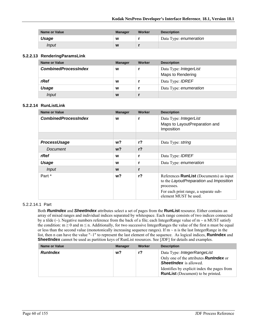| <b>Name or Value</b> | <b>Manager</b> | Worker | <b>Description</b>     |
|----------------------|----------------|--------|------------------------|
| Usage                | w              |        | Data Type: enumeration |
| Input                | W              |        |                        |

#### **5.2.2.13 RenderingParamsLink**

| Name or Value               | <b>Manager</b> | Worker | <b>Description</b>                          |
|-----------------------------|----------------|--------|---------------------------------------------|
| <b>CombinedProcessIndex</b> | W              |        | Data Type: IntegerList<br>Maps to Rendering |
| rRef                        | W              |        | Data Type: <b>IDREF</b>                     |
| Usage                       | W              |        | Data Type: enumeration                      |
| Input                       | W              |        |                                             |

#### **5.2.2.14 RunListLink**

| <b>Name or Value</b>        | <b>Manager</b> | Worker         | <b>Description</b>                                                                                                                                                        |
|-----------------------------|----------------|----------------|---------------------------------------------------------------------------------------------------------------------------------------------------------------------------|
| <b>CombinedProcessIndex</b> | W              | r              | Data Type: IntegerList<br>Maps to LayoutPreparation and<br>Imposition                                                                                                     |
|                             |                |                |                                                                                                                                                                           |
| <b>ProcessUsage</b>         | w?             | r <sub>2</sub> | Data Type: string                                                                                                                                                         |
| Document                    | $w$ ?          | r <sub>2</sub> |                                                                                                                                                                           |
| rRef                        | W              | r              | Data Type: <b>IDREF</b>                                                                                                                                                   |
| Usage                       | w              | r              | Data Type: enumeration                                                                                                                                                    |
| <b>Input</b>                | W              | r              |                                                                                                                                                                           |
| Part *                      | w?             | $r$ ?          | References <b>RunList</b> (Documents) as input<br>to the LayoutPreparation and Imposition<br>processes.<br>For each print range, a separate sub-<br>element MUST be used. |

#### 5.2.2.14.1 Part

Both *RunIndex* and *SheetIndex* attributes select a set of pages from the **RunList** resource. Either contains an array of mixed ranges and individual indices separated by whitespace. Each range consists of two indices connected by a tilde ( $\sim$ ). Negative numbers reference from the back of a file; each IntegerRange value of m  $\sim$  n MUST satisfy the condition:  $m \ge 0$  and  $m \le n$ . Additionally, for two successive IntegerRanges the value of the first n must be equal or less than the second value (monotonically increasing sequence ranges). If  $m \sim n$  is the last IntegerRange in the list, then n can have the value "-1" to represent the last element of the sequence. As logical indices, **RunIndex** and **SheetIndex** cannot be used as partition keys of RunList resources. See [JDF] for details and examples.

| <b>Name or Value</b> | <b>Manager</b> | Worker | <b>Description</b>                                                                                            |
|----------------------|----------------|--------|---------------------------------------------------------------------------------------------------------------|
| <b>RunIndex</b>      | w?             | r?     | Data Type: IntegerRangeList<br>Only one of the attributes <b>Runlndex</b> or<br><b>SheetIndex</b> is allowed. |
|                      |                |        | Identifies by explicit index the pages from<br><b>RunList</b> (Document) to be printed.                       |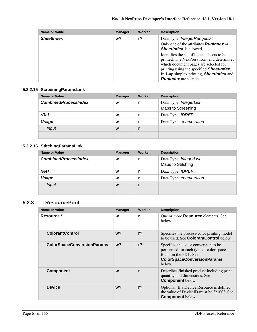| Name or Value     | <b>Manager</b> | Worker | <b>Description</b>                                                                                                                                                                                                                                                         |
|-------------------|----------------|--------|----------------------------------------------------------------------------------------------------------------------------------------------------------------------------------------------------------------------------------------------------------------------------|
| <b>SheetIndex</b> | w?             | $r$ ?  | Data Type: IntegerRangeList                                                                                                                                                                                                                                                |
|                   |                |        | Only one of the attributes <b>Runlndex</b> or<br><b>SheetIndex</b> is allowed.                                                                                                                                                                                             |
|                   |                |        | Identifies the set of logical sheets to be<br>printed. The NexPress front end determines<br>which document pages are selected for<br>printing using the specified <b>SheetIndex</b> .<br>In 1-up simplex printing, <b>SheetIndex</b> and<br><b>RunIndex</b> are identical. |

#### **5.2.2.15 ScreeningParamsLink**

| Name or Value               | <b>Manager</b> | Worker | <b>Description</b>                          |
|-----------------------------|----------------|--------|---------------------------------------------|
| <b>CombinedProcessIndex</b> | W              |        | Data Type: IntegerList<br>Maps to Screening |
| rRef                        | W              |        | Data Type: <b>IDREF</b>                     |
| Usage                       | W              |        | Data Type: enumeration                      |
| <i>Input</i>                | W              |        |                                             |
|                             |                |        |                                             |

## **5.2.2.16 StitchingParamsLink**

| <b>Name or Value</b>        | <b>Manager</b> | Worker | <b>Description</b>                          |
|-----------------------------|----------------|--------|---------------------------------------------|
| <b>CombinedProcessIndex</b> | W              |        | Data Type: IntegerList<br>Maps to Stitching |
| rRef                        | W              |        | Data Type: <b>IDREF</b>                     |
| Usage                       | W              |        | Data Type: enumeration                      |
| Input                       | W              |        |                                             |
|                             |                |        |                                             |

## **5.2.3 ResourcePool**

| <b>Name or Value</b>              | <b>Manager</b> | Worker         | <b>Description</b>                                                                                                                                      |
|-----------------------------------|----------------|----------------|---------------------------------------------------------------------------------------------------------------------------------------------------------|
| Resource *                        | W              | r              | One or more <b>Resource</b> elements See<br>below.                                                                                                      |
| <b>ColorantControl</b>            | $w$ ?          | r <sub>2</sub> | Specifies the process-color printing model<br>to be used. See <b>ColorantControl</b> below                                                              |
| <b>ColorSpaceConversionParams</b> | $w$ ?          | r <sub>2</sub> | Specifies the color conversion to be.<br>performed for each type of color space<br>found in the PDL. See<br><b>ColorSpaceConversionParams</b><br>below. |
| <b>Component</b>                  | W              | r              | Describes finished product including print<br>quantity and dimensions. See<br><b>Component below.</b>                                                   |
| <b>Device</b>                     | w <sub>2</sub> | r <sub>2</sub> | Optional. If a Device Resource is defined,<br>the value of DeviceID must be "2100". See<br><b>Component</b> below.                                      |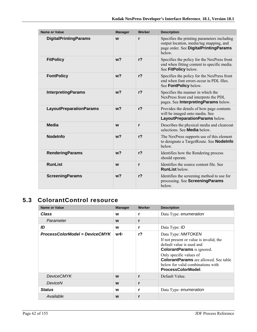| <b>Name or Value</b>           | <b>Manager</b> | Worker         | <b>Description</b>                                                                                                                       |
|--------------------------------|----------------|----------------|------------------------------------------------------------------------------------------------------------------------------------------|
| <b>DigitalPrintingParams</b>   | W              | $\mathbf{r}$   | Specifies the printing parameters including<br>output location, media/tag mapping, and<br>page order. See DigitalPrintingParams<br>helow |
| <b>FitPolicy</b>               | w <sub>2</sub> | r <sub>2</sub> | Specifies the policy for the NexPress front<br>end when fitting content to specific media.<br>See FitPolicy below.                       |
| <b>FontPolicy</b>              | w <sub>2</sub> | r <sub>2</sub> | Specifies the policy for the NexPress front<br>end when font errors occur in PDL files.<br>See FontPolicy below.                         |
| <b>InterpretingParams</b>      | w <sub>2</sub> | r <sub>2</sub> | Specifies the manner in which the<br>NexPress front end interprets the PDL<br>pages. See InterpretingParams below.                       |
| <b>LayoutPreparationParams</b> | w <sub>2</sub> | r <sub>2</sub> | Provides the details of how page contents<br>will be imaged onto media. See<br>LayoutPreparationParams below.                            |
| <b>Media</b>                   | W              | r              | Describes the physical media and clearcoat<br>selections. See <b>Media</b> below.                                                        |
| <b>Nodelnfo</b>                | w <sub>2</sub> | $r$ ?          | The NexPress supports use of this element<br>to designate a TargetRoute. See <b>Nodelnfo</b><br>below.                                   |
| <b>RenderingParams</b>         | w <sub>2</sub> | r <sub>2</sub> | Identifies how the Rendering process<br>should operate.                                                                                  |
| <b>RunList</b>                 | W              | r              | Identifies the source content file. See<br><b>RunList below.</b>                                                                         |
| <b>ScreeningParams</b>         | w <sub>2</sub> | r <sub>2</sub> | Identifies the screening method to use for<br>processing. See ScreeningParams<br>below.                                                  |

# **5.3 ColorantControl resource**

| <b>Name or Value</b>           | <b>Manager</b> | Worker | <b>Description</b>                                                                                                                                                                                                                                                   |
|--------------------------------|----------------|--------|----------------------------------------------------------------------------------------------------------------------------------------------------------------------------------------------------------------------------------------------------------------------|
| Class                          | w              | r      | Data Type: enumeration                                                                                                                                                                                                                                               |
| Parameter                      | W              | r      |                                                                                                                                                                                                                                                                      |
| ID                             | W              | r      | Data Type: ID                                                                                                                                                                                                                                                        |
| ProcessColorModel = DeviceCMYK | w←             | $r$ ?  | Data Type: NMTOKEN<br>If not present or value is invalid, the<br>default value is used and<br><b>ColorantParams</b> is ignored.<br>Only specific values of<br><b>ColorantParams</b> are allowed. See table<br>below for valid combinations with<br>ProcessColorModel |
| <b>DeviceCMYK</b>              | W              | r      | Default Value.                                                                                                                                                                                                                                                       |
| DeviceN                        | W              | r      |                                                                                                                                                                                                                                                                      |
| <b>Status</b>                  | w              | r      | Data Type: enumeration                                                                                                                                                                                                                                               |
| Available                      | W              | r      |                                                                                                                                                                                                                                                                      |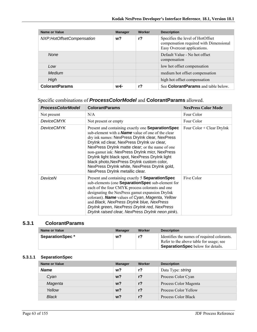| Name or Value             | <b>Manager</b> | Worker | <b>Description</b>                                                                                        |
|---------------------------|----------------|--------|-----------------------------------------------------------------------------------------------------------|
| NXP:HotOffsetCompensation | w?             | r?     | Specifies the level of HotOffset<br>compensation required with Dimensional<br>Easy Overcoat applications. |
| None                      |                |        | Default Value - No hot offset<br>compensation                                                             |
| Low                       |                |        | low hot offset compensation                                                                               |
| Medium                    |                |        | medium hot offset compensation                                                                            |
| High                      |                |        | high hot offset compensation                                                                              |
| <b>ColorantParams</b>     | w←             | r?     | See <b>ColorantParams</b> and table below.                                                                |

# Specific combinations of *ProcessColorModel* and **ColorantParams** allowed.

| <b>ProcessColorModel</b> | <b>ColorantParams</b>                                                                                                                                                                                                                                                                                                                                                                                                                                                                                        | <b>NexPress Color Mode</b>  |
|--------------------------|--------------------------------------------------------------------------------------------------------------------------------------------------------------------------------------------------------------------------------------------------------------------------------------------------------------------------------------------------------------------------------------------------------------------------------------------------------------------------------------------------------------|-----------------------------|
| Not present              | N/A                                                                                                                                                                                                                                                                                                                                                                                                                                                                                                          | Four Color                  |
| <b>DeviceCMYK</b>        | Not present or empty                                                                                                                                                                                                                                                                                                                                                                                                                                                                                         | Four Color                  |
| DeviceCMYK               | Present and containing exactly one <b>Separation Spec</b><br>sub-element with a <b>Name</b> value of one of the clear<br>dry ink names: NexPress DryInk clear, NexPress<br>Drylnk xd clear, NexPress Drylnk uv clear,<br>NexPress Drylnk matte clear; or the name of one<br>non-gamut ink: NexPress DryInk micr, NexPress<br>DryInk light black spot, NexPress DryInk light<br>black photo, NexPress DryInk custom color,<br>NexPress DryInk white, NexPress DryInk gold,<br>NexPress DryInk metallic clear. | Four $Color + Clear DryInk$ |
| DeviceN                  | Present and containing exactly 5 Separation Spec<br>sub-elements (one <b>Separation Spec</b> sub-element for<br>each of the four CMYK process colorants and one<br>designating the NexPress gamut expansion DryInk<br>colorant). Name values of Cyan, Magenta, Yellow<br>and Black, NexPress DryInk blue, NexPress<br>DryInk green, NexPress DryInk red, NexPress<br>DryInk raised clear, NexPress DryInk neon pink).                                                                                        | Five Color                  |

### **5.3.1 ColorantParams**

| Name or Value           | <b>Manager</b> | Worker | <b>Description</b>                                                                                                                 |
|-------------------------|----------------|--------|------------------------------------------------------------------------------------------------------------------------------------|
| <b>SeparationSpec *</b> | w?             | r?     | Identifies the names of required colorants.<br>Refer to the above table for usage; see<br><b>SeparationSpec</b> below for details. |

#### **5.3.1.1 SeparationSpec**

| <b>Name or Value</b> | <b>Manager</b> | Worker         | <b>Description</b>    |
|----------------------|----------------|----------------|-----------------------|
| <b>Name</b>          | w?             | r?             | Data Type: string     |
| Cyan                 | w <sup>2</sup> | $r$ ?          | Process Color Cyan    |
| Magenta              | w <sup>2</sup> | $r$ ?          | Process Color Magenta |
| Yellow               | w <sub>2</sub> | r <sub>2</sub> | Process Color Yellow  |
| Black                | w <sub>2</sub> | r <sub>2</sub> | Process Color Black   |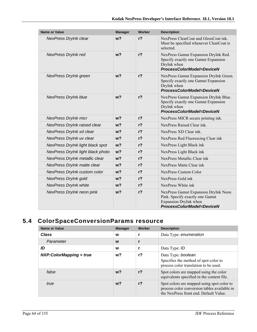| Name or Value                     | <b>Manager</b> | <b>Worker</b>  | <b>Description</b>                                                                                                            |
|-----------------------------------|----------------|----------------|-------------------------------------------------------------------------------------------------------------------------------|
| NexPress DryInk clear             | w <sub>2</sub> | r <sub>2</sub> | NexPress ClearCoat and GlossCoat ink.<br>Must be specified whenever ClearCoat is<br>selected.                                 |
| <b>NexPress DryInk red</b>        | w <sub>2</sub> | $r$ ?          | NexPress Gamut Expansion DryInk Red.<br>Specify exactly one Gamut Expansion<br>DryInk when<br>ProcessColorModel=DeviceN       |
| NexPress DryInk green             | w <sub>2</sub> | $r$ ?          | NexPress Gamut Expansion DryInk Green.<br>Specify exactly one Gamut Expansion<br>DryInk when<br>ProcessColorModel=DeviceN     |
| <b>NexPress DryInk blue</b>       | w <sup>2</sup> | $r$ ?          | NexPress Gamut Expansion DryInk Blue.<br>Specify exactly one Gamut Expansion<br>DryInk when<br>ProcessColorModel=DeviceN      |
| <b>NexPress DryInk micr</b>       | w <sub>2</sub> | $r$ ?          | NexPress MICR secure printing ink.                                                                                            |
| NexPress DryInk raised clear      | $w$ ?          | $r$ ?          | NexPress Raised Clear ink.                                                                                                    |
| NexPress DryInk xd clear          | w <sub>2</sub> | $r$ ?          | NexPress XD Clear ink.                                                                                                        |
| NexPress DryInk uv clear          | w <sub>2</sub> | r <sub>2</sub> | NexPress Red Fluorescing Clear ink                                                                                            |
| NexPress DryInk light black spot  | w <sub>2</sub> | $r$ ?          | NexPress Light Black ink                                                                                                      |
| NexPress DryInk light black photo | w <sub>2</sub> | r <sub>2</sub> | NexPress Light Black ink                                                                                                      |
| NexPress DryInk metallic clear    | w <sub>2</sub> | $r$ ?          | NexPress Metallic Clear ink                                                                                                   |
| NexPress DryInk matte clear       | w <sub>2</sub> | $r$ ?          | NexPress Matte Clear ink                                                                                                      |
| NexPress DryInk custom color      | w <sub>2</sub> | r <sub>2</sub> | NexPress Custom Color                                                                                                         |
| NexPress DryInk gold              | w <sub>2</sub> | $r$ ?          | NexPress Gold ink                                                                                                             |
| <b>NexPress DryInk white</b>      | $w$ ?          | $r$ ?          | NexPress White ink                                                                                                            |
| NexPress DryInk neon pink         | w <sub>2</sub> | $r$ ?          | NexPress Gamut Expansion DryInk Neon<br>Pink. Specify exactly one Gamut<br>Expansion DryInk when<br>ProcessColorModel=DeviceN |

# **5.4 ColorSpaceConversionParams resource**

| Name or Value             | <b>Manager</b> | Worker         | <b>Description</b>                                                                                                                   |
|---------------------------|----------------|----------------|--------------------------------------------------------------------------------------------------------------------------------------|
| <b>Class</b>              | W              |                | Data Type: enumeration                                                                                                               |
| Parameter                 | W              |                |                                                                                                                                      |
| ID                        | W              |                | Data Type: ID                                                                                                                        |
| $NXP:ColorMapping = true$ | w?             | $r$ ?          | Data Type: boolean<br>Specifies the method of spot color to<br>process color translation to be used.                                 |
| false                     | $w$ ?          | r <sub>2</sub> | Spot colors are mapped using the color<br>equivalents specified in the content file.                                                 |
| true                      | w <sub>2</sub> | r <sub>2</sub> | Spot colors are mapped using spot color to<br>process color conversion tables available in<br>the NexPress front end. Default Value. |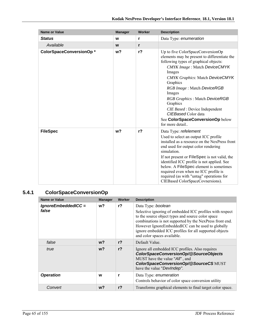| <b>Name or Value</b>    | <b>Manager</b> | Worker         | <b>Description</b>                                                                                                                                                                                                                                                                                                                                                                                                                          |
|-------------------------|----------------|----------------|---------------------------------------------------------------------------------------------------------------------------------------------------------------------------------------------------------------------------------------------------------------------------------------------------------------------------------------------------------------------------------------------------------------------------------------------|
| <b>Status</b>           | W              | r              | Data Type: enumeration                                                                                                                                                                                                                                                                                                                                                                                                                      |
| Available               | W              | r              |                                                                                                                                                                                                                                                                                                                                                                                                                                             |
| ColorSpaceConversionOp* | w <sub>2</sub> | $r$ ?          | Up to five ColorSpaceConversionOp<br>elements may be present to differentiate the<br>following types of graphical objects:<br>CMYK Image: Match DeviceCMYK<br>Images<br><b>CMYK Graphics: Match DeviceCMYK</b><br>Graphics<br>RGB Image: Match DeviceRGB<br>Images<br>RGB Graphics: Match DeviceRGB<br>Graphics<br><i>CIE Based</i> : Device Independent<br>CIEBased Color data<br>See ColorSpaceConversionOp below<br>for more detail      |
| <b>FileSpec</b>         | w <sub>2</sub> | r <sub>2</sub> | Data Type: refelement<br>Used to select an output ICC profile<br>installed as a resource on the NexPress front<br>end used for output color rendering<br>simulation.<br>If not present or <b>FileSpec</b> is not valid, the<br>identified ICC profile is not applied. See<br>below. A FileSpec element is sometimes<br>required even when no ICC profile is<br>required (as with "untag" operations for<br>CIEBased ColorSpaceCovnersions). |

# **5.4.1 ColorSpaceConversionOp**

| <b>Name or Value</b>         | <b>Manager</b> | Worker         | <b>Description</b>                                                                                                                                                                                                                                                                                                                            |
|------------------------------|----------------|----------------|-----------------------------------------------------------------------------------------------------------------------------------------------------------------------------------------------------------------------------------------------------------------------------------------------------------------------------------------------|
| IgnoreEmbeddedICC =<br>false | w?             | r <sub>2</sub> | Data Type: boolean<br>Selective ignoring of embedded ICC profiles with respect<br>to the source object types and source color space<br>combinations is not supported by the NexPress front end.<br>However IgnoreEmbeddedICC can be used to globally<br>ignore embedded ICC profiles for all supported objects<br>and color spaces available. |
| false                        | w?             | r <sub>2</sub> | Default Value.                                                                                                                                                                                                                                                                                                                                |
| true                         | $w$ ?          | r <sub>2</sub> | Ignore all embedded ICC profiles. Also requires<br>ColorSpaceConversionOp/@SourceObjects<br>MUST have the value "All", and<br>ColorSpaceConversionOp/@SourceCS MUST<br>have the value "DevIndep".                                                                                                                                             |
| <b>Operation</b>             | W              | r              | Data Type: enumeration<br>Controls behavior of color space conversion utility                                                                                                                                                                                                                                                                 |
| Convert                      | w?             | r <sub>2</sub> | Transforms graphical elements to final target color space.                                                                                                                                                                                                                                                                                    |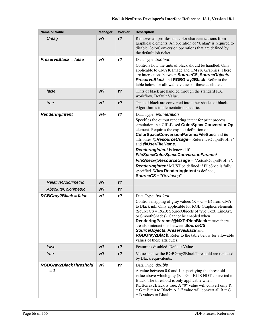| <b>Name or Value</b>                   | <b>Manager</b> | Worker         | <b>Description</b>                                                                                                                                                                                                                                                                                                                                                                                                                                                                                                                                                                                     |
|----------------------------------------|----------------|----------------|--------------------------------------------------------------------------------------------------------------------------------------------------------------------------------------------------------------------------------------------------------------------------------------------------------------------------------------------------------------------------------------------------------------------------------------------------------------------------------------------------------------------------------------------------------------------------------------------------------|
| Untag                                  | $w$ ?          | r <sub>2</sub> | Removes all profiles and color characterizations from<br>graphical elements. An operation of "Untag" is required to<br>disable ColorConversion operations that are defined by<br>the default job ticket.                                                                                                                                                                                                                                                                                                                                                                                               |
| PreserveBlack = false                  | w <sub>2</sub> | $r$ ?          | Data Type: boolean<br>Controls how the tints of black should be handled. Only<br>applicable to CMYK Image and CMYK Graphics. There<br>are interactions between SourceCS, SourceObjects,<br>PreserveBlack and RGBGray2Black. Refer to the<br>table below for allowable values of these attributes.                                                                                                                                                                                                                                                                                                      |
| false                                  | w <sub>2</sub> | $r$ ?          | Tints of black are handled through the standard ICC<br>workflow. Default Value.                                                                                                                                                                                                                                                                                                                                                                                                                                                                                                                        |
| true                                   | w <sub>2</sub> | r <sub>2</sub> | Tints of black are converted into other shades of black.<br>Algorithm is implementation-specific.                                                                                                                                                                                                                                                                                                                                                                                                                                                                                                      |
| RenderingIntent                        | w←             | $r$ ?          | Data Type: enumeration<br>Specifies the output rendering intent for print process<br>simulation in a CIE-Based ColorSpaceConversionOp<br>element. Requires the explicit definition of<br><b>ColorSpaceConversionParams/FileSpec and its</b><br>attributes @ResourceUsage="ReferenceOutputProfile"<br>and @UserFileName.<br><b>RenderingIntent</b> is ignored if<br>FileSpec/ColorSpaceConversionParams/<br>FileSpec/@ResourceUsage = "ActualOutputProfile".<br>RenderingIntent MUST be defined if FileSpec is fully<br>specified. When RenderingIntent is defined,<br><b>SourceCS</b> = " $DevIndep".$ |
| <b>RelativeColorimetric</b>            | w <sub>2</sub> | $r$ ?          |                                                                                                                                                                                                                                                                                                                                                                                                                                                                                                                                                                                                        |
| <b>AbsoluteColorimetric</b>            | $w$ ?          | $r$ ?          |                                                                                                                                                                                                                                                                                                                                                                                                                                                                                                                                                                                                        |
| RGBGray2Black = false                  | w?             | $r$ ?          | Data Type: boolean<br>Controls mapping of gray values $(R = G = B)$ from CMY<br>to Black ink. Only applicable for RGB Graphics elements<br>(SourceCS = RGB; SourceObjects of type Text, LineArt,<br>or SmoothShades). Cannot be enabled when<br>RenderingParams/@NXP:RichBlack = true; there<br>are also interactions between <b>SourceCS</b> ,<br>SourceObjects, PreserveBlack and<br>RGBGray2Black. Refer to the table below for allowable<br>values of these attributes.                                                                                                                            |
| false                                  | $w$ ?          | $r$ ?          | Feature is disabled. Default Value.                                                                                                                                                                                                                                                                                                                                                                                                                                                                                                                                                                    |
| true                                   | $w$ ?          | $r$ ?          | Values below the RGBGray2BlackThreshold are replaced<br>by Black equivalents.                                                                                                                                                                                                                                                                                                                                                                                                                                                                                                                          |
| <b>RGBGray2BlackThreshold</b><br>$= 1$ | w <sub>2</sub> | $r$ ?          | Data Type: double<br>A value between 0.0 and 1.0 specifying the threshold<br>value above which gray ( $R = G = B$ ) IS NOT converted to<br>Black. The threshold is only applicable when<br>RGBGray2Black is true. A "0" value will convert only R<br>$= G = B = 0$ to Black; A "1" value will convert all $R = G$<br>$=$ B values to Black.                                                                                                                                                                                                                                                            |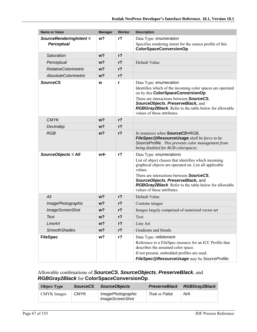| <b>Name or Value</b>        | <b>Manager</b> | Worker         | <b>Description</b>                                                                                                                                                                                                                                                                                                                     |
|-----------------------------|----------------|----------------|----------------------------------------------------------------------------------------------------------------------------------------------------------------------------------------------------------------------------------------------------------------------------------------------------------------------------------------|
| SourceRenderingIntent =     | w <sub>2</sub> | r <sub>2</sub> | Data Type: enumeration                                                                                                                                                                                                                                                                                                                 |
| <b>Perceptual</b>           |                |                | Specifies rendering intent for the source profile of this<br>ColorSpaceConversionOp.                                                                                                                                                                                                                                                   |
| Saturation                  | w <sub>2</sub> | $r$ ?          |                                                                                                                                                                                                                                                                                                                                        |
| Perceptual                  | w <sub>2</sub> | $r$ ?          | Default Value.                                                                                                                                                                                                                                                                                                                         |
| <b>RelativeColorimetric</b> | w <sub>2</sub> | $r$ ?          |                                                                                                                                                                                                                                                                                                                                        |
| <b>AbsoluteColorimetric</b> | w <sub>2</sub> | $r$ ?          |                                                                                                                                                                                                                                                                                                                                        |
| <b>SourceCS</b>             | W              | r              | Data Type: enumeration<br>Identifies which of the incoming color spaces are operated<br>on by this ColorSpaceConversionOp.<br>There are interactions between <b>SourceCS</b> ,<br>SourceObjects, PreserveBlack, and<br>RGBGray2Black. Refer to the table below for allowable<br>values of these attributes.                            |
| <b>CMYK</b>                 | w <sub>2</sub> | $r$ ?          |                                                                                                                                                                                                                                                                                                                                        |
| DevIndep                    | w <sub>2</sub> | $r$ ?          |                                                                                                                                                                                                                                                                                                                                        |
| <b>RGB</b>                  | w <sub>2</sub> | $r$ ?          | In instances when SourceCS=RGB,<br>FileSpec@ResourceUsage shall be force to be<br>SourceProfile. This prevents color management from<br>being disabled for RGB colorspaces.                                                                                                                                                            |
| SourceObjects = All         | w←             | $r$ ?          | Data Type: enumerations<br>List of object classes that identifies which incoming<br>graphical objects are operated on. List all applicable<br>values.<br>There are interactions between <b>SourceCS</b> ,<br>SourceObjects, PreserveBlack, and<br>RGBGray2Black. Refer to the table below for allowable<br>values of these attributes. |
| All                         | w <sub>2</sub> | $r$ ?          | Default Value.                                                                                                                                                                                                                                                                                                                         |
| <b>ImagePhotographic</b>    | w?             | $r$ ?          | Contone images                                                                                                                                                                                                                                                                                                                         |
| <b>ImageScreenShot</b>      | w?             | $r$ ?          | Images largely comprised of rasterized vector art                                                                                                                                                                                                                                                                                      |
| Text                        | w?             | $r$ ?          | Text                                                                                                                                                                                                                                                                                                                                   |
| LineArt                     | w?             | $r$ ?          | Line Art                                                                                                                                                                                                                                                                                                                               |
| <b>SmoothShades</b>         | w?             | $r$ ?          | Gradients and blends                                                                                                                                                                                                                                                                                                                   |
| <b>FileSpec</b>             | w?             | $r$ ?          | Data Type: refelement<br>Reference to a FileSpec resource for an ICC Profile that<br>describes the assumed color space.<br>If not present, embedded profiles are used.<br>FileSpec@ResourceUsage may be SourceProfile.                                                                                                                 |

## Allowable combinations of *SourceCS*, *SourceObjects*, *PreserveBlack*, and *RGBGray2Black* for **ColorSpaceConversionOp**.

| <b>Object Type</b> | <b>SourceCS</b> | <b>SourceObjects</b>                               | <b>PreserveBlack</b> | <b>RGBGray2Black</b> |
|--------------------|-----------------|----------------------------------------------------|----------------------|----------------------|
| CMYK Images        | <b>CMYK</b>     | <i>ImagePhotographic</i><br><b>ImageScreenShot</b> | True or False        | N/A                  |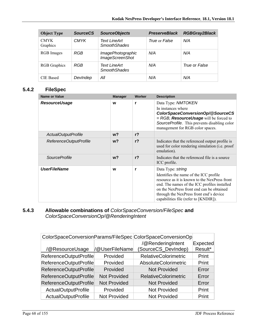| <b>Object Type</b>      | <b>SourceCS</b> | <b>SourceObjects</b>                        | <b>PreserveBlack</b> | <b>RGBGray2Black</b> |
|-------------------------|-----------------|---------------------------------------------|----------------------|----------------------|
| <b>CMYK</b><br>Graphics | <b>CMYK</b>     | Text LineArt<br><b>SmoothShades</b>         | True or False        | N/A                  |
| RGB Images              | RGB             | ImagePhotographic<br><b>ImageScreenShot</b> | N/A                  | N/A                  |
| <b>RGB</b> Graphics     | RGB             | Text LineArt<br><b>SmoothShades</b>         | N/A                  | True or False        |
| <b>CIE</b> Based        | Devindep        | All                                         | N/A                  | N/A                  |

## **5.4.2 FileSpec**

| <b>Name or Value</b>   | <b>Manager</b> | Worker         | <b>Description</b>                                                                                                                                                                                                                                                                            |
|------------------------|----------------|----------------|-----------------------------------------------------------------------------------------------------------------------------------------------------------------------------------------------------------------------------------------------------------------------------------------------|
| <b>ResourceUsage</b>   | W              | r              | Data Type: NMTOKEN<br>In instances where<br>ColorSpaceConversionOp/@SourceCS<br>$=$ RGB, <b>ResourceUsage</b> will be forced to<br>SourceProfile. This prevents disabling color<br>management for RGB color spaces.                                                                           |
| ActualOutputProfile    | $w$ ?          | r <sub>2</sub> |                                                                                                                                                                                                                                                                                               |
| ReferenceOutputProfile | w <sub>2</sub> | r <sub>2</sub> | Indicates that the referenced output profile is<br>used for color rendering simulation (i.e. proof<br>emulation).                                                                                                                                                                             |
| <i>SourceProfile</i>   | $w$ ?          | r <sub>2</sub> | Indicates that the referenced file is a source.<br>ICC profile.                                                                                                                                                                                                                               |
| <b>UserFileName</b>    | W              | r              | Data Type: string<br>Identifies the name of the ICC profile<br>resource as it is known to the NexPress front<br>end. The names of the ICC profiles installed<br>on the NexPress front end can be obtained<br>through the NexPress front end's device<br>capabilities file (refer to [KNDIR]). |

## **5.4.3 Allowable combinations of** *ColorSpaceConversion/FileSpec* **and**  *ColorSpaceConversionOp/@RenderingIntent*

|                            |                     | ColorSpaceConversionParams/FileSpec ColorSpaceConversionOp |          |
|----------------------------|---------------------|------------------------------------------------------------|----------|
|                            |                     | /@RenderingIntent                                          | Expected |
| /@ResourceUsage            | /@UserFileName      | (SourceCS_DevIndep)                                        | Result*  |
| ReferenceOutputProfile     | Provided            | <b>RelativeColorimetric</b>                                | Print    |
| ReferenceOutputProfile     | Provided            | AbsoluteColorimetric                                       | Print    |
| ReferenceOutputProfile     | Provided            | <b>Not Provided</b>                                        | Error    |
| ReferenceOutputProfile     | <b>Not Provided</b> | <b>RelativeColorimetric</b>                                | Error    |
| ReferenceOutputProfile     | <b>Not Provided</b> | <b>Not Provided</b>                                        | Error    |
| <b>ActualOutputProfile</b> | Provided            | <b>Not Provided</b>                                        | Print    |
| ActualOutputProfile        | <b>Not Provided</b> | <b>Not Provided</b>                                        | Print    |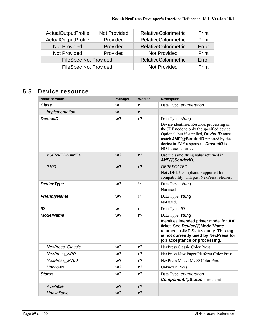| <b>ActualOutputProfile</b>   | Not Provided | <b>RelativeColorimetric</b> | Print |
|------------------------------|--------------|-----------------------------|-------|
| <b>ActualOutputProfile</b>   | Provided     | <b>RelativeColorimetric</b> | Print |
| <b>Not Provided</b>          | Provided     | <b>RelativeColorimetric</b> | Error |
| <b>Not Provided</b>          | Provided     | Not Provided                | Print |
| <b>FileSpec Not Provided</b> |              | <b>RelativeColorimetric</b> | Error |
| <b>FileSpec Not Provided</b> |              | Not Provided                | Print |

# **5.5 Device resource**

| <b>Name or Value</b>      | <b>Manager</b> | Worker         | <b>Description</b>                                                                                                                                                                                                                                                            |
|---------------------------|----------------|----------------|-------------------------------------------------------------------------------------------------------------------------------------------------------------------------------------------------------------------------------------------------------------------------------|
| <b>Class</b>              | W              | r              | Data Type: enumeration                                                                                                                                                                                                                                                        |
| Implementation            | W              | r              |                                                                                                                                                                                                                                                                               |
| <b>DeviceID</b>           | w?             | r?             | Data Type: string<br>Device identifier. Restricts processing of<br>the JDF node to only the specified device.<br>Optional, but if supplied, <b>DevicelD</b> must<br>match JMF/@SenderID reported by the<br>device in JMF responses. <b>DevicelD</b> is<br>NOT case sensitive. |
| <servername></servername> | w <sub>2</sub> | r <sub>2</sub> | Use the same string value returned in<br>JMF/@SenderID                                                                                                                                                                                                                        |
| 2100                      | w <sub>2</sub> | r <sub>2</sub> | <b>DEPRECATED</b><br>Not JDF1.3 compliant. Supported for<br>compatibility with past NexPress releases.                                                                                                                                                                        |
| <b>DeviceType</b>         | w?             | !r             | Data Type: string<br>Not used.                                                                                                                                                                                                                                                |
| <b>FriendlyName</b>       | w <sub>2</sub> | !r             | Data Type: string<br>Not used.                                                                                                                                                                                                                                                |
| ID                        | W              | r              | Data Type: ID                                                                                                                                                                                                                                                                 |
| <b>ModelName</b>          | w?             | $r$ ?          | Data Type: string<br>Identifies intended printer model for JDF<br>ticket. See Device/@ModelName<br>returned in JMF Status query. This tag<br>is not currently used by NexPress for<br>job acceptance or processing.                                                           |
| <b>NexPress Classic</b>   | w?             | $r$ ?          | <b>NexPress Classic Color Press</b>                                                                                                                                                                                                                                           |
| <b>NexPress NPP</b>       | w?             | r <sub>2</sub> | NexPress New Paper Platform Color Press                                                                                                                                                                                                                                       |
| NexPress M700             | w?             | $r$ ?          | NexPress Model M700 Color Press                                                                                                                                                                                                                                               |
| Unknown                   | w?             | r <sub>2</sub> | <b>Unknown Press</b>                                                                                                                                                                                                                                                          |
| <b>Status</b>             | w?             | $r$ ?          | Data Type: enumeration<br><b>Component/@Status</b> is not used.                                                                                                                                                                                                               |
| Available                 | w?             | $r$ ?          |                                                                                                                                                                                                                                                                               |
| Unavailable               | w <sub>2</sub> | $r$ ?          |                                                                                                                                                                                                                                                                               |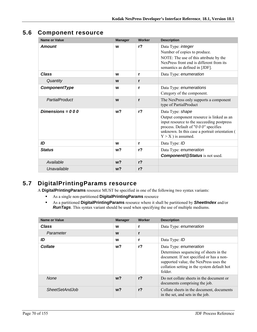# **5.6 Component resource**

| <b>Name or Value</b> | <b>Manager</b> | Worker       | <b>Description</b>                                                                                                                                                                                                              |
|----------------------|----------------|--------------|---------------------------------------------------------------------------------------------------------------------------------------------------------------------------------------------------------------------------------|
| <b>Amount</b>        | W              | $r$ ?        | Data Type: integer<br>Number of copies to produce.<br>NOTE: The use of this attribute by the<br>NexPress front end is different from its<br>semantics as defined in [JDF].                                                      |
| Class                | W              | r            | Data Type: enumeration                                                                                                                                                                                                          |
| Quantity             | W              | r            |                                                                                                                                                                                                                                 |
| ComponentType        | W              | r            | Data Type: enumerations<br>Category of the component.                                                                                                                                                                           |
| PartialProduct       | W              | $\mathbf{r}$ | The NexPress only supports a component<br>type of PartialProduct                                                                                                                                                                |
| Dimensions = $000$   | w <sub>2</sub> | $r$ ?        | Data Type: shape<br>Output component resource is linked as an<br>input resource to the succeeding postpress<br>process. Default of "0 0 0" specifies<br>unknown. In this case a portrait orientation (<br>$Y > X$ ) is assumed. |
| ID                   | W              | r            | Data Type: ID                                                                                                                                                                                                                   |
| <b>Status</b>        | w?             | $r$ ?        | Data Type: enumeration<br><b>Component/@Status</b> is not used.                                                                                                                                                                 |
| Available            | w <sub>2</sub> | $r$ ?        |                                                                                                                                                                                                                                 |
| Unavailable          | w <sub>2</sub> | $r$ ?        |                                                                                                                                                                                                                                 |

# **5.7 DigitalPrintingParams resource**

A **DigitalPrintingParams** resource MUST be specified in one of the following two syntax variants:

- As a single non-partitioned **DigitalPrintingParams** resource
- As a partitioned **DigitalPrintingParams** resource where it shall be partitioned by *SheetIndex* and/or *RunTags*. This syntax variant should be used when specifying the use of multiple mediums.

| <b>Name or Value</b>  | <b>Manager</b> | Worker         | <b>Description</b>                                                                                                                                                                                               |
|-----------------------|----------------|----------------|------------------------------------------------------------------------------------------------------------------------------------------------------------------------------------------------------------------|
| <b>Class</b>          | W              | r              | Data Type: enumeration                                                                                                                                                                                           |
| Parameter             | W              | r              |                                                                                                                                                                                                                  |
| ID                    | W              | r              | Data Type: ID                                                                                                                                                                                                    |
| <b>Collate</b>        | w?             | r?             | Data Type: enumeration<br>Determines sequencing of sheets in the<br>document. If not specified or has a non-<br>supported value, the NexPress uses the<br>collation setting in the system default hot<br>folder. |
| <b>None</b>           | $w$ ?          | r <sub>2</sub> | Do not collate sheets in the document or<br>documents comprising the job.                                                                                                                                        |
| <b>SheetSetAndJob</b> | w?             | r <sub>2</sub> | Collate sheets in the document, documents<br>in the set, and sets in the job.                                                                                                                                    |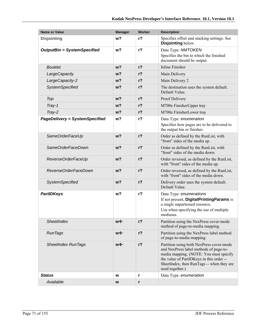| <b>Name or Value</b>                  | <b>Manager</b> | Worker         | <b>Description</b>                                                                                                                                                                                                                       |
|---------------------------------------|----------------|----------------|------------------------------------------------------------------------------------------------------------------------------------------------------------------------------------------------------------------------------------------|
| <b>Disjointing</b>                    | w?             | r <sub>2</sub> | Specifies offset and stacking settings. See<br>Disjointing below.                                                                                                                                                                        |
| <b>OutputBin = SystemSpecified</b>    | w?             | $r$ ?          | Data Type: NMTOKEN                                                                                                                                                                                                                       |
|                                       |                |                | Specifies the bin to which the finished<br>document should be output.                                                                                                                                                                    |
| <b>Booklet</b>                        | w?             | $r$ ?          | <b>Inline Finisher</b>                                                                                                                                                                                                                   |
| LargeCapacity                         | w <sub>2</sub> | $r$ ?          | Main Delivery                                                                                                                                                                                                                            |
| LargeCapacity-2                       | w <sub>2</sub> | $r$ ?          | Main Delivery 2                                                                                                                                                                                                                          |
| <b>SystemSpecified</b>                | w?             | $r$ ?          | The destination uses the system default.<br>Default Value.                                                                                                                                                                               |
| Top                                   | w <sub>2</sub> | $r$ ?          | Proof Delivery                                                                                                                                                                                                                           |
| Tray-1                                | w <sub>2</sub> | $r$ ?          | M700e FinisherUpper tray                                                                                                                                                                                                                 |
| Tray-2                                | w <sub>2</sub> | $r$ ?          | M700e FinisherLower tray                                                                                                                                                                                                                 |
| <b>PageDelivery = SystemSpecified</b> | w <sub>2</sub> | r <sub>2</sub> | Data Type: enumeration                                                                                                                                                                                                                   |
|                                       |                |                | Specifies how pages are to be delivered to<br>the output bin or finisher.                                                                                                                                                                |
| SameOrderFaceUp                       | w <sub>2</sub> | $r$ ?          | Order as defined by the RunList, with<br>"front" sides of the media up.                                                                                                                                                                  |
| SameOrderFaceDown                     | w <sub>2</sub> | $r$ ?          | Order as defined by the RunList, with<br>"front" sides of the media down.                                                                                                                                                                |
| ReverseOrderFaceUp                    | w <sub>2</sub> | $r$ ?          | Order reversed, as defined by the RunList,<br>with "front" sides of the media up.                                                                                                                                                        |
| ReverseOrderFaceDown                  | w <sub>2</sub> | $r$ ?          | Order reversed, as defined by the RunList,<br>with "front" sides of the media down.                                                                                                                                                      |
| <b>SystemSpecified</b>                | w <sub>2</sub> | $r$ ?          | Delivery order uses the system default.<br>Default Value.                                                                                                                                                                                |
| <b>PartIDKeys</b>                     | w?             | $r$ ?          | Data Type: enumerations                                                                                                                                                                                                                  |
|                                       |                |                | If not present, DigitalPrintingParams is                                                                                                                                                                                                 |
|                                       |                |                | a single unpartioned resource.<br>Use when specifying the use of multiple                                                                                                                                                                |
|                                       |                |                | mediums.                                                                                                                                                                                                                                 |
| SheetIndex                            | we             | $r$ ?          | Partition using the NexPress cover-mode<br>method of page-to-media mapping.                                                                                                                                                              |
| <b>RunTags</b>                        | w←             | $r$ ?          | Partition using the NexPress label method<br>of page-to-media mapping.                                                                                                                                                                   |
| <b>SheetIndex RunTags</b>             | w←             | $r$ ?          | Partition using both NexPress cover-mode<br>and NexPress label methods of page-to-<br>media mapping. (NOTE: You must specify<br>the value of PartIDKeys in this order --<br>SheetIndex, then RunTags -- when they are<br>used together.) |
| <b>Status</b>                         | W              | r              | Data Type: enumeration                                                                                                                                                                                                                   |
| Available                             | W              | r              |                                                                                                                                                                                                                                          |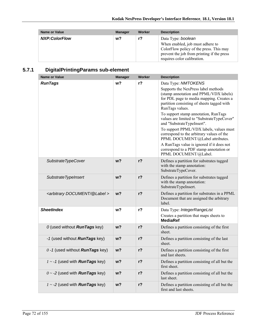| Name or Value        | <b>Manager</b> | Worker | <b>Description</b>                                                                                                                                                             |
|----------------------|----------------|--------|--------------------------------------------------------------------------------------------------------------------------------------------------------------------------------|
| <b>NXP:ColorFlow</b> | w?             | r?     | Data Type: boolean<br>When enabled, job must adhere to<br>ColorFlow policy of the press. This may<br>prevent the job from printing if the press<br>requires color calibration. |

# **5.7.1 DigitalPrintingParams sub-element**

| <b>Name or Value</b>                          | <b>Manager</b> | <b>Worker</b>  | <b>Description</b>                                                                                                                                                                                                                                                                                                                                                               |
|-----------------------------------------------|----------------|----------------|----------------------------------------------------------------------------------------------------------------------------------------------------------------------------------------------------------------------------------------------------------------------------------------------------------------------------------------------------------------------------------|
| <b>RunTags</b>                                | w?             | $r$ ?          | Data Type: NMTOKENS<br>Supports the NexPress label methods<br>(stamp annotation and PPML/VDX labels)<br>for PDL page to media mapping. Creates a<br>partition consisting of sheets tagged with<br>RunTags values.<br>To support stamp annotation, RunTags<br>values are limited to "SubstrateTypeCover"<br>and "SubstrateTypeInsert".<br>To support PPML/VDX labels, values must |
|                                               |                |                | correspond to the arbitrary values of the<br>PPML DOCUMENT/@Label attributes.<br>A RunTags value is ignored if it does not<br>correspond to a PDF stamp annotation or<br>PPML DOCUMENT/@Label.                                                                                                                                                                                   |
| SubstrateTypeCover                            | $w$ ?          | r <sub>2</sub> | Defines a partition for substrates tagged<br>with the stamp annotation:<br>SubstrateTypeCover.                                                                                                                                                                                                                                                                                   |
| SubstrateTypeInsert                           | w <sub>2</sub> | $r$ ?          | Defines a partition for substrates tagged<br>with the stamp annotation:<br>SubstrateTypeInsert.                                                                                                                                                                                                                                                                                  |
| <arbitrary @label="" document=""></arbitrary> | w <sub>2</sub> | $r$ ?          | Defines a partition for substrates in a PPML<br>Document that are assigned the arbitrary<br>label.                                                                                                                                                                                                                                                                               |
| <b>SheetIndex</b>                             | w?             | $r$ ?          | Data Type: IntegerRangeList<br>Creates a partition that maps sheets to<br><b>MediaRef</b>                                                                                                                                                                                                                                                                                        |
| 0 (used without <b>RunTags</b> key)           | w <sub>2</sub> | $r$ ?          | Defines a partition consisting of the first<br>sheet.                                                                                                                                                                                                                                                                                                                            |
| -1 (used without <b>RunTags</b> key)          | w <sub>2</sub> | $r$ ?          | Defines a partition consisting of the last<br>sheet.                                                                                                                                                                                                                                                                                                                             |
| $0 - 1$ (used without <b>RunTags</b> key)     | w?             | $r$ ?          | Defines a partition consisting of the first<br>and last sheets.                                                                                                                                                                                                                                                                                                                  |
| $1 - 1$ (used with <b>RunTags</b> key)        | $w$ ?          | $r$ ?          | Defines a partition consisting of all but the<br>first sheet.                                                                                                                                                                                                                                                                                                                    |
| $0 \sim -2$ (used with <b>RunTags</b> key)    | w?             | r?             | Defines a partition consisting of all but the<br>last sheet.                                                                                                                                                                                                                                                                                                                     |
| $1 \sim -2$ (used with <b>RunTags</b> key)    | w?             | r?             | Defines a partition consisting of all but the<br>first and last sheets.                                                                                                                                                                                                                                                                                                          |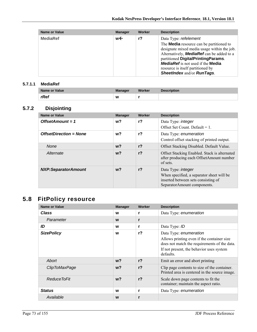| <b>Name or Value</b> | <b>Manager</b> | Worker | <b>Description</b>                                                                                                                                                                                                                                                                                                                      |
|----------------------|----------------|--------|-----------------------------------------------------------------------------------------------------------------------------------------------------------------------------------------------------------------------------------------------------------------------------------------------------------------------------------------|
| <b>MediaRef</b>      | w←             | $r$ ?  | Data Type: refelement<br>The <b>Media</b> resource can be partitioned to<br>designate mixed media usage within the job.<br>Alternatively, <b>MediaRef</b> can be added to a<br>partitioned DigitalPrintingParams.<br><b>MediaRef</b> is not used if the <b>Media</b><br>resource is itself partitioned by<br>SheetIndex and/or RunTags. |

#### **5.7.1.1 MediaRef**

| Name or Value | <b>Manager</b> | Worker | <b>Description</b> |
|---------------|----------------|--------|--------------------|
| rRef          | W              |        |                    |

#### **5.7.2 Disjointing**

| <b>Name or Value</b>          | <b>Manager</b> | Worker         | <b>Description</b>                                                                                                                           |
|-------------------------------|----------------|----------------|----------------------------------------------------------------------------------------------------------------------------------------------|
| $OffsetAmount = 1$            | $w$ ?          | r?             | Data Type: <i>integer</i><br>Offset Set Count. Default $= 1$ .                                                                               |
| <b>OffsetDirection = None</b> | $w$ ?          | $r$ ?          | Data Type: enumeration<br>Control offset stacking of printed output.                                                                         |
| <b>None</b>                   | $w$ ?          | r <sub>2</sub> | Offset Stacking Disabled. Default Value.                                                                                                     |
| Alternate                     | $w$ ?          | r <sub>2</sub> | Offset Stacking Enabled. Stack is alternated<br>after producing each OffsetAmount number<br>of sets.                                         |
| <b>NXP:SeparatorAmount</b>    | $w$ ?          | r <sub>2</sub> | Data Type: <i>integer</i><br>When specified, a separator sheet will be<br>inserted between sets consisting of<br>SeparatorAmount components. |

# **5.8 FitPolicy resource**

| <b>Name or Value</b> | <b>Manager</b> | Worker         | <b>Description</b>                                                                                                                                                            |
|----------------------|----------------|----------------|-------------------------------------------------------------------------------------------------------------------------------------------------------------------------------|
| <b>Class</b>         | W              | r              | Data Type: enumeration                                                                                                                                                        |
| Parameter            | W              | r              |                                                                                                                                                                               |
| ID                   | W              | r              | Data Type: ID                                                                                                                                                                 |
| <b>SizePolicy</b>    | W              | r <sub>2</sub> | Data Type: enumeration<br>Allows printing even if the container size<br>does not match the requirements of the data.<br>If not present, the behavior uses system<br>defaults. |
| Abort                | $w$ ?          | r <sub>2</sub> | Emit an error and abort printing                                                                                                                                              |
| ClipToMaxPage        | $w$ ?          | r <sub>2</sub> | Clip page contents to size of the container.<br>Printed area is centered in the source image.                                                                                 |
| Reduce ToFit         | $w$ ?          | r <sub>2</sub> | Scale down page contents to fit the<br>container; maintain the aspect ratio.                                                                                                  |
| <b>Status</b>        | W              | r              | Data Type: enumeration                                                                                                                                                        |
| Available            | W              | r              |                                                                                                                                                                               |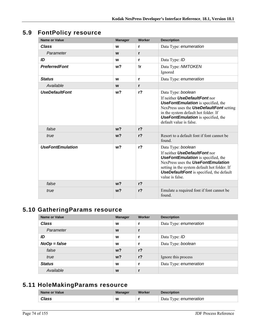# **5.9 FontPolicy resource**

| <b>Name or Value</b>    | <b>Manager</b> | Worker         | <b>Description</b>                                                                                                                                                                                                                                                  |
|-------------------------|----------------|----------------|---------------------------------------------------------------------------------------------------------------------------------------------------------------------------------------------------------------------------------------------------------------------|
| <b>Class</b>            | W              | r              | Data Type: enumeration                                                                                                                                                                                                                                              |
| Parameter               | W              | r              |                                                                                                                                                                                                                                                                     |
| ID                      | W              | r              | Data Type: ID                                                                                                                                                                                                                                                       |
| <b>PreferredFont</b>    | w?             | !r             | Data Type: NMTOKEN<br>Ignored                                                                                                                                                                                                                                       |
| <b>Status</b>           | W              | $\mathbf{r}$   | Data Type: enumeration                                                                                                                                                                                                                                              |
| Available               | W              | r              |                                                                                                                                                                                                                                                                     |
| <b>UseDefaultFont</b>   | w <sub>2</sub> | r <sub>2</sub> | Data Type: boolean<br>If neither UseDefaultFont nor<br><b>UseFontEmulation</b> is specified, the<br>NexPress uses the <b>UseDefaultFont</b> setting<br>in the system default hot folder. If<br><b>UseFontEmulation</b> is specified, the<br>default value is false. |
| false                   | $w$ ?          | r <sub>2</sub> |                                                                                                                                                                                                                                                                     |
| true                    | w <sub>2</sub> | r <sub>2</sub> | Resort to a default font if font cannot be<br>found.                                                                                                                                                                                                                |
| <b>UseFontEmulation</b> | w <sub>2</sub> | r <sub>2</sub> | Data Type: boolean<br>If neither UseDefaultFont nor<br><b>UseFontEmulation</b> is specified, the<br>NexPress uses the UseFontEmulation<br>setting in the system default hot folder. If<br><b>UseDefaultFont</b> is specified, the default<br>value is false.        |
| false                   | w <sub>2</sub> | r <sub>2</sub> |                                                                                                                                                                                                                                                                     |
| true                    | w?             | r <sub>2</sub> | Emulate a required font if font cannot be.<br>found.                                                                                                                                                                                                                |

# **5.10 GatheringParams resource**

| Name or Value  | <b>Manager</b> | Worker         | <b>Description</b>     |
|----------------|----------------|----------------|------------------------|
| <b>Class</b>   | W              | r.             | Data Type: enumeration |
| Parameter      | W              | $\mathbf{r}$   |                        |
| ID             | W              |                | Data Type: ID          |
| $NoOp = false$ | W              |                | Data Type: boolean     |
| false          | w <sub>2</sub> | r <sub>2</sub> |                        |
| true           | $w$ ?          | r <sub>2</sub> | Ignore this process    |
| <b>Status</b>  | W              |                | Data Type: enumeration |
| Available      | W              |                |                        |

## **5.11 HoleMakingParams resource**

| Name or Value | <b>Manager</b> | Worker | <b>Description</b>     |
|---------------|----------------|--------|------------------------|
| <b>Class</b>  | W              |        | Data Type: enumeration |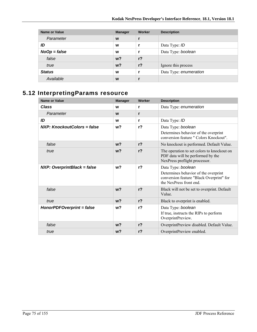| <b>Name or Value</b> | <b>Manager</b> | <b>Worker</b>  | <b>Description</b>     |
|----------------------|----------------|----------------|------------------------|
| Parameter            | W              |                |                        |
| ID                   | W              |                | Data Type: ID          |
| $NoOp = false$       | W              |                | Data Type: boolean     |
| false                | w <sup>2</sup> | $r$ ?          |                        |
| true                 | w <sup>2</sup> | r <sub>2</sub> | Ignore this process    |
| <b>Status</b>        | W              |                | Data Type: enumeration |
| Available            | W              |                |                        |

# **5.12 InterpretingParams resource**

| <b>Name or Value</b>               | <b>Manager</b> | Worker         | <b>Description</b>                                                                                                               |
|------------------------------------|----------------|----------------|----------------------------------------------------------------------------------------------------------------------------------|
| <b>Class</b>                       | W              | r              | Data Type: enumeration                                                                                                           |
| Parameter                          | W              | r              |                                                                                                                                  |
| ID                                 | W              | r              | Data Type: ID                                                                                                                    |
| NXP: KnockoutColors = false        | w <sup>2</sup> | $r$ ?          | Data Type: boolean                                                                                                               |
|                                    |                |                | Determines behavior of the overprint<br>conversion feature " Colors Knockout".                                                   |
| false                              | $w$ ?          | r <sub>2</sub> | No knockout is performed. Default Value.                                                                                         |
| true                               | $w$ ?          | r <sub>2</sub> | The operation to set colors to knockout on<br>PDF data will be performed by the<br>NexPress preflight processor.                 |
| <b>NXP: OverprintBlack = false</b> | w <sub>2</sub> | r <sub>2</sub> | Data Type: boolean<br>Determines behavior of the overprint<br>conversion feature "Black Overprint" for<br>the NexPress front end |
| false                              | W <sup>2</sup> | r <sub>2</sub> | Black will not be set to overprint. Default<br>Value.                                                                            |
| true                               | w <sub>2</sub> | $r$ ?          | Black to overprint is enabled.                                                                                                   |
| HonorPDFOverprint = false          | w <sub>2</sub> | r <sub>2</sub> | Data Type: boolean<br>If true, instructs the RIPs to perform<br>OverprintPreview.                                                |
| false                              | w <sub>2</sub> | $r$ ?          | OverprintPreview disabled. Default Value.                                                                                        |
| true                               | w <sub>2</sub> | $r$ ?          | OverprintPreview enabled.                                                                                                        |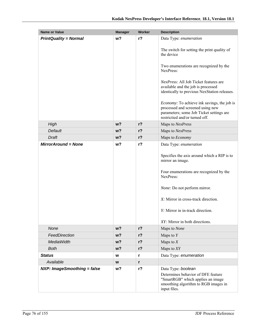| <b>Name or Value</b>               | <b>Manager</b> | Worker         | <b>Description</b>                                                                                                                                                                                                                                                   |
|------------------------------------|----------------|----------------|----------------------------------------------------------------------------------------------------------------------------------------------------------------------------------------------------------------------------------------------------------------------|
| <b>PrintQuality = Normal</b>       | w <sub>2</sub> | $r$ ?          | Data Type: enumeration                                                                                                                                                                                                                                               |
|                                    |                |                | The switch for setting the print quality of<br>the device                                                                                                                                                                                                            |
|                                    |                |                | Two enumerations are recognized by the<br>NexPress:                                                                                                                                                                                                                  |
|                                    |                |                | <i>NexPress:</i> All Job Ticket features are<br>available and the job is processed<br>identically to previous NexStation releases.                                                                                                                                   |
|                                    |                |                | Economy: To achieve ink savings, the job is<br>processed and screened using new<br>parameters; some Job Ticket settings are<br>restrictied and/or turned off.                                                                                                        |
| High                               | $w$ ?          | r <sub>2</sub> | Maps to NexPress                                                                                                                                                                                                                                                     |
| Default                            | $w$ ?          | $r$ ?          | Maps to NexPress                                                                                                                                                                                                                                                     |
| <b>Draft</b>                       | $w$ ?          | $r$ ?          | Maps to Economy                                                                                                                                                                                                                                                      |
| <b>MirrorAround = None</b>         | w?             | $r$ ?          | Data Type: enumeration                                                                                                                                                                                                                                               |
|                                    |                |                | Specifies the axis around which a RIP is to<br>mirror an image.<br>Four enumerations are recognized by the<br>NexPress:<br>None: Do not perform mirror.<br>X: Mirror in cross-track direction.<br>Y: Mirror in in-track direction.<br>XY: Mirror in both directions. |
| None                               | $w$ ?          | $r$ ?          | Maps to None                                                                                                                                                                                                                                                         |
| FeedDirection                      | $w$ ?          | $r$ ?          | Maps to $Y$                                                                                                                                                                                                                                                          |
| <b>MediaWidth</b>                  | $w$ ?          | $r$ ?          | Maps to $X$                                                                                                                                                                                                                                                          |
| <b>Both</b>                        | $w$ ?          | $r$ ?          | Maps to $XY$                                                                                                                                                                                                                                                         |
| <b>Status</b>                      | W              | r              | Data Type: enumeration                                                                                                                                                                                                                                               |
| Available                          | W              | r              |                                                                                                                                                                                                                                                                      |
| <b>NXP: ImageSmoothing = false</b> | w?             | $r$ ?          | Data Type: boolean<br>Determines behavior of DFE feature<br>"SmartRGB" which applies an image<br>smoothing algorithm to RGB images in<br>input files.                                                                                                                |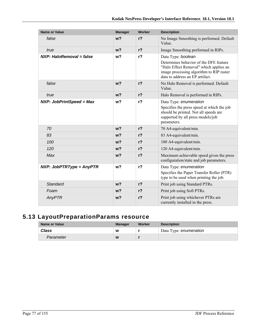| <b>Name or Value</b>            | <b>Manager</b> | Worker         | <b>Description</b>                                                                                                                                                                    |
|---------------------------------|----------------|----------------|---------------------------------------------------------------------------------------------------------------------------------------------------------------------------------------|
| false                           | w <sub>2</sub> | $r$ ?          | No Image Smoothing is performed. Default<br>Value.                                                                                                                                    |
| true                            | w <sub>2</sub> | $r$ ?          | Image Smoothing performed in RIPs.                                                                                                                                                    |
| NXP: HaloRemoval = false        | w <sub>2</sub> | r <sub>2</sub> | Data Type: boolean<br>Determines behavior of the DFE feature<br>"Halo Effect Removal" which applies an<br>image processing algorithm to RIP raster<br>data to address an EP artifact. |
| false                           | w <sub>2</sub> | $r$ ?          | No Halo Removal is performed. Default<br>Value.                                                                                                                                       |
| true                            | w <sub>2</sub> | $r$ ?          | Halo Removal is performed in RIPs.                                                                                                                                                    |
| <b>NXP: JobPrintSpeed = Max</b> | w <sub>2</sub> | $r$ ?          | Data Type: enumeration<br>Specifies the press speed at which the job<br>should be printed. Not all speeds are<br>supported by all press models/job<br>parameters.                     |
| 70                              | $w$ ?          | $r$ ?          | 70 A4-equivalent/min.                                                                                                                                                                 |
| 83                              | w <sub>2</sub> | $r$ ?          | 83 A4-equivalent/min.                                                                                                                                                                 |
| 100                             | w <sub>2</sub> | r <sub>2</sub> | 100 A4-equivalent/min.                                                                                                                                                                |
| 120                             | w <sub>2</sub> | $r$ ?          | 120 A4-equivalent/min.                                                                                                                                                                |
| Max                             | w <sub>2</sub> | $r$ ?          | Maximum achievable speed given the press<br>configuration/state and job parameters.                                                                                                   |
| $NXP: JobPTRType = AnyPTR$      | $w$ ?          | $r$ ?          | Data Type: enumeration<br>Specifies the Paper Transfer Roller (PTR)<br>type to be used when printing the job.                                                                         |
| <b>Standard</b>                 | w <sub>2</sub> | $r$ ?          | Print job using Standard PTRs.                                                                                                                                                        |
| Foam                            | w <sub>2</sub> | $r$ ?          | Print job using Soft PTRs.                                                                                                                                                            |
| AnyPTR                          | w <sub>2</sub> | $r$ ?          | Print job using whichever PTRs are<br>currently installed in the press.                                                                                                               |

# **5.13 LayoutPreparationParams resource**

| Name or Value | <b>Manager</b> | Worker | <b>Description</b>     |
|---------------|----------------|--------|------------------------|
| Class         | W              |        | Data Type: enumeration |
| Parameter     | W              |        |                        |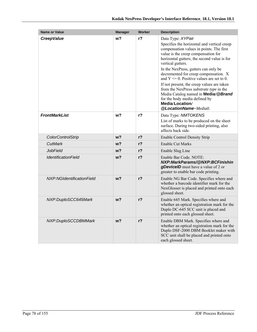| <b>Name or Value</b>              | <b>Manager</b> | Worker         | <b>Description</b>                                                                                                                                                                                                                                                                                                                                                                                                                                                                                                                                                     |
|-----------------------------------|----------------|----------------|------------------------------------------------------------------------------------------------------------------------------------------------------------------------------------------------------------------------------------------------------------------------------------------------------------------------------------------------------------------------------------------------------------------------------------------------------------------------------------------------------------------------------------------------------------------------|
| <b>CreepValue</b>                 | w?             | r?             | Data Type: XYPair<br>Specifies the horizontal and vertical creep<br>compensation values in points. The first<br>value is the creep compensation for<br>horizontal gutters; the second value is for<br>vertical gutters.<br>In the NexPress, gutters can only be<br>decremented for creep compensation. X<br>and $Y \le 0$ . Positive values are set to 0.<br>If not present, the creep values are taken<br>from the NexPress substrate type in the<br>Media Catalog named in Media/@Brand<br>for the body media defined by<br>Media/Location/<br>@LocationName=Media0. |
| <b>FrontMarkList</b>              | w?             | $r$ ?          | Data Type: NMTOKENS<br>List of marks to be produced on the sheet<br>surface. During two-sided printing, also<br>affects back side.                                                                                                                                                                                                                                                                                                                                                                                                                                     |
| <b>ColorControlStrip</b>          | w?             | r?             | <b>Enable Control Density Strip</b>                                                                                                                                                                                                                                                                                                                                                                                                                                                                                                                                    |
| CutMark                           | w?             | r?             | <b>Enable Cut Marks</b>                                                                                                                                                                                                                                                                                                                                                                                                                                                                                                                                                |
| <b>JobField</b>                   | w?             | $r$ ?          | Enable Slug Line                                                                                                                                                                                                                                                                                                                                                                                                                                                                                                                                                       |
| <i><b>IdentificationField</b></i> | $w$ ?          | $r$ ?          | Enable Bar Code. NOTE:<br>NXP:MarkParams/@NXP:BCFinishin<br>gDevicelD must have a value of 2 or<br>greater to enable bar code printing.                                                                                                                                                                                                                                                                                                                                                                                                                                |
| NXP:NGIdentificationField         | w <sub>2</sub> | $r$ ?          | Enable NG Bar Code. Specifies where and<br>whether a barcode identifier mark for the<br>NexGlosser is placed and printed onto each<br>glossed sheet.                                                                                                                                                                                                                                                                                                                                                                                                                   |
| NXP:DuploSCC645Mark               | w <sub>2</sub> | $r$ ?          | Enable 645 Mark. Specifies where and<br>whether an optical registration mark for the<br>Duplo DC-645 SCC unit is placed and<br>printed onto each glossed sheet.                                                                                                                                                                                                                                                                                                                                                                                                        |
| NXP:DuploSCCDBMMark               | w?             | r <sub>2</sub> | Enable DBM Mark. Specifies where and<br>whether an optical registration mark for the<br>Duplo DSF-2000 DBM Booklet maker with<br>SCC unit shall be placed and printed onto<br>each glossed sheet.                                                                                                                                                                                                                                                                                                                                                                      |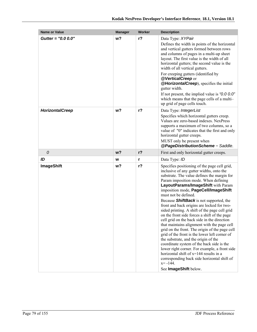| <b>Name or Value</b>   | <b>Manager</b> | Worker         | <b>Description</b>                                                                                                                                                                                                                                                                                                                                                                                                                                                                                                                                                                                                                                                                                                                                                                                                                                                                                                                                                |
|------------------------|----------------|----------------|-------------------------------------------------------------------------------------------------------------------------------------------------------------------------------------------------------------------------------------------------------------------------------------------------------------------------------------------------------------------------------------------------------------------------------------------------------------------------------------------------------------------------------------------------------------------------------------------------------------------------------------------------------------------------------------------------------------------------------------------------------------------------------------------------------------------------------------------------------------------------------------------------------------------------------------------------------------------|
| Gutter = "0.0 0.0"     | w?             | r <sub>2</sub> | Data Type: XYPair<br>Defines the width in points of the horizontal<br>and vertical gutters formed between rows<br>and columns of pages in a multi-up sheet<br>layout. The first value is the width of all<br>horizontal gutters; the second value is the<br>width of all vertical gutters.<br>For creeping gutters (identified by<br>@VerticalCreep or<br><b>@HorizontalCreep</b> ), specifies the initial<br>gutter width.<br>If not present, the implied value is " $0.00$ "<br>which means that the page cells of a multi-<br>up grid of page cells touch.                                                                                                                                                                                                                                                                                                                                                                                                     |
| <b>HorizontalCreep</b> | w?             | $r$ ?          | Data Type: IntegerList<br>Specifies which horizontal gutters creep.<br>Values are zero-based indexes. NexPress<br>supports a maximum of two columns, so a<br>value of "0" indicates that the first and only<br>horizontal gutter creeps.<br>MUST only be present when<br>@PageDistributionScheme = Saddle.                                                                                                                                                                                                                                                                                                                                                                                                                                                                                                                                                                                                                                                        |
| 0                      | w <sub>2</sub> | $r$ ?          | First and only horizontal gutter creeps.                                                                                                                                                                                                                                                                                                                                                                                                                                                                                                                                                                                                                                                                                                                                                                                                                                                                                                                          |
| ID                     | W              | r              | Data Type: ID                                                                                                                                                                                                                                                                                                                                                                                                                                                                                                                                                                                                                                                                                                                                                                                                                                                                                                                                                     |
| <b>ImageShift</b>      | w?             | $r$ ?          | Specifies positioning of the page cell grid,<br>inclusive of any gutter widths, onto the<br>substrate. The value defines the margin for<br>Param imposition mode. When defining<br>LayoutParams/ImageShift with Param<br>imposition mode, PageCell/ImageShift<br>must not be defined.<br>Because <b>ShiftBack</b> is not supported, the<br>front and back origins are locked for two-<br>sided printing. A shift of the page cell grid<br>on the front side forces a shift of the page<br>cell grid on the back side in the direction<br>that maintains alignment with the page cell<br>grid on the front. The origin of the page cell<br>grid of the front is the lower left corner of<br>the substrate, and the origin of the<br>coordinate system of the back side is the<br>lower right corner. For example, a front side<br>horizontal shift of $x=144$ results in a<br>corresponding back side horizontal shift of<br>$x = -144$ .<br>See ImageShift below. |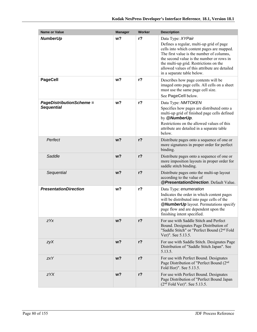| <b>Name or Value</b>                                 | <b>Manager</b> | Worker | <b>Description</b>                                                                                                                                                                                                                                                                                                             |
|------------------------------------------------------|----------------|--------|--------------------------------------------------------------------------------------------------------------------------------------------------------------------------------------------------------------------------------------------------------------------------------------------------------------------------------|
| <b>NumberUp</b>                                      | w?             | $r$ ?  | Data Type: XYPair<br>Defines a regular, multi-up grid of page<br>cells into which content pages are mapped.<br>The first value is the number of columns,<br>the second value is the number or rows in<br>the multi-up grid. Restrictions on the<br>allowed values of this attribute are detailed<br>in a separate table below. |
| <b>PageCell</b>                                      | w?             | $r$ ?  | Describes how page contents will be<br>imaged onto page cells. All cells on a sheet<br>must use the same page cell size.<br>See PageCell below.                                                                                                                                                                                |
| <b>PageDistributionScheme =</b><br><b>Sequential</b> | w?             | $r$ ?  | Data Type: NMTOKEN<br>Specifies how pages are distributed onto a<br>multi-up grid of finished page cells defined<br>by @NumberUp.<br>Restrictions on the allowed values of this<br>attribute are detailed in a separate table<br>below.                                                                                        |
| Perfect                                              | w <sub>2</sub> | $r$ ?  | Distribute pages onto a sequence of one or<br>more signatures in proper order for perfect<br>binding.                                                                                                                                                                                                                          |
| Saddle                                               | $w$ ?          | $r$ ?  | Distribute pages onto a sequence of one or<br>more imposition layouts in proper order for<br>saddle stitch binding.                                                                                                                                                                                                            |
| Sequential                                           | w <sub>2</sub> | $r$ ?  | Distribute pages onto the multi-up layout<br>according to the value of<br>@PresentationDirection. Default Value.                                                                                                                                                                                                               |
| <b>PresentationDirection</b>                         | w?             | $r$ ?  | Data Type: enumeration<br>Indicates the order in which content pages<br>will be distributed into page cells of the<br><b>@NumberUp</b> layout. Permutations specify<br>page flow and are dependent upon the<br>finishing intent specified.                                                                                     |
| zYx                                                  | w?             | $r$ ?  | For use with Saddle Stitch and Perfect<br>Bound. Designates Page Distribution of<br>"Saddle Stitch" or "Perfect Bound (2 <sup>nd</sup> Fold<br>Ver)". See 5.13.5.                                                                                                                                                              |
| zyX                                                  | w?             | $r$ ?  | For use with Saddle Stitch. Designates Page<br>Distribution of "Saddle Stitch Japan". See<br>5.13.5.                                                                                                                                                                                                                           |
| <b>zxY</b>                                           | $w$ ?          | $r$ ?  | For use with Perfect Bound. Designates<br>Page Distribution of "Perfect Bound (2 <sup>nd</sup><br>Fold Hor)". See 5.13.5.                                                                                                                                                                                                      |
| zYX                                                  | w?             | $r$ ?  | For use with Perfect Bound. Designates<br>Page Distribution of "Perfect Bound Japan<br>$(2nd$ Fold Ver)". See 5.13.5.                                                                                                                                                                                                          |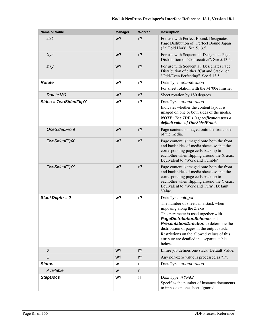| <b>Name or Value</b>    | <b>Manager</b> | Worker | <b>Description</b>                                                                                                                                                                                                                                                                                                                                                  |
|-------------------------|----------------|--------|---------------------------------------------------------------------------------------------------------------------------------------------------------------------------------------------------------------------------------------------------------------------------------------------------------------------------------------------------------------------|
| <b>zXY</b>              | w <sub>2</sub> | $r$ ?  | For use with Perfect Bound. Designates<br>Page Distibution of "Perfect Bound Japan<br>$(2nd$ Fold Hor)". See 5.13.5.                                                                                                                                                                                                                                                |
| Xyz                     | $w$ ?          | $r$ ?  | For use with Sequential. Designates Page<br>Distribution of "Consecutive". See 5.13.5.                                                                                                                                                                                                                                                                              |
| zXy                     | w <sub>2</sub> | $r$ ?  | For use with Sequential. Designates Page<br>Distribution of either "Cut and Stack" or<br>"Odd-Even Perfecting". See 5.13.5.                                                                                                                                                                                                                                         |
| <b>Rotate</b>           | w <sub>2</sub> | $r$ ?  | Data Type: enumeration<br>For sheet rotation with the M700e finisher                                                                                                                                                                                                                                                                                                |
| Rotate <sub>180</sub>   | w <sub>2</sub> | $r$ ?  | Sheet rotation by 180 degrees                                                                                                                                                                                                                                                                                                                                       |
| $Sides = TwoSidedFlipY$ | w <sub>2</sub> | $r$ ?  | Data Type: enumeration<br>Indicates whether the content layout is<br>imaged on one or both sides of the media.<br>NOTE: The JDF 1.3 specification uses a<br>default value of OneSidedFront.                                                                                                                                                                         |
| <b>OneSidedFront</b>    | w <sub>2</sub> | $r$ ?  | Page content is imaged onto the front side<br>of the media.                                                                                                                                                                                                                                                                                                         |
| <b>TwoSidedFlipX</b>    | $w$ ?          | $r$ ?  | Page content is imaged onto both the front<br>and back sides of media sheets so that the<br>corresponding page cells back up to<br>eachother when flipping around the X-axis.<br>Equivalent to "Work and Tumble".                                                                                                                                                   |
| <b>TwoSidedFlipY</b>    | w <sub>2</sub> | $r$ ?  | Page content is imaged onto both the front<br>and back sides of media sheets so that the<br>corresponding page cells back up to<br>eachother when flipping around the Y-axis.<br>Equivalent to "Work and Turn". Default<br>Value.                                                                                                                                   |
| StackDepth = $0$        | w?             | $r$ ?  | Data Type: integer<br>The number of sheets in a stack when<br>imposing along the Z axis.<br>This parameter is used together with<br>PageDistributionScheme and<br><b>PresentationDirection</b> to determine the<br>distribution of pages in the output stack.<br>Restrictions on the allowed values of this<br>attribute are detailed in a separate table<br>below. |
| 0                       | $w$ ?          | $r$ ?  | Entire job defines one stack. Default Value.                                                                                                                                                                                                                                                                                                                        |
| $\mathbf{1}$            | $w$ ?          | $r$ ?  | Any non-zero value is processed as "1".                                                                                                                                                                                                                                                                                                                             |
| <b>Status</b>           | W              | r      | Data Type: enumeration                                                                                                                                                                                                                                                                                                                                              |
| Available               | W              | r      |                                                                                                                                                                                                                                                                                                                                                                     |
| <b>StepDocs</b>         | w?             | !r     | Data Type: XYPair<br>Specifies the number of instance documents<br>to impose on one sheet. Ignored.                                                                                                                                                                                                                                                                 |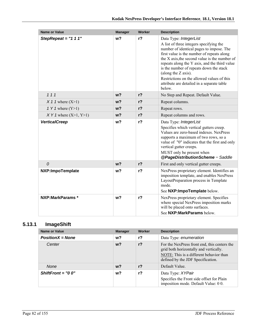| <b>Name or Value</b>      | <b>Manager</b> | Worker         | <b>Description</b>                                                                                                                                                                                                                                                                                                                                                                                                                    |
|---------------------------|----------------|----------------|---------------------------------------------------------------------------------------------------------------------------------------------------------------------------------------------------------------------------------------------------------------------------------------------------------------------------------------------------------------------------------------------------------------------------------------|
| StepRepeat = $"1 1 1"$    | w <sub>2</sub> | $r$ ?          | Data Type: IntegerList<br>A list of three integers specifying the<br>number of identical pages to impose. The<br>first value is the number of repeats along<br>the X axis, the second value is the number of<br>repeats along the Y axis, and the third value<br>is the number of repeats down the stack<br>(along the Z axis).<br>Restrictions on the allowed values of this<br>attribute are detailed in a separate table<br>below. |
| 111                       | w <sub>2</sub> | $r$ ?          | No Step and Repeat. Default Value.                                                                                                                                                                                                                                                                                                                                                                                                    |
| $X$ 1 1 where $(X>1)$     | w <sub>2</sub> | r <sub>2</sub> | Repeat columns.                                                                                                                                                                                                                                                                                                                                                                                                                       |
| 1 Y 1 where $(Y>1)$       | w <sub>2</sub> | r <sub>2</sub> | Repeat rows.                                                                                                                                                                                                                                                                                                                                                                                                                          |
| $XY 1$ where $(X>1, Y>1)$ | $w$ ?          | $r$ ?          | Repeat columns and rows.                                                                                                                                                                                                                                                                                                                                                                                                              |
| <b>VerticalCreep</b>      | w?             | r <sub>2</sub> | Data Type: IntegerList<br>Specifies which vertical gutters creep.<br>Values are zero-based indexes. NexPress<br>supports a maximum of two rows, so a<br>value of "0" indicates that the first and only<br>vertical gutter creeps.<br>MUST only be present when<br>@PageDistributionScheme = Saddle                                                                                                                                    |
| $\mathcal O$              | w <sub>2</sub> | $r$ ?          | First and only vertical gutter creeps.                                                                                                                                                                                                                                                                                                                                                                                                |
| NXP:ImpoTemplate          | w <sub>2</sub> | r <sub>2</sub> | NexPress proprietary element. Identifies an<br>imposition template, and enables NexPress<br>LayoutPreparation process in Template<br>mode.<br>See NXP: ImpoTemplate below.                                                                                                                                                                                                                                                            |
| NXP:MarkParams *          | w <sub>2</sub> | $r$ ?          | NexPress proprietary element. Specifies<br>where special NexPress imposition marks<br>will be placed onto surfaces.<br>See NXP: MarkParams below.                                                                                                                                                                                                                                                                                     |

### **5.13.1 ImageShift**

| <b>Name or Value</b> | <b>Manager</b> | Worker | <b>Description</b>                                                                                                                                                     |
|----------------------|----------------|--------|------------------------------------------------------------------------------------------------------------------------------------------------------------------------|
| $PositionX = None$   | w?             | r?     | Data Type: enumeration                                                                                                                                                 |
| Center               | $w$ ?          | $r$ ?  | For the NexPress front end, this centers the<br>grid both horizontally and vertically.<br>NOTE: This is a different behavior than<br>defined by the JDF Specification. |
| None                 | w?             | $r$ ?  | Default Value.                                                                                                                                                         |
| $ShiftFront = "0 0"$ | w?             | r?     | Data Type: XYPair<br>Specifies the Front side offset for Plain<br>imposition mode. Default Value: 00.                                                                  |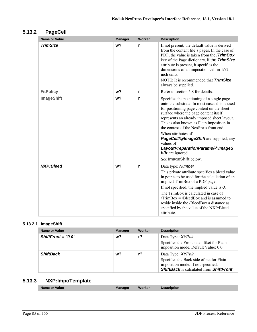### **5.13.2 PageCell**

| Name or Value     | <b>Manager</b> | Worker | <b>Description</b>                                                                                                                                                                                                                                                                                                                                                                                                                                                                            |
|-------------------|----------------|--------|-----------------------------------------------------------------------------------------------------------------------------------------------------------------------------------------------------------------------------------------------------------------------------------------------------------------------------------------------------------------------------------------------------------------------------------------------------------------------------------------------|
| <b>TrimSize</b>   | w <sub>2</sub> | r      | If not present, the default value is derived<br>from the content file's pages. In the case of<br>PDF, the value is taken from the / <b>TrimBox</b><br>key of the Page dictionary. If the TrimSize<br>attribute is present, it specifies the<br>dimensions of an imposition cell in 1/72<br>inch units.<br>NOTE: It is recommended that <b>TrimSize</b><br>always be supplied.                                                                                                                 |
| <b>FitPolicy</b>  | w <sub>2</sub> | r      | Refer to section 5.8 for details.                                                                                                                                                                                                                                                                                                                                                                                                                                                             |
| <b>ImageShift</b> | w <sub>2</sub> | r      | Specifies the positioning of a single page<br>onto the substrate. In most cases this is used<br>for positioning page content on the sheet<br>surface where the page content itself<br>represents an already imposed sheet layout.<br>This is also known as Plain imposition in<br>the context of the NexPress front end.<br>When attributes of<br>PageCell/@ImageShift are supplied, any<br>values of<br>LayoutPreparationParams/@ImageS<br><b>hift</b> are ignored.<br>See ImageShift below. |
| NXP:Bleed         | w <sub>2</sub> | r      | Data type: Number<br>This private attribute specifies a bleed value<br>in points to be used for the calculation of an<br>implicit TrimBox of a PDF page.<br>If not specified, the implied value is $O$ .<br>The TrimBox is calculated in case of<br>$TrimBox = /BleedBox$ and is assumed to<br>reside inside the /BleedBox a distance as<br>specified by the value of the NXP: Bleed<br>attribute.                                                                                            |

#### **5.13.2.1 ImageShift**

| Name or Value        | <b>Manager</b> | Worker | <b>Description</b>                                                                                                                                           |
|----------------------|----------------|--------|--------------------------------------------------------------------------------------------------------------------------------------------------------------|
| ShiftFront = $"0 0"$ | $w$ ?          | $r$ ?  | Data Type: XYPair<br>Specifies the Front side offset for Plain<br>imposition mode. Default Value: 00.                                                        |
| <b>ShiftBack</b>     | w?             | r?     | Data Type: XYPair<br>Specifies the Back side offset for Plain<br>imposition mode. If not specified,<br><b>ShiftBack</b> is calculated from <b>ShiftFront</b> |

### **5.13.3 NXP:ImpoTemplate**

| Name or Value | <b>Manager</b> | <b>Worker</b> | <b>Description</b> |  |
|---------------|----------------|---------------|--------------------|--|
|               |                |               |                    |  |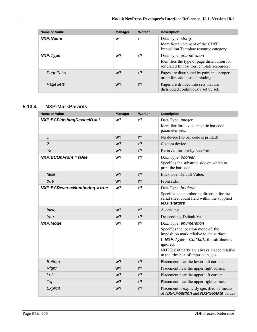| <b>Name or Value</b> | <b>Manager</b> | Worker | <b>Description</b>                                                                                                 |
|----------------------|----------------|--------|--------------------------------------------------------------------------------------------------------------------|
| NXP:Name             | W              | r      | Data Type: string<br>Identifies an element of the CDFE<br>Imposition Template resource category.                   |
| NXP:Type             | w?             | $r$ ?  | Data Type: enumeration<br>Identifies the type of page distribution for<br>reiterated ImpositionTemplate resources. |
| <b>PagePairs</b>     | $w$ ?          | $r$ ?  | Pages are distributed by pairs in a proper<br>order for saddle stitch binding.                                     |
| PageSets             | $w$ ?          | $r$ ?  | Pages are divided into sets that are<br>distributed continuously set by set.                                       |

### **5.13.4 NXP:MarkParams**

| <b>Name or Value</b>          | <b>Manager</b> | <b>Worker</b>  | <b>Description</b>                                                                                                                                                                                                                                    |
|-------------------------------|----------------|----------------|-------------------------------------------------------------------------------------------------------------------------------------------------------------------------------------------------------------------------------------------------------|
| NXP:BCFinishingDeviceID = 1   | w <sub>2</sub> | $r$ ?          | Data Type: integer<br>Identifier for device-specific bar code<br>parameter sets.                                                                                                                                                                      |
| $\mathbf{1}$                  | w <sub>2</sub> | $r$ ?          | No device (no bar code is printed)                                                                                                                                                                                                                    |
| $\overline{c}$                | w <sub>2</sub> | $r$ ?          | Custom device                                                                                                                                                                                                                                         |
| >2                            | $w$ ?          | r <sub>2</sub> | Reserved for use by NexPress                                                                                                                                                                                                                          |
| <b>NXP:BCOnFront = false</b>  | w <sub>2</sub> | $r$ ?          | Data Type: boolean<br>Specifies the substrate side on which to<br>print the bar code.                                                                                                                                                                 |
| false                         | w <sub>2</sub> | $r$ ?          | Back side. Default Value.                                                                                                                                                                                                                             |
| true                          | w <sub>2</sub> | $r$ ?          | Front side.                                                                                                                                                                                                                                           |
| NXP:BCReverseNumbering = true | w?             | $r$ ?          | Data Type: boolean<br>Specifies the numbering direction for the<br>serial sheet count field within the supplied<br>NXP:Pattern                                                                                                                        |
| false                         | $w$ ?          | $r$ ?          | Ascending                                                                                                                                                                                                                                             |
| true                          | w <sub>2</sub> | $r$ ?          | Descending. Default Value.                                                                                                                                                                                                                            |
| <b>NXP:Mode</b>               | w?             | $r$ ?          | Data Type: enumeration<br>Specifies the location mode of the<br>imposition mark relative to the surface.<br>If $NXP:Type = CutMark$ , this attribute is<br>ignored.<br>NOTE: Cutmarks are always placed relative<br>to the trim box of imposed pages. |
| <b>Bottom</b>                 | w <sub>2</sub> | $r$ ?          | Placement near the lower left corner.                                                                                                                                                                                                                 |
| <b>Right</b>                  | $w$ ?          | r <sub>2</sub> | Placement near the upper right corner.                                                                                                                                                                                                                |
| Left                          | $w$ ?          | r <sub>2</sub> | Placement near the upper left corner.                                                                                                                                                                                                                 |
| Top                           | w <sub>2</sub> | r <sub>2</sub> | Placement near the upper right corner.                                                                                                                                                                                                                |
| Explicit                      | w <sub>2</sub> | $r$ ?          | Placement is explicitly specified by means<br>of NXP: Position and NXP: Rotate values                                                                                                                                                                 |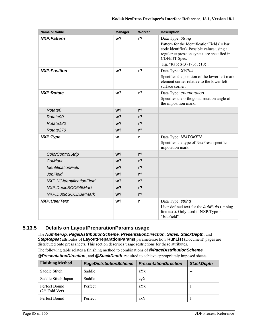| <b>Name or Value</b>       | <b>Manager</b> | Worker         | <b>Description</b>                                                                                                                                                                                           |
|----------------------------|----------------|----------------|--------------------------------------------------------------------------------------------------------------------------------------------------------------------------------------------------------------|
| <b>NXP:Pattern</b>         | w <sub>2</sub> | r <sub>2</sub> | Data Type: String<br>Pattern for the Identification Field $($ = bar<br>code identifier). Possible values using a<br>regular expression syntax are specified in<br>CDFE JT Spec.<br>e.g. "R{6}S{3}T{3}J{10}". |
| <b>NXP:Position</b>        | w <sub>2</sub> | $r$ ?          | Data Type: XYPair<br>Specifies the position of the lower left mark<br>element corner relative to the lower left<br>surface corner.                                                                           |
| <b>NXP:Rotate</b>          | w <sub>2</sub> | $r$ ?          | Data Type: enumeration<br>Specifies the orthogonal rotation angle of<br>the imposition mark.                                                                                                                 |
| Rotate0                    | w <sub>2</sub> | r <sub>2</sub> |                                                                                                                                                                                                              |
| Rotate90                   | w <sub>2</sub> | r <sub>2</sub> |                                                                                                                                                                                                              |
| Rotate <sub>180</sub>      | $w$ ?          | r <sub>2</sub> |                                                                                                                                                                                                              |
| Rotate270                  | w <sub>2</sub> | r <sub>2</sub> |                                                                                                                                                                                                              |
| NXP:Type                   | W              | r              | Data Type: NMTOKEN<br>Specifies the type of NexPress-specific<br>imposition mark.                                                                                                                            |
| <b>ColorControlStrip</b>   | w <sub>2</sub> | r <sub>2</sub> |                                                                                                                                                                                                              |
| <b>CutMark</b>             | w <sub>2</sub> | r <sub>2</sub> |                                                                                                                                                                                                              |
| <b>IdentificationField</b> | w <sub>2</sub> | $r$ ?          |                                                                                                                                                                                                              |
| <b>JobField</b>            | $w$ ?          | r <sub>2</sub> |                                                                                                                                                                                                              |
| NXP:NGIdentificationField  | $w$ ?          | r <sub>2</sub> |                                                                                                                                                                                                              |
| NXP:DuploSCC645Mark        | $w$ ?          | r <sub>2</sub> |                                                                                                                                                                                                              |
| NXP:DuploSCCDBMMark        | w <sub>2</sub> | $r$ ?          |                                                                                                                                                                                                              |
| <b>NXP:UserText</b>        | w <sub>2</sub> | r              | Data Type: string<br>User-defined text for the JobField $( =$ slug<br>line text). Only used if $NXP:Type =$<br>"JobField"                                                                                    |

#### **5.13.5 Details on LayoutPreparationParams usage**

The *NumberUp, PageDistributionScheme, PresentationDirection, Sides, StackDepth,* and *StepRepeat* attributes of **LayoutPreparationParams** parameterize how **RunList** (Document) pages are distributed onto press sheets. This section describes usage restrictions for these attributes.

The following table relates a finishing method to combinations of *@PageDistributionScheme,* 

|  | <b>@PresentationDirection</b> , and <b>@StackDepth</b> required to achieve appropriately imposed sheets. |
|--|----------------------------------------------------------------------------------------------------------|
|--|----------------------------------------------------------------------------------------------------------|

| <b>Finishing Method</b>           | <b>PageDistributionScheme</b> | <b>PresentationDirection</b> | <b>StackDepth</b> |
|-----------------------------------|-------------------------------|------------------------------|-------------------|
| Saddle Stitch                     | Saddle                        | zYx                          |                   |
| Saddle Stitch Japan               | Saddle                        | zyX                          |                   |
| Perfect Bound<br>$(2nd$ Fold Ver) | Perfect                       | zYx                          |                   |
| Perfect Bound                     | Perfect                       | zxY                          |                   |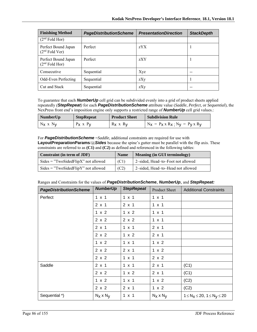| <b>Finishing Method</b>                 | <b>PageDistributionScheme</b> | <b>PresentationDirection</b> | <b>StackDepth</b> |
|-----------------------------------------|-------------------------------|------------------------------|-------------------|
| $(2nd$ Fold Hor)                        |                               |                              |                   |
| Perfect Bound Japan<br>$(2nd$ Fold Ver) | Perfect                       | zYX                          |                   |
| Perfect Bound Japan<br>$(2nd$ Fold Hor) | Perfect                       | zXY                          |                   |
| Consecutive                             | Sequential                    | Xyz                          |                   |
| <b>Odd-Even Perfecting</b>              | Sequential                    | zXy                          |                   |
| Cut and Stack                           | Sequential                    | zXy                          |                   |

To guarantee that each *NumberUp* cell grid can be subdivided evenly into a grid of product sheets applied repeatedly *(StepRepeat)* for each *PageDistributionScheme* attribute value (*Saddle*, *Perfect*, or *Sequential*), the NexPress front end's imposition engine only supports a restricted range of *NumberUp* cell grid values.:

| NumberUp      | <b>StepRepeat</b> | <b>Product Sheet</b> | <b>Subdivision Rule</b>                         |
|---------------|-------------------|----------------------|-------------------------------------------------|
| $N_X$ x $N_V$ | $P_X$ x $P_V$     | $R_X$ x $R_V$        | $N_X = P_X \times R_X$ ; $N_V = P_V \times R_V$ |

For **PageDistributionScheme** = Saddle, additional constraints are required for use with **LayoutPreparationParams**/@*Sides* because the spine's gutter must be parallel with the flip axis. These constraints are referred to as **(C1)** and **(C2)** as defined and referenced in the following tables:

| Constraint (in term of JDF)           | <b>Name</b> | <b>Meaning (in GUI terminology)</b> |
|---------------------------------------|-------------|-------------------------------------|
| $Sides = "TwoSidedFlipX"$ not allowed | (C1)        | 2-sided, Head-to-Foot not allowed   |
| $Sides = "TwoSidedFlipY"$ not allowed | (C2)        | 2-sided, Head-to-Head not allowed   |

|  | Ranges and Constraints for the values of PageDistributionScheme, NumberUp, and StepRepeat: |  |
|--|--------------------------------------------------------------------------------------------|--|
|--|--------------------------------------------------------------------------------------------|--|

| <b>PageDistributionScheme</b> | <b>NumberUp</b>  | <b>StepRepeat</b> | <b>Product Sheet</b> | <b>Additional Constraints</b>               |
|-------------------------------|------------------|-------------------|----------------------|---------------------------------------------|
| Perfect                       | $1 \times 1$     | $1 \times 1$      | $1 \times 1$         |                                             |
|                               | $2 \times 1$     | $2 \times 1$      | $1 \times 1$         |                                             |
|                               | 1 x 2            | 1 x 2             | $1 \times 1$         |                                             |
|                               | 2 x 2            | 2 x 2             | $1 \times 1$         |                                             |
|                               | $2 \times 1$     | $1 \times 1$      | $2 \times 1$         |                                             |
|                               | $2 \times 2$     | 1 x 2             | $2 \times 1$         |                                             |
|                               | $1 \times 2$     | $1 \times 1$      | 1 x 2                |                                             |
|                               | 2 x 2            | $2 \times 1$      | 1 x 2                |                                             |
|                               | 2 x 2            | $1 \times 1$      | 2 x 2                |                                             |
| Saddle                        | $2 \times 1$     | $1 \times 1$      | $2 \times 1$         | (C1)                                        |
|                               | $2 \times 2$     | 1 x 2             | $2 \times 1$         | (C1)                                        |
|                               | 1 x 2            | $1 \times 1$      | 1 x 2                | (C2)                                        |
|                               | 2 x 2            | $2 \times 1$      | 1 x 2                | (C2)                                        |
| Sequential *)                 | $N_X \times N_V$ | $1 \times 1$      | $N_X \times N_V$     | $1 \leq N_X \leq 20$ , $1 \leq N_V \leq 20$ |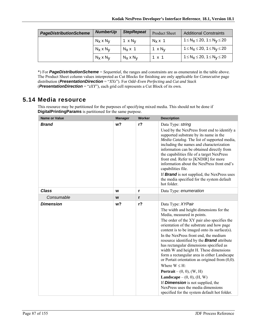| <b>PageDistributionScheme</b> | <b>NumberUp</b>  | <b>StepRepeat</b> | <b>Product Sheet</b>      | <b>Additional Constraints</b>           |
|-------------------------------|------------------|-------------------|---------------------------|-----------------------------------------|
|                               | $N_X \times N_V$ | $1 \times N_V$    | $N_x \times 1$            | $1 \le N_X \le 20$ , $1 \le N_V \le 20$ |
|                               | $N_X \times N_V$ | $N_X \times 1$    | 1 $\times$ N <sub>V</sub> | $1 \le N_X \le 20$ , $1 \le N_V \le 20$ |
|                               | $N_X \times N_V$ | $N_X \times N_V$  | $1 \times 1$              | $1 \le N_X \le 20$ , $1 \le N_V \le 20$ |

\*) For *PageDistributionScheme* = *Sequential*, the ranges and constraints are as enumerated in the table above. The Product Sheet column values interpreted as Cut Blocks for finishing are only applicable for *Consecutive* page distribution (*PresentationDirection* = "*XYz*"). For *Odd–Even Perfecting* and *Cut and Stack* (*PresentationDirection* = "*zXY*"), each grid cell represents a Cut Block of its own.

### **5.14 Media resource**

This resource may be partitioned for the purposes of specifying mixed media. This should not be done if **DigitalPrintingParams** is partitioned for the same purpose.

| <b>Name or Value</b> | <b>Manager</b> | Worker | <b>Description</b>                                                                                                                                                                                                                                                                                                                                                                                                                                                                                                                                                                                                                                                                                                                                                       |
|----------------------|----------------|--------|--------------------------------------------------------------------------------------------------------------------------------------------------------------------------------------------------------------------------------------------------------------------------------------------------------------------------------------------------------------------------------------------------------------------------------------------------------------------------------------------------------------------------------------------------------------------------------------------------------------------------------------------------------------------------------------------------------------------------------------------------------------------------|
| <b>Brand</b>         | w?             | $r$ ?  | Data Type: string<br>Used by the NexPress front end to identify a<br>supported substrate by its name in the<br>Media Catalog. The list of supported media,<br>including the names and characterization<br>information can be obtained directly from<br>the capabilities file of a target NexPress<br>front end. Refer to [KNDIR] for more<br>information about the NexPress front end's<br>capabilities file.<br>If <b>Brand</b> is not supplied, the NexPress uses<br>the media specified for the system default<br>hot folder.                                                                                                                                                                                                                                         |
| <b>Class</b>         | W              | r      | Data Type: enumeration                                                                                                                                                                                                                                                                                                                                                                                                                                                                                                                                                                                                                                                                                                                                                   |
| Consumable           | W              | r      |                                                                                                                                                                                                                                                                                                                                                                                                                                                                                                                                                                                                                                                                                                                                                                          |
| <b>Dimension</b>     | w <sub>2</sub> | $r$ ?  | Data Type: XYPair<br>The width and height dimensions for the<br>Media, measured in points.<br>The order of the XY pair also specifies the<br>orientation of the substrate and how page<br>content is to be imaged onto its surface(s).<br>In the NexPress front end, the medium<br>resource identified by the <b>Brand</b> attribute<br>has rectangular dimensions specified as<br>width W and height H. These dimensions<br>form a rectangular area in either Landscape<br>or Portait orientation as origined from $(0,0)$ .<br>Where $W \leq H$ :<br><b>Portrait</b> – $(0, 0)$ , $(W, H)$<br><b>Landscape</b> – $(0, 0)$ , $(H, W)$<br>If <b>Dimension</b> is not supplied, the<br>NexPress uses the media dimensions<br>specified for the system default hot folder. |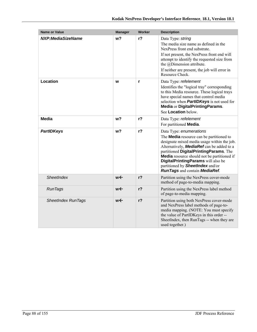| <b>Name or Value</b>      | <b>Manager</b> | Worker         | <b>Description</b>                                                                                                                                                                                                                                                                                                                                                                                     |
|---------------------------|----------------|----------------|--------------------------------------------------------------------------------------------------------------------------------------------------------------------------------------------------------------------------------------------------------------------------------------------------------------------------------------------------------------------------------------------------------|
| NXP:MediaSizeName         | w <sub>2</sub> | r <sub>2</sub> | Data Type: string<br>The media size name as defined in the<br>NexPress front end substrate.<br>If not present, the NexPress front end will<br>attempt to identify the requested size from<br>the @Dimension attribute.<br>If neither are present, the job will error in<br>Resource Check.                                                                                                             |
| Location                  | W              | r              | Data Type: refelement<br>Identifies the "logical tray" corresponding<br>to this Media resource. These logical trays<br>have special names that control media<br>selection when <b>PartIDKeys</b> is not used for<br>Media or DigitalPrintingParams.<br>See Location below.                                                                                                                             |
| <b>Media</b>              | w <sub>2</sub> | $r$ ?          | Data Type: refelement<br>For partitioned <b>Media</b> .                                                                                                                                                                                                                                                                                                                                                |
| <b>PartIDKeys</b>         | w?             | r <sub>2</sub> | Data Type: enumerations<br>The <b>Media</b> resource can be partitioned to<br>designate mixed media usage within the job.<br>Alternatively, <b>MediaRef</b> can be added to a<br>partitioned DigitalPrintingParams. The<br><b>Media</b> resource should not be partitioned if<br>DigitalPrintingParams will also be<br>partitioned by <b>SheetIndex</b> and/or<br><b>RunTags and contain MediaRef.</b> |
| SheetIndex                | $w \leftarrow$ | $r$ ?          | Partition using the NexPress cover-mode<br>method of page-to-media mapping.                                                                                                                                                                                                                                                                                                                            |
| <b>RunTags</b>            | w←             | r <sub>2</sub> | Partition using the NexPress label method<br>of page-to-media mapping.                                                                                                                                                                                                                                                                                                                                 |
| <b>SheetIndex RunTags</b> | w←             | r <sub>2</sub> | Partition using both NexPress cover-mode<br>and NexPress label methods of page-to-<br>media mapping. (NOTE: You must specify<br>the value of PartIDKeys in this order --<br>SheetIndex, then RunTags -- when they are<br>used together.)                                                                                                                                                               |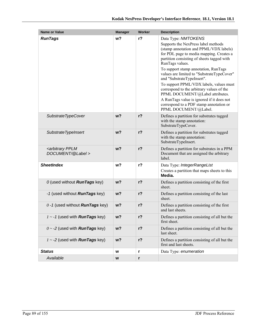| <b>Name or Value</b>                                   | <b>Manager</b> | Worker       | <b>Description</b>                                                                                                                                                                                                                                                                                                                                                                                                                                                                                                                                                                 |
|--------------------------------------------------------|----------------|--------------|------------------------------------------------------------------------------------------------------------------------------------------------------------------------------------------------------------------------------------------------------------------------------------------------------------------------------------------------------------------------------------------------------------------------------------------------------------------------------------------------------------------------------------------------------------------------------------|
| <b>RunTags</b>                                         | w <sup>2</sup> | $r$ ?        | Data Type: NMTOKENS<br>Supports the NexPress label methods<br>(stamp annotation and PPML/VDX labels)<br>for PDL page to media mapping. Creates a<br>partition consisting of sheets tagged with<br>RunTags values.<br>To support stamp annotation, RunTags<br>values are limited to "SubstrateTypeCover"<br>and "SubstrateTypeInsert".<br>To support PPML/VDX labels, values must<br>correspond to the arbitrary values of the<br>PPML DOCUMENT/@Label attributes.<br>A RunTags value is ignored if it does not<br>correspond to a PDF stamp annotation or<br>PPML DOCUMENT/@Label. |
| SubstrateTypeCover                                     | w <sub>2</sub> | $r$ ?        | Defines a partition for substrates tagged<br>with the stamp annotation:<br>SubstrateTypeCover.                                                                                                                                                                                                                                                                                                                                                                                                                                                                                     |
| Substrate TypeInsert                                   | $w$ ?          | $r$ ?        | Defines a partition for substrates tagged<br>with the stamp annotation:<br>SubstrateTypeInsert.                                                                                                                                                                                                                                                                                                                                                                                                                                                                                    |
| <arbitrary pplm<br="">DOCUMENT/@Label &gt;</arbitrary> | $w$ ?          | $r$ ?        | Defines a partition for substrates in a PPM<br>Document that are assigned the arbitrary<br>label.                                                                                                                                                                                                                                                                                                                                                                                                                                                                                  |
| <b>SheetIndex</b>                                      | w?             | $r$ ?        | Data Type: IntegerRangeList<br>Creates a partition that maps sheets to this<br>Media.                                                                                                                                                                                                                                                                                                                                                                                                                                                                                              |
| 0 (used without <b>RunTags</b> key)                    | $w$ ?          | $r$ ?        | Defines a partition consisting of the first<br>sheet.                                                                                                                                                                                                                                                                                                                                                                                                                                                                                                                              |
| -1 (used without <b>RunTags</b> key)                   | $w$ ?          | $r$ ?        | Defines a partition consisting of the last<br>sheet.                                                                                                                                                                                                                                                                                                                                                                                                                                                                                                                               |
| $0 - 1$ (used without <b>RunTags</b> key)              | $w$ ?          | $r$ ?        | Defines a partition consisting of the first<br>and last sheets.                                                                                                                                                                                                                                                                                                                                                                                                                                                                                                                    |
| $1 - 1$ (used with <b>RunTags</b> key)                 | w?             | $r$ ?        | Defines a partition consisting of all but the<br>first sheet.                                                                                                                                                                                                                                                                                                                                                                                                                                                                                                                      |
| $0 \sim -2$ (used with <b>RunTags</b> key)             | w <sub>2</sub> | $r$ ?        | Defines a partition consisting of all but the<br>last sheet.                                                                                                                                                                                                                                                                                                                                                                                                                                                                                                                       |
| $1 - 2$ (used with <b>RunTags</b> key)                 | $w$ ?          | $r$ ?        | Defines a partition consisting of all but the<br>first and last sheets.                                                                                                                                                                                                                                                                                                                                                                                                                                                                                                            |
| <b>Status</b>                                          | W              | $\mathbf{r}$ | Data Type: enumeration                                                                                                                                                                                                                                                                                                                                                                                                                                                                                                                                                             |
| Available                                              | W              | r            |                                                                                                                                                                                                                                                                                                                                                                                                                                                                                                                                                                                    |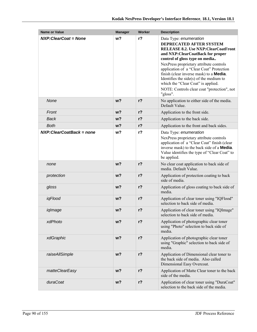| Name or Value               | <b>Manager</b> | Worker         | <b>Description</b>                                                                                                                                                                                                                                                                                                                                                                                                                                               |
|-----------------------------|----------------|----------------|------------------------------------------------------------------------------------------------------------------------------------------------------------------------------------------------------------------------------------------------------------------------------------------------------------------------------------------------------------------------------------------------------------------------------------------------------------------|
| NXP: Clear Coat = None      | w?             | r <sub>2</sub> | Data Type: enumeration<br>DEPRECATED AFTER SYSTEM<br><b>RELEASE 8.2. Use NXP: Clear CoatFront</b><br>and NXP:ClearCoatBack for proper<br>control of gloss type on media<br>NexPress proprietary attribute controls<br>application of a "Clear Coat" Protection<br>finish (clear inverse mask) to a <b>Media</b> .<br>Identifies the side $(s)$ of the medium to<br>which the "Clear Coat" is applied.<br>NOTE: Controls clear coat "protection", not<br>"gloss". |
| None                        | w?             | $r$ ?          | No application to either side of the media.<br>Default Value.                                                                                                                                                                                                                                                                                                                                                                                                    |
| Front                       | $w$ ?          | $r$ ?          | Application to the front side.                                                                                                                                                                                                                                                                                                                                                                                                                                   |
| <b>Back</b>                 | $w$ ?          | $r$ ?          | Application to the back side.                                                                                                                                                                                                                                                                                                                                                                                                                                    |
| <b>Both</b>                 | w <sup>2</sup> | $r$ ?          | Application to the front and back sides.                                                                                                                                                                                                                                                                                                                                                                                                                         |
| NXP: Clear Coat Back = none | w?             | $r$ ?          | Data Type: enumeration<br>NexPress proprietary attribute controls<br>application of a "Clear Coat" finish (clear<br>inverse mask) to the back side of a <b>Media</b> .<br>Value identifies the type of "Clear Coat" to<br>be applied.                                                                                                                                                                                                                            |
| none                        | w <sub>2</sub> | $r$ ?          | No clear coat application to back side of<br>media. Default Value.                                                                                                                                                                                                                                                                                                                                                                                               |
| protection                  | w?             | $r$ ?          | Application of protection coating to back<br>side of media.                                                                                                                                                                                                                                                                                                                                                                                                      |
| gloss                       | w <sub>2</sub> | $r$ ?          | Application of gloss coating to back side of<br>media.                                                                                                                                                                                                                                                                                                                                                                                                           |
| iqFlood                     | $w$ ?          | $r$ ?          | Application of clear toner using "IQFlood"<br>selection to back side of media.                                                                                                                                                                                                                                                                                                                                                                                   |
| iqImage                     | w?             | $r$ ?          | Application of clear toner using "IQImage"<br>selection to back side of media.                                                                                                                                                                                                                                                                                                                                                                                   |
| xdPhoto                     | w?             | $r$ ?          | Application of photographic clear toner<br>using "Photo" selection to back side of<br>media.                                                                                                                                                                                                                                                                                                                                                                     |
| xdGraphic                   | $w$ ?          | $r$ ?          | Application of photographic clear toner<br>using "Graphic" selection to back side of<br>media.                                                                                                                                                                                                                                                                                                                                                                   |
| raiseAllSimple              | w?             | $r$ ?          | Application of Dimensional clear toner to<br>the back side of media. Also called<br>Dimensional Easy Overcoat.                                                                                                                                                                                                                                                                                                                                                   |
| matteClearEasy              | $w$ ?          | $r$ ?          | Application of Matte Clear toner to the back<br>side of the media.                                                                                                                                                                                                                                                                                                                                                                                               |
| duraCoat                    | w?             | r <sub>2</sub> | Application of clear toner using "DuraCoat"<br>selection to the back side of the media.                                                                                                                                                                                                                                                                                                                                                                          |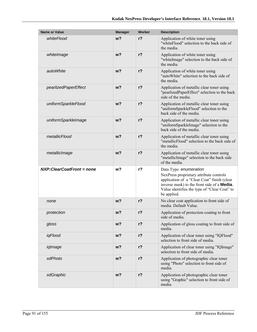| <b>Name or Value</b>        | <b>Manager</b> | <b>Worker</b> | <b>Description</b>                                                                                                                                                                                                                     |
|-----------------------------|----------------|---------------|----------------------------------------------------------------------------------------------------------------------------------------------------------------------------------------------------------------------------------------|
| whiteFlood                  | w <sub>2</sub> | $r$ ?         | Application of white toner using<br>"whiteFlood" selection to the back side of<br>the media.                                                                                                                                           |
| whitelmage                  | w <sub>2</sub> | $r$ ?         | Application of white toner using<br>"whiteImage" selection to the back side of<br>the media.                                                                                                                                           |
| autoWhite                   | w <sub>2</sub> | $r$ ?         | Application of white toner using<br>"autoWhite" selection to the back side of<br>the media.                                                                                                                                            |
| pearlizedPaperEffect        | $w$ ?          | $r$ ?         | Application of metallic clear toner using<br>"pearlizedPaperEffect" selection to the back<br>side of the media.                                                                                                                        |
| uniformSparkleFlood         | w <sub>2</sub> | $r$ ?         | Application of metallic clear toner using<br>"uniformSparkleFlood" selection to the<br>back side of the media.                                                                                                                         |
| uniformSparkleImage         | $w$ ?          | $r$ ?         | Application of metallic clear toner using<br>"uniformSparkleImage" selection to the<br>back side of the media.                                                                                                                         |
| metallicFlood               | w <sub>2</sub> | $r$ ?         | Application of metallic clear toner using<br>"metallicFlood" selection to the back side of<br>the media.                                                                                                                               |
| metallicImage               | w <sub>2</sub> | $r$ ?         | Application of metallic clear toner using<br>"metallicImage" selection to the back side<br>of the media.                                                                                                                               |
| $NXP:ClearCoatFront = none$ | w <sub>2</sub> | $r$ ?         | Data Type: enumeration<br>NexPress proprietary attribute controls<br>application of a "Clear Coat" finish (clear<br>inverse mask) to the front side of a <b>Media</b> .<br>Value identifies the type of "Clear Coat" to<br>be applied. |
| none                        | w <sub>2</sub> | $r$ ?         | No clear coat application to front side of<br>media. Default Value.                                                                                                                                                                    |
| protection                  | w?             | $r$ ?         | Application of protection coating to front<br>side of media.                                                                                                                                                                           |
| gloss                       | $w$ ?          | $r$ ?         | Application of gloss coating to front side of<br>media.                                                                                                                                                                                |
| iqFlood                     | w?             | $r$ ?         | Application of clear toner using "IQFlood"<br>selection to front side of media.                                                                                                                                                        |
| iglmage                     | w?             | $r$ ?         | Application of clear toner using "IQImage"<br>selection to front side of media.                                                                                                                                                        |
| xdPhoto                     | $w$ ?          | $r$ ?         | Application of photographic clear toner<br>using "Photo" selection to front side of<br>media.                                                                                                                                          |
| xdGraphic                   | w <sub>2</sub> | $r$ ?         | Application of photographic clear toner<br>using "Graphic" selection to front side of<br>media.                                                                                                                                        |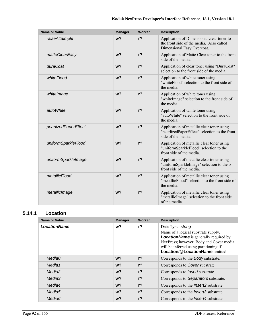| <b>Name or Value</b> | <b>Manager</b> | Worker         | <b>Description</b>                                                                                                 |
|----------------------|----------------|----------------|--------------------------------------------------------------------------------------------------------------------|
| raiseAllSimple       | w <sub>2</sub> | r <sub>2</sub> | Application of Dimensional clear toner to<br>the front side of the media Also called<br>Dimensional Easy Overcoat. |
| matteClearEasy       | w <sub>2</sub> | $r$ ?          | Application of Matte Clear toner to the front<br>side of the media.                                                |
| duraCoat             | w <sub>2</sub> | $r$ ?          | Application of clear toner using "DuraCoat"<br>selection to the front side of the media.                           |
| whiteFlood           | w <sub>2</sub> | $r$ ?          | Application of white toner using<br>"whiteFlood" selection to the front side of<br>the media                       |
| whitelmage           | w <sub>2</sub> | r <sub>2</sub> | Application of white toner using<br>"whiteImage" selection to the front side of<br>the media                       |
| autoWhite            | w <sub>2</sub> | $r$ ?          | Application of white toner using<br>"autoWhite" selection to the front side of<br>the media.                       |
| pearlizedPaperEffect | w <sub>2</sub> | $r$ ?          | Application of metallic clear toner using<br>"pearlizedPaperEffect" selection to the front<br>side of the media.   |
| uniformSparkleFlood  | w <sub>2</sub> | $r$ ?          | Application of metallic clear toner using<br>"uniformSparkleFlood" selection to the<br>front side of the media.    |
| uniformSparkleImage  | w <sub>2</sub> | r <sub>2</sub> | Application of metallic clear toner using<br>"uniformSparkleImage" selection to the b<br>front side of the media.  |
| metallicFlood        | w <sub>2</sub> | $r$ ?          | Application of metallic clear toner using<br>"metallicFlood" selection to the front side of<br>the media.          |
| metallicImage        | w <sub>2</sub> | r <sub>2</sub> | Application of metallic clear toner using<br>"metallicImage" selection to the front side<br>of the media.          |

### **5.14.1 Location**

| Name or Value       | <b>Manager</b> | Worker         | <b>Description</b>                                                                                                                                                                                                               |
|---------------------|----------------|----------------|----------------------------------------------------------------------------------------------------------------------------------------------------------------------------------------------------------------------------------|
| <b>LocationName</b> | w?             | r <sub>2</sub> | Data Type: string<br>Name of a logical substrate supply.<br><b>LocationName</b> is generally required by<br>NexPress; however, Body and Cover media<br>will be inferred using partitioning if<br>Location/@LocationName omitted. |
| MediaO              | w?             | r <sub>2</sub> | Corresponds to the Body substrate.                                                                                                                                                                                               |
| Media1              | $w$ ?          | r <sub>2</sub> | Corresponds to Cover substrate.                                                                                                                                                                                                  |
| Media2              | $w$ ?          | r <sub>2</sub> | Corresponds to <i>Insert</i> substrate.                                                                                                                                                                                          |
| Media3              | $w$ ?          | r <sub>2</sub> | Corresponds to Separators substrate.                                                                                                                                                                                             |
| Media4              | w?             | r <sub>2</sub> | Corresponds to the <i>Insert2</i> substrate.                                                                                                                                                                                     |
| Media <sub>5</sub>  | w?             | $r$ ?          | Corresponds to the <i>Insert3</i> substrate.                                                                                                                                                                                     |
| Media <sub>6</sub>  | w?             | $r$ ?          | Corresponds to the <i>Insert4</i> substrate.                                                                                                                                                                                     |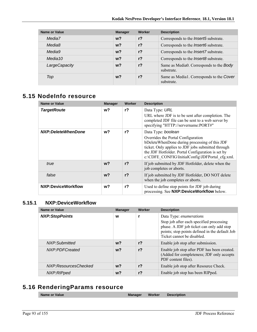| Name or Value | <b>Manager</b> | Worker         | <b>Description</b>                                     |
|---------------|----------------|----------------|--------------------------------------------------------|
| Media7        | w <sub>2</sub> | r <sub>2</sub> | Corresponds to the <i>Insert5</i> substrate.           |
| Media8        | $w$ ?          | r <sub>2</sub> | Corresponds to the <i>Insert6</i> substrate.           |
| Media9        | w <sub>2</sub> | r <sub>2</sub> | Corresponds to the <i>Insert7</i> substrate.           |
| Media 10      | $w$ ?          | r <sub>2</sub> | Corresponds to the <i>Insert8</i> substrate.           |
| LargeCapacity | w <sup>2</sup> | r <sub>2</sub> | Same as Media0. Corresponds to the Body<br>substrate.  |
| Top           | $w$ ?          | r <sub>2</sub> | Same as Media1. Corresponds to the Cover<br>substrate. |

# **5.15 NodeInfo resource**

| <b>Name or Value</b> | <b>Manager</b> | Worker         | <b>Description</b>                                                                                                                             |
|----------------------|----------------|----------------|------------------------------------------------------------------------------------------------------------------------------------------------|
| <b>TargetRoute</b>   | w?             | $r$ ?          | Data Type: URL                                                                                                                                 |
|                      |                |                | URL where JDF is to be sent after completion. The<br>completed JDF file can be sent to a web server by<br>specifying "HTTP://servername:PORT#" |
| NXP:DeleteWhenDone   | w?             | $r$ ?          | Data Type: boolean                                                                                                                             |
|                      |                |                | Overrides the Portal Configuration                                                                                                             |
|                      |                |                | bDeleteWhenDone during processing of this JDF                                                                                                  |
|                      |                |                | ticket. Only applies to JDF jobs submitted through<br>the JDF Hotfolder. Portal Configuration is set by                                        |
|                      |                |                | c:\CDFE_CONFIG\InitialConfig\JDFPortal_cfg.xml.                                                                                                |
| true                 | $w$ ?          | r <sub>2</sub> | If job submitted by JDF Hotfolder, delete when the<br>job completes or aborts.                                                                 |
| false                | w <sub>2</sub> | $r$ ?          | If job submitted by JDF Hotfolder, DO NOT delete<br>when the job completes or aborts.                                                          |
|                      |                |                |                                                                                                                                                |
| NXP:DeviceWorkflow   | w?             | $r$ ?          | Used to define stop points for JDF job during<br>processing. See NXP:DeviceWorkflow below.                                                     |

#### **5.15.1 NXP:DeviceWorkflow**

| <b>Name or Value</b>  | <b>Manager</b> | Worker         | <b>Description</b>                                                                                                                                                                               |
|-----------------------|----------------|----------------|--------------------------------------------------------------------------------------------------------------------------------------------------------------------------------------------------|
| <b>NXP:StopPoints</b> | W              |                | Data Type: enumerations<br>Stop job after each specified processing<br>phase. A JDF job ticket can only add stop<br>points; stop points defined in the default Job<br>Ticket cannot be disabled. |
| NXP:Submitted         | $w$ ?          | r <sub>2</sub> | Enable job stop after submission.                                                                                                                                                                |
| NXP:PDFCreated        | $w$ ?          | r <sub>2</sub> | Enable job stop after PDF has been created.<br>(Added for completeness; JDF only accepts<br>PDF content files).                                                                                  |
| NXP:ResourcesChecked  | $w$ ?          | r <sub>2</sub> | Enable job stop after Resource Check.                                                                                                                                                            |
| NXP:RIPped            | w?             | $r$ ?          | Enable job stop has been RIPped.                                                                                                                                                                 |

# **5.16 RenderingParams resource**

| <b>Name or Value</b> | Manager | Worker | <b>Description</b> |
|----------------------|---------|--------|--------------------|
|                      |         |        |                    |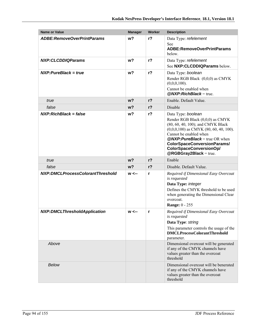| <b>Name or Value</b>                | <b>Manager</b> | Worker         | <b>Description</b>                                                                                                                                                                                                                                                                                     |
|-------------------------------------|----------------|----------------|--------------------------------------------------------------------------------------------------------------------------------------------------------------------------------------------------------------------------------------------------------------------------------------------------------|
| <b>ADBE:RemoveOverPrintParams</b>   | w?             | $r$ ?          | Data Type: refelement<br>See<br>ADBE:RemoveOverPrintParams<br>below.                                                                                                                                                                                                                                   |
| <b>NXP:CLCDDIQParams</b>            | w <sub>2</sub> | r <sub>2</sub> | Data Type: refelement<br>See NXP:CLCDDIQParams below.                                                                                                                                                                                                                                                  |
| $NXP: PureBlack = true$             | w <sub>2</sub> | r <sub>2</sub> | Data Type: boolean<br>Render RGB Black (0,0,0) as CMYK<br>$(0,0,0,100)$ .<br>Cannot be enabled when<br>$@NXP:RichBlack = true.$                                                                                                                                                                        |
| true                                | w <sub>2</sub> | r <sub>2</sub> | Enable. Default Value.                                                                                                                                                                                                                                                                                 |
| false                               | w <sub>2</sub> | r <sub>2</sub> | Disable                                                                                                                                                                                                                                                                                                |
| $NXP: RichBlack = false$            | w?             | $r$ ?          | Data Type: boolean<br>Render RGB Black (0,0,0) as CMYK<br>(80, 60, 40, 100); and CMYK Black<br>$(0,0,0,100)$ as CMYK $(80, 60, 40, 100)$ .<br>Cannot be enabled when<br>$@NXP: Pure Black = true OR when$<br><b>ColorSpaceConversionParams/</b><br>ColorSpaceConversionOp/<br>$@RGBGray2Black = true.$ |
| true                                | w <sub>2</sub> | r <sub>2</sub> | Enable                                                                                                                                                                                                                                                                                                 |
| false                               | w <sub>2</sub> | r <sub>2</sub> | Disable. Default Value.                                                                                                                                                                                                                                                                                |
| NXP:DMCLProcessColorantThreshold    | $w \leftarrow$ | r              | Required if Dimensional Easy Overcoat<br>is requested<br>Data Type: integer<br>Defines the CMYK threshold to be used<br>when generating the Dimensional Clear<br>overcoat.<br><b>Range: 0 - 255</b>                                                                                                    |
| <b>NXP:DMCLThresholdApplication</b> | $w \leftarrow$ | r              | Required if Dimensional Easy Overcoat<br>is requested<br>Data Type: string<br>This parameter controls the usage of the<br><b>DMCLProcessColorantThreshold</b><br>parameter.                                                                                                                            |
| Above                               |                |                | Dimensional overcoat will be generated<br>if any of the CMYK channels have<br>values greater than the overcoat<br>threshold                                                                                                                                                                            |
| <b>Below</b>                        |                |                | Dimensional overcoat will be benerated<br>if any of the CMYK channels have<br>values greater than the overcoat<br>threshold                                                                                                                                                                            |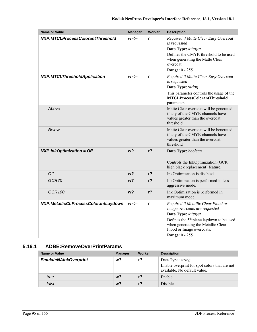| <b>Name or Value</b>                 | <b>Manager</b> | <b>Worker</b>  | <b>Description</b>                                                                                                                                                                                                                             |
|--------------------------------------|----------------|----------------|------------------------------------------------------------------------------------------------------------------------------------------------------------------------------------------------------------------------------------------------|
| NXP:MTCLProcessColorantThreshold     | $w \leftarrow$ | r              | Required if Matte Clear Easy Overcoat<br>is requested<br>Data Type: integer<br>Defines the CMYK threshold to be used<br>when generating the Matte Clear<br>overcoat.<br><b>Range: 0 - 255</b>                                                  |
| <b>NXP:MTCLThresholdApplication</b>  | $w \leftarrow$ | $\mathbf{r}$   | Required if Matte Clear Easy Overcoat<br>is requested<br>Data Type: string                                                                                                                                                                     |
|                                      |                |                | This parameter controls the usage of the<br><b>MTCLProcessColorantThreshold</b><br>parameter.                                                                                                                                                  |
| Above                                |                |                | Matte Clear overcoat will be generated<br>if any of the CMYK channels have<br>values greater than the overcoat<br>threshold                                                                                                                    |
| <b>Below</b>                         |                |                | Matte Clear overcoat will be benerated<br>if any of the CMYK channels have<br>values greater than the overcoat<br>threshold                                                                                                                    |
| $NXP: InkOptimization = Off$         | $w$ ?          | r <sub>2</sub> | Data Type: boolean<br>Controls the InkOptimization (GCR<br>high black replacement) feature.                                                                                                                                                    |
| Off                                  | w <sub>2</sub> | r <sub>2</sub> | InkOptimization is disabled                                                                                                                                                                                                                    |
| GCR70                                | w?             | $r$ ?          | InkOptimization is performed in less<br>aggressive mode.                                                                                                                                                                                       |
| GCR100                               | $w$ ?          | r <sub>2</sub> | Ink Optimization is performed in<br>maximum mode.                                                                                                                                                                                              |
| NXP:MetallicCLProcessColorantLaydown | $w \leftarrow$ | $\mathbf{r}$   | Required if Metallic Clear Flood or<br>Image overcoats are requested<br>Data Type: integer<br>Defines the 5 <sup>th</sup> plane laydown to be used<br>when generating the Metallic Clear<br>Flood or Image overcoats.<br><b>Range: 0 - 255</b> |

### **5.16.1 ADBE:RemoveOverPrintParams**

| Name or Value                | <b>Manager</b> | Worker         | <b>Description</b>                                                                                        |
|------------------------------|----------------|----------------|-----------------------------------------------------------------------------------------------------------|
| <b>EmulateNAInkOverprint</b> | w?             | r?             | Data Type: <i>string</i><br>Enable overprint for spot colors that are not<br>available. No default value. |
| true                         | w <sub>2</sub> | r <sub>2</sub> | Enable                                                                                                    |
| false                        | w?             | $r$ ?          | <b>Disable</b>                                                                                            |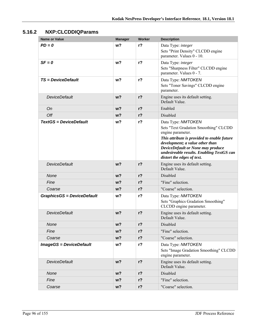### **5.16.2 NXP:CLCDDIQParams**

| <b>Name or Value</b>              | <b>Manager</b> | <b>Worker</b>  | <b>Description</b>                                                                                                                                                                                                                                                                 |
|-----------------------------------|----------------|----------------|------------------------------------------------------------------------------------------------------------------------------------------------------------------------------------------------------------------------------------------------------------------------------------|
| $PD = 0$                          | w <sub>2</sub> | $r$ ?          | Data Type: integer<br>Sets "Print Density" CLCDD engine<br>parameter. Values 0 - 10.                                                                                                                                                                                               |
| $SF = 0$                          | w?             | $r$ ?          | Data Type: integer<br>Sets "Sharpness Filter" CLCDD engine<br>parameter. Values 0 - 7.                                                                                                                                                                                             |
| <b>TS</b> = DeviceDefault         | w <sub>2</sub> | $r$ ?          | Data Type: NMTOKEN<br>Sets "Toner Savings" CLCDD engine<br>parameter.                                                                                                                                                                                                              |
| <b>DeviceDefault</b>              | $w$ ?          | $r$ ?          | Engine uses its default setting.<br>Default Value.                                                                                                                                                                                                                                 |
| On                                | $w$ ?          | $r$ ?          | Enabled                                                                                                                                                                                                                                                                            |
| Off                               | $w$ ?          | $r$ ?          | Disabled                                                                                                                                                                                                                                                                           |
| <b>TextGS = DeviceDefault</b>     | w?             | $r$ ?          | Data Type: NMTOKEN<br>Sets "Text Gradation Smoothing" CLCDD<br>engine parameter.<br>This attribute is provided to enable future<br>development; a value other than<br>DeviceDefault or None may produce<br>undesireable results. Enabling TextGS can<br>distort the edges of text. |
| <b>DeviceDefault</b>              | w <sub>2</sub> | $r$ ?          | Engine uses its default setting.<br>Default Value.                                                                                                                                                                                                                                 |
| None                              | $w$ ?          | $r$ ?          | Disabled                                                                                                                                                                                                                                                                           |
| Fine                              | $w$ ?          | r <sub>2</sub> | "Fine" selection.                                                                                                                                                                                                                                                                  |
| Coarse                            | $w$ ?          | $r$ ?          | "Coarse" selection.                                                                                                                                                                                                                                                                |
| <b>GraphicsGS = DeviceDefault</b> | w?             | r?             | Data Type: NMTOKEN<br>Sets "Graphics Gradation Smoothing"<br>CLCDD engine parameter.                                                                                                                                                                                               |
| <b>DeviceDefault</b>              | $w$ ?          | $r$ ?          | Engine uses its default setting.<br>Default Value.                                                                                                                                                                                                                                 |
| None                              | w?             | $r$ ?          | Disabled                                                                                                                                                                                                                                                                           |
| Fine                              | w?             | $r$ ?          | "Fine" selection.                                                                                                                                                                                                                                                                  |
| Coarse                            | w?             | $r$ ?          | "Coarse" selection.                                                                                                                                                                                                                                                                |
| <b>ImageGS = DeviceDefault</b>    | w?             | r <sub>2</sub> | Data Type: NMTOKEN<br>Sets "Image Gradation Smoothing" CLCDD<br>engine parameter.                                                                                                                                                                                                  |
| <b>DeviceDefault</b>              | $w$ ?          | $r$ ?          | Engine uses its default setting.<br>Default Value.                                                                                                                                                                                                                                 |
| None                              | w?             | $r$ ?          | Disabled                                                                                                                                                                                                                                                                           |
| Fine                              | w?             | $r$ ?          | "Fine" selection.                                                                                                                                                                                                                                                                  |
| Coarse                            | $w$ ?          | $r$ ?          | "Coarse" selection.                                                                                                                                                                                                                                                                |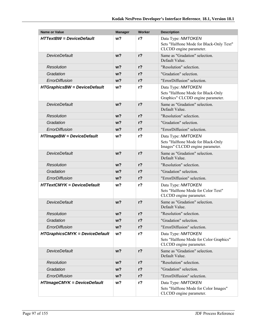| <b>Name or Value</b>                  | <b>Manager</b> | Worker         | <b>Description</b>                                                                            |
|---------------------------------------|----------------|----------------|-----------------------------------------------------------------------------------------------|
| <b>HTTextBW</b> = DeviceDefault       | w?             | $r$ ?          | Data Type: NMTOKEN                                                                            |
|                                       |                |                | Sets "Halftone Mode for Black-Only Text"<br>CLCDD engine parameter.                           |
| <b>DeviceDefault</b>                  | W <sup>2</sup> | $r$ ?          | Same as "Gradation" selection.<br>Default Value.                                              |
| Resolution                            | $w$ ?          | $r$ ?          | "Resolution" selection.                                                                       |
| Gradation                             | $w$ ?          | r <sub>2</sub> | "Gradation" selection.                                                                        |
| ErrorDiffusion                        | w?             | $r$ ?          | "ErrorDiffusion" selection.                                                                   |
| <b>HTGraphicsBW = DeviceDefault</b>   | w <sub>2</sub> | $r$ ?          | Data Type: NMTOKEN<br>Sets "Halftone Mode for Black-Only<br>Graphics" CLCDD engine parameter. |
| <b>DeviceDefault</b>                  | $w$ ?          | r <sub>2</sub> | Same as "Gradation" selection.<br>Default Value.                                              |
| Resolution                            | $w$ ?          | $r$ ?          | "Resolution" selection.                                                                       |
| Gradation                             | $w$ ?          | r <sub>2</sub> | "Gradation" selection.                                                                        |
| ErrorDiffusion                        | $w$ ?          | $r$ ?          | "ErrorDiffusion" selection.                                                                   |
| <b>HTImageBW = DeviceDefault</b>      | w?             | $r$ ?          | Data Type: NMTOKEN<br>Sets "Halftone Mode for Black-Only<br>Images" CLCDD engine parameter.   |
| <b>DeviceDefault</b>                  | w <sub>2</sub> | $r$ ?          | Same as "Gradation" selection.<br>Default Value.                                              |
| Resolution                            | $w$ ?          | r <sub>2</sub> | "Resolution" selection.                                                                       |
| Gradation                             | w?             | $r$ ?          | "Gradation" selection.                                                                        |
| ErrorDiffusion                        | $w$ ?          | $r$ ?          | "ErrorDiffusion" selection.                                                                   |
| <b>HTTextCMYK = DeviceDefault</b>     | w?             | $r$ ?          | Data Type: NMTOKEN<br>Sets "Halftone Mode for Color Text"<br>CLCDD engine parameter.          |
| <b>DeviceDefault</b>                  | w <sub>2</sub> | r <sub>2</sub> | Same as "Gradation" selection.<br>Default Value.                                              |
| Resolution                            | $w$ ?          | $r$ ?          | "Resolution" selection.                                                                       |
| Gradation                             | w?             | $r$ ?          | "Gradation" selection.                                                                        |
| ErrorDiffusion                        | $w$ ?          | $r$ ?          | "ErrorDiffusion" selection.                                                                   |
| <b>HTGraphicsCMYK = DeviceDefault</b> | w?             | $r$ ?          | Data Type: NMTOKEN                                                                            |
|                                       |                |                | Sets "Halftone Mode for Color Graphics"<br>CLCDD engine parameter.                            |
| <b>DeviceDefault</b>                  | $w$ ?          | $r$ ?          | Same as "Gradation" selection.<br>Default Value.                                              |
| Resolution                            | $w$ ?          | $r$ ?          | "Resolution" selection.                                                                       |
| Gradation                             | w?             | r <sub>2</sub> | "Gradation" selection.                                                                        |
| ErrorDiffusion                        | $w$ ?          | $r$ ?          | "ErrorDiffusion" selection.                                                                   |
| <b>HTImageCMYK = DeviceDefault</b>    | w?             | $r$ ?          | Data Type: NMTOKEN<br>Sets "Halftone Mode for Color Images"<br>CLCDD engine parameter.        |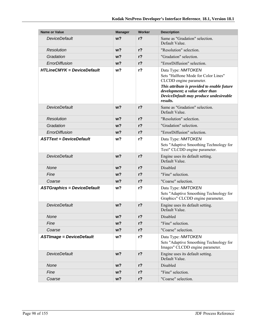| <b>Name or Value</b>               | <b>Manager</b> | Worker         | <b>Description</b>                                                                                                                                                                                                            |
|------------------------------------|----------------|----------------|-------------------------------------------------------------------------------------------------------------------------------------------------------------------------------------------------------------------------------|
| <b>DeviceDefault</b>               | w <sub>2</sub> | $r$ ?          | Same as "Gradation" selection.<br>Default Value.                                                                                                                                                                              |
| Resolution                         | w <sub>2</sub> | $r$ ?          | "Resolution" selection.                                                                                                                                                                                                       |
| Gradation                          | w <sub>2</sub> | r <sub>2</sub> | "Gradation" selection.                                                                                                                                                                                                        |
| ErrorDiffusion                     | w <sub>2</sub> | $r$ ?          | "ErrorDiffusion" selection.                                                                                                                                                                                                   |
| <b>HTLineCMYK = DeviceDefault</b>  | w <sub>2</sub> | $r$ ?          | Data Type: NMTOKEN<br>Sets "Halftone Mode for Color Lines"<br>CLCDD engine parameter.<br>This attribute is provided to enable future<br>development; a value other than<br>DeviceDefault may produce undesireable<br>results. |
| <b>DeviceDefault</b>               | w <sub>2</sub> | $r$ ?          | Same as "Gradation" selection.<br>Default Value.                                                                                                                                                                              |
| Resolution                         | w <sub>2</sub> | $r$ ?          | "Resolution" selection.                                                                                                                                                                                                       |
| Gradation                          | w?             | r <sub>2</sub> | "Gradation" selection.                                                                                                                                                                                                        |
| ErrorDiffusion                     | w <sub>2</sub> | $r$ ?          | "ErrorDiffusion" selection.                                                                                                                                                                                                   |
| <b>ASTText = DeviceDefault</b>     | w?             | $r$ ?          | Data Type: NMTOKEN<br>Sets "Adaptive Smoothing Technology for<br>Text" CLCDD engine parameter.                                                                                                                                |
| <b>DeviceDefault</b>               | w <sub>2</sub> | r <sub>2</sub> | Engine uses its default setting.<br>Default Value.                                                                                                                                                                            |
| None                               | w <sub>2</sub> | r <sub>2</sub> | Disabled                                                                                                                                                                                                                      |
| Fine                               | w?             | r <sub>2</sub> | "Fine" selection.                                                                                                                                                                                                             |
| Coarse                             | w <sub>2</sub> | $r$ ?          | "Coarse" selection.                                                                                                                                                                                                           |
| <b>ASTGraphics = DeviceDefault</b> | w <sub>2</sub> | $r$ ?          | Data Type: NMTOKEN<br>Sets "Adaptive Smoothing Technology for<br>Graphics" CLCDD engine parameter.                                                                                                                            |
| <b>DeviceDefault</b>               | w <sub>2</sub> | $r$ ?          | Engine uses its default setting.<br>Default Value.                                                                                                                                                                            |
| None                               | w?             | $r$ ?          | Disabled                                                                                                                                                                                                                      |
| Fine                               | $w$ ?          | $r$ ?          | "Fine" selection.                                                                                                                                                                                                             |
| Coarse                             | w?             | $r$ ?          | "Coarse" selection.                                                                                                                                                                                                           |
| <b>ASTImage = DeviceDefault</b>    | w?             | r <sub>2</sub> | Data Type: NMTOKEN<br>Sets "Adaptive Smoothing Technology for<br>Images" CLCDD engine parameter.                                                                                                                              |
| <b>DeviceDefault</b>               | w <sub>2</sub> | $r$ ?          | Engine uses its default setting.<br>Default Value.                                                                                                                                                                            |
| None                               | w?             | $r$ ?          | Disabled                                                                                                                                                                                                                      |
| Fine                               | $w$ ?          | $r$ ?          | "Fine" selection.                                                                                                                                                                                                             |
| Coarse                             | w <sub>2</sub> | r <sub>2</sub> | "Coarse" selection.                                                                                                                                                                                                           |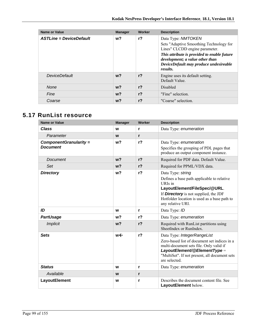| Name or Value                  | <b>Manager</b> | Worker         | <b>Description</b>                                                                                                                                                                                                                             |
|--------------------------------|----------------|----------------|------------------------------------------------------------------------------------------------------------------------------------------------------------------------------------------------------------------------------------------------|
| <b>ASTLine = DeviceDefault</b> | $w$ ?          | $r$ ?          | Data Type: NMTOKEN<br>Sets "Adaptive Smoothing Technology for<br>Lines" CLCDD engine parameter.<br>This attribute is provided to enable future<br>development; a value other than<br>DeviceDefault may produce undesireable<br><i>results.</i> |
| DeviceDefault                  | $w$ ?          | r <sub>2</sub> | Engine uses its default setting.<br>Default Value                                                                                                                                                                                              |
| <b>None</b>                    | $w$ ?          | r <sub>2</sub> | <b>Disabled</b>                                                                                                                                                                                                                                |
| Fine                           | $w$ ?          | r <sub>2</sub> | "Fine" selection.                                                                                                                                                                                                                              |
| Coarse                         | $w$ ?          | $r$ ?          | "Coarse" selection.                                                                                                                                                                                                                            |

## **5.17 RunList resource**

| <b>Name or Value</b>                      | <b>Manager</b> | Worker         | <b>Description</b>                                                                                                                                                                                                              |
|-------------------------------------------|----------------|----------------|---------------------------------------------------------------------------------------------------------------------------------------------------------------------------------------------------------------------------------|
| <b>Class</b>                              | W              | r              | Data Type: enumeration                                                                                                                                                                                                          |
| Parameter                                 | W              | r              |                                                                                                                                                                                                                                 |
| ComponentGranularity =<br><b>Document</b> | w <sub>2</sub> | r <sub>2</sub> | Data Type: enumeration<br>Specifies the grouping of PDL pages that<br>produce an output component instance.                                                                                                                     |
| Document                                  | $w$ ?          | r <sub>2</sub> | Required for PDF data. Default Value.                                                                                                                                                                                           |
| Set                                       | w <sub>2</sub> | r <sub>2</sub> | Required for PPML/VDX data.                                                                                                                                                                                                     |
| <b>Directory</b>                          | w <sub>2</sub> | $r$ ?          | Data Type: string<br>Defines a base path applicable to relative<br>URIs in<br>LayoutElement/FileSpec/@URL.<br>If <b>Directory</b> is not supplied, the JDF<br>Hotfolder location is used as a base path to<br>any relative URI. |
| ID                                        | W              | r              | Data Type: ID                                                                                                                                                                                                                   |
| <b>PartUsage</b>                          | w <sub>2</sub> | $r$ ?          | Data Type: enumeration                                                                                                                                                                                                          |
| <b>Implicit</b>                           | w <sub>2</sub> | r <sub>2</sub> | Required with RunList partitions using<br>SheetIndex or RunIndex.                                                                                                                                                               |
| <b>Sets</b>                               | w←             | r <sub>2</sub> | Data Type: IntegerRangeList<br>Zero-based list of document set indices in a<br>multi-document sets file. Only valid if<br>LayoutElement/@ElementType =<br>"MultiSet". If not present, all document sets<br>are selected.        |
| <b>Status</b>                             | W              | r              | Data Type: enumeration                                                                                                                                                                                                          |
| Available                                 | W              | r              |                                                                                                                                                                                                                                 |
| <b>LayoutElement</b>                      | W              | r              | Describes the document content file. See<br>LayoutElement below.                                                                                                                                                                |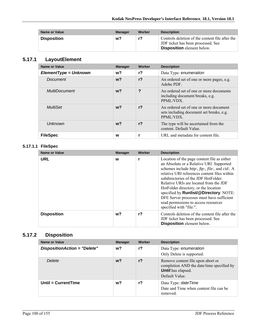| <b>Name or Value</b> | <b>Manager</b> | Worker | <b>Description</b>                                                                                                         |
|----------------------|----------------|--------|----------------------------------------------------------------------------------------------------------------------------|
| <b>Disposition</b>   | w?             | r?     | Controls deletion of the content file after the<br>JDF ticket has been processed. See<br><b>Disposition</b> element below. |

### **5.17.1 LayoutElement**

| Name or Value           | <b>Manager</b> | Worker         | <b>Description</b>                                                                              |
|-------------------------|----------------|----------------|-------------------------------------------------------------------------------------------------|
| $ElementType = Unknown$ | w?             | r?             | Data Type: enumeration                                                                          |
| Document                | $w$ ?          | r <sub>2</sub> | An ordered set of one or more pages, e.g.<br>Adobe PDF.                                         |
| <b>MultiDocument</b>    | $w$ ?          | ?              | An ordered set of one or more documents<br>including document breaks, e.g.<br>PPML/VDX.         |
| MultiSet                | $w$ ?          | $r$ ?          | An ordered set of one or more document<br>sets including document set breaks, e.g.<br>PPML/VDX. |
| Unknown                 | $w$ ?          | r <sub>2</sub> | The type will be ascertained from the<br>content. Default Value.                                |
| <b>FileSpec</b>         | w              |                | URL and metadata for content file.                                                              |

#### **5.17.1.1 FileSpec**

| <b>Name or Value</b> | <b>Manager</b> | Worker         | <b>Description</b>                                                                                                                                                                                                                                                                                                                                                                                                                                                                            |
|----------------------|----------------|----------------|-----------------------------------------------------------------------------------------------------------------------------------------------------------------------------------------------------------------------------------------------------------------------------------------------------------------------------------------------------------------------------------------------------------------------------------------------------------------------------------------------|
| <b>URL</b>           | W              |                | Location of the page content file as either<br>an Absolute or a Relative URI. Supported<br>schemes include <i>http:, ftp:, file:, and cid:. A</i><br>relative URI references content files within<br>subdirectories of the JDF HotFolder.<br>Relative URIs are located from the JDF<br>HotFolder directory, or the location<br>specified by <b>Runlist/@Directory</b> . NOTE:<br>DFE Server processes must have sufficient<br>read permissions to access resources<br>specified with "file:". |
| <b>Disposition</b>   | w?             | r <sub>2</sub> | Controls deletion of the content file after the<br>JDF ticket has been processed. See<br><b>Disposition</b> element below.                                                                                                                                                                                                                                                                                                                                                                    |

## **5.17.2 Disposition**

| Name or Value                | <b>Manager</b> | <b>Worker</b>  | <b>Description</b>                                                                                                            |
|------------------------------|----------------|----------------|-------------------------------------------------------------------------------------------------------------------------------|
| DispositionAction = "Delete" | w?             | r?             | Data Type: enumeration<br>Only Delete is supported.                                                                           |
| Delete                       | w?             | r <sub>2</sub> | Remove content file upon abort or<br>completion AND the date/time specified by<br><b>Until</b> has elapsed.<br>Default Value. |
| Until = $CurrentTime$        | w?             | r?             | Data Type: date Time<br>Date and Time when content file can be<br>removed.                                                    |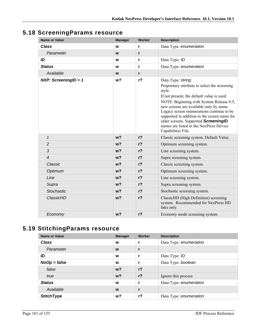| <b>Name or Value</b>   | <b>Manager</b> | <b>Worker</b>  | <b>Description</b>                                                                                                                                                                                                                                                                                                                                                                                                      |
|------------------------|----------------|----------------|-------------------------------------------------------------------------------------------------------------------------------------------------------------------------------------------------------------------------------------------------------------------------------------------------------------------------------------------------------------------------------------------------------------------------|
| <b>Class</b>           | W              | r              | Data Type: enumeration                                                                                                                                                                                                                                                                                                                                                                                                  |
| Parameter              | W              | $\mathbf{r}$   |                                                                                                                                                                                                                                                                                                                                                                                                                         |
| ID                     | W              | $\mathbf{r}$   | Data Type: ID                                                                                                                                                                                                                                                                                                                                                                                                           |
| <b>Status</b>          | W              | r              | Data Type: enumeration                                                                                                                                                                                                                                                                                                                                                                                                  |
| Available              | W              | r              |                                                                                                                                                                                                                                                                                                                                                                                                                         |
| NXP: ScreeningID = $1$ | w <sub>2</sub> | $r$ ?          | Data Type: string<br>Proprietary attribute to select the screening<br>style.<br>If not present, the default value is used.<br>NOTE: Beginning with System Release 8.5,<br>new screens are available only by name.<br>Legacy screen enumerations continue to be<br>supported in addition to the screen name for<br>older screens. Supported ScreeningID<br>names are listed in the NexPress Device<br>Capabilities File. |
| $\mathbf{1}$           | w <sub>2</sub> | r <sub>2</sub> | Classic screening system. Default Value.                                                                                                                                                                                                                                                                                                                                                                                |
| $\overline{c}$         | w <sub>2</sub> | $r$ ?          | Optimum screening system.                                                                                                                                                                                                                                                                                                                                                                                               |
| 3                      | w <sub>2</sub> | $r$ ?          | Line screening system.                                                                                                                                                                                                                                                                                                                                                                                                  |
| $\overline{4}$         | w <sub>2</sub> | $r$ ?          | Supra screening system.                                                                                                                                                                                                                                                                                                                                                                                                 |
| Classic                | w <sub>2</sub> | $r$ ?          | Classic screening system.                                                                                                                                                                                                                                                                                                                                                                                               |
| Optimum                | w <sub>2</sub> | $r$ ?          | Optimum screening system.                                                                                                                                                                                                                                                                                                                                                                                               |
| Line                   | w <sub>2</sub> | $r$ ?          | Line screening system.                                                                                                                                                                                                                                                                                                                                                                                                  |
| Supra                  | w <sub>2</sub> | $r$ ?          | Supra screening system.                                                                                                                                                                                                                                                                                                                                                                                                 |
| <b>Stochastic</b>      | w <sub>2</sub> | $r$ ?          | Stochastic screening system.                                                                                                                                                                                                                                                                                                                                                                                            |
| ClassicHD              | w?             | $r$ ?          | ClassicHD (High Definition) screening<br>system. Recommended for NexPress HD<br>Inks only.                                                                                                                                                                                                                                                                                                                              |
| Economy                | w <sub>2</sub> | $r$ ?          | Economy mode screening system.                                                                                                                                                                                                                                                                                                                                                                                          |

# **5.19 StitchingParams resource**

| <b>Name or Value</b> | <b>Manager</b> | Worker         | <b>Description</b>     |
|----------------------|----------------|----------------|------------------------|
| <b>Class</b>         | W              | r              | Data Type: enumeration |
| Parameter            | W              |                |                        |
| ID                   | W              |                | Data Type: ID          |
| $NoOp = false$       | W              | r              | Data Type: boolean     |
| false                | $w$ ?          | r <sub>2</sub> |                        |
| true                 | $w$ ?          | $r$ ?          | Ignore this process    |
| <b>Status</b>        | W              | r              | Data Type: enumeration |
| Available            | W              |                |                        |
| <b>StitchType</b>    | w?             | $r$ ?          | Data Type: enumeration |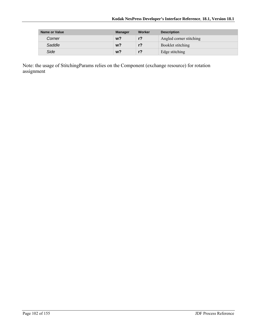| Name or Value | <b>Manager</b> | Worker | <b>Description</b>      |
|---------------|----------------|--------|-------------------------|
| Corner        | $w$ ?          | $r$ ?  | Angled corner stitching |
| Saddle        | $w$ ?          | $r$ ?  | Booklet stitching       |
| Side          | w?             | $r$ ?  | Edge stitching          |

Note: the usage of StitchingParams relies on the Component (exchange resource) for rotation assignment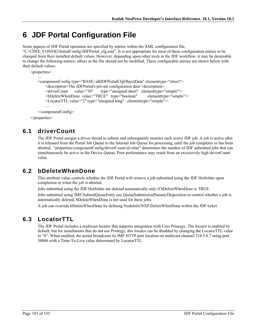# **6 JDF Portal Configuration File**

Some aspects of JDF Portal operation are specified by entries within the XML configuration file, "C:\CDFE\_CONFIG\InitialConfig\JDFPortal\_cfg.xml". It is not appropriate for most of these configuration entries to be changed from their installed default values. However, depending upon other tools in the JDF workflow, it may be desireable to change the following entries; others in the file should not be modified. These configurable entries are shown below with their default values:

```
<properties> 
… 
    <componentConfig type="BASE::idlJDFPortalCfgObjectData" elementtype="struct"> 
       <description>The JDFPortal's private configuration data</description> 
       <driverCount value="50" type="unsigned short" elementtype="simple"/> 
       <bDeleteWhenDone value="TRUE" type="boolean" elementtype="simple"/> 
      <LocatorTTL value="2" type="unsigned long" elementtype="simple"/> 
       … 
    </componentConfig>
```
</properties>

## **6.1 driverCount**

The JDF Portal assigns a driver thread to submit and subsequently monitor each active JDF job. A job is active after it is released from the Portal Job Queue to the Internal Job Queue for processing, until the job completes or has been aborted. "properties/componentConfig/driverCount/@value" determines the number of JDF submitted jobs that can simultaneously be active in the Device Queue. Poor performance may result from an excessively high driverCount value.

## **6.2 bDeleteWhenDone**

This attribute value controls whether the JDF Portal will remove a job submitted using the JDF Hotfolder upon completion or when the job is aborted.

Jobs submitted using the JDF Hotfolder are deleted automatically only if bDeleteWhenDone is TRUE.

Jobs submitted using JMF/SubmitQueueEntry use QueueSubmissionParams/Disposition to control whether a job is automatically deleted; bDeleteWhenDone is not used for these jobs.

A job can override bDeleteWhenDone by defining NodeInfo/NXP:DeleteWhenDone within the JDF ticket.

## **6.3 LocatorTTL**

The JDF Portal includes a multicast locator that supports integration with Creo Prinergy. The locator is enabled by default, but for installations that do not use Prinergy, this locator can be disabled by changing the LocatorTTL value to "0". When enabled, the portal broadcasts its JMF HTTP port location on multicast channel 234.5.6.7 using port 50006 with a Time-To-Live value determined by LocatorTTL.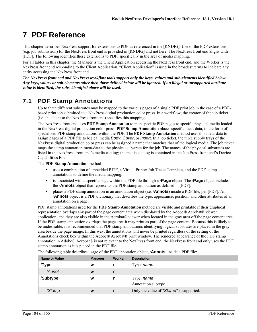# **7 PDF Reference**

This chapter describes NexPress support for extensions to PDF as referenced in the [KNDIG]. Use of the PDF extensions (e.g. job submission) for the NexPress front end is provided in [KNDIG] and not here. The NexPress front end aligns with [PDF]. The following identifies these extensions to PDF, specifically in the area of media mapping.

For all tables in this chapter, the Manager is the Client Application accessing the NexPress front end, and the Worker is the NexPress front end responding to the Client Application. "Client Application" is used in the broadest terms to indicate any entity accessing the NexPress front end.

*The NexPress front end and NexPress workflow tools support only the keys, values and sub-elements identified below. Any keys, values or sub-elements other then those defined below will be ignored. If an illegal or unsupported attribute value is identified, the rules identified above will be used.* 

# **7.1 PDF Stamp Annotations**

Up to three different substrates may be mapped to the various pages of a single PDF print job in the case of a PDFbased print job submitted to a NexPress digital production color press. In a workflow, the creator of the job ticket (i.e. the client to the NexPress front end) specifies this mapping.

The NexPress front end uses **PDF Stamp Annotation** to map specific PDF pages to specific physical media loaded in the NexPress digital production color press. **PDF Stamp Annotation** places specific meta-data, in the form of specialized PDF stamp annotations, within the PDF. The **PDF Stamp Annotation** method uses this meta-data to assign pages of a PDF file to logical media *Body*, *Cover*, or *Insert*. In a job ticket, the three supply trays of the NexPress digital production color press can be assigned a name that matches that of the logical media. The job ticket maps the stamp annotation meta-data to the physical substrate for the job. The names of the physical substrates are listed in the NexPress front end's media catalog; the media catalog is contained in the NexPress front end's Device Capabilities File.

The **PDF Stamp Annotation** method

- uses a combination of embedded PJTF, a Virtual Printer Job Ticket Template, and the PDF stamp annotations to define the media mapping.
- is associated with a specific page within the PDF file through a /**Page** object. The /**Page** object includes the /**Annots** object that represents the PDF stamp annotation as defined in [PDF].
- places a PDF stamp annotation in an annotation object (i.e. /**Annots**) inside a PDF file, per [PDF]. An /**Annots** object is a PDF dictionary that describes the type, appearance, position, and other attributes of an annotation on a page.

PDF stamp annotations used for the **PDF Stamp Annotation** method are visible and printable if their graphical representation overlaps any part of the page content area when displayed by the Adobe® Acrobat® viewer application, and they are also visible in the Acrobat® viewer when located in the gray area off the page content area. If the PDF stamp annotation overlaps the page area it may print as part of the page content. Because this is likely to be undesirable, it is recommended that PDF stamp annotations identifying logical substrates are placed in the gray area beside the page image. In this way, the annotations will never be printed regardless of the setting of the Annotations check box within the Adobe® Acrobat® print window. The rendered appearance of the PDF stamp annotation in Adobe® Acrobat® is not relevant to the NexPress front end; the NexPress front end only uses the PDF stamp annotation as it is placed in the PDF file.

| <b>Name or Value</b> | <b>Manager</b> | Worker | <b>Description</b>                      |
|----------------------|----------------|--------|-----------------------------------------|
| Type/                | W              |        | Type: name                              |
| /Annot               | W              |        |                                         |
| /Subtype             | W              |        | Type: name<br>Annotation subtype.       |
| /Stamp               | W              |        | Only the value of "Stamp" is supported. |

The following table describes usage of the PDF annotation object, /**Annots,** inside a PDF file: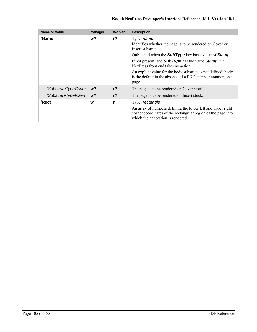| <b>Name or Value</b> | <b>Manager</b> | Worker         | <b>Description</b>                                                                                                                                                                                                                                                                                                                         |
|----------------------|----------------|----------------|--------------------------------------------------------------------------------------------------------------------------------------------------------------------------------------------------------------------------------------------------------------------------------------------------------------------------------------------|
| /Name                | w?             | r <sub>2</sub> | Type: <i>name</i><br>Identifies whether the page is to be rendered on Cover or<br>Insert substrate.<br>Only valid when the <b>SubType</b> key has a value of Stamp.<br>If not present, and <b>SubType</b> has the value Stamp, the<br>NexPress front end takes no action.<br>An explicit value for the body substrate is not defined; body |
|                      |                |                | is the default in the absence of a PDF stamp annotation on a<br>page.                                                                                                                                                                                                                                                                      |
| /SubstrateTypeCover  | $w$ ?          | $r$ ?          | The page is to be rendered on Cover stock.                                                                                                                                                                                                                                                                                                 |
| /SubstrateTypeInsert | $w$ ?          | $r$ ?          | The page is to be rendered on Insert stock.                                                                                                                                                                                                                                                                                                |
| /Rect                | W              | r              | Type: rectangle<br>An array of numbers defining the lower left and upper right<br>corner coordinates of the rectangular region of the page into<br>which the annotation is rendered.                                                                                                                                                       |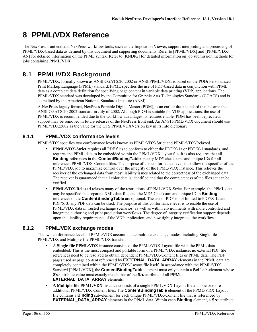# **8 PPML/VDX Reference**

The NexPress front end and NexPress workflow tools, such as the Imposition Viewer, support interpreting and processing of PPML/VDX-based data as defined by this document and supporting documents. Refer to [PPML/VDX] and [PPML/VDX-AN] for detailed information on the PPML syntax. Refer to [KNDIG] for detailed information on job submission methods for jobs containing PPML/VDX.

# **8.1 PPML/VDX Background**

PPML/VDX, formally known as ANSI CGATS.20:2002 or ANSI PPML/VDX, is based on the PODi Personalized Print Markup Language (PPML) standard. PPML specifies the use of PDF-based data in conjunction with PPML data as a complete data definition for specifying page content in variable data printing (VDP) applications. The PPML/VDX standard was developed by the Committee for Graphic Arts Technologies Standards (CGATS) and is accredited by the American National Standards Institute (ANSI).

A NexPress legacy format, NexPress Portable Digital Master (PDM), is an earlier draft standard that became the ANSI CGATS.20-2002 standard in July of 2002. Although PDM is suitable for VDP applications, the use of PPML/VDX is recommended due to the workflow advantages its features enable. PDM has been deprecated; support may be removed in future releases of the NexPress front end. An ANSI PPML/VDX document should use PPML/VDX:2002 as the value for the GTS PPMLVDXVersion key in its Info dictionary.

#### **8.1.1 PPML/VDX conformance levels**

PPML/VDX specifies two conformance levels known as PPML/VDX-Strict and PPML/VDX-Relaxed.

- **PPML/VDX-Strict** requires all PDF files to conform to either the PDF/X-1a or PDF/X-3 standards, and requires the PPML data to be embedded within the PPML/VDX layout file. It is also requires that all **Binding** references in the **ContentBindingTable** specify MD5 checksums and unique IDs for all referenced PPML/VDX-Content files. The purpose of this conformance level is to allow the specifier of the PPML/VDX job to maximize control over the integrity of the PPML/VDX instance. This relieves the receiver of the exchanged data from most liability issues related to the correctness of the exchanged data. The receiver is guaranteed that all color data is identified and that the completeness of the files set can be verified.
- **PPML/VDX-Relaxed** relaxes many of the restrictions of PPML/VDX-Strict. For example, the PPML data may be specified in a separate XML data file, and the MD5 Checksum and unique ID in **Binding** references in the **ContentBindingTable** are optional. The use of PDF is not limited to PDF/X-1a and PDF/X-3; any PDF data can be used. The purpose of this conformance level is to enable the use of PPML/VDX data in trusted exchange scenarios, as well as within environments with more controlled and integrated authoring and print production workflows. The degree of integrity verification support depends upon the liability requirements of the VDP application, and how tightly integrated the workflow.

#### **8.1.2 PPML/VDX exchange modes**

The two conformance levels of PPML/VDX accommodate multiple exchange modes, including Single file PPML/VDX and Multiple-file PPML/VDX transfer.

- A **Single-file PPML/VDX** instance consists of the PPML/VDX-Layout file with the PPML data embedded. This is the most compact and portable form of a PPML/VDX instance; no external PDF file references need to be resolved to obtain dependent PPML/VDX-Content files or PPML data. The PDF pages used as page content referenced by **EXTERNAL\_DATA\_ARRAY** elements in the PPML data are completely contained within the PPML/VDX-Layout file itself. In accordance with the PPML/VDX Standard [PPML/VDX], the **ContentBindingTable** element must only contain a **Self** sub-element whose *Src* attribute value must exactly match that of the *Src* attribute of all PPML **EXTERNAL\_DATA\_ARRAY** elements.
- **A Multiple-file PPML/VDX** instance consists of a single PPML/VDX-Layout file and one or more additional PPML/VDX-Content files. The **ContentBindingTable** element of the PPML/VDX-Layout file contains a **Binding** sub-element for each unique PPML/VDX-Content file that is referenced by **EXTERNAL DATA ARRAY** elements in the PPML data. Within each **Binding** element, a *Src* attribute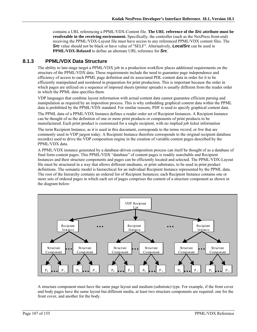contains a URL referencing a PPML/VDX-Content file. **The URL reference of the** *Src* **attribute must be resolveable in the receiving environment.** Specifically, the controller (such as the NexPress front-end) receiving the PPML/VDX-Layout file must have access to any referenced PPML/VDX content files. The *Src* value should not be black or have value of "SELF". Alternatively, *LocalSrc* can be used in **PPML/VDX-Relaxed** to define an alternate URL reference for *Src*.

#### **8.1.3 PPML/VDX Data Structure**

The ability to late-stage target a PPML/VDX job in a production workflow places additional requirements on the structure of the PPML/VDX data. These requirements include the need to guarantee page independence and efficiency of access to each PPML page definition and its associated PDL content data in order for it to be efficiently manipulated and reordered in preparation for print production. This is important because the order in which pages are utilized on a sequence of imposed sheets (printer spreads) is usually different from the reader order in which the PPML data specifies them.

VDP languages that combine layout information with actual content data cannot guarantee efficient parsing and manipulation as required by an imposition process. This is why embedding graphical content data within the PPML data is prohibited by the PPML/VDX standard. For similar reasons, PDF is used to specify graphical content data.

The PPML data of a PPML/VDX Instance defines a reader order set of Recipient Instances. A Recipient Instance can be thought of as the definition of one or more print products or components of print products to be manufactured. Each print product is customized for a single recipient, with no implied job ticket information

The term Recipient Instance, as it is used in this document, corresponds to the terms *record*, or *live* that are commonly used in VDP jargon today. A Recipient Instance therefore corresponds to the original recipient database record(s) used to drive the VDP composition engine in the creation of variable content pages described by the PPML/VDX data.

A PPML/VDX instance generated by a database-driven composition process can itself be thought of as a database of final form content pages. This PPML/VDX "database" of content pages is readily searchable and Recipient Instances and their structure components and pages can be efficiently located and selected. The PPML/VDX-Layout file must be structured in a way that allows different mediums, or print substrates, to be used in print product definitions. The semantic model is hierarchical for an individual Recipient Instance represented by the PPML data. The root of the hierarchy contains an ordered list of Recipient Instances; each Recipient Instance contains one or more sets of ordered pages in which each set of pages comprises the content of a structure component as shown in the diagram below:



A structure component must have the same page layout and medium (substrate) type. For example, if the front cover and body pages have the same layout but different media, at least two structure components are required: one for the front cover, and another for the body.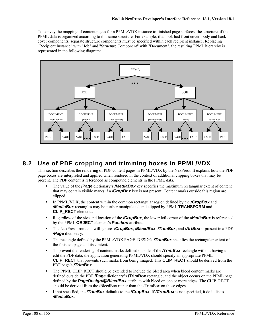To convey the mapping of content pages for a PPML/VDX instance to finished page surfaces, the structure of the PPML data is organized according to this same structure. For example, if a book had front cover, body and back cover components, separate structure components must be specified within each recipient instance. Replacing "Recipient Instance" with "Job" and "Structure Component" with "Document", the resulting PPML hierarchy is represented in the following diagram:



## **8.2 Use of PDF cropping and trimming boxes in PPML/VDX**

This section describes the rendering of PDF content pages in PPML/VDX by the NexPress. It explains how the PDF page boxes are interpreted and applied when rendered in the context of additional clipping boxes that may be present. The PDF content is referenced as compound elements in the PPML data.

- The value of the **/Page** dictionary's */MediaBox* key specifies the maximum rectangular extent of content that may contain visible marks if a */CropBox* key is not present. Content marks outside this region are clipped.
- In PPML/VDX, the content within the common rectangular region defined by the **/CropBox** and */MediaBox* rectangles may be further manipulated and clipped by PPML **TRANSFORM** and **CLIP\_RECT** elements.
- Regardless of the size and location of the */CropBox*, the lower left corner of the */MediaBox* is referenced by the PPML **OBJECT** element's *Position* attribute.
- The NexPress front end will ignore */CropBox*, */BleedBox*, */TrimBox*, and */ArtBox* if present in a PDF */Page* dictionary.
- The rectangle defined by the PPML/VDX PAGE\_DESIGN **/TrimBox** specifies the rectangular extent of the finished page and its content.
- To prevent the rendering of content marks defined outside of the **/TrimBox** rectangle without having to edit the PDF data, the application generating PPML/VDX should specify an appropriate PPML **CLIP\_RECT** that prevents such marks from being imaged. This **CLIP\_RECT** should be derived from the PDF page's */TrimBox*.
- The PPML CLIP\_RECT should be extended to include the bleed area when bleed content marks are defined outside the PDF **/Page** dictionary's **/TrimBox** rectangle, and the object occurs on the PPML page defined by the *PageDesign/@BleedBox* attribute with bleed on one or more edges. The CLIP\_RECT should be derived from the /BleedBox rather than the /TrimBox on those edges.
- If not specified, the */TrimBox* defaults to the */CropBox*. If */CropBox* is not specified, it defaults to */MediaBox*.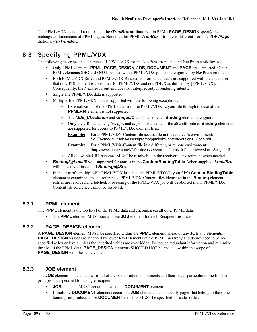The PPML/VDX standard requires that the */TrimBox* attribute within PPML **PAGE\_DESIGN** specify the rectangular dimensions of PPML pages. Note that this PPML *TrimBox* attribute is different from the PDF */Page* dictionary's */TrimBox*.

# **8.3 Specifying PPML/VDX**

The following describes the adherence of PPML/VDX for the NexPress front end and NexPress workflow tools:

- Only PPML elements **PPML**, **PAGE\_DESIGN**, **JOB**, **DOCUMENT** and **PAGE** are supported. Other PPML elements SHOULD NOT be used with a PPML/VDX job, and are ignored by NexPress products.
- Both PPML/VDX-Strict and PPML/VDX-Relaxed conformance levels are supported with the exception that only PDF content is consumed for PPML/VDX and not PDF/X as defined by [PPML/VDX]. Consequently, the NexPress front end does not interpret output rendering intents.
- **Single-file PPML/VDX data is supported.**
- Multiple-file PPML/VDX data is supported with the following exceptions:
	- o Externalization of the PPML data from the PPML/VDX-Layout file through the use of the **PPMLRef** element is not supported.
	- o The *MD5\_Checksum* and *UniqueID* attributes of each **Binding** element are ignored.
	- o Only the URL schemes *file:, ftp:,* and *http:* for the value of the *Src* attribute of **Binding** elements are supported for access to PPML/VDX-Content files.
		- **Example:** For a PPML/VDX-Content file accessable in the receiver's environment: file:///Acme/VDPJobs/assets/promo/ppmlvdxContent/version1.3/logo.pdf

**Example:** For a PPML/VDX-Content file in a different, or remote environment: "http://www.acme.com/VDPJobs/assets/promo/ppmlvdxContent/version1.3/logo.pdf".

- o All allowable URL schemes MUST be resolvable in the receiver's environment when needed.
- *Binding/@LocalSrc* is supported for entries in the **ContentBindingTable**. When supplied, *LocalSrc* will be resolved instead of *Binding/@Src*.
- In the case of a multiple-file PPML/VDX instance, the PPML/VDX-Layout file's **ContentBindingTable** element is examined, and all referenced PPML/VDX-Content files identified in the **Binding** element entries are resolved and fetched. Processing of the PPML/VDX job will be aborted if any PPML/VDX-Content file reference cannot be resolved.

#### **8.3.1 PPML element**

The **PPML** element is the top level of the PPML data and encompasses all other PPML data.

The **PPML** element MUST contain one **JOB** element for each Recipient Instance.

#### **8.3.2 PAGE\_DESIGN element**

A **PAGE\_DESIGN** element MUST be specified within the **PPML** element, ahead of any **JOB** sub-elements. **PAGE\_DESIGN** values are inherited by lower level elements of the PPML hierarchy and do not need to be respecified at lower levels unless the inherited values are overridden. To reduce redundant information and minimize the size of the PPML data, **PAGE\_DESIGN** elements SHOULD NOT be restated within the scope of a **PAGE DESIGN** with the same values.

#### **8.3.3 JOB element**

The **JOB** element is the container of all of the print product components and their pages particular to the finished print product specified for a single recipient.

- **JOB** elements MUST contain at least one **DOCUMENT** element.
- If multiple **DOCUMENT** elements occur in a **JOB** element and all specify pages that belong to the same bound print product, those **DOCUMENT** elements MUST be specified in reader order.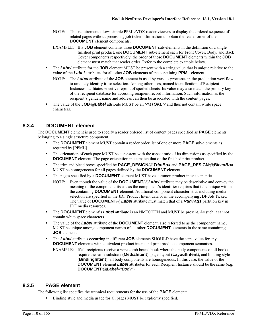- NOTE: This requirement allows simple PPML/VDX reader viewers to display the ordered sequence of related pages without processing job ticket information to obtain the reader order of the **DOCUMENT** element components.
- EXAMPLE: If a **JOB** element contains three **DOCUMENT** sub-elements in the definition of a single finished print product, one **DOCUMENT** sub-element each for Front Cover, Body, and Back Cover components respectively, the order of those **DOCUMENT** elements within the **JOB** element must match that reader order. Refer to the complete example below.
- The *Label* attribute for the **JOB** element MUST be present with a string value that is unique relative to the value of the *Label* attributes for all other **JOB** elements of the containing **PPML** element.
	- NOTE: The *Label* attribute of the **JOB** element is used by various processes in the production workflow to uniquely identify it for selection. Among other uses, named identification of Recipient Instances facilitates selective reprint of spoiled sheets. Its value may also match the primary key of the recipient database for accessing recipient record information. Such information as the recipient's gender, name and address can then be associated with the content pages.
- The value of the **JOB**/@*Label* attribute MUST be an *NMTOKEN* and thus not contain white space characters.

# **8.3.4 DOCUMENT element**

The **DOCUMENT** element is used to specify a reader ordered list of content pages specified as **PAGE** elements belonging to a single structure component.

- The **DOCUMENT** element MUST contain a reader order list of one or more **PAGE** sub-elements as required by [PPML].
- The orientation of each page MUST be consistent with the aspect ratio of its dimensions as specified by the **DOCUMENT** element. The page orientation must match that of the finished print product.
- The trim and bleed boxes specified by **PAGE\_DESIGN**/@*TrimBox* and **PAGE\_DESIGN**/@*BleedBox* MUST be homogeneous for all pages defined by the **DOCUMENT** element.
- The pages specified by a **DOCUMENT** element MUST have common product intent semantics.
	- NOTE: Even though the value of the **DOCUMENT**/@*Label* attribute may be descriptive and convey the meaning of the component, its use as the component's identifier requires that it be unique within the containing **DOCUMENT** element. Additional component characteristics including media selection are specified in the JDF Product Intent data or in the accompanying JDF Job Ticket. The value of **DOCUMENT**/@*Label* attribute must match that of a *RunTags* partition key in JDF media resources.
- The **DOCUMENT** element's *Label* attribute is an NMTOKEN and MUST be present. As such it cannot contain white space characters
- The value of the *Label* attribute of the **DOCUMENT** element, also referred to as the component name, MUST be unique among component names of all other **DOCUMENT** elements in the same containing **JOB** element.
- **The** *Label* attributes occurring in different **JOB** elements SHOULD have the same value for any **DOCUMENT** elements with equivalent product intent and print product component semantics.
	- EXAMPLE: If all recipients receive a wire comb bound book where the body components of all books require the same substrate (**MediaIntent**), page layout (**LayoutIntent**), and binding style (**BindingIntent**), all body components are homogeneous. In this case, the value of the **DOCUMENT** element **Label** attributes for each Recipient Instance should be the same (e.g. **DOCUMENT**/@*Label*="*Body*").

#### **8.3.5 PAGE element**

The following list specifies the technical requirements for the use of the **PAGE** element:

Binding style and media usage for all pages MUST be explicitly specified.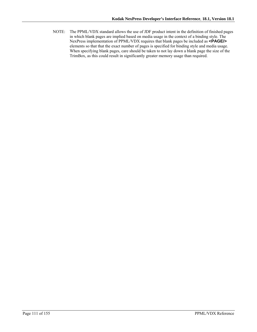NOTE: The PPML/VDX standard allows the use of JDF product intent in the definition of finished pages in which blank pages are implied based on media usage in the context of a binding style. The NexPress implementation of PPML/VDX requires that blank pages be included as **<PAGE/>** elements so that that the exact number of pages is specified for binding style and media usage. When specifying blank pages, care should be taken to not lay down a blank page the size of the TrimBox, as this could result in significantly greater memory usage than required.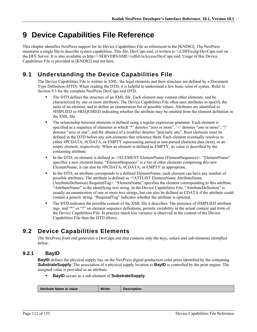# **9 Device Capabilities File Reference**

This chapter identifies NexPress support for its Device Capabilities File as referenced in the [KNDIG]. The NexPress maintains a single file to describe system capabilities. This file, DevCaps.xml, is written to \\\CDFExchg\DevCaps.xml on the DFE Server. It is also available as http://<SERVERNAME>/cdfeUisAccess/DevCaps.xml. Usage of this Device Capabilities File is provided in [KNDIG] and not here.

# **9.1 Understanding the Device Capabilities File**

The Device Capabilities File is written in XML; the legal elements and their structure are defined by a Document Type Definition (DTD). When reading the DTD, it is helpful to understand a few basic rules of syntax. Refer to Section 9.3 for the complete NexPress DevCaps.xml DTD.

- The DTD defines the structure of an XML file. Each element may contain other elements, and be characterized by one or more attributes. The Device Capabilities File often uses attributes to specify the units of an element, and to define an enumeration list of possible values. Attributes are identified as #IMPLIED or #REQUIRED indicating whether the attribute may be omitted from the element definition in the XML file.
- The relationship between elements is defined using a regular expression grammar. Each element is specified as a sequence of elements in which '\*' denotes "zero or more", '+' denotes "one or more", '?' denotes "zero or one", and the absence of a modifier denotes "precisely one". Root elements must be defined in the DTD before any sub-elements that reference them. Each element eventually resolves to either #PCDATA, #CDATA, or EMPTY representing parsed or non-parsed character data (text), or an empty element, respectively. When an element is defined as EMPTY, its value is described by the containing attribute.
- In the DTD, an element is defined as <!ELEMENT ElementName (ElementSequence)>. "ElementName" specifies a new element name. "ElementSequence" is a list of other elements comprising this new ElementName; it can also be #PCDATA, #CDATA, or EMPTY as appropriate.
- In the DTD, an attribute corresponds to a defined ElementName; each element can have any number of possible attributes. The attribute is defined as <!ATTLIST ElementName AttributeName (AttributeDefinition) RequiredTag>. "ElementName" specifies the element corresponding to this attribute. "AttributeName" is the identifying text string. In the Device Capabilities File, "AttributeDefinition" is usually an enumeration of one or more text strings, but can also be defined as CDATA if the attribute could contain a generic string. "RequiredTag" indicates whether the attribute is optional.
- The DTD indicates the possible content of the XML file it describes. The presence of #IMPLIED attribute tags, and "\*" or "?" on element sequence definitions, permits variability in the actual content and form of the Device Capabilities File. In practice much less variance is observed in the content of the Device Capabilities File than the DTD allows.

# **9.2 Device Capabilities Elements**

*The NexPress front end generates a DevCaps.xml that contains only the keys, values and sub-elements identified below.* 

# **9.2.1 BayID**

**BayID** defines the physical supply bay on the NexPress digital production color press identified by the containing **SubstrateSupply**. The association of a physical supply location to **BayID** is controlled by the print engine. The assigned value is provided as an attribute.

**BayID** occurs as a sub-element of **SubstrateSupply**.

| <b>Writer</b><br>Attribute Name or value | <b>Description</b> |
|------------------------------------------|--------------------|
|------------------------------------------|--------------------|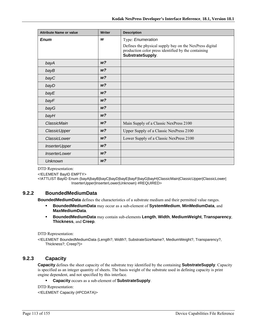| <b>Attribute Name or value</b> | Writer         | <b>Description</b>                                                                                                                 |
|--------------------------------|----------------|------------------------------------------------------------------------------------------------------------------------------------|
| <b>Enum</b>                    | W              | Type: Enumeration                                                                                                                  |
|                                |                | Defines the physical supply bay on the NexPress digital<br>production color press identified by the containing<br>SubstrateSupply. |
| bayA                           | W <sup>2</sup> |                                                                                                                                    |
| bayB                           | W <sup>2</sup> |                                                                                                                                    |
| bayC                           | w <sub>2</sub> |                                                                                                                                    |
| bayD                           | W <sup>2</sup> |                                                                                                                                    |
| bayE                           | W <sup>2</sup> |                                                                                                                                    |
| bayF                           | W <sup>2</sup> |                                                                                                                                    |
| bayG                           | W <sup>2</sup> |                                                                                                                                    |
| bayH                           | W <sup>2</sup> |                                                                                                                                    |
| ClassicMain                    | W <sup>2</sup> | Main Supply of a Classic NexPress 2100                                                                                             |
| ClassicUpper                   | W <sup>2</sup> | Upper Supply of a Classic NexPress 2100                                                                                            |
| ClassicLower                   | W <sup>2</sup> | Lower Supply of a Classic NexPress 2100                                                                                            |
| <b>InserterUpper</b>           | W <sup>2</sup> |                                                                                                                                    |
| <i><b>InserterLower</b></i>    | W <sup>2</sup> |                                                                                                                                    |
| <b>Unknown</b>                 | W <sup>2</sup> |                                                                                                                                    |

<!ELEMENT BayID EMPTY>

<!ATTLIST BayID Enum (bayA|bayB|bayC|bayD|bayE|bayF|bayG|bayH|ClassicMain|ClassicUpper|ClassicLower| InserterUpper|InserterLower|Unknown) #REQUIRED>

# **9.2.2 BoundedMediumData**

**BoundedMediumData** defines the characteristics of a substrate medium and their permitted value ranges.

- **BoundedMediumData** may occur as a sub-element of **SystemMedium**, **MinMediumData**, and **MaxMediumData**.
- **BoundedMediumData** may contain sub-elements **Length**, **Width**, **MediumWeight**, **Transparency**, **Thickness**, and **Creep**.

DTD Representation:

<!ELEMENT BoundedMediumData (Length?, Width?, SubstrateSizeName?, MediumWeight?, Transparency?, Thickness?, Creep?)>

# **9.2.3 Capacity**

**Capacity** defines the sheet capacity of the substrate tray identified by the containing **SubstrateSupply**. Capacity is specified as an integer quantity of sheets. The basis weight of the substrate used in defining capacity is print engine dependent, and not specified by this interface.

**Capacity** occurs as a sub-element of **SubstrateSupply**.

DTD Representation:

<!ELEMENT Capacity (#PCDATA)>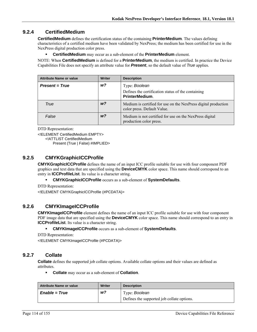# **9.2.4 CertifiedMedium**

**CertifiedMedium** defines the certification status of the containing **PrinterMedium**. The values defining characteristics of a certified medium have been validated by NexPress; the medium has been certified for use in the NexPress digital production color press.

**CertifiedMedium** may occur as a sub-element of the **PrinterMedium** element.

NOTE: When **CertifiedMedium** is defined for a **PrinterMedium**, the medium is certified. In practice the Device Capabilities File does not specify an attribute value for *Present*, so the default value of *True* applies.

| <b>Attribute Name or value</b> | <b>Writer</b>  | <b>Description</b>                                                                            |
|--------------------------------|----------------|-----------------------------------------------------------------------------------------------|
| <b>Present = True</b>          | w?             | Type: Boolean                                                                                 |
|                                |                | Defines the certification status of the containing<br><b>PrinterMedium.</b>                   |
| True                           | w?             | Medium is certified for use on the NexPress digital production<br>color press. Default Value. |
| False                          | W <sup>2</sup> | Medium is not certified for use on the NexPress digital<br>production color press.            |

DTD Representation:

<!ELEMENT CertifiedMedium EMPTY>

<!ATTLIST CertifiedMedium

Present (True | False) #IMPLIED>

# **9.2.5 CMYKGraphicICCProfile**

**CMYKGraphicICCProfile** defines the name of an input ICC profile suitable for use with four component PDF graphics and text data that are specified using the **DeviceCMYK** color space. This name should correspond to an entry in **ICCProfileList**. Its value is a character string.

**CMYKGraphicICCProfile** occurs as a sub-element of **SystemDefaults**.

DTD Representation: <!ELEMENT CMYKGraphicICCProfile (#PCDATA)>

# **9.2.6 CMYKImageICCProfile**

**CMYKImageICCProfile** element defines the name of an input ICC profile suitable for use with four component PDF image data that are specified using the **DeviceCMYK** color space. This name should correspond to an entry in **ICCProfileList**. Its value is a character string.

**CMYKImageICCProfile** occurs as a sub-element of **SystemDefaults**.

DTD Representation:

<!ELEMENT CMYKImageICCProfile (#PCDATA)>

# **9.2.7 Collate**

**Collate** defines the supported job collate options. Available collate options and their values are defined as attributes.

**Collate** may occur as a sub-element of **Collation**.

| <b>Attribute Name or value</b> | <b>Writer</b> | <b>Description</b>                         |
|--------------------------------|---------------|--------------------------------------------|
| <i>Enable</i> = <i>True</i>    | w?            | Type: Boolean                              |
|                                |               | Defines the supported job collate options. |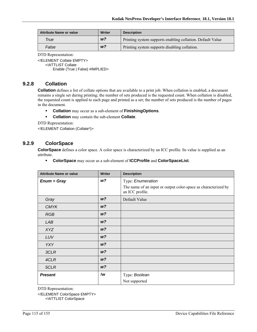| <b>Attribute Name or value</b> | Writer         | <b>Description</b>                                         |
|--------------------------------|----------------|------------------------------------------------------------|
| True                           | W <sup>2</sup> | Printing system supports enabling collation. Default Value |
| False                          | W <sup>2</sup> | Printing system supports disabling collation.              |

<!ELEMENT Collate EMPTY>

<!ATTLIST Collate

Enable (True | False) #IMPLIED>

# **9.2.8 Collation**

**Collation** defines a list of collate options that are available to a print job. When collation is enabled, a document remains a single set during printing; the number of sets produced is the requested count. When collation is disabled, the requested count is applied to each page and printed as a set; the number of sets produced is the number of pages in the document.

- **Collation** may occur as a sub-element of **FinishingOptions**.
- **Collation** may contain the sub-element **Collate**.

DTD Representation:

<!ELEMENT Collation (Collate\*)>

# **9.2.9 ColorSpace**

**ColorSpace** defines a color space. A color space is characterized by an ICC profile. Its value is supplied as an attribute.

**ColorSpace** may occur as a sub-element of **ICCProfile** and **ColorSpaceList**.

| <b>Attribute Name or value</b> | <b>Writer</b>  | <b>Description</b>                                                                |
|--------------------------------|----------------|-----------------------------------------------------------------------------------|
| $Enum = Gray$                  | W <sup>2</sup> | Type: Enumeration                                                                 |
|                                |                | The name of an input or output color-space as characterized by<br>an ICC profile. |
| Gray                           | W <sup>2</sup> | Default Value                                                                     |
| <b>CMYK</b>                    | W <sup>2</sup> |                                                                                   |
| <b>RGB</b>                     | W <sup>2</sup> |                                                                                   |
| LAB                            | W <sup>2</sup> |                                                                                   |
| <b>XYZ</b>                     | W <sup>2</sup> |                                                                                   |
| LUV                            | W <sup>2</sup> |                                                                                   |
| <b>YXY</b>                     | W <sup>2</sup> |                                                                                   |
| 3CLR                           | W <sup>2</sup> |                                                                                   |
| 4CLR                           | W <sup>2</sup> |                                                                                   |
| 5CLR                           | W <sup>2</sup> |                                                                                   |
| <b>Present</b>                 | !w             | Type: Boolean                                                                     |
|                                |                | Not supported                                                                     |

DTD Representation:

<!ELEMENT ColorSpace EMPTY>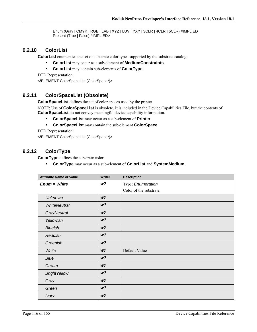Enum (Gray | CMYK | RGB | LAB | XYZ | LUV | YXY | 3CLR | 4CLR | 5CLR) #IMPLIED Present (True | False) #IMPLIED>

#### **9.2.10 ColorList**

**ColorList** enumerates the set of substrate color types supported by the substrate catalog.

- **ColorList** may occur as a sub-element of **MediumConstraints**.
- **ColorList** may contain sub-elements of **ColorType**.

DTD Representation: <!ELEMENT ColorSpaceList (ColorSpace\*)>

#### **9.2.11 ColorSpaceList (Obsolete)**

**ColorSpaceList** defines the set of color spaces used by the printer.

NOTE: Use of **ColorSpaceList** is obsolete. It is included in the Device Capabilities File, but the contents of **ColorSpaceList** do not convey meaningful device capability information.

- **ColorSpaceList** may occur as a sub-element of **Printer**.
- **ColorSpaceList** may contain the sub-element **ColorSpace**.

DTD Representation:

<!ELEMENT ColorSpaceList (ColorSpace\*)>

#### **9.2.12 ColorType**

**ColorType** defines the substrate color.

**ColorType** may occur as a sub-element of **ColorList** and **SystemMedium**.

| <b>Attribute Name or value</b> | <b>Writer</b>  | <b>Description</b>      |
|--------------------------------|----------------|-------------------------|
| $Enum = White$                 | w?             | Type: Enumeration       |
|                                |                | Color of the substrate. |
| <b>Unknown</b>                 | W <sup>2</sup> |                         |
| <b>WhiteNeutral</b>            | W <sup>2</sup> |                         |
| <b>GrayNeutral</b>             | W <sup>2</sup> |                         |
| Yellowish                      | W <sup>2</sup> |                         |
| <b>Blueish</b>                 | W <sup>2</sup> |                         |
| Reddish                        | W <sup>2</sup> |                         |
| Greenish                       | W <sup>2</sup> |                         |
| White                          | W <sup>2</sup> | Default Value           |
| Blue                           | W <sup>2</sup> |                         |
| Cream                          | W <sup>2</sup> |                         |
| <b>BrightYellow</b>            | W <sup>2</sup> |                         |
| Gray                           | W <sup>2</sup> |                         |
| Green                          | W <sup>2</sup> |                         |
| <b>Ivory</b>                   | W <sup>2</sup> |                         |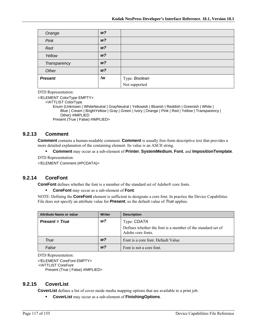| Orange         | W <sup>2</sup> |                                |
|----------------|----------------|--------------------------------|
| Pink           | W <sup>2</sup> |                                |
| Red            | W <sup>2</sup> |                                |
| Yellow         | W <sup>2</sup> |                                |
| Transparency   | W <sup>2</sup> |                                |
| Other          | W <sup>2</sup> |                                |
| <b>Present</b> | !w             | Type: Boolean<br>Not supported |
|                |                |                                |

<!ELEMENT ColorType EMPTY>

<!ATTLIST ColorType

Enum (Unknown | WhiteNeutral | GrayNeutral | Yellowish | Blueish | Reddish | Greenish | White | Blue | Cream | BrightYellow | Gray | Green | Ivory | Orange | Pink | Red | Yellow | Transparency | Other) #IMPLIED Present (True | False) #IMPLIED>

#### **9.2.13 Comment**

**Comment** contains a human-readable comment. **Comment** is usually free-form descriptive text that provides a more detailed explanation of the containing element. Its value is an ASCII string.

**Comment** may occur as a sub-element of **Printer**, **SystemMedium**, **Font**, and **ImpositionTemplate**.

DTD Representation:

<!ELEMENT Comment (#PCDATA)>

#### **9.2.14 CoreFont**

**CoreFont** defines whether the font is a member of the standard set of Adobe® core fonts.

**CoreFont** may occur as a sub-element of **Font**.

NOTE: Defining the **CoreFont** element is sufficient to designate a core font. In practice the Device Capabilities File does not specify an attribute value for *Present*, so the default value of *True* applies.

| <b>Attribute Name or value</b> | <b>Writer</b>  | <b>Description</b>                                                               |
|--------------------------------|----------------|----------------------------------------------------------------------------------|
| <b>Present = True</b>          | w?             | Type: CDATA                                                                      |
|                                |                | Defines whether the font is a member of the standard set of<br>Adobe core fonts. |
| True                           | W <sup>2</sup> | Font is a core font. Default Value.                                              |
| False                          | w <sub>2</sub> | Font is not a core font.                                                         |

DTD Representation:

<!ELEMENT CoreFont EMPTY> <!ATTLIST CoreFont Present (True | False) #IMPLIED>

#### **9.2.15 CoverList**

**CoverList** defines a list of cover mode media mapping options that are available to a print job.

**CoverList** may occur as a sub-element of **FinishingOptions**.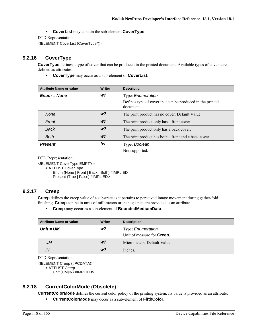**CoverList** may contain the sub-element **CoverType**.

DTD Representation:

<!ELEMENT CoverList (CoverType\*)>

# **9.2.16 CoverType**

**CoverType** defines a type of cover that can be produced in the printed document. Available types of covers are defined as attributes.

**CoverType** may occur as a sub-element of **CoverList**.

| <b>Attribute Name or value</b> | Writer         | <b>Description</b>                                                     |
|--------------------------------|----------------|------------------------------------------------------------------------|
| $Enum = None$                  | $w$ ?          | Type: Enumeration                                                      |
|                                |                | Defines type of cover that can be produced in the printed<br>document. |
| <b>None</b>                    | W <sup>2</sup> | The print product has no cover. Default Value.                         |
| Front                          | W <sup>2</sup> | The print product only has a front cover.                              |
| Back                           | W <sup>2</sup> | The print product only has a back cover.                               |
| <b>Both</b>                    | W <sup>2</sup> | The print product has both a front and a back cover.                   |
| <b>Present</b>                 | !w             | Type: Boolean                                                          |
|                                |                | Not supported.                                                         |

DTD Representation:

<!ELEMENT CoverType EMPTY>

<!ATTLIST CoverType

Enum (None | Front | Back | Both) #IMPLIED Present (True | False) #IMPLIED>

# **9.2.17 Creep**

**Creep** defines the creep value of a substrate as it pertains to perceived image movement during gather/fold finishing. **Creep** can be in units of millimeters or inches; units are provided as an attribute.

**Creep** may occur as a sub-element of **BoundedMediumData**.

| Attribute Name or value | Writer         | <b>Description</b>                 |
|-------------------------|----------------|------------------------------------|
| $Unit = UM$             | w?             | Type: <i>Enumeration</i>           |
|                         |                | Unit of measure for <b>Creep</b> . |
| UM                      | W <sup>2</sup> | Micrometers. Default Value         |
| IN                      | W <sup>2</sup> | Inches.                            |

DTD Representation:

<!ELEMENT Creep (#PCDATA)> <!ATTLIST Creep Unit (UM|IN) #IMPLIED>

# **9.2.18 CurrentColorMode (Obsolete)**

**CurrentColorMode** defines the current color policy of the printing system. Its value is provided as an attribute.

**CurrentColorMode** may occur as a sub-element of **FifthColor**.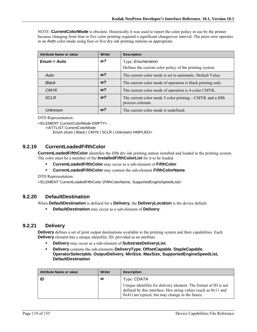NOTE: **CurrentColorMode** is obsolete. Historically it was used to report the color policy in use by the printer because changing from four to five color printing required a significant changeover interval. The press now operates in an *Auto* color mode using four or five dry-ink printing stations as appropriate.

| <b>Attribute Name or value</b> | <b>Writer</b>  | <b>Description</b>                                                              |
|--------------------------------|----------------|---------------------------------------------------------------------------------|
| $Enum = Auto$                  | $w$ ?          | Type: Enumeration                                                               |
|                                |                | Defines the current color policy of the printing system.                        |
| Auto                           | w <sub>2</sub> | The current color mode is set to automatic. Default Value.                      |
| <b>Black</b>                   | W <sup>2</sup> | The current color mode of operation is black printing only.                     |
| <b>CMYK</b>                    | w <sub>2</sub> | The current color mode of operation is 4-color CMYK.                            |
| 5CLR                           | W <sup>2</sup> | The current color mode 5 color printing – CMYK and a fifth<br>process colorant. |
| Unknown                        | w <sub>2</sub> | The current color mode is undefined.                                            |

DTD Representation:

<!ELEMENT CurrentColorMode EMPTY>

<!ATTLIST CurrentColorMode

Enum (Auto | Black | CMYK | 5CLR | Unknown) #IMPLIED>

#### **9.2.19 CurrentLoadedFifthColor**

**CurrentLoadedFifthColor** identifies the fifth dry-ink printing station installed and loaded in the printing system. The color must be a member of the **InstalledFifthColorList** for it to be loaded.

- **CurrentLoadedFifthColor** may occur as a sub-element of **FifthColor**.
- **CurrentLoadedFifthColor** may contain the sub-element **FifthColorName**.

DTD Representation:

<!ELEMENT CurrentLoadedFifthColor (FifthColorName, SupportedEngineSpeedList)>

# **9.2.20 DefaultDestination**

When **DefaultDestination** is defined for a **Delivery**, the **DeliveryLocation** is the device default.

**DefaultDestination** may occur as a sub-element of **Delivery**.

#### **9.2.21 Delivery**

**Delivery** defines a set of print output destinations available to the printing system and their capabilities. Each **Delivery** element has a unique identifier, ID, provided as an attribute.

- **Delivery** may occur as a sub-element of **SubstrateDeliveryList**.
- **Delivery** contains the sub-elements **DeliveryType**, **OffsetCapable**, **StapleCapable**, **OperatorSelectable**, **OutputDelivery**, **MinSize**, **MaxSize, SupportedEngineSpeedList, DefaultDestination**.

| <b>Attribute Name or value</b> | Writer | <b>Description</b>                                                                                                                                                                         |
|--------------------------------|--------|--------------------------------------------------------------------------------------------------------------------------------------------------------------------------------------------|
| ID                             | W      | Type: CDATA                                                                                                                                                                                |
|                                |        | Unique identifier for delivery element. The format of ID is not<br>defined by this interface. Hex string values (such as $0x11$ and<br>$0x41$ ) are typical, but may change in the future. |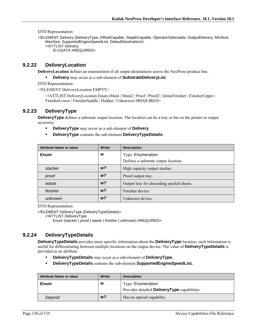<!ELEMENT Delivery (DeliveryType, OffsetCapable, StapleCapable, OperatorSelectable, OutputDelivery, MinSize, MaxSize, SupportedEngineSpeedList, DefaultDestination)> <!ATTLIST Delivery ID CDATA #REQUIRED>

#### **9.2.22 DeliveryLocation**

**DeliveryLocation** defines an enumeration of all output destinations across the NexPress product line.

**Delivery** may occur as a sub-element of **SubstrateDeliveryList**.

DTD Representation:

<!ELEMENT DeliveryLocation EMPTY>

<!ATTLIST DeliveryLocation Enum (Main | Main2 | Proof | Proof2 | InlineFinisher | FinisherUpper | FinisherLower | FinisherSaddle | Hidden | Unknown) #REQUIRED>

#### **9.2.23 DeliveryType**

**DeliveryType** defines a substrate output location. The location can be a tray or bin on the printer or output accessory.

- **DeliveryType** may occur as a sub-element of **Delivery**.
- **DeliveryType** contains the sub-element **DeliveryTypeDetails**.

| <b>Attribute Name or value</b> | <b>Writer</b>  | <b>Description</b>                         |
|--------------------------------|----------------|--------------------------------------------|
| <b>Enum</b>                    | W              | Type: Enumeration                          |
|                                |                | Defines a substrate output location.       |
| stacker                        | w <sub>2</sub> | High capacity output stacker.              |
| proof                          | w <sub>2</sub> | Proof output tray.                         |
| waste                          | w <sub>2</sub> | Output tray for discarding spoiled sheets. |
| finisher                       | W <sup>2</sup> | Finisher device.                           |
| unknown                        | W <sup>2</sup> | Unknown device.                            |

DTD Representation:

<!ELEMENT DeliveryType (DeliveryTypeDetails)>

<!ATTLIST DeliveryType

Enum (stacker | proof | waste | finisher | unknown) #REQUIRED>

# **9.2.24 DeliveryTypeDetails**

**DeliveryTypeDetails** provides more specific information about the **DeliveryType** location; such information is useful for differentiating between multiple locations on the output device. The value of **DeliveryTypeDetails** is provided as an attribute.

- **DeliveryTypeDetails** may occur as a sub-element of **DeliveryType**.
- **DeliveryTypeDetails** contains the sub-element **SupportedEngineSpeedList.**

| <b>Attribute Name or value</b> | <b>Writer</b>  | <b>Description</b>                           |
|--------------------------------|----------------|----------------------------------------------|
| <b>Enum</b>                    | W              | Type: <i>Enumeration</i>                     |
|                                |                | Provides detailed DeliveryType capabilities. |
| Deposit                        | W <sup>2</sup> | Has no special capability.                   |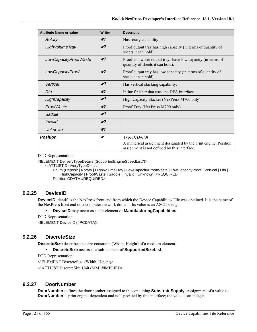| <b>Attribute Name or value</b> | <b>Writer</b>  | <b>Description</b>                                                                                              |
|--------------------------------|----------------|-----------------------------------------------------------------------------------------------------------------|
| Rotary                         | W <sup>2</sup> | Has rotary capability.                                                                                          |
| <b>High Volume Tray</b>        | W <sup>2</sup> | Proof output tray has high capacity (in terms of quantity of<br>sheets it can hold).                            |
| LowCapacityProofWaste          | W <sup>2</sup> | Proof and waste output trays have low capacity (in terms of<br>quantity of sheets it can hold).                 |
| LowCapacityProof               | W <sup>2</sup> | Proof output tray has low capacity (in terms of quantity of<br>sheets it can hold).                             |
| Vertical                       | W <sup>2</sup> | Has vertical stacking capability.                                                                               |
| Dfa                            | W <sup>2</sup> | Inline finisher that uses the DFA interface.                                                                    |
| <b>HighCapacity</b>            | w <sub>2</sub> | High Capacity Stacker (NexPress M700 only)                                                                      |
| ProofWaste                     | W <sup>2</sup> | Proof Tray (NexPress M700 only)                                                                                 |
| Saddle                         | W <sup>2</sup> |                                                                                                                 |
| Invalid                        | W <sup>2</sup> |                                                                                                                 |
| <b>Unknown</b>                 | W <sup>2</sup> |                                                                                                                 |
| <b>Position</b>                | W              | Type: CDATA                                                                                                     |
|                                |                | A numerical assignment designated by the print engine. Position<br>assignment is not defined by this interface. |

<!ELEMENT DeliveryTypeDetails (SupportedEngineSpeedList?)>

<!ATTLIST DeliveryTypeDetails

Enum (Deposit | Rotary | HighVolumeTray | LowCapacityProofWaste | LowCapacityProof | Vertical | Dfa | HighCapacity | ProofWaste | Saddle | Invalid | Unknown) #REQUIRED Position CDATA #REQUIRED>

# **9.2.25 DeviceID**

**DeviceID** identifies the NexPress front end from which the Device Capabilities File was obtained. It is the name of the NexPress front end on a computer network domain. Its value is an ASCII string.

- **DeviceID** may occur as a sub-element of **ManufacturingCapabilities**.
- DTD Representation:

<!ELEMENT DeviceID (#PCDATA)>

# **9.2.26 DiscreteSize**

**DiscreteSize** describes the size constraint (Width, Height) of a medium element.

**DiscreteSize** occurs as a sub-element of **SupportedSizeList**.

DTD Representation:

<!ELEMENT DiscreteSize (Width, Height)>

<!ATTLIST DiscreteSize Unit (MM) #IMPLIED>

#### **9.2.27 DoorNumber**

**DoorNumber** defines the door number assigned to the containing **SubstrateSupply**. Assignment of a value to **DoorNumber** is print engine-dependent and not specified by this interface; the value is an integer.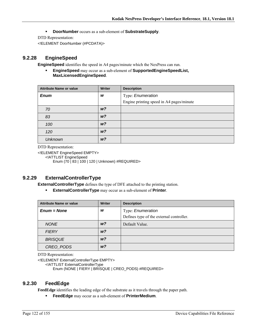**DoorNumber** occurs as a sub-element of **SubstrateSupply**.

DTD Representation:

<!ELEMENT DoorNumber (#PCDATA)>

# **9.2.28 EngineSpeed**

**EngineSpeed** identifies the speed in A4 pages/minute which the NexPress can run.

 **EngineSpeed** may occur as a sub-element of **SupportedEngineSpeedList, MaxLicensedEngineSpeed**.

| <b>Attribute Name or value</b> | <b>Writer</b>  | <b>Description</b>                       |
|--------------------------------|----------------|------------------------------------------|
| <b>Enum</b>                    | W              | Type: Enumeration                        |
|                                |                | Engine printing speed in A4 pages/minute |
| 70                             | W <sup>2</sup> |                                          |
| 83                             | W <sup>2</sup> |                                          |
| 100                            | W <sup>2</sup> |                                          |
| 120                            | W <sup>2</sup> |                                          |
| <b>Unknown</b>                 | W <sup>2</sup> |                                          |

DTD Representation:

<!ELEMENT EngineSpeed EMPTY> <!ATTLIST EngineSpeed Enum (70 | 83 | 100 | 120 | Unknown) #REQUIRED>

# **9.2.29 ExternalControllerType**

**ExternalControllerType** defines the type of DFE attached to the printing station.

**ExternalControllerType** may occur as a sub-element of **Printer**.

| <b>Attribute Name or value</b> | <b>Writer</b>  | <b>Description</b>                                            |
|--------------------------------|----------------|---------------------------------------------------------------|
| $Enum = None$                  | W              | Type: Enumeration<br>Defines type of the external controller. |
| <b>NONE</b>                    | w?             | Default Value.                                                |
| <b>FIERY</b>                   | W <sup>2</sup> |                                                               |
| <b>BRISQUE</b>                 | w?             |                                                               |
| CREO PODS                      | w?             |                                                               |

DTD Representation:

<!ELEMENT ExternalControllerType EMPTY>

<!ATTLIST ExternalControllerType

Enum (NONE | FIERY | BRISQUE | CREO\_PODS) #REQUIRED>

#### **9.2.30 FeedEdge**

**FeedEdge** identifies the leading edge of the substrate as it travels through the paper path.

**FeedEdge** may occur as a sub-element of **PrinterMedium**.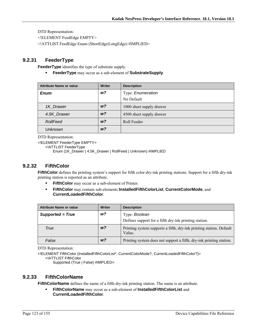<!ELEMENT FeedEdge EMPTY>

<!ATTLIST FeedEdge Enum (ShortEdge|LongEdge) #IMPLIED>

#### **9.2.31 FeederType**

**FeederType** identifies the type of substrate supply.

**FeederType** may occur as a sub-element of **SubstrateSupply**.

| <b>Attribute Name or value</b> | <b>Writer</b>  | <b>Description</b>       |
|--------------------------------|----------------|--------------------------|
| <b>Enum</b>                    | W <sup>2</sup> | Type: Enumeration        |
|                                |                | No Default               |
| 1K Drawer                      | W <sup>2</sup> | 1000 sheet supply drawer |
| 4.5K Drawer                    | w?             | 4500 sheet supply drawer |
| RollFeed                       | W <sup>2</sup> | Roll Feeder              |
| <b>Unknown</b>                 | w?             |                          |

DTD Representation:

<!ELEMENT FeederType EMPTY>

<!ATTLIST FeederType

Enum (1K\_Drawer | 4.5K\_Drawer | RollFeed | Unknown) #IMPLIED

#### **9.2.32 FifthColor**

**FifthColor** defines the printing system's support for fifth color dry-ink printing stations. Support for a fifth dry-ink printing station is reported as an attribute.

- **FifthColor** may occur as a sub-element of Printer.
- **FifthColor** may contain sub-elements **InstalledFifthColorList**, **CurrentColorMode**, and **CurrentLoadedFifthColor**.

| <b>Attribute Name or value</b> | <b>Writer</b>  | <b>Description</b>                                                            |
|--------------------------------|----------------|-------------------------------------------------------------------------------|
| Supported = True               | w?             | Type: Boolean                                                                 |
|                                |                | Defines support for a fifth dry-ink printing station.                         |
| True                           | W <sup>2</sup> | Printing system supports a fifth, dry-ink printing station. Default<br>Value. |
| False                          | w?             | Printing system does not support a fifth, dry-ink printing station.           |

DTD Representation:

<!ELEMENT FifthColor (InstalledFifthColorList\*, CurrentColorMode?, CurrentLoadedFifthColor?)> <!ATTLIST FifthColor

Supported (True | False) #IMPLIED>

#### **9.2.33 FifthColorName**

**FifthColorName** defines the name of a fifth dry-ink printing station. The name is an attribute.

 **FifthColorName** may occur as a sub-element of **InstalledFifthColorList** and **CurrentLoadedFifthColor**.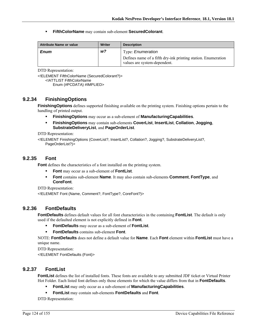**FifthColorName** may contain sub-element **SecuredColorant**.

| <b>Attribute Name or value</b> | Writer | <b>Description</b>                                                                                                        |
|--------------------------------|--------|---------------------------------------------------------------------------------------------------------------------------|
| <b>Enum</b>                    | w?     | Type: <i>Enumeration</i><br>Defines name of a fifth dry-ink printing station. Enumeration<br>values are system-dependent. |

DTD Representation:

<!ELEMENT FifthColorName (SecuredColorant?)> <!ATTLIST FifthColorName Enum (#PCDATA) #IMPLIED>

#### **9.2.34 FinishingOptions**

**FinishingOptions** defines supported finishing available on the printing system. Finishing options pertain to the handling of printed output.

- **FinishingOptions** may occur as a sub-element of **ManufacturingCapabilities**.
- **FinishingOptions** may contain sub-elements **CoverList**, **InsertList**, **Collation**, **Jogging**, **SubstrateDeliveryList**, and **PageOrderList**.

DTD Representation:

<!ELEMENT FinishingOptions (CoverList?, InsertList?, Collation?, Jogging?, SubstrateDeliveryList?, PageOrderList?)>

#### **9.2.35 Font**

**Font** defines the characteristics of a font installed on the printing system.

- **Font** may occur as a sub-element of **FontList**.
- **Font** contains sub-element **Name**. It may also contain sub-elements **Comment**, **FontType**, and **CoreFont**.

DTD Representation:

<!ELEMENT Font (Name, Comment?, FontType?, CoreFont?)>

#### **9.2.36 FontDefaults**

**FontDefaults** defines default values for all font characteristics in the containing **FontList**. The default is only used if the defaulted element is not explicitly defined in **Font**.

- **FontDefaults** may occur as a sub-element of **FontList**.
- **FontDefaults** contains sub-element **Font**.

NOTE: **FontDefaults** does not define a default value for **Name**. Each **Font** element within **FontList** must have a unique name.

DTD Representation:

<!ELEMENT FontDefaults (Font)>

# **9.2.37 FontList**

**FontList** defines the list of installed fonts. These fonts are available to any submitted JDF ticket or Virtual Printer Hot Folder. Each listed font defines only those elements for which the value differs from that in **FontDefaults**.

- **FontList** may only occur as a sub-element of **ManufacturingCapabilities**.
- **FontList** may contain sub-elements **FontDefaults** and **Font**.

DTD Representation: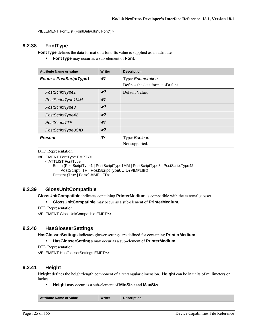<!ELEMENT FontList (FontDefaults?, Font\*)>

# **9.2.38 FontType**

**FontType** defines the data format of a font. Its value is supplied as an attribute.

**FontType** may occur as a sub-element of **Font**.

| <b>Attribute Name or value</b> | <b>Writer</b>  | <b>Description</b>                 |
|--------------------------------|----------------|------------------------------------|
| $Enum = PostScriptType1$       | w?             | Type: Enumeration                  |
|                                |                | Defines the data format of a font. |
| PostScriptType1                | W <sup>2</sup> | Default Value.                     |
| PostScriptType1MM              | W <sup>2</sup> |                                    |
| PostScriptType3                | W <sup>2</sup> |                                    |
| PostScriptType42               | W <sup>2</sup> |                                    |
| PostScriptTTF                  | W <sup>2</sup> |                                    |
| PostScriptType0CID             | W <sup>2</sup> |                                    |
| <b>Present</b>                 | !w             | Type: Boolean                      |
|                                |                | Not supported.                     |

DTD Representation:

<!ELEMENT FontType EMPTY>

<!ATTLIST FontType

Enum (PostScriptType1 | PostScriptType1MM | PostScriptType3 | PostScriptType42 | PostScriptTTF | PostScriptType0CID) #IMPLIED Present (True | False) #IMPLIED>

# **9.2.39 GlossUnitCompatible**

**GlossUnitCompatible** indicates containing **PrinterMedium** is compatible with the external glosser.

**GlossUnitCompatible** may occur as a sub-element of **PrinterMedium**.

DTD Representation:

<!ELEMENT GlossUnitCompatible EMPTY>

#### **9.2.40 HasGlosserSettings**

**HasGlosserSettings** indicates glosser settings are defined for containing **PrinterMedium**.

**HasGlosserSettings** may occur as a sub-element of **PrinterMedium**.

DTD Representation:

<!ELEMENT HasGlosserSettings EMPTY>

#### **9.2.41 Height**

**Height** defines the height/length component of a rectangular dimension. **Height** can be in units of millimeters or inches.

**Height** may occur as a sub-element of **MinSize** and **MaxSize**.

| <b>Writer</b><br><b>Attribute Name or value</b><br><b>Description</b> |
|-----------------------------------------------------------------------|
|-----------------------------------------------------------------------|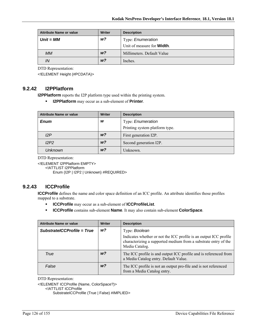| Attribute Name or value | <b>Writer</b>  | <b>Description</b>                 |
|-------------------------|----------------|------------------------------------|
| $Unit = MM$             | w?             | Type: Enumeration                  |
|                         |                | Unit of measure for <b>Width</b> . |
| МM                      | W <sup>2</sup> | Millimeters. Default Value         |
| ΙN                      | W <sup>2</sup> | Inches.                            |

<!ELEMENT Height (#PCDATA)>

#### **9.2.42 I2PPlatform**

**I2PPlatform** reports the I2P platform type used within the printing system.

**I2PPlatform** may occur as a sub-element of **Printer**.

| <b>Attribute Name or value</b> | <b>Writer</b>  | <b>Description</b>             |
|--------------------------------|----------------|--------------------------------|
| <b>Enum</b>                    | w              | Type: Enumeration              |
|                                |                | Printing system platform type. |
| 12P                            | w <sub>2</sub> | First generation I2P.          |
| I2P2                           | w <sup>2</sup> | Second generation I2P.         |
| <b>Unknown</b>                 | W <sup>2</sup> | Unknown.                       |

DTD Representation:

<!ELEMENT I2PPlatform EMPTY>

<!ATTLIST I2PPlatform

Enum (I2P | I2P2 | Unknown) #REQUIRED>

# **9.2.43 ICCProfile**

**ICCProfile** defines the name and color space definition of an ICC profile. An attribute identifies those profiles mapped to a substrate.

- **ICCProfile** may occur as a sub-element of **ICCProfileList**.
- **ICCProfile** contains sub-element **Name**. It may also contain sub-element **ColorSpace**.

| <b>Attribute Name or value</b> | Writer         | <b>Description</b>                                                                                                                                     |
|--------------------------------|----------------|--------------------------------------------------------------------------------------------------------------------------------------------------------|
| SubstratelCCProfile = True     | w <sub>2</sub> | Type: Boolean                                                                                                                                          |
|                                |                | Indicates whether or not the ICC profile is an output ICC profile<br>characterizing a supported medium from a substrate entry of the<br>Media Catalog. |
| True                           | w?             | The ICC profile is and output ICC profile and is referenced from<br>a Media Catalog entry. Default Value.                                              |
| False                          | w?             | The ICC profile is not an output pro-file and is not referenced<br>from a Media Catalog entry.                                                         |

DTD Representation:

<!ELEMENT ICCProfile (Name, ColorSpace?)>

<!ATTLIST ICCProfile

SubstrateICCProfile (True | False) #IMPLIED>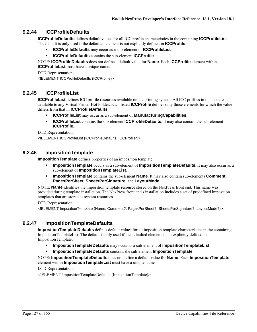### **9.2.44 ICCProfileDefaults**

**ICCProfileDefaults** defines default values for all ICC profile characteristics in the containing **ICCProfileList**. The default is only used if the defaulted element is not explicitly defined in **ICCProfile**.

- **ICCProfileDefaults** may occur as a sub-element of **ICCProfileList**.
- **ICCProfileDefaults** contains the sub-element **ICCProfile**.

NOTE: **ICCProfileDefaults** does not define a default value for **Name**. Each **ICCProfile** element within **ICCProfileList** must have a unique name.

DTD Representation: <!ELEMENT ICCProfileDefaults (ICCProfile)>

#### **9.2.45 ICCProfileList**

**ICCProfileList** defines ICC profile resources available on the printing system. All ICC profiles in this list are available to any Virtual Printer Hot Folder. Each listed **ICCProfile** defines only those elements for which the value differs from that in **ICCProfileDefaults**.

- **ICCProfileList** may occur as a sub-element of **ManufacturingCapabilities**.
- **ICCProfileList** contains the sub-element **ICCProfileDefaults**. It may also contain the sub-element **ICCProfile**.

DTD Representation:

<!ELEMENT ICCProfileList (ICCProfileDefaults, ICCProfile\*)>

#### **9.2.46 ImpositionTemplate**

**ImpositionTemplate** defines properties of an imposition template.

- **ImpositionTemplate** occurs as a sub-element of **ImpositionTemplateDefaults**. It may also occur as a sub-element of **ImpositionTemplateList**.
- **ImpositionTemplate** contains the sub-element **Name**. It may also contain sub-elements **Comment**, **PagesPerSheet**, **SheetsPerSignature**, and **LayoutMode**.

NOTE: **Name** identifies the imposition template resource stored on the NexPress front end. This name was provided during template installation. The NexPress front end's installation includes a set of predefined imposition templates that are stored as system resources.

DTD Representation:

<!ELEMENT ImpositionTemplate (Name, Comment?, PagesPerSheet?, SheetsPerSignature?, LayoutMode?)>

# **9.2.47 ImpositionTemplateDefaults**

**ImpositionTemplateDefaults** defines default values for all imposition template characteristics in the containing ImpositionTemplateList. The default is only used if the defaulted element is not explicitly defined in ImpositionTemplate.

- **ImpositionTemplateDefaults** may occur as a sub-element of **ImpositionTemplateList**.
- **ImpositionTemplateDefaults** contains the sub-element **ImpositionTemplate**.

NOTE: **ImpositionTemplateDefaults** does not define a default value for **Name**. Each **ImpositionTemplate** element within **ImpositionTemplateList** must have a unique name.

DTD Representation:

<!ELEMENT ImpositionTemplateDefaults (ImpositionTemplate)>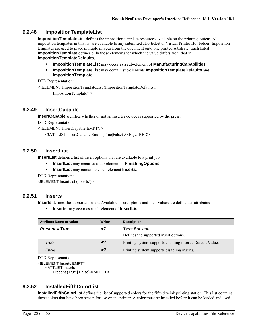#### **9.2.48 ImpositionTemplateList**

**ImpositionTemplateList** defines the imposition template resources available on the printing system. All imposition templates in this list are available to any submitted JDF ticket or Virtual Printer Hot Folder. Imposition templates are used to place multiple images from the document onto one printed substrate. Each listed **ImpositionTemplate** defines only those elements for which the value differs from that in **ImpositionTemplateDefaults**.

- **ImpositionTemplateList** may occur as a sub-element of **ManufacturingCapabilities**.
- **ImpositionTemplateList** may contain sub-elements **ImpositionTemplateDefaults** and **ImpositionTemplate**.

DTD Representation:

<!ELEMENT ImpositionTemplateList (ImpositionTemplateDefaults?,

ImpositionTemplate\*)>

#### **9.2.49 InsertCapable**

**InsertCapable** signifies whether or not an Inserter device is supported by the press.

DTD Representation:

<!ELEMENT InsertCapable EMPTY>

<!ATTLIST InsertCapable Enum (True|False) #REQUIRED>

#### **9.2.50 InsertList**

**InsertList** defines a list of insert options that are available to a print job.

- **InsertList** may occur as a sub-element of **FinishingOptions**.
- **InsertList** may contain the sub-element **Inserts**.

DTD Representation:

<!ELEMENT InsertList (Inserts\*)>

#### **9.2.51 Inserts**

**Inserts** defines the supported insert. Available insert options and their values are defined as attributes.

**Inserts** may occur as a sub-element of **InsertList**.

| <b>Attribute Name or value</b> | Writer         | <b>Description</b>                                        |
|--------------------------------|----------------|-----------------------------------------------------------|
| <b>Present = True</b>          | w?             | Type: Boolean                                             |
|                                |                | Defines the supported insert options.                     |
| True                           | W <sup>2</sup> | Printing system supports enabling inserts. Default Value. |
| False                          | W <sup>2</sup> | Printing system supports disabling inserts.               |

DTD Representation:

<!ELEMENT Inserts EMPTY> <ATTLIST Inserts

Present (True | False) #IMPLIED>

# **9.2.52 InstalledFifthColorList**

**InstalledFifthColorList** defines the list of supported colors for the fifth dry-ink printing station. This list contains those colors that have been set-up for use on the printer. A color must be installed before it can be loaded and used.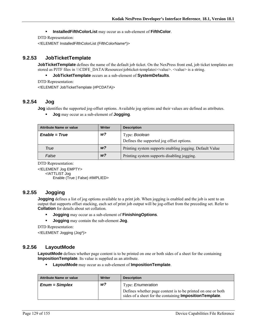#### **InstalledFifthColorList** may occur as a sub-element of **FifthColor**.

DTD Representation:

<!ELEMENT InstalledFifthColorList (FifthColorName\*)>

#### **9.2.53 JobTicketTemplate**

**JobTicketTemplate** defines the name of the default job ticket. On the NexPress front end, job ticket templates are stored as PJTF files in \\\CDFE\_DATA\Resources\jobticket-templates\<value>. <value> is a string.

#### **JobTicketTemplate** occurs as a sub-element of **SystemDefaults**.

DTD Representation:

<!ELEMENT JobTicketTemplate (#PCDATA)>

## **9.2.54 Jog**

**Jog** identifies the supported jog-offset options. Available jog options and their values are defined as attributes.

**Jog** may occur as a sub-element of **Jogging**.

| <b>Attribute Name or value</b> | Writer         | <b>Description</b>                                       |
|--------------------------------|----------------|----------------------------------------------------------|
| $Enable = True$                | w?             | Type: Boolean                                            |
|                                |                | Defines the supported jog offset options.                |
| True                           | W <sup>2</sup> | Printing system supports enabling jogging. Default Value |
| False                          | W <sup>2</sup> | Printing system supports disabling jogging.              |

DTD Representation:

<!ELEMENT Jog EMPTY> <!ATTLIST Jog Enable (True | False) #IMPLIED>

#### **9.2.55 Jogging**

**Jogging** defines a list of jog options available to a print job. When jogging is enabled and the job is sent to an output that supports offset stacking, each set of print job output will be jog-offset from the preceding set. Refer to **Collation** for details about set collation.

**Jogging** may occur as a sub-element of **FinishingOptions**.

**Jogging** may contain the sub-element **Jog**.

DTD Representation:

<!ELEMENT Jogging (Jog\*)>

#### **9.2.56 LayoutMode**

LayoutMode defines whether page content is to be printed on one or both sides of a sheet for the containing **ImpositionTemplate**. Its value is supplied as an attribute.

**LayoutMode** may occur as a sub-element of **ImpositionTemplate**.

| <b>Attribute Name or value</b> | Writer | <b>Description</b>                                                                                                               |
|--------------------------------|--------|----------------------------------------------------------------------------------------------------------------------------------|
| $Enum = Simplex$               | w?     | Type: <i>Enumeration</i>                                                                                                         |
|                                |        | Defines whether page content is to be printed on one or both<br>sides of a sheet for the containing <b>Imposition Template</b> . |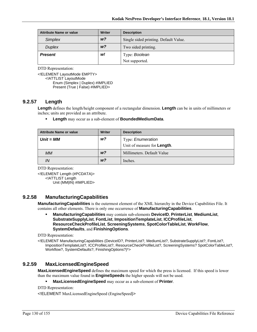| <b>Attribute Name or value</b> | Writer         | <b>Description</b>                    |
|--------------------------------|----------------|---------------------------------------|
| <b>Simplex</b>                 | W <sup>2</sup> | Single sided printing. Default Value. |
| <b>Duplex</b>                  | w <sup>2</sup> | Two sided printing.                   |
| <b>Present</b>                 | w!             | Type: Boolean                         |
|                                |                | Not supported.                        |

<!ELEMENT LayoutMode EMPTY> <!ATTLIST LayoutMode Enum (Simplex | Duplex) #IMPLIED Present (True | False) #IMPLIED>

#### **9.2.57 Length**

**Length** defines the length/height component of a rectangular dimension. **Length** can be in units of millimeters or inches; units are provided as an attribute.

#### **Length** may occur as a sub-element of **BoundedMediumData**.

| <b>Attribute Name or value</b> | <b>Writer</b>  | <b>Description</b>                  |
|--------------------------------|----------------|-------------------------------------|
| $Unit = MM$                    | w?             | Type: Enumeration                   |
|                                |                | Unit of measure for <b>Length</b> . |
| <b>MM</b>                      | W <sup>2</sup> | Millimeters. Default Value          |
| IN                             | W <sup>2</sup> | Inches.                             |

DTD Representation:

<!ELEMENT Length (#PCDATA)> <!ATTLIST Length Unit (MM|IN) #IMPLIED>

# **9.2.58 ManufacturingCapabilities**

**ManufacturingCapabilities** is the outermost element of the XML hierarchy in the Device Capabilities File. It contains all other elements. There is only one occurrence of **ManufacturingCapabilities**.

 **ManufacturingCapabilities** may contain sub-elements **DeviceID**, **PrinterList**, **MediumList**, **SubstrateSupplyList**, **FontList**, **ImpositionTemplateList**, **ICCProfileList**, **ResourceCheckProfileList**, **ScreeningSystems**, **SpotColorTableList**, **WorkFlow**, **SystemDefaults**, and **FinishingOptions**.

DTD Representation:

<!ELEMENT ManufacturingCapabilities (DeviceID?, PrinterList?, MediumList?, SubstrateSupplyList?, FontList?, ImpositionTemplateList?, ICCProfileList?, ResourceCheckProfileList?, ScreeningSystems? SpotColorTableList?, Workflow?, SystemDefaults?, FinishingOptions?)\*>

#### **9.2.59 MaxLicensedEngineSpeed**

**MaxLicensedEngineSpeed** defines the maximum speed for which the press is licensed. If this speed is lower than the maximum value found in **EngineSpeeds** the higher speeds will not be used.

**MaxLicensedEngineSpeed** may occur as a sub-element of **Printer**.

DTD Representation:

<!ELEMENT MaxLicensedEngineSpeed (EngineSpeed)>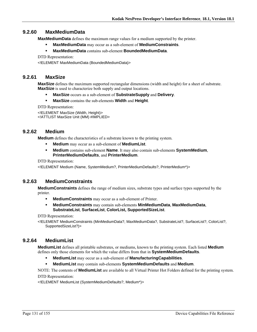# **9.2.60 MaxMediumData**

**MaxMediumData** defines the maximum range values for a medium supported by the printer.

- **MaxMediumData** may occur as a sub-element of **MediumConstraints**.
- **MaxMediumData** contains sub-element **BoundedMediumData**.

DTD Representation:

<!ELEMENT MaxMediumData (BoundedMediumData)>

# **9.2.61 MaxSize**

**MaxSize** defines the maximum supported rectangular dimensions (width and height) for a sheet of substrate. **MaxSize** is used to characterize both supply and output locations.

- **MaxSize** occurs as a sub-element of **SubstrateSupply** and **Delivery**.
- **MaxSize** contains the sub-elements **Width** and **Height**.

DTD Representation:

<!ELEMENT MaxSize (Width, Height)> <!ATTLIST MaxSize Unit (MM) #IMPLIED>

#### **9.2.62 Medium**

**Medium** defines the characteristics of a substrate known to the printing system.

- **Medium** may occur as a sub-element of **MediumList**.
- **Medium** contains sub-element **Name**. It may also contain sub-elements **SystemMedium**, **PrinterMediumDefaults**, and **PrinterMedium**.

DTD Representation:

<!ELEMENT Medium (Name, SystemMedium?, PrinterMediumDefaults?, PrinterMedium\*)>

# **9.2.63 MediumConstraints**

**MediumConstraints** defines the range of medium sizes, substrate types and surface types supported by the printer.

- **MediumConstraints** may occur as a sub-element of Printer.
- **MediumConstraints** may contain sub-elements **MinMediumData**, **MaxMediumData**, **SubstrateList**, **SurfaceList**, **ColorList, SupportedSizeList**.

DTD Representation:

<!ELEMENT MediumConstraints (MinMediumData?, MaxMediumData?, SubstrateList?, SurfaceList?, ColorList?, SupportedSizeList?)>

# **9.2.64 MediumList**

**MediumList** defines all printable substrates, or mediums, known to the printing system. Each listed **Medium** defines only those elements for which the value differs from that in **SystemMediumDefaults**.

- **MediumList** may occur as a sub-element of **ManufacturingCapabilities**.
- **MediumList** may contain sub-elements **SystemMediumDefaults** and **Medium**.

NOTE: The contents of **MediumList** are available to all Virtual Printer Hot Folders defined for the printing system.

#### DTD Representation:

<!ELEMENT MediumList (SystemMediumDefaults?, Medium\*)>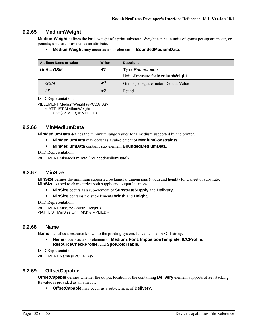#### **9.2.65 MediumWeight**

**MediumWeight** defines the basis weight of a print substrate. Weight can be in units of grams per square meter, or pounds; units are provided as an attribute.

**MediumWeight** may occur as a sub-element of **BoundedMediumData**.

| <b>Attribute Name or value</b> | Writer         | <b>Description</b>                        |
|--------------------------------|----------------|-------------------------------------------|
| $Unit = GSM$                   | w?             | Type: Enumeration                         |
|                                |                | Unit of measure for <b>MediumWeight</b> . |
| <b>GSM</b>                     | W <sup>2</sup> | Grams per square meter. Default Value     |
| LВ                             | W <sup>2</sup> | Pound.                                    |

DTD Representation:

<!ELEMENT MediumWeight (#PCDATA)> <!ATTLIST MediumWeight

Unit (GSM|LB) #IMPLIED>

#### **9.2.66 MinMediumData**

**MinMediumData** defines the minimum range values for a medium supported by the printer.

- **MinMediumData** may occur as a sub-element of **MediumConstraints**.
- **MinMediumData** contains sub-element **BoundedMediumData**.

DTD Representation:

<!ELEMENT MinMediumData (BoundedMediumData)>

#### **9.2.67 MinSize**

**MinSize** defines the minimum supported rectangular dimensions (width and height) for a sheet of substrate. **MinSize** is used to characterize both supply and output locations.

- **MinSize** occurs as a sub-element of **SubstrateSupply** and **Delivery**.
- **MinSize** contains the sub-elements **Width** and **Height**.

DTD Representation:

<!ELEMENT MinSize (Width, Height)> <!ATTLIST MinSize Unit (MM) #IMPLIED>

#### **9.2.68 Name**

**Name** identifies a resource known to the printing system. Its value is an ASCII string.

 **Name** occurs as a sub-element of **Medium**, **Font**, **ImpositionTemplate**, **ICCProfile**, **ResourceCheckProfile**, and **SpotColorTable**.

DTD Representation:

<!ELEMENT Name (#PCDATA)>

#### **9.2.69 OffsetCapable**

**OffsetCapable** defines whether the output location of the containing **Delivery** element supports offset stacking. Its value is provided as an attribute.

**OffsetCapable** may occur as a sub-element of **Delivery**.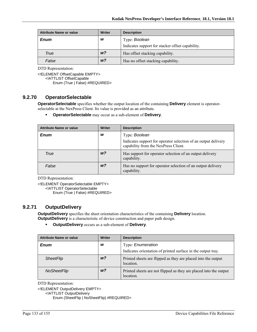| <b>Attribute Name or value</b> | Writer         | <b>Description</b>                               |
|--------------------------------|----------------|--------------------------------------------------|
| <b>Enum</b>                    | W              | Type: Boolean                                    |
|                                |                | Indicates support for stacker offset capability. |
| True                           | w <sup>2</sup> | Has offset stacking capability.                  |
| False                          | w <sup>2</sup> | Has no offset stacking capability.               |

<!ELEMENT OffsetCapable EMPTY>

<!ATTLIST OffsetCapable

Enum (True | False) #REQUIRED>

# **9.2.70 OperatorSelectable**

**OperatorSelectable** specifies whether the output location of the containing **Delivery** element is operatorselectable at the NexPress Client. Its value is provided as an attribute.

**OperatorSelectable** may occur as a sub-element of **Delivery**.

| <b>Attribute Name or value</b> | <b>Writer</b>  | <b>Description</b>                                                                                     |
|--------------------------------|----------------|--------------------------------------------------------------------------------------------------------|
| <b>Enum</b>                    | W              | Type: Boolean                                                                                          |
|                                |                | Indicates support for operator selection of an output delivery<br>capability from the NexPress Client. |
| True                           | W <sup>2</sup> | Has support for operator selection of an output delivery<br>capability.                                |
| False                          | W <sup>2</sup> | Has no support for operator selection of an output delivery<br>capability.                             |

DTD Representation:

<!ELEMENT OperatorSelectable EMPTY> <!ATTLIST OperatorSelectable

Enum (True | False) #REQUIRED>

# **9.2.71 OutputDelivery**

**OutputDelivery** specifies the sheet orientation characteristics of the containing **Delivery** location. **OutputDelivery** is a characteristic of device construction and paper path design.

**OutputDelivery** occurs as a sub-element of **Delivery**.

| <b>Attribute Name or value</b> | <b>Writer</b>  | <b>Description</b>                                                                       |
|--------------------------------|----------------|------------------------------------------------------------------------------------------|
| <b>Enum</b>                    | w              | Type: <i>Enumeration</i><br>Indicates orientation of printed surface in the output tray. |
| <b>SheetFlip</b>               | W <sup>2</sup> | Printed sheets are flipped as they are placed into the output<br>location.               |
| NoSheetFlip                    | w?             | Printed sheets are not flipped as they are placed into the output<br>location.           |

DTD Representation:

<!ELEMENT OutputDelivery EMPTY>

<!ATTLIST OutputDelivery

Enum (SheetFlip | NoSheetFlip) #REQUIRED>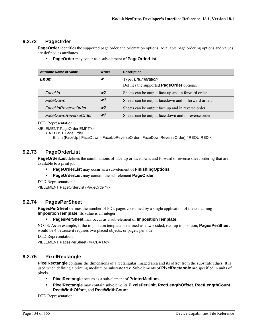# **9.2.72 PageOrder**

**PageOrder** identifies the supported page order and orientation options. Available page ordering options and values are defined as attributes.

**PageOrder** may occur as a sub-element of **PageOrderList**.

| <b>Attribute Name or value</b> | <b>Writer</b>  | <b>Description</b>                                   |
|--------------------------------|----------------|------------------------------------------------------|
| Enum                           | W              | Type: Enumeration                                    |
|                                |                | Defines the supported <b>PageOrder</b> options.      |
| FaceUp                         | w?             | Sheets can be output face-up and in forward order.   |
| FaceDown                       | W <sup>2</sup> | Sheets can be output facedown and in forward order.  |
| FaceUpReverseOrder             | w?             | Sheets can be output face up and in reverse order.   |
| FaceDownReverseOrder           | w?             | Sheets can be output face down and in reverse order. |

DTD Representation:

<!ELEMENT PageOrder EMPTY>

<!ATTLIST PageOrder

Enum (FaceUp | FaceDown | FaceUpReverseOrder | FaceDownReverseOrder) #REQUIRED>

# **9.2.73 PageOrderList**

**PageOrderList** defines the combinations of face-up or facedown, and forward or reverse sheet ordering that are available to a print job.

- **PageOrderList** may occur as a sub-element of **FinishingOptions**.
- **PageOrderList** may contain the sub-element **PageOrder**.

DTD Representation:

<!ELEMENT PageOrderList (PageOrder\*)>

#### **9.2.74 PagesPerSheet**

**PagesPerSheet** defines the number of PDL pages consumed by a single application of the containing **ImpositionTemplate**. Its value is an integer.

**PagesPerSheet** may occur as a sub-element of **ImpositionTemplate**.

NOTE: As an example, if the imposition template is defined as a two-sided, two-up imposition; **PagesPerSheet** would be 4 because it requires two placed objects, or pages, per side.

DTD Representation:

<!ELEMENT PagesPerSheet (#PCDATA)>

# **9.2.75 PixelRectangle**

**PixelRectangle** contains the dimensions of a rectangular imaged area and its offset from the substrate edges. It is used when defining a printing medium or substrate tray. Sub-elements of **PixelRectangle** are specified in units of pixels.

- **PixelRectangle** occurs as a sub-element of **PrinterMedium**.
- **PixelRectangle** may contain sub-elements **PixelsPerUnit**, **RectLengthOffset**, **RectLengthCount**, **RectWidthOffset**, and **RectWidthCount**.

DTD Representation: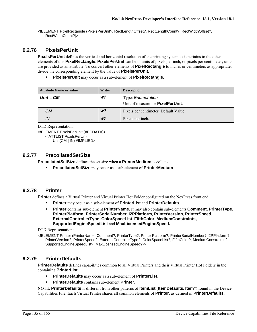<!ELEMENT PixelRectangle (PixelsPerUnit?, RectLengthOffset?, RectLengthCount?, RectWidthOffset?, RectWidthCount?)>

## **9.2.76 PixelsPerUnit**

**PixelsPerUnit** defines the vertical and horizontal resolution of the printing system as it pertains to the other elements of this **PixelRectangle**. **PixelsPerUnit** can be in units of pixels per inch, or pixels per centimeter; units are provided as an attribute. To convert other elements of **PixelRectangle** to inches or centimeters as appropriate, divide the corresponding element by the value of **PixelsPerUnit**.

**PixelsPerUnit** may occur as a sub-element of **PixelRectangle**.

| <b>Attribute Name or value</b> | Writer         | <b>Description</b>                        |
|--------------------------------|----------------|-------------------------------------------|
| $Unit = CM$                    | w?             | Type: Enumeration                         |
|                                |                | Unit of measure for <b>PixelPerUnit</b> . |
| CМ                             | W <sup>2</sup> | Pixels per centimeter. Default Value      |
| IN                             | W <sup>2</sup> | Pixels per inch.                          |

```
DTD Representation:
```
<!ELEMENT PixelsPerUnit (#PCDATA)> <!ATTLIST PixelsPerUnit Unit(CM | IN) #IMPLIED>

#### **9.2.77 PrecollatedSetSize**

**PrecollatedSetSize** defines the set size when a **PrinterMedium** is collated

**PrecollatedSetSize** may occur as a sub-element of **PrinterMedium**.

#### **9.2.78 Printer**

**Printer** defines a Virtual Printer and Virtual Printer Hot Folder configured on the NexPress front end.

- **Printer** may occur as a sub-element of **PrinterList** and **PrinterDefaults**.
- **Printer** contains sub-element **PrinterName**. It may also contain sub-elements **Comment**, **PrinterType**, **PrinterPlatform, PrinterSerialNumber**, **I2PPlatform***,* **PrinterVersion**, **PrinterSpeed**, **ExternalControllerType**, **ColorSpaceList**, **FifthColor**, **MediumConstraints, SupportedEngineSpeedList** and **MaxLicensedEngineSpeed.**

DTD Representation:

<!ELEMENT Printer (PrinterName, Comment?, PrinterType?, PrinterPlatform?, PrinterSerialNumber? I2PPlatform?, PrinterVersion?, PrinterSpeed?, ExternalControllerType?, ColorSpaceList?, FifthColor?, MediumConstraints?, SupportedEngineSpeedList?, MaxLicensedEngineSpeed?)>

#### **9.2.79 PrinterDefaults**

**PrinterDefaults** defines capabilities common to all Virtual Printers and their Virtual Printer Hot Folders in the containing **PrinterList**.

- **PrinterDefaults** may occur as a sub-element of **PrinterList**.
- **PrinterDefaults** contains sub-element **Printer**.

NOTE: **PrinterDefaults** is different from other patterns of **ItemList** (**ItemDefaults**, **Item**\*) found in the Device Capabilities File. Each Virtual Printer shares all common elements of **Printer**, as defined in **PrinterDefaults**,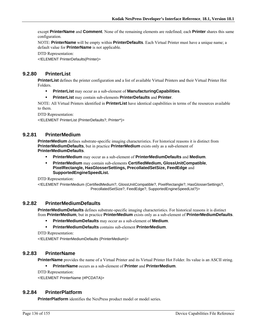except **PrinterName** and **Comment**. None of the remaining elements are redefined; each **Printer** shares this same configuration.

NOTE: **PrinterName** will be empty within **PrinterDefaults**. Each Virtual Printer must have a unique name; a default value for **PrinterName** is not applicable.

DTD Representation:

<!ELEMENT PrinterDefaults(Printer)>

# **9.2.80 PrinterList**

**PrinterList** defines the printer configuration and a list of available Virtual Printers and their Virtual Printer Hot Folders.

- **PrinterList** may occur as a sub-element of **ManufacturingCapabilities**.
- **PrinterList** may contain sub-elements **PrinterDefaults** and **Printer**.

NOTE: All Virtual Printers identified in **PrinterList** have identical capabilities in terms of the resources available to them.

DTD Representation:

<!ELEMENT PrinterList (PrinterDefaults?, Printer\*)>

# **9.2.81 PrinterMedium**

**PrinterMedium** defines substrate-specific imaging characteristics. For historical reasons it is distinct from **PrinterMediumDefaults**, but in practice **PrinterMedium** exists only as a sub-element of **PrinterMediumDefaults**.

- **PrinterMedium** may occur as a sub-element of **PrinterMediumDefaults** and **Medium**.
- **PrinterMedium** may contain sub-elements **CertifiedMedium, GlossUnitCompatible**, **PixelRectangle, HasGlosserSettings, PrecollatedSetSize, FeedEdge** and **SupportedEngineSpeedList.**

DTD Representation:

<!ELEMENT PrinterMedium (CertifiedMedium?, GlossUnitCompatible?, PixelRectangle?, HasGlosserSettings?, PrecollatedSetSize?, FeedEdge?, SupportedEngineSpeedList?)>

# **9.2.82 PrinterMediumDefaults**

**PrinterMediumDefaults** defines substrate-specific imaging characteristics. For historical reasons it is distinct from **PrinterMedium**, but in practice **PrinterMedium** exists only as a sub-element of **PrinterMediumDefaults**.

- **PrinterMediumDefaults** may occur as a sub-element of **Medium**.
- **PrinterMediumDefaults** contains sub-element **PrinterMedium**.

DTD Representation:

<!ELEMENT PrinterMediumDefaults (PrinterMedium)>

# **9.2.83 PrinterName**

**PrinterName** provides the name of a Virtual Printer and its Virtual Printer Hot Folder. Its value is an ASCII string.

**PrinterName** occurs as a sub-element of **Printer** and **PrinterMedium**.

DTD Representation:

<!ELEMENT PrinterName (#PCDATA)>

#### **9.2.84 PrinterPlatform**

**PrinterPlatform** identifies the NexPress product model or model series.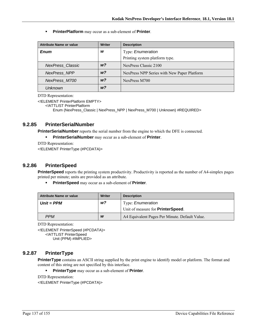**PrinterPlatform** may occur as a sub-element of **Printer**.

| <b>Attribute Name or value</b> | <b>Writer</b>  | <b>Description</b>                          |
|--------------------------------|----------------|---------------------------------------------|
| <b>Enum</b>                    | w              | Type: Enumeration                           |
|                                |                | Printing system platform type.              |
| <b>NexPress Classic</b>        | W <sup>2</sup> | NexPress Classic 2100                       |
| <b>NexPress NPP</b>            | w?             | NexPress NPP Series with New Paper Platform |
| NexPress M700                  | w?             | NexPress M700                               |
| Unknown                        | w?             |                                             |

DTD Representation:

<!ELEMENT PrinterPlatform EMPTY>

<!ATTLIST PrinterPlatform

Enum (NexPress\_Classic | NexPress\_NPP | NexPress\_M700 | Unknown) #REQUIRED>

# **9.2.85 PrinterSerialNumber**

**PrinterSerialNumber** reports the serial number from the engine to which the DFE is connected.

**PrinterSerialNumber** may occur as a sub-element of **Printer**.

DTD Representation:

<!ELEMENT PrinterType (#PCDATA)>

#### **9.2.86 PrinterSpeed**

**PrinterSpeed** reports the printing system productivity. Productivity is reported as the number of A4-simplex pages printed per minute; units are provided as an attribute.

**PrinterSpeed** may occur as a sub-element of **Printer**.

| <b>Attribute Name or value</b> | Writer | <b>Description</b>                             |
|--------------------------------|--------|------------------------------------------------|
| $Unit = PPM$                   | w?     | Type: <i>Enumeration</i>                       |
|                                |        | Unit of measure for <b>PrinterSpeed</b> .      |
| <b>PPM</b>                     | W      | A4 Equivalent Pages Per Minute. Default Value. |

DTD Representation:

<!ELEMENT PrinterSpeed (#PCDATA)> <!ATTLIST PrinterSpeed Unit (PPM) #IMPLIED>

# **9.2.87 PrinterType**

**PrinterType** contains an ASCII string supplied by the print engine to identify model or platform. The format and content of this string are not specified by this interface.

**PrinterType** may occur as a sub-element of **Printer**.

```
DTD Representation: 
<!ELEMENT PrinterType (#PCDATA)>
```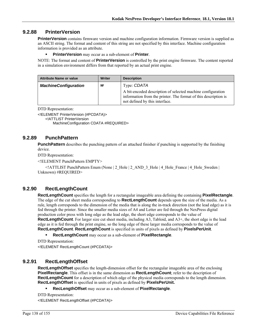#### **9.2.88 PrinterVersion**

**PrinterVersion** contains firmware version and machine configuration information. Firmware version is supplied as an ASCII string. The format and content of this string are not specified by this interface. Machine configuration information is provided as an attribute.

#### **PrinterVersion** may occur as a sub-element of **Printer**.

NOTE: The format and content of **PrinterVersion** is controlled by the print engine firmware. The content reported in a simulation environment differs from that reported by an actual print engine.

| Attribute Name or value     | Writer | <b>Description</b>                                                                                                                                               |
|-----------------------------|--------|------------------------------------------------------------------------------------------------------------------------------------------------------------------|
| <b>MachineConfiguration</b> | W      | Type: CDATA                                                                                                                                                      |
|                             |        | A bit-encoded description of selected machine configuration<br>information from the printer. The format of this description is<br>not defined by this interface. |

DTD Representation:

<!ELEMENT PrinterVersion (#PCDATA)>

<!ATTLIST PrinterVersion

MachineConfiguration CDATA #REQUIRED>

#### **9.2.89 PunchPattern**

**PunchPattern** describes the punching pattern of an attached finisher if punching is supported by the finishing device.

DTD Representation:

<!ELEMENT PunchPattern EMPTY>

 $\le$ !ATTLIST PunchPattern Enum (None | 2\_Hole | 2\_AND\_3\_Hole | 4\_Hole France | 4\_Hole\_Sweden | Unknown) #REQUIRED>

# **9.2.90 RectLengthCount**

**RectLengthCount** specifies the length for a rectangular imageable area defining the containing **PixelRectangle**. The edge of the cut sheet media corresponding to **RectLengthCount** depends upon the size of the media. As a rule, length corresponds to the dimension of the media that is along the in-track direction (not the lead edge) as it is fed through the printer. Since the smaller media sizes of A4 and Letter are fed through the NexPress digital production color press with long edge as the lead edge, the short edge corresponds to the value of **RectLengthCount**. For larger size cut sheet media, including A3, Tabloid, and A3+, the short edge is the lead edge as it is fed through the print engine, so the long edge of these larger media corresponds to the value of **RectLengthCount**. **RectLengthCount** is specified in units of pixels as defined by **PixelsPerUnit**.

**RectLengthCount** may occur as a sub-element of **PixelRectangle**.

DTD Representation: <!ELEMENT RectLengthCount (#PCDATA)>

#### **9.2.91 RectLengthOffset**

**RectLengthOffset** specifies the length-dimension offset for the rectangular imageable area of the enclosing **PixelRectangle**. This offset is in the same dimension as **RectLengthCount**; refer to the description of **RectLengthCount** for a description of which edge of the physical media corresponds to the length dimension. **RectLengthOffset** is specified in units of pixels as defined by **PixelsPerUnit.**

**RecLengthOffset** may occur as a sub-element of **PixelRectangle**.

```
DTD Representation:
```
<!ELEMENT RectLengthOffset (#PCDATA)>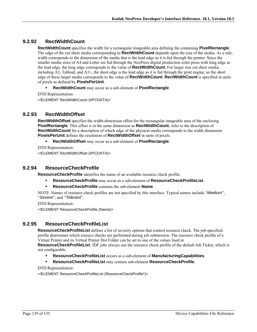# **9.2.92 RectWidthCount**

**RectWidthCount** specifies the width for a rectangular imageable area defining the containing **PixelRectangle**. The edge of the cut sheet media corresponding to **RectWidthCount** depends upon the size of the media. As a rule, width corresponds to the dimension of the media that is the lead edge as it is fed through the printer. Since the smaller media sizes of A4 and Letter are fed through the NexPress digital production color press with long edge as the lead edge, the long edge corresponds to the value of **RectWidthCount**. For larger size cut sheet media, including A3, Tabloid, and A3+, the short edge is the lead edge as it is fed through the print engine, so the short edge of these larger media corresponds to the value of **RectWidthCount**. **RectWidthCount** is specified in units of pixels as defined by **PixelsPerUnit**.

- **RectWidthCount** may occur as a sub-element of **PixelRectangle**.
- DTD Representation:

<!ELEMENT RectWidthCount (#PCDATA)>

#### **9.2.93 RectWidthOffset**

**RectWidthOffset** specifies the width-dimension offset for the rectangular imageable area of the enclosing **PixelRectangle**. This offset is in the same dimension as **RectWidthCount**; refer to the description of **RectWidthCount** for a description of which edge of the physical media corresponds to the width dimension. **PixelsPerUnit** defines the resolution of **RectWidthOffset** in units of pixels.

- **RectWidthOffset** may occur as a sub-element of **PixelRectangle**.
- DTD Representation:

<!ELEMENT RectWidthOffset (#PCDATA)>

## **9.2.94 ResourceCheckProfile**

**ResourceCheckProfile** identifies the name of an available resource check profile.

- **ResourceCheckProfile** may occur as a sub-element of **ResourceCheckProfileList**.
- **ResourceCheckProfile** contains the sub-element **Name**.

NOTE: Names of resource check profiles are not specified by this interface. Typical names include "*Medium*", "*Severe*", and "*Tolerant*".

DTD Representation:

<!ELEMENT ResourceCheckProfile (Name)>

# **9.2.95 ResourceCheckProfileList**

**ResourceCheckProfileList** defines a list of severity options that control resource check. The job-specified profile determines which resouce checks are performed during job submission. The resource check profile of a Virtual Printer and its Virtual Printer Hot Folder can be set to one of the values lised in

**ResourceCheckProfileList**. JDF jobs always use the resource check profile of the default Job Ticket, which is not configurable.

- **ResourceCheckProfileList** occurs as a sub-element of **ManufacturingCapabilities**.
- **ResourceCheckProfileList** may contain sub-element **ResourceCheckProfile**.

DTD Representation:

<!ELEMENT ResourceCheckProfileList (ResourceCheckProfile\*)>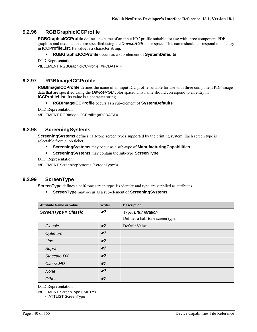## **9.2.96 RGBGraphicICCProfile**

**RGBGraphicICCProfile** defines the name of an input ICC profile suitable for use with three component PDF graphics and text data that are specified using the *DeviceRGB* color space. This name should correspond to an entry in **ICCProfileList**. Its value is a character string.

#### **RGBGraphicICCProfile** occurs as a sub-element of **SystemDefaults**.

```
DTD Representation:
```
<!ELEMENT RGBGraphicICCProfile (#PCDATA)>

#### **9.2.97 RGBImageICCProfile**

**RGBImageICCProfile** defines the name of an input ICC profile suitable for use with three component PDF image data that are specified using the *DeviceRGB* color space. This name should correspond to an entry in **ICCProfileList**. Its value is a character string.

#### **RGBImageICCProfile** occurs as a sub-element of **SystemDefaults**.

DTD Representation:

<!ELEMENT RGBImageICCProfile (#PCDATA)>

#### **9.2.98 ScreeningSystems**

**ScreeningSystems** defines half-tone screen types supported by the printing system. Each screen type is selectable from a job ticket.

- **ScreeningSystems** may occur as a sub-type of **ManufacturingCapabilities**.
- **ScreeningSystems** may contain the sub-type **ScreenType**.

DTD Representation:

<!ELEMENT ScreeningSystems (ScreenType\*)>

#### **9.2.99 ScreenType**

**ScreenType** defines a half-tone screen type. Its identity and type are supplied as attributes.

**ScreenType** may occur as a sub-element of **ScreeningSystems**.

| <b>Attribute Name or value</b> | <b>Writer</b>  | <b>Description</b>               |
|--------------------------------|----------------|----------------------------------|
| ScreenType = Classic           | w?             | Type: Enumeration                |
|                                |                | Defines a half-tone screen type. |
| Classic                        | W <sup>2</sup> | Default Value.                   |
| Optimum                        | W <sup>2</sup> |                                  |
| Line                           | W <sup>2</sup> |                                  |
| Supra                          | W <sup>2</sup> |                                  |
| Staccato DX                    | W <sup>2</sup> |                                  |
| ClassicHD                      | W <sup>2</sup> |                                  |
| None                           | W <sup>2</sup> |                                  |
| Other                          | W <sup>2</sup> |                                  |

DTD Representation:

<!ELEMENT ScreenType EMPTY> <!ATTLIST ScreenType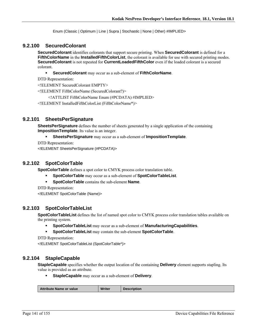Enum (Classic | Optimum | Line | Supra | Stochastic | None | Other) #IMPLIED>

#### **9.2.100 SecuredColorant**

**SecuredColorant** identifies colorants that support secure printing. When **SecuredColorant** is defined for a **FifthColorName** in the **InstalledFifthColorList**, the colorant is available for use with secured printing modes. **SecuredColorant** is not repeated for **CurrentLoadedFifthColor** even if the loaded colorant is a secured colorant.

**SecuredColorant** may occur as a sub-element of **FifthColorName**.

DTD Representation:

<!ELEMENT SecuredColorant EMPTY>

<!ELEMENT FifthColorName (SecuredColorant?)>

<!ATTLIST FifthColorName Enum (#PCDATA) #IMPLIED>

<!ELEMENT InstalledFifthColorList (FifthColorName\*)>

#### **9.2.101 SheetsPerSignature**

**SheetsPerSignature** defines the number of sheets generated by a single application of the containing **ImpositionTemplate**. Its value is an integer.

#### **SheetsPerSignature** may occur as a sub-element of **ImpositionTemplate**.

DTD Representation:

<!ELEMENT SheetsPerSignature (#PCDATA)>

#### **9.2.102 SpotColorTable**

**SpotColorTable** defines a spot color to CMYK process color translation table.

- **SpotColorTable** may occur as a sub-element of **SpotColorTableList**.
- **SpotColorTable** contains the sub-element **Name**.

DTD Representation:

<!ELEMENT SpotColorTable (Name)>

#### **9.2.103 SpotColorTableList**

**SpotColorTableList** defines the list of named spot color to CMYK process color translation tables available on the printing system.

- **SpotColorTableList** may occur as a sub-element of **ManufacturingCapabilities**.
- **SpotColorTableList** may contain the sub-element **SpotColorTable**.

```
DTD Representation:
```
<!ELEMENT SpotColorTableList (SpotColorTable\*)>

#### **9.2.104 StapleCapable**

**StapleCapable** specifies whether the output location of the containing **Delivery** element supports stapling. Its value is provided as an attribute.

**StapleCapable** may occur as a sub-element of **Delivery**.

| <b>Attribute Name or value</b> | Writer | <b>Description</b> |
|--------------------------------|--------|--------------------|
|                                |        |                    |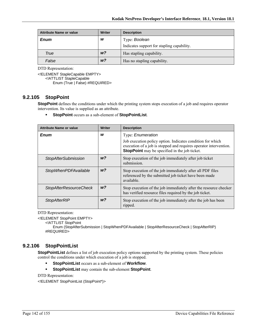| <b>Attribute Name or value</b> | Writer         | <b>Description</b>                         |
|--------------------------------|----------------|--------------------------------------------|
| <b>Enum</b>                    | w              | Type: Boolean                              |
|                                |                | Indicates support for stapling capability. |
| True                           | w?             | Has stapling capability.                   |
| False                          | W <sup>2</sup> | Has no stapling capability.                |

<!ELEMENT StapleCapable EMPTY> <!ATTLIST StapleCapable Enum (True | False) #REQUIRED>

# **9.2.105 StopPoint**

**StopPoint** defines the conditions under which the printing system stops execution of a job and requires operator intervention. Its value is supplied as an attribute.

**StopPoint** occurs as a sub-element of **StopPointList**.

| <b>Attribute Name or value</b> | <b>Writer</b>  | <b>Description</b>                                                                                                                                                                      |
|--------------------------------|----------------|-----------------------------------------------------------------------------------------------------------------------------------------------------------------------------------------|
| <b>Enum</b>                    | w              | Type: <i>Enumeration</i>                                                                                                                                                                |
|                                |                | Job execution policy option. Indicates condition for which<br>execution of a job is stopped and requires operator intervention.<br><b>StopPoint</b> may be specified in the job ticket. |
| <b>StopAfterSubmission</b>     | w <sub>2</sub> | Stop execution of the job immediately after job ticket<br>submission.                                                                                                                   |
| <b>StopWhenPDFAvailable</b>    | w <sub>2</sub> | Stop execution of the job immediately after all PDF files<br>referenced by the submitted job ticket have been made<br>available.                                                        |
| <b>StopAfterResourceCheck</b>  | w <sub>2</sub> | Stop execution of the job immediately after the resource checker<br>has verified resource files required by the job ticket.                                                             |
| <b>StopAfterRIP</b>            | W <sup>2</sup> | Stop execution of the job immediately after the job has been<br>ripped.                                                                                                                 |

DTD Representation:

<!ELEMENT StopPoint EMPTY>

<!ATTLIST StopPoint

Enum (StopAfterSubmission | StopWhenPDFAvailable | StopAfterResourceCheck | StopAfterRIP) #REQUIRED>

# **9.2.106 StopPointList**

**StopPointList** defines a list of job execution policy options supported by the printing system. These policies control the conditions under which execution of a job is stopped.

- **StopPointList** occurs as a sub-element of **Workflow**.
- **StopPointList** may contain the sub-element **StopPoint**.

DTD Representation:

<!ELEMENT StopPointList (StopPoint\*)>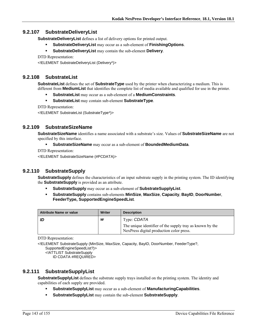# **9.2.107 SubstrateDeliveryList**

**SubstrateDeliveryList** defines a list of delivery options for printed output.

- **SubstrateDeliveryList** may occur as a sub-element of **FinishingOptions**.
- **SubstrateDeliveryList** may contain the sub-element **Delivery**.

DTD Representation:

<!ELEMENT SubstrateDeliveryList (Delivery\*)>

#### **9.2.108 SubstrateList**

**SubstrateList** defines the set of **SubstrateType** used by the printer when characterizing a medium. This is different from **MediumList** that identifies the complete list of media available and qualified for use in the printer.

- **SubstrateList** may occur as a sub-element of a **MediumConstraints**.
- **SubstrateList** may contain sub-element **SubstrateType**.

DTD Representation:

<!ELEMENT SubstrateList (SubstrateType\*)>

# **9.2.109 SubstrateSizeName**

**SubstrateSizeName** identifies a name associated with a substrate's size. Values of **SubstrateSizeName** are not specified by this interface.

#### **SubstrateSizeName** may occur as a sub-element of **BoundedMediumData**.

DTD Representation:

<!ELEMENT SubstrateSizeName (#PCDATA)>

# **9.2.110 SubstrateSupply**

**SubstrateSupply** defines the characteristics of an input substrate supply in the printing system. The ID identifying the **SubstrateSupply** is provided as an attribute.

- **SubstrateSupply** may occur as a sub-element of **SubstrateSupplyList**.
- **SubstrateSupply** contains sub-elements **MinSize**, **MaxSize**, **Capacity**, **BayID**, **DoorNumber**, **FeederType, SupportedEngineSpeedList**.

| <b>Attribute Name or value</b> | Writer | <b>Description</b>                                                                                   |
|--------------------------------|--------|------------------------------------------------------------------------------------------------------|
|                                | W      | Type: CDATA                                                                                          |
|                                |        | The unique identifier of the supply tray as known by the<br>NexPress digital production color press. |

DTD Representation:

<!ELEMENT SubstrateSupply (MinSize, MaxSize, Capacity, BayID, DoorNumber, FeederType?, SupportedEngineSpeedList?)>

<!ATTLIST SubstrateSupply

ID CDATA #REQUIRED>

# **9.2.111 SubstrateSupplyList**

**SubstrateSupplyList** defines the substrate supply trays installed on the printing system. The identity and capabilities of each supply are provided.

- **SubstrateSupplyList** may occur as a sub-element of **ManufacturingCapabilities**.
- **SubstrateSupplyList** may contain the sub-element **SubstrateSupply**.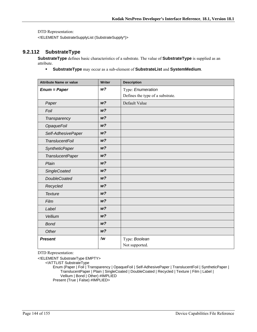<!ELEMENT SubstrateSupplyList (SubstrateSupply\*)>

# **9.2.112 SubstrateType**

**SubstrateType** defines basic characteristics of a substrate. The value of **SubstrateType** is supplied as an attribute.

**SubstrateType** may occur as a sub-element of **SubstrateList** and **SystemMedium**.

| <b>Attribute Name or value</b> | Writer         | <b>Description</b>               |
|--------------------------------|----------------|----------------------------------|
| $Enum = Paper$                 | W <sup>2</sup> | Type: Enumeration                |
|                                |                | Defines the type of a substrate. |
| Paper                          | W <sup>2</sup> | Default Value                    |
| Foil                           | W <sup>2</sup> |                                  |
| Transparency                   | W <sup>2</sup> |                                  |
| <b>OpaqueFoil</b>              | W <sup>2</sup> |                                  |
| Self-AdhesivePaper             | W <sup>2</sup> |                                  |
| <b>TranslucentFoil</b>         | W <sup>2</sup> |                                  |
| <b>SyntheticPaper</b>          | W <sup>2</sup> |                                  |
| <b>TranslucentPaper</b>        | W <sup>2</sup> |                                  |
| Plain                          | W <sup>2</sup> |                                  |
| <b>SingleCoated</b>            | W <sup>2</sup> |                                  |
| <b>DoubleCoated</b>            | W <sup>2</sup> |                                  |
| Recycled                       | W <sup>2</sup> |                                  |
| <b>Texture</b>                 | W <sup>2</sup> |                                  |
| Film                           | W <sup>2</sup> |                                  |
| Label                          | W <sup>2</sup> |                                  |
| Vellium                        | W <sup>2</sup> |                                  |
| <b>Bond</b>                    | W <sup>2</sup> |                                  |
| Other                          | W <sup>2</sup> |                                  |
| <b>Present</b>                 | !w             | Type: Boolean                    |
|                                |                | Not supported.                   |

DTD Representation:

<!ELEMENT SubstrateType EMPTY>

<!ATTLIST SubstrateType

Enum (Paper | Foil | Transparency | OpaqueFoil | Self-AdhesivePaper | TranslucentFoil | SyntheticPaper | TranslucentPaper | Plain | SingleCoated | DoubleCoated | Recycled | Texture | Film | Label | Vellium | Bond | Other) #IMPLIED Present (True | False) #IMPLIED>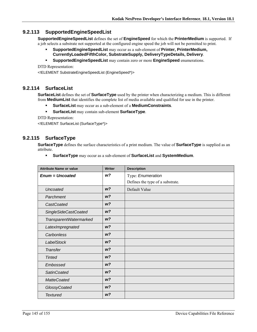# **9.2.113 SupportedEngineSpeedList**

**SupportedEngineSpeedList** defines the set of **EngineSpeed** for which the **PrinterMedium** is supported. If a job selects a substrate not supported at the configured engine speed the job will not be permitted to print.

- **SupportedEngineSpeedList** may occur as a sub-element of **Printer, PrinterMedium, CurrentlyLoadedFifthColor, SubstrateSupply, DeliveryTypeDetails, Delivery**.
- **SupportedEngineSpeedList** may contain zero or more **EngineSpeed** enumerations.

DTD Representation:

<!ELEMENT SubstrateEngineSpeedList (EngineSpeed\*)>

#### **9.2.114 SurfaceList**

**SurfaceList** defines the set of **SurfaceType** used by the printer when characterizing a medium. This is different from **MediumList** that identifies the complete list of media available and qualified for use in the printer.

- **SurfaceList** may occur as a sub-element of a **MediumConstraints**.
- **SurfaceList** may contain sub-element **SurfaceType**.

DTD Representation:

<!ELEMENT SurfaceList (SurfaceType\*)>

# **9.2.115 SurfaceType**

**SurfaceType** defines the surface characteristics of a print medium. The value of **SurfaceType** is supplied as an attribute.

**SurfaceType** may occur as a sub-element of **SurfaceList** and **SystemMedium**.

| <b>Attribute Name or value</b> | <b>Writer</b>  | <b>Description</b>               |
|--------------------------------|----------------|----------------------------------|
| <b>Enum = Uncoated</b>         | w?             | Type: Enumeration                |
|                                |                | Defines the type of a substrate. |
| <b>Uncoated</b>                | W <sup>2</sup> | Default Value                    |
| Parchment                      | W <sup>2</sup> |                                  |
| CastCoated                     | W <sup>2</sup> |                                  |
| <b>SingleSideCastCoated</b>    | W <sup>2</sup> |                                  |
| TransparentWatermarked         | W <sup>2</sup> |                                  |
| LatexImpregnated               | W <sup>2</sup> |                                  |
| Carbonless                     | W <sup>2</sup> |                                  |
| <b>LabelStock</b>              | W <sup>2</sup> |                                  |
| <b>Transfer</b>                | W <sup>2</sup> |                                  |
| <b>Tinted</b>                  | W <sup>2</sup> |                                  |
| Embossed                       | W <sup>2</sup> |                                  |
| <b>SatinCoated</b>             | W <sup>2</sup> |                                  |
| <b>MatteCoated</b>             | W <sup>2</sup> |                                  |
| GlossyCoated                   | W <sup>2</sup> |                                  |
| <b>Textured</b>                | W <sup>2</sup> |                                  |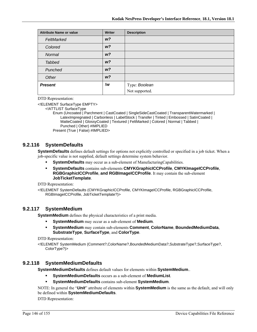| <b>Attribute Name or value</b> | Writer         | <b>Description</b> |
|--------------------------------|----------------|--------------------|
| FeltMarked                     | W <sup>2</sup> |                    |
| Colored                        | W <sup>2</sup> |                    |
| Normal                         | W <sup>2</sup> |                    |
| <b>Tabbed</b>                  | W <sup>2</sup> |                    |
| Punched                        | W <sup>2</sup> |                    |
| Other                          | W <sup>2</sup> |                    |
| <b>Present</b>                 | !w             | Type: Boolean      |
|                                |                | Not supported.     |

DTD Representation:

<!ELEMENT SurfaceType EMPTY>

<!ATTLIST SurfaceType

Enum (Uncoated | Parchment | CastCoated | SingleSideCastCoated | TransparentWatermarked | LatexImpregnated | Carbonless | LabelStock | Transfer | Tinted | Embossed | SatinCoated | MatteCoated | GlossyCoated | Textured | FeltMarked | Colored | Normal | Tabbed | Punched | Other) #IMPLIED

Present (True | False) #IMPLIED>

### **9.2.116 SystemDefaults**

**SystemDefaults** defines default settings for options not explicitly controlled or specified in a job ticket. When a job-specific value is not supplied, default settings determine system behavior.

- **SystemDefaults** may occur as a sub-element of ManufacturingCapabilities.
- **SystemDefaults** contains sub-elements **CMYKGraphicICCProfile**, **CMYKImageICCProfile**, **RGBGraphicICCProfile**, **and RGBImageICCProfile**. It may contain the sub-element **JobTicketTemplate**.

DTD Representation:

<!ELEMENT SystemDefaults (CMYKGraphicICCProfile, CMYKImageICCProfile, RGBGraphicICCProfile, RGBImageICCProfile, JobTicketTemplate?)>

### **9.2.117 SystemMedium**

**SystemMedium** defines the physical characteristics of a print media.

- **SystemMedium** may occur as a sub-element of **Medium**.
- **SystemMedium** may contain sub-elements **Comment**, **ColorName**, **BoundedMediumData**, **SubstrateType**, **SurfaceType**, and **ColorType**.

DTD Representation:

<!ELEMENT SystemMedium (Comment?,ColorName?,BoundedMediumData?,SubstrateType?,SurfaceType?, ColorType?)>

### **9.2.118 SystemMediumDefaults**

**SystemMediumDefaults** defines default values for elements within **SystemMedium**..

- **SystemMediumDefaults** occurs as a sub-element of **MediumList**.
- **SystemMediumDefaults** contains sub-element **SystemMedium**.

NOTE: In general the "*Unit*" attribute of elements within **SystemMedium** is the same as the default, and will only be defined within **SystemMediumDefaults**.

DTD Representation: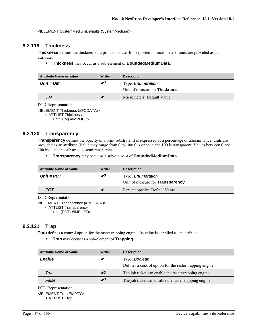<!ELEMENT SystemMediumDefaults (SystemMedium)>

# **9.2.119 Thickness**

**Thickness** defines the thickness of a print substrate. It is reported in micrometers; units are provided as an attribute.

**Thickness** may occur as a sub-element of **BoundedMediumData**.

| <b>Attribute Name or value</b> | Writer | <b>Description</b>                     |
|--------------------------------|--------|----------------------------------------|
| Unit = UM                      | w?     | Type: <i>Enumeration</i>               |
|                                |        | Unit of measure for <b>Thickness</b> . |
| UМ                             | W      | Micrometers. Default Value             |

DTD Representation:

<!ELEMENT Thickness (#PCDATA)> <!ATTLIST Thickness Unit (UM) #IMPLIED>

### **9.2.120 Transparency**

**Transparency** defines the opacity of a print substrate. It is expressed as a percentage of transmittance; units are provided as an attribute. Value may range from 0 to 100; 0 is opaque and 100 is transparent. Values between 0 and 100 indicate the substrate is semitransparent.

**Transparency** may occur as a sub-element of **BoundedMediumData**.

| <b>Attribute Name or value</b> | Writer | <b>Description</b>                        |
|--------------------------------|--------|-------------------------------------------|
| $Unit = PCT$                   | w?     | Type: <i>Enumeration</i>                  |
|                                |        | Unit of measure for <b>Transparency</b> . |
| <b>PCT</b>                     | W      | Percent opacity. Default Value            |

DTD Representation:

<!ELEMENT Transparency (#PCDATA)> <!ATTLIST Transparency Unit (PCT) #IMPLIED>

### **9.2.121 Trap**

**Trap** defines a control option for the raster trapping engine. Its value is supplied as an attribute.

**Trap** may occur as a sub-element of **Trapping**.

| <b>Attribute Name or value</b> | <b>Writer</b>  | <b>Description</b>                                       |
|--------------------------------|----------------|----------------------------------------------------------|
| <b>Enable</b>                  | w              | Type: Boolean                                            |
|                                |                | Defines a control option for the raster trapping engine. |
| True                           | W <sup>2</sup> | The job ticket can enable the raster-trapping engine.    |
| False                          | W <sup>2</sup> | The job ticket can disable the raster-trapping engine.   |

DTD Representation:

<!ELEMENT Trap EMPTY> <!ATTLIST Trap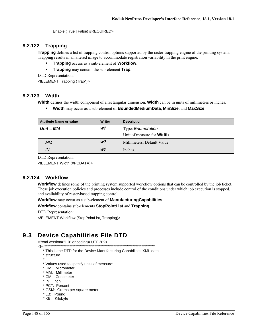Enable (True | False) #REQUIRED>

#### 9.2.122 **Trapping**

**Trapping** defines a list of trapping control options supported by the raster-trapping engine of the printing system. Trapping results in an altered image to accommodate registration variability in the print engine.

- **Trapping** occurs as a sub-element of **Workflow**.
- $\blacksquare$ Trapping may contain the sub-element Trap.

DTD Representation:

<! ELEMENT Trapping (Trap\*)>

### 9.2.123 Width

Width defines the width component of a rectangular dimension. Width can be in units of millimeters or inches.

 $\blacksquare$ Width may occur as a sub-element of BoundedMediumData, MinSize, and MaxSize.

| <b>Attribute Name or value</b> | Writer         | <b>Description</b>                 |
|--------------------------------|----------------|------------------------------------|
| $Unit = MM$                    | w?             | Type: <i>Enumeration</i>           |
|                                |                | Unit of measure for <b>Width</b> . |
| МM                             | w <sup>2</sup> | Millimeters. Default Value         |
| IN                             | W <sup>2</sup> | Inches.                            |

DTD Representation:

<! ELEMENT Width (#PCDATA)>

#### 9.2.124 **Workflow**

**Workflow** defines some of the printing system supported workflow options that can be controlled by the job ticket. These job execution policies and processes include control of the conditions under which job execution is stopped, and availability of raster-based trapping control.

Workflow may occur as a sub-element of Manufacturing Capabilities.

#### Workflow contains sub-elements StopPointList and Trapping.

DTD Representation:

<!ELEMENT Workflow (StopPointList, Trapping)>

#### **Device Capabilities File DTD**  $9.3$

<?xml version="1.0" encoding="UTF-8"?>

\* This is the DTD for the Device Manufacturing Capabilities XML data

- \* structure.
- \* Values used to specify units of measure:
- \* UM: Micrometer
- \* MM: Millimeter
- \* CM: Centimeter
- \* IN: Inch
- \* PCT: Percent
- \* GSM: Grams per square meter
- \* LB: Pound
- \* KB: Kilobyte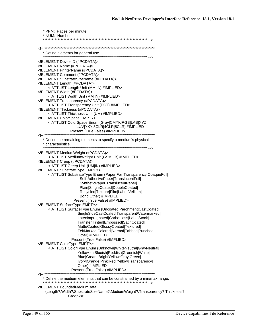| * PPM: Pages per minute                                                                               |
|-------------------------------------------------------------------------------------------------------|
| * NUM: Number                                                                                         |
|                                                                                                       |
|                                                                                                       |
|                                                                                                       |
| ELEMENT DeviceID (#PCDATA)                                                                            |
| ELEMENT Name (#PCDATA)                                                                                |
| ELEMENT PrinterName (#PCDATA)                                                                         |
| ELEMENT Comment (#PCDATA)<br>ELEMENT SubstrateSizeName (#PCDATA)                                      |
| ELEMENT Length (#PCDATA)                                                                              |
| ATTLIST Length Unit (MM IN) #IMPLIED                                                                  |
| ELEMENT Width (#PCDATA)                                                                               |
| ATTLIST Width Unit (MM IN) #IMPLIED                                                                   |
| ELEMENT Transparency (#PCDATA)<br>ATTLIST Transparency Unit (PCT) #IMPLIED                            |
| ELEMENT Thickness (#PCDATA)                                                                           |
| ATTLIST Thickness Unit (UM) #IMPLIED                                                                  |
| ELEMENT ColorSpace EMPTY                                                                              |
| ATTLIST ColorSpace Enum (Gray CMYK RGB LAB XYZ </td                                                   |
| LUV YXY 3CLR 4CLR 5CLR) #IMPLIED<br>Present (True False) #IMPLIED>                                    |
|                                                                                                       |
| * Define the remaining elements to specify a medium's physical                                        |
| * characteristics.                                                                                    |
| ELEMENT MediumWeight (#PCDATA)                                                                        |
| ATTLIST Medium Weight Unit (GSM LB) #IMPLIED                                                          |
| ELEMENT Creep (#PCDATA)                                                                               |
| ATTLIST Creep Unit (UM IN) #IMPLIED                                                                   |
| ELEMENT Substrate Type EMPTY<br>ATTLIST SubstrateType Enum (Paper Foil Transparency OpaqueFoil </td   |
| Self-AdhesivePaper TranslucentFoil                                                                    |
| SyntheticPaper TranslucentPaper                                                                       |
| Plain SingleCoated DoubleCoated                                                                       |
| Recycled Texture Film Label Vellium                                                                   |
| Bond Other) #IMPLIED<br>Present (True False) #IMPLIED>                                                |
| ELEMENT SurfaceType EMPTY                                                                             |
| ATTLIST SurfaceType Enum (Uncoated Parchment CastCoated </td                                          |
| SingleSideCastCoated TransparentWatermarked                                                           |
| LatexImpregnated Carbonless LabelStock                                                                |
| Transfer Tinted Embossed SatinCoated <br>MatteCoated GlossyCoated Textured                            |
| FeltMarked Colored Normal Tabbed Punched                                                              |
| Other) #IMPLIED                                                                                       |
| Present (True False) #IMPLIED>                                                                        |
| ELEMENT ColorType EMPTY                                                                               |
| ATTLIST ColorType Enum (Unknown WhiteNeutral GrayNeutral <br Yellowish Blueish Reddish Greenish White |
| Blue Cream BrightYellow Gray Green                                                                    |
| Ivory Orange Pink Red Yellow Transparency                                                             |
| Other) #IMPLIED                                                                                       |
|                                                                                                       |
|                                                                                                       |
|                                                                                                       |
| ELEMENT BoundedMediumData</td                                                                         |
| (Length?, Width?, SubstrateSizeName?, MediumWeight?, Transparency?, Thickness?,<br>Creep?             |
|                                                                                                       |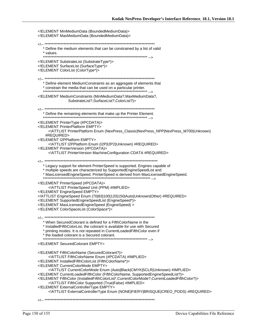<!ELEMENT MinMediumData (BoundedMediumData)> <!ELEMENT MaxMediumData (BoundedMediumData)> \* Define the medium elements that can be constrained by a list of valid \* values. <!ELEMENT SubstrateList (SubstrateType\*)> <!ELEMENT SurfaceList (SurfaceType\*)> <! ELEMENT ColorList (ColorType\*)> \* Define element MediumConstraints as an aggregate of elements that \* constrain the media that can be used on a particular printer. <!ELEMENT MediumConstraints (MinMediumData?, MaxMediumData?, SubstrateList?,SurfaceList?,ColorList?)> \* Define the remaining elements that make up the Printer Element. <!ELEMENT PrinterType (#PCDATA)> <! ELEMENT PrinterPlatform EMPTY> <!ATTLIST PrinterPlatform Enum (NexPress\_Classic|NexPress\_NPP|NexPress\_M700|Unknown) #REQUIRED> <! ELEMENT I2PPlatform EMPTY> <!ATTLIST I2PPlatform Enum (I2P|I2P2|Unknown) #REQUIRED> <!ELEMENT PrinterVersion (#PCDATA)> <! ATTLIST Printer Version Machine Configuration CDATA #REQUIRED> \* Legacy support for element PrinterSpeed is supported. Engines capable of \* multiple speeds are characterized by SupportedEngineSpeedList and \* MaxLicensedEngineSpeed. PrinterSpeed is derived from MaxLicensedEngineSpeed. <!ELEMENT PrinterSpeed (#PCDATA)> <! ATTLIST PrinterSpeed Unit (PPM) #IMPLIED> <! ELEMENT EngineSpeed EMPTY> <!ATTLIST EngineSpeed Enum (70|83|100|120|150|Auto|Unknown|Other) #REQUIRED> <!ELEMENT SupportedEngineSpeedList (EngineSpeed\*)> <! ELEMENT MaxLicensed EngineSpeed (EngineSpeed) > <!ELEMENT ColorSpaceList (ColorSpace\*)> \* When SecuredColorant is defined for a FifthColorName in the \* InstalledFifthColorList, the colorant is available for use with Secured \* printing modes. It is not repeated in CurrentLoadedFifthColor even if \* the loaded colorant is a Secured colorant. <! ELEMENT Secured Colorant EMPTY> <!ELEMENT FifthColorName (SecuredColorant?)> <! ATTLIST Fifth ColorName Enum (#PCDATA) #IMPLIED> <!ELEMENT InstalledFifthColorList (FifthColorName\*)> <! ELEMENT CurrentColorMode EMPTY> <!ATTLIST CurrentColorMode Enum (Auto|Black|CMYK|5CLR|Unknown) #IMPLIED> <!ELEMENT CurrentLoadedFifthColor (FifthColorName, SupportedEngineSpeedList?)> <!ELEMENT FifthColor (InstalledFifthColorList\*,CurrentColorMode?,CurrentLoadedFifthColor?)> <! ATTLIST Fifth Color Supported (True | False) #IMPLIED> <! ELEMENT External Controller Type EMPTY> <!ATTLIST ExternalControllerType Enum (NONE|FIERY|BRISQUE|CREO\_PODS) #REQUIRED>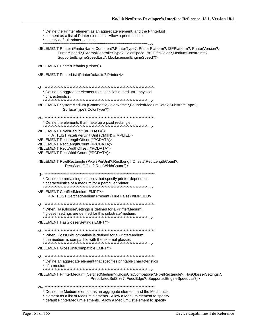\* Define the Printer element as an aggregate element, and the PrinterList \* element as a list of Printer elements. Allow a printer list to \* specify default printer settings. <!ELEMENT Printer (PrinterName,Comment?,PrinterType?, PrinterPlatform?, I2PPlatform?, PrinterVersion?, PrinterSpeed?, ExternalControllerType?, ColorSpaceList?, FifthColor?, MediumConstraints?, SupportedEngineSpeedList?, MaxLicensedEngineSpeed?)> <! ELEMENT PrinterDefaults (Printer)> <!ELEMENT PrinterList (PrinterDefaults?, Printer\*)> \* Define an aggregate element that specifies a medium's physical \* characteristics. <!ELEMENT SystemMedium (Comment?,ColorName?,BoundedMediumData?,SubstrateType?, SurfaceType?,ColorType?)> \* Define the elements that make up a pixel rectangle. ,...<br>\*\*\*\*\*\*\*\*\*\*\*\*\*\*\* --> <! ELEMENT Pixels PerUnit (#PCDATA)> <! ATTLIST Pixels PerUnit Unit (CM|IN) #IMPLIED> <!ELEMENT RectLengthOffset (#PCDATA)> <!ELEMENT RectLengthCount (#PCDATA)> <! ELEMENT RectWidthOffset (#PCDATA)> <! ELEMENT RectWidthCount (#PCDATA)> <!ELEMENT PixelRectangle (PixelsPerUnit?, RectLengthOffset?, RectLengthCount?, RectWidthOffset?, RectWidthCount?)> \* Define the remaining elements that specify printer-dependent \* characteristics of a medium for a particular printer. <! ELEMENT CertifiedMedium EMPTY> <!ATTLIST CertifiedMedium Present (True|False) #IMPLIED> \* When HasGlosserSettings is defined for a PrinterMedium, \* glosser settings are defined for this substrate/medium. <! ELEMENT Has Glosser Settings EMPTY> \* When GlossUnitCompatible is defined for a PrinterMedium, \* the medium is compatible with the external glosser. <! ELEMENT GlossUnitCompatible EMPTY> \* Define an aggregate element that specifies printable characteristics \* of a medium. <!ELEMENT PrinterMedium (CertifiedMedium?,GlossUnitCompatible?,PixelRectangle?, HasGlosserSettings?, PrecollatedSetSize?, FeedEdge?, SupportedEngineSpeedList?)> \* Define the Medium element as an aggregate element, and the MediumList \* element as a list of Medium elements. Allow a Medium element to specify

\* default PrinterMedium elements. Allow a MediumList element to specify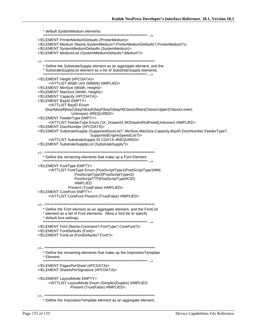\* default SystemMedium elements. <!ELEMENT PrinterMediumDefaults (PrinterMedium)> <!ELEMENT Medium (Name, SystemMedium?, PrinterMediumDefaults?, PrinterMedium\*)> <!ELEMENT SystemMediumDefaults (SystemMedium)> <!ELEMENT MediumList (SystemMediumDefaults?, Medium\*)> \* Define the SubstrateSupply element as an aggregate element, and the \* SubstrateSupplyList element as a list of SubstrateSupply elements. <!ELEMENT Height (#PCDATA)> <! ATTLIST Width Unit (MM|IN) #IMPLIED> <! ELEMENT MinSize (Width, Height)> <! ELEMENT MaxSize (Width, Height)> <! ELEMENT Capacity (#PCDATA)> <! ELEMENT BayID EMPTY> <!ATTLIST BayID Enum (bayA|bayB|bayC|bayD|bayE|bayF|bayG|bayH|ClassicMain|ClassicUpper|ClassicLower| Unknown) #REQUIRED> <! ELEMENT FeederType EMPTY> <!ATTLIST FeederType Enum (1K\_Drawer|4.5KDrawer|RollFeed|Unknown) #IMPLIED> <! ELEMENT DoorNumber (#PCDATA)> <!ELEMENT SubstrateSupply (SupportedSizeList?, MinSize,MaxSize,Capacity,BayID,DoorNumber,FeederType?, SupportedEngineSpeedList?)> <! ATTLIST Substrate Supply ID CDATA #REQUIRED> <!ELEMENT SubstrateSupplyList (SubstrateSupply\*)> \* Define the remaining elements that make up a Font Element. <! ELEMENT FontType EMPTY> <! ATTLIST FontType Enum (PostScriptType1|PostScriptType1MM| PostScriptType3|PostScriptType42| PostScriptTTF|PostScriptType0CID) #IMPLIED Present (True|False) #IMPLIED> <! ELEMENT CoreFont EMPTY> <! ATTLIST CoreFont Present (True|False) #IMPLIED> \* Define the Font element as an aggregate element, and the FontList \* element as a list of Font elements. Allow a font list to specify \* default font settings. <!ELEMENT Font (Name,Comment?,FontType?,CoreFont?)> <!ELEMENT FontDefaults (Font)> <!ELEMENT FontList (FontDefaults?,Font\*)> \* Define the remaining elements that make up the Imposition Template \* Element. <! ELEMENT PagesPerSheet (#PCDATA)> <!ELEMENT SheetsPerSignature (#PCDATA)> <! ELEMENT LayoutMode EMPTY> <! ATTLIST LayoutMode Enum (Simplex|Duplex) #IMPLIED Present (True|False) #IMPLIED> \* Define the ImpositionTemplate element as an aggregate element,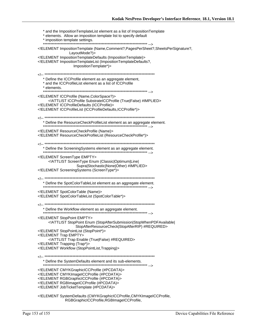\* and the Imposition TemplateList element as a list of Imposition Template \* elements. Allow an imposition template list to specify default \* imposition template settings. <!ELEMENT ImpositionTemplate (Name,Comment?,PagesPerSheet?,SheetsPerSignature?, LayoutMode?)> <!ELEMENT ImpositionTemplateDefaults (ImpositionTemplate)> <!ELEMENT ImpositionTemplateList (ImpositionTemplateDefaults?, ImpositionTemplate\*)> \* Define the ICCProfile element as an aggregate element, \* and the ICCProfileList element as a list of ICCProfile \* elements. <!ELEMENT ICCProfile (Name,ColorSpace?)> <!ATTLIST ICCProfile SubstrateICCProfile (True|False) #IMPLIED> <!ELEMENT ICCProfileDefaults (ICCProfile)> <!ELEMENT ICCProfileList (ICCProfileDefaults, ICCProfile\*)> \* Define the ResourceCheckProfileList element as an aggregate element. <! ELEMENT Resource Check Profile (Name)> <! ELEMENT ResourceCheckProfileList (ResourceCheckProfile\*)> \* Define the ScreeningSystems element as an aggregate element. <! ELEMENT ScreenType EMPTY> <!ATTLIST ScreenType Enum (Classic|Optimum|Line| Supra|Stochastic|None|Other) #IMPLIED> <!ELEMENT ScreeningSystems (ScreenType\*)> \* Define the SpotColorTableList element as an aggregate element. <! ELEMENT SpotColorTable (Name)> <!ELEMENT SpotColorTableList (SpotColorTable\*)> \* Define the Workflow element as an aggregate element. <! ELEMENT StopPoint EMPTY> <!ATTLIST StopPoint Enum (StopAfterSubmission|StopWhenPDFAvailable) StopAfterResourceCheck|StopAfterRIP) #REQUIRED> <! ELEMENT StopPointList (StopPoint\*)> <!ELEMENT Trap EMPTY> <!ATTLIST Trap Enable (True|False) #REQUIRED> <! ELEMENT Trapping (Trap\*)> <!ELEMENT Workflow (StopPointList, Trapping)> \* Define the SystemDefaults element and its sub-elements. <!ELEMENT CMYKGraphicICCProfile (#PCDATA)> <!ELEMENT CMYKImageICCProfile (#PCDATA)> <! ELEMENT RGBGraphicICCProfile (#PCDATA)> <! ELEMENT RGBImageICCProfile (#PCDATA)> <!ELEMENT JobTicketTemplate (#PCDATA)> <!ELEMENT SystemDefaults (CMYKGraphicICCProfile,CMYKImageICCProfile,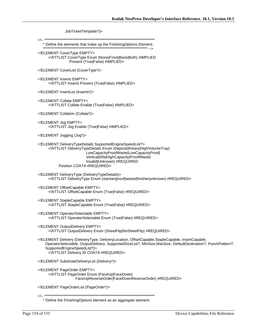JobTicketTemplate?)>

\* Define the elements that make up the FinishingOptions Element. 

<! ELEMENT CoverType EMPTY> <! ATTLIST CoverType Enum (None|Front|Back|Both) #IMPLIED Present (True|False) #IMPLIED>

<!ELEMENT CoverList (CoverType\*)>

<! ELEMENT Inserts EMPTY> <! ATTLIST Inserts Present (True|False) #IMPLIED>

<! ELEMENT InsertList (Inserts\*)>

<! ELEMENT Collate EMPTY> <! ATTLIST Collate Enable (True|False) #IMPLIED>

<!ELEMENT Collation (Collate\*)>

<!ELEMENT Jog EMPTY> <!ATTLIST Jog Enable (True|False) #IMPLIED>

<!ELEMENT Jogging (Jog\*)>

<!ELEMENT DeliveryTypeDetails SupportedEngineSpeedList?> <!ATTLIST DeliveryTypeDetails Enum (Deposit|Rotary|HighVolumeTray| LowCapacityProofWaste|LowCapacityProof| Vertical|Dfa|HighCapacity|ProofWaste| Invalid|Unknown) #REQUIRED Position CDATA #REQUIRED>

<!ELEMENT DeliveryType (DeliveryTypeDetails)> <!ATTLIST DeliveryType Enum (stacker|proof|waste|finisher|unknown) #REQUIRED>

<!ELEMENT OffsetCapable EMPTY> <! ATTLIST Offset Capable Enum (True | False) #REQUIRED>

<! ELEMENT Staple Capable EMPTY> <! ATTLIST Staple Capable Enum (True|False) #REQUIRED>

<! ELEMENT OperatorSelectable EMPTY> <!ATTLIST OperatorSelectable Enum (True|False) #REQUIRED>

<! ELEMENT Output Delivery EMPTY> <!ATTLIST OutputDelivery Enum (SheetFlip|NoSheetFlip) #REQUIRED>

<!ELEMENT Delivery (DeliveryType, DeliveryLocation, OffsetCapable, StapleCapable, InsertCapable, OperatorSelectable, OutputDelivery, SupportedSizeList?, MinSize, MaxSize, DefaultDestination?, PunchPattern?, SupportedEngineSpeedList?)> <! ATTLIST Delivery ID CDATA #REQUIRED>

<! ELEMENT Substrate Delivery List (Delivery\*)>

<! ELEMENT PageOrder EMPTY> <!ATTLIST PageOrder Enum (FaceUp|FaceDown| FaceUpReverseOrder|FaceDownReverseOrder) #REQUIRED>

<!ELEMENT PageOrderList (PageOrder\*)>

\* Define the FinishingOptions element as an aggregate element.